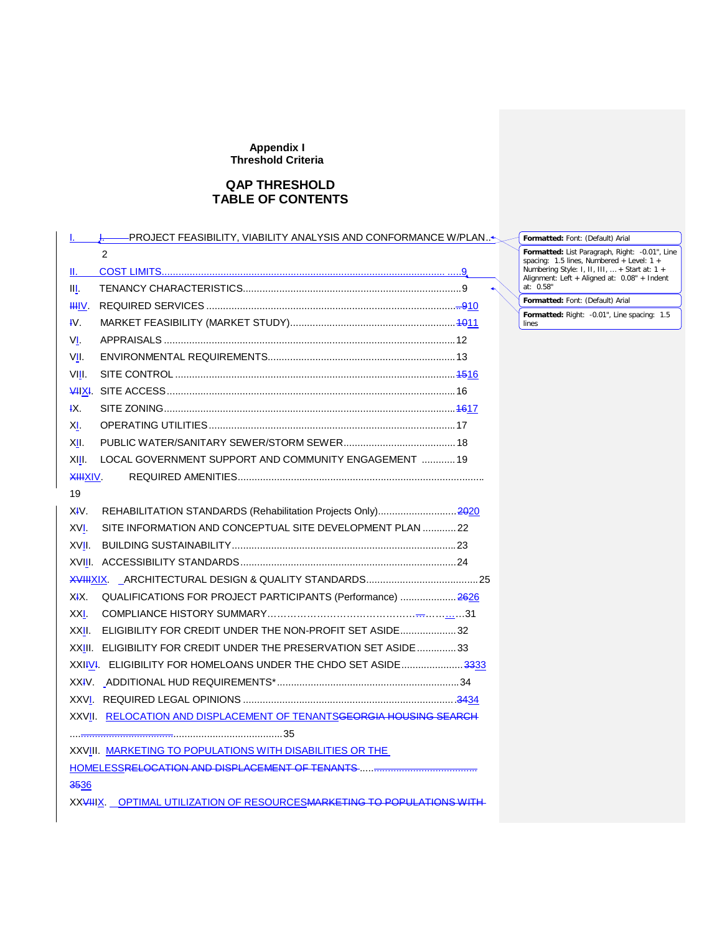# **QAP THRESHOLD TABLE OF CONTENTS**

| ــــل≻PROJECT FEASIBILITY, VIABILITY ANALYSIS AND CONFORMANCE W/PLAN   |  |
|------------------------------------------------------------------------|--|
| $\mathcal{P}$                                                          |  |
| II. – 1                                                                |  |
| Ш.                                                                     |  |
| HHV.                                                                   |  |
| $W_{\cdot}$                                                            |  |
| VI.                                                                    |  |
| VII.                                                                   |  |
| VIII.                                                                  |  |
|                                                                        |  |
| łХ.                                                                    |  |
| XI.                                                                    |  |
| XII.                                                                   |  |
| LOCAL GOVERNMENT SUPPORT AND COMMUNITY ENGAGEMENT  19<br>XIII.         |  |
| <del>XIII</del> XIV.                                                   |  |
| 19                                                                     |  |
| XIV.<br>REHABILITATION STANDARDS (Rehabilitation Projects Only)2020    |  |
| XVI.<br>SITE INFORMATION AND CONCEPTUAL SITE DEVELOPMENT PLAN  22      |  |
| XVII.                                                                  |  |
|                                                                        |  |
|                                                                        |  |
| XIX.<br>QUALIFICATIONS FOR PROJECT PARTICIPANTS (Performance)  2626    |  |
| XXI.                                                                   |  |
| ELIGIBILITY FOR CREDIT UNDER THE NON-PROFIT SET ASIDE32<br>XXII.       |  |
| XXIII. ELIGIBILITY FOR CREDIT UNDER THE PRESERVATION SET ASIDE33       |  |
| XXIIVI. ELIGIBILITY FOR HOMELOANS UNDER THE CHDO SET ASIDE3333         |  |
|                                                                        |  |
|                                                                        |  |
| XXVII. RELOCATION AND DISPLACEMENT OF TENANTSGEORGIA HOUSING SEARCH    |  |
|                                                                        |  |
| XXVIII. MARKETING TO POPULATIONS WITH DISABILITIES OR THE              |  |
|                                                                        |  |
| 3536                                                                   |  |
| XXVIIIX. OPTIMAL UTILIZATION OF RESOURCESMARKETING TO POPULATIONS WITH |  |
|                                                                        |  |

**Formatted:** Font: (Default) Arial

Formatted: List Paragraph, Right: -0.01", Line<br>spacing: 1.5 lines, Numbered + Level: 1 +<br>Numbering Style: I, II, III, … + Start at: 1 +<br>Alignment: Left + Aligned at: 0.08" + Indent<br>at: 0.58"

**Formatted:** Font: (Default) Arial

**Formatted:** Right: -0.01", Line spacing: 1.5 lines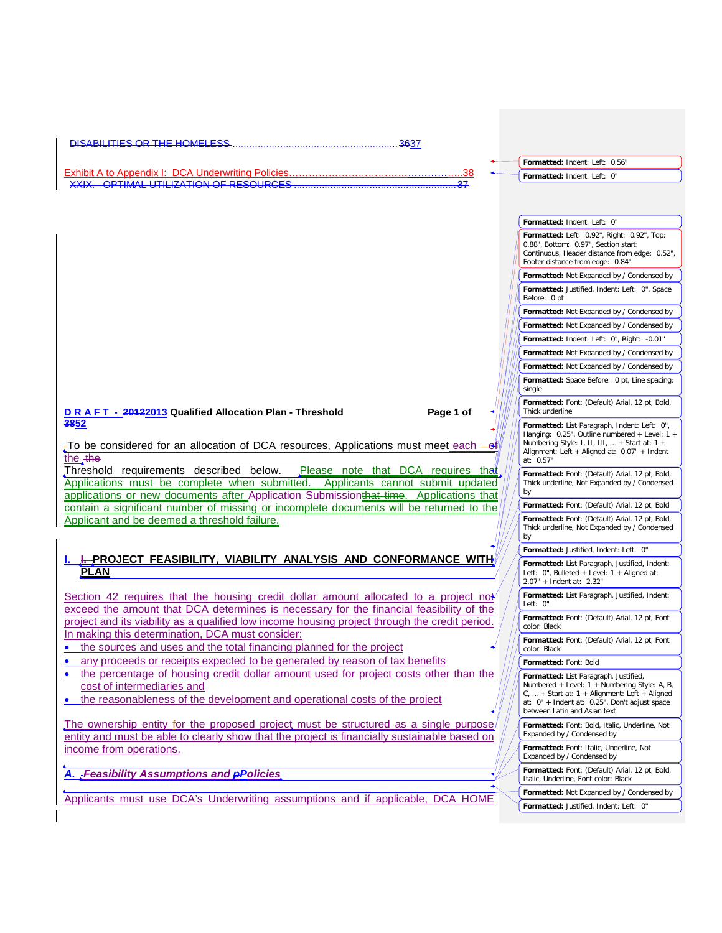| <b>DISABILITIES OR THE HOMELESS</b>                                                                                                                                                                                                                          |                                                                                                                                                                                                                  |
|--------------------------------------------------------------------------------------------------------------------------------------------------------------------------------------------------------------------------------------------------------------|------------------------------------------------------------------------------------------------------------------------------------------------------------------------------------------------------------------|
|                                                                                                                                                                                                                                                              | Formatted: Indent: Left: 0.56"                                                                                                                                                                                   |
| <b>Exhibit A to Appendix I: DCA Underwriting Policies</b><br>38<br><u>VYIY OPTIMAL LITILIZATION OF RESOLIRCES</u>                                                                                                                                            | Formatted: Indent: Left: 0"                                                                                                                                                                                      |
|                                                                                                                                                                                                                                                              | Formatted: Indent: Left: 0"<br>Formatted: Left: 0.92", Right: 0.92", Top:                                                                                                                                        |
|                                                                                                                                                                                                                                                              | 0.88", Bottom: 0.97", Section start:<br>Continuous, Header distance from edge: 0.52",<br>Footer distance from edge: 0.84"                                                                                        |
|                                                                                                                                                                                                                                                              | Formatted: Not Expanded by / Condensed by<br>Formatted: Justified, Indent: Left: 0", Space<br>Before: 0 pt                                                                                                       |
|                                                                                                                                                                                                                                                              | Formatted: Not Expanded by / Condensed by                                                                                                                                                                        |
|                                                                                                                                                                                                                                                              | Formatted: Not Expanded by / Condensed by                                                                                                                                                                        |
|                                                                                                                                                                                                                                                              | Formatted: Indent: Left: 0", Right: -0.01"                                                                                                                                                                       |
|                                                                                                                                                                                                                                                              | Formatted: Not Expanded by / Condensed by                                                                                                                                                                        |
|                                                                                                                                                                                                                                                              | Formatted: Not Expanded by / Condensed by                                                                                                                                                                        |
|                                                                                                                                                                                                                                                              | Formatted: Space Before: 0 pt, Line spacing:<br>single                                                                                                                                                           |
| Page 1 of<br>D R A F T - 20122013 Qualified Allocation Plan - Threshold                                                                                                                                                                                      | Formatted: Font: (Default) Arial, 12 pt, Bold,<br>Thick underline                                                                                                                                                |
| 3852<br>To be considered for an allocation of DCA resources, Applications must meet each $-\mathbf{e}$<br>the the                                                                                                                                            | Formatted: List Paragraph, Indent: Left: 0",<br>Hanging: $0.25$ ", Outline numbered + Level: 1 +<br>Numbering Style: 1, 11, 111,  + Start at: $1 +$<br>Alignment: Left + Aligned at: 0.07" + Indent<br>at: 0.57" |
| Threshold requirements described below.<br>Please note that<br>DCA requires that<br>Applications must be complete when submitted. Applicants cannot submit updated<br>applications or new documents after Application Submissionthat time. Applications that | Formatted: Font: (Default) Arial, 12 pt, Bold,<br>Thick underline, Not Expanded by / Condensed<br>by                                                                                                             |
| contain a significant number of missing or incomplete documents will be returned to the                                                                                                                                                                      | Formatted: Font: (Default) Arial, 12 pt, Bold                                                                                                                                                                    |
| Applicant and be deemed a threshold failure.                                                                                                                                                                                                                 | Formatted: Font: (Default) Arial, 12 pt, Bold,<br>Thick underline, Not Expanded by / Condensed<br>by                                                                                                             |
|                                                                                                                                                                                                                                                              | Formatted: Justified, Indent: Left: 0"                                                                                                                                                                           |
| <b>I PROJECT FEASIBILITY. VIABILITY ANALYSIS AND CONFORMANCE WITH</b><br><b>PLAN</b>                                                                                                                                                                         | Formatted: List Paragraph, Justified, Indent:<br>Left: 0", Bulleted + Level: 1 + Aligned at:<br>2.07" + Indent at: 2.32"                                                                                         |
| Section 42 requires that the housing credit dollar amount allocated to a project not<br>exceed the amount that DCA determines is necessary for the financial feasibility of the                                                                              | Formatted: List Paragraph, Justified, Indent:<br>Left: 0"                                                                                                                                                        |
| project and its viability as a qualified low income housing project through the credit period.<br>In making this determination, DCA must consider:                                                                                                           | Formatted: Font: (Default) Arial, 12 pt, Font<br>color: Black<br>Formatted: Font: (Default) Arial, 12 pt, Font                                                                                                   |
| the sources and uses and the total financing planned for the project                                                                                                                                                                                         | color: Black                                                                                                                                                                                                     |
| any proceeds or receipts expected to be generated by reason of tax benefits                                                                                                                                                                                  | Formatted: Font: Bold                                                                                                                                                                                            |
| the percentage of housing credit dollar amount used for project costs other than the<br>$\bullet$<br>cost of intermediaries and<br>the reasonableness of the development and operational costs of the project                                                | Formatted: List Paragraph, Justified,<br>Numbered + Level: 1 + Numbering Style: A, B,<br>C,  + Start at: 1 + Alignment: Left + Aligned                                                                           |
| The ownership entity for the proposed project must be structured as a single purpose,                                                                                                                                                                        | at: 0" + Indent at: 0.25", Don't adjust space<br>between Latin and Asian text<br>Formatted: Font: Bold, Italic, Underline, Not                                                                                   |
| entity and must be able to clearly show that the project is financially sustainable based on                                                                                                                                                                 | Expanded by / Condensed by                                                                                                                                                                                       |
| income from operations.                                                                                                                                                                                                                                      | Formatted: Font: Italic, Underline, Not<br>Expanded by / Condensed by                                                                                                                                            |
| A. Feasibility Assumptions and <b>pPolicies</b>                                                                                                                                                                                                              | Formatted: Font: (Default) Arial, 12 pt, Bold,<br>Italic, Underline, Font color: Black                                                                                                                           |
| Applicants must use DCA's Underwriting assumptions and if applicable, DCA HOME                                                                                                                                                                               | Formatted: Not Expanded by / Condensed by                                                                                                                                                                        |
|                                                                                                                                                                                                                                                              | Formatted: Justified, Indent: Left: 0"                                                                                                                                                                           |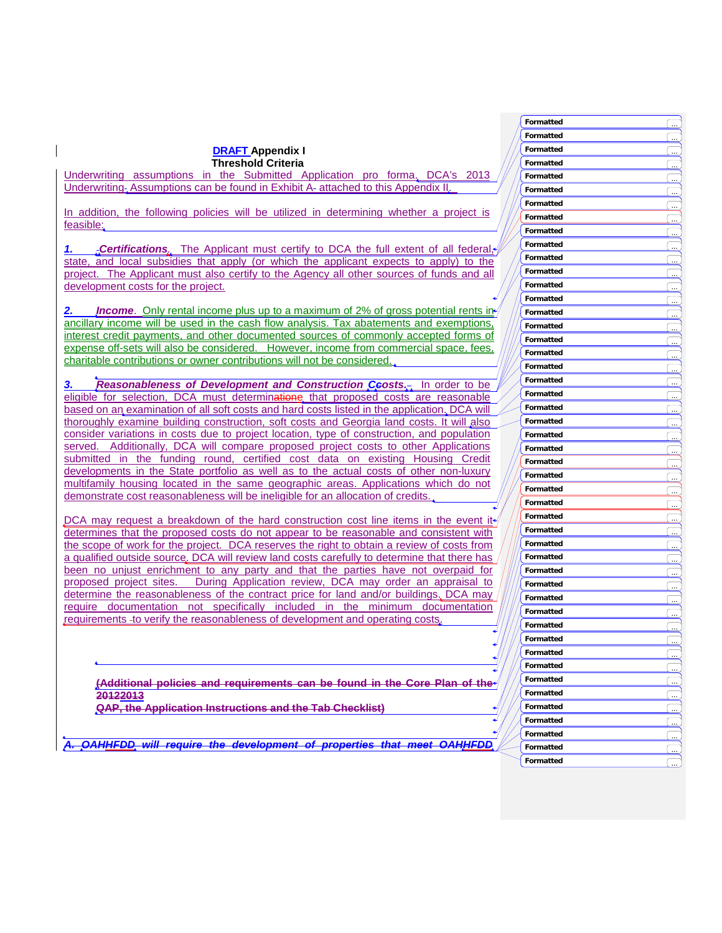**Threshold Criteria** Underwriting assumptions in the Submitted Application pro forma. DCA's 2013 Underwriting-Assumptions can be found in Exhibit A-attached to this Appendix II.

**DRAFT Appendix I**

In addition, the following policies will be utilized in determining whether a project is feasible:

*1. Certifications.* The Applicant must certify to DCA the full extent of all federal, state, and local subsidies that apply (or which the applicant expects to apply) to the project. The Applicant must also certify to the Agency all other sources of funds and all development costs for the project.

**Income**. Only rental income plus up to a maximum of 2% of gross potential rents in ancillary income will be used in the cash flow analysis. Tax abatements and exemptions, interest credit payments, and other documented sources of commonly accepted forms of expense off-sets will also be considered. However, income from commercial space, fees, charitable contributions or owner contributions will not be considered.

*Reasonableness of Development and Construction Ceosts.* **In order to be** eligible for selection, DCA must determinatione that proposed costs are reasonable based on an examination of all soft costs and hard costs listed in the application. DCA will thoroughly examine building construction, soft costs and Georgia land costs. It will also consider variations in costs due to project location, type of construction, and population served. Additionally, DCA will compare proposed project costs to other Applications submitted in the funding round, certified cost data on existing Housing Credit developments in the State portfolio as well as to the actual costs of other non-luxury multifamily housing located in the same geographic areas. Applications which do not demonstrate cost reasonableness will be ineligible for an allocation of credits.

DCA may request a breakdown of the hard construction cost line items in the event it. determines that the proposed costs do not appear to be reasonable and consistent with the scope of work for the project. DCA reserves the right to obtain a review of costs from a qualified outside source. DCA will review land costs carefully to determine that there has been no unjust enrichment to any party and that the parties have not overpaid for proposed project sites. During Application review, DCA may order an appraisal to determine the reasonableness of the contract price for land and/or buildings. DCA may require documentation not specifically included in the minimum documentation requirements to verify the reasonableness of development and operating costs.

**(Additional policies and requirements can be found in the Core Plan of the 20122013 QAP, the Application Instructions and the Tab Checklist)**

*A. OAHHFDD will require the development of properties that meet OAHHFDD*

|                          | Formatted        | ے)                                        |
|--------------------------|------------------|-------------------------------------------|
|                          | Formatted        | <u>l </u>                                 |
|                          | Formatted        | ييا                                       |
|                          | Formatted        | ۔۔۔)                                      |
|                          | Formatted        | ے۔                                        |
|                          | <b>Formatted</b> | ( <u></u>                                 |
|                          | Formatted        | <u></u>                                   |
|                          | Formatted        | <u>ب</u>                                  |
|                          | Formatted        | <u> ا</u>                                 |
|                          | Formatted        | ( <u>…</u>                                |
|                          | Formatted        | I<br>$\ddot{\phantom{1}}$                 |
|                          | Formatted        | $\frac{1}{2}$                             |
|                          | Formatted        | چا                                        |
|                          | Formatted        | ت<br>ت                                    |
|                          | Formatted        | ے                                         |
|                          | Formatted        | ــــــــا                                 |
|                          | Formatted        | … ا                                       |
|                          | Formatted        | حبا                                       |
|                          | Formatted        | ے۔)                                       |
|                          | Formatted        | $\overline{\phantom{a}}$<br>÷             |
|                          | Formatted        | l<br>÷                                    |
|                          | Formatted        | <u>l </u>                                 |
|                          | Formatted        | <u>l </u>                                 |
|                          | Formatted        | $\ddotsc$<br>I                            |
|                          | Formatted        | I<br>$\ldots$                             |
|                          | Formatted        | ے                                         |
|                          | Formatted        | یے)                                       |
|                          | Formatted        | ے                                         |
|                          | Formatted        | <u>لس</u>                                 |
| $\overline{\mathscr{N}}$ | Formatted        | ے۔ ا                                      |
|                          | Formatted        | l<br><u>in</u>                            |
|                          | Formatted        | <u>( س</u>                                |
|                          | Formatted        | ے)                                        |
|                          | Formatted        | <u>ب</u> )                                |
|                          | Formatted        | سا                                        |
|                          | Formatted        | … ا                                       |
|                          | Formatted        |                                           |
|                          | Formatted        | $\overline{\phantom{a}}$<br>$\frac{1}{2}$ |
|                          | Formatted        | $\cdot$                                   |
|                          | Formatted        |                                           |
|                          | Formatted        | ے)                                        |
|                          | Formatted        | f., .                                     |
|                          | Formatted        | $\lfloor \dots \rfloor$                   |
|                          | Formatted        | I<br>يب<br>پيدا                           |
|                          | Formatted        | .<br>پ                                    |
|                          | Formatted        | $\frac{1}{2}$                             |
|                          | Formatted        |                                           |
|                          | Formatted        | $\ldots$                                  |
|                          |                  |                                           |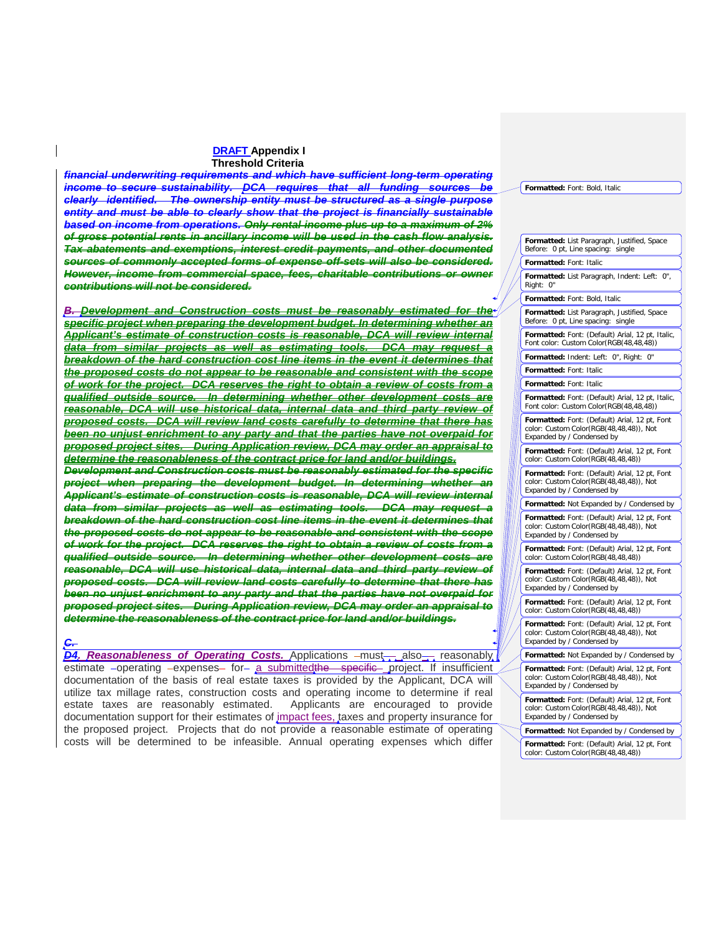*financial underwriting requirements and which have sufficient long-term operating income to secure sustainability. DCA requires that all funding sources clearly identified. The ownership entity must be structured as a single purpose entity and must be able to clearly show that the project is financially sustainable based on income from operations. Only rental income plus up to a maximum of 2% of gross potential rents in ancillary income will be used in the cash flow analysis. Tax abatements and exemptions, interest credit payments, and other documented sources of commonly accepted forms of expense off-sets will also be considered. However, income from commercial space, fees, charitable contributions or owner contributions will not be considered.*

*B. Development and Construction costs must be reasonably estimated for the specific project when preparing the development budget. In determining whether an Applicant's estimate of construction costs is reasonable, DCA will review internal data from similar projects as well as estimating tools. DCA may request a breakdown of the hard construction cost line items in the event it determines that the proposed costs do not appear to be reasonable and consistent with the scope of work for the project. DCA reserves the right to obtain a review of costs from a qualified outside source. In determining whether other development costs are reasonable, DCA will use historical data, internal data and third party review of proposed costs. DCA will review land costs carefully to determine that there has been no unjust enrichment to any party and that the parties have not overpaid for proposed project sites. During Application review, DCA may order an appraisal to determine the reasonableness of the contract price for land and/or buildings. Development and Construction costs must be reasonably estimated for the specific project when preparing the development budget. In determining whether an Applicant's estimate of construction costs is reasonable, DCA will review internal data from similar projects as well as estimating tools. DCA may request a breakdown of the hard construction cost line items in the event it determines that the proposed costs do not appear to be reasonable and consistent with the scope of work for the project. DCA reserves the right to obtain a review of costs from a qualified outside source. In determining whether other development costs are reasonable, DCA will use historical data, internal data and third party review of proposed costs. DCA will review land costs carefully to determine that there has been no unjust enrichment to any party and that the parties have not overpaid for proposed project sites. During Application review, DCA may order an appraisal to determine the reasonableness of the contract price for land and/or buildings.*

# *C.*

*D4. Reasonableness of Operating Costs.* Applications –mus<del>t a</del>lso<sub>on</sub> reasonably estimate -operating -expenses- for- a submitted the specific- project. If insufficient documentation of the basis of real estate taxes is provided by the Applicant, DCA will utilize tax millage rates, construction costs and operating income to determine if real estate taxes are reasonably estimated. Applicants are encouraged to provide documentation support for their estimates of *impact fees*, taxes and property insurance for the proposed project. Projects that do not provide a reasonable estimate of operating costs will be determined to be infeasible. Annual operating expenses which differ

| Formatted: List Paragraph, Justified, Space<br>Before: 0 pt, Line spacing: single                                      |
|------------------------------------------------------------------------------------------------------------------------|
| Formatted: Font: Italic                                                                                                |
| Formatted: List Paragraph, Indent: Left: 0",<br>Right:<br>0"                                                           |
| Formatted: Font: Bold, Italic                                                                                          |
| Formatted: List Paragraph, Justified, Space<br>Before: 0 pt, Line spacing: single                                      |
| Formatted: Font: (Default) Arial, 12 pt, Italic,<br>Font color: Custom Color(RGB(48,48,48))                            |
| Formatted: Indent: Left: 0", Right:<br>0"                                                                              |
| Formatted: Font: Italic                                                                                                |
| Formatted: Font: Italic                                                                                                |
| Formatted: Font: (Default) Arial, 12 pt, Italic,<br>Font color: Custom Color(RGB(48,48,48))                            |
| Formatted: Font: (Default) Arial, 12 pt, Font<br>color: Custom Color(RGB(48,48,48)), Not<br>Expanded by / Condensed by |
| Formatted: Font: (Default) Arial, 12 pt, Font<br>color: Custom Color(RGB(48,48,48))                                    |
| Formatted: Font: (Default) Arial, 12 pt, Font<br>color: Custom Color(RGB(48,48,48)), Not<br>Expanded by / Condensed by |
| Formatted: Not Expanded by / Condensed by                                                                              |
| Formatted: Font: (Default) Arial, 12 pt, Font<br>color: Custom Color(RGB(48,48,48)), Not<br>Expanded by / Condensed by |
| Formatted: Font: (Default) Arial, 12 pt, Font<br>color: Custom Color(RGB(48,48,48))                                    |
| Formatted: Font: (Default) Arial, 12 pt, Font<br>color: Custom Color(RGB(48,48,48)), Not<br>Expanded by / Condensed by |
| Formatted: Font: (Default) Arial, 12 pt, Font<br>color: Custom Color(RGB(48,48,48))                                    |
| Formatted: Font: (Default) Arial, 12 pt, Font<br>color: Custom Color(RGB(48,48,48)), Not<br>Expanded by / Condensed by |
| Formatted: Not Expanded by / Condensed by                                                                              |
| Formatted: Font: (Default) Arial, 12 pt, Font<br>color: Custom Color(RGB(48,48,48)), Not<br>Expanded by / Condensed by |
| Formatted: Font: (Default) Arial, 12 pt, Font<br>color: Custom Color(RGB(48,48,48)), Not<br>Expanded by / Condensed by |
| Formatted: Not Expanded by / Condensed by                                                                              |
| Formatted: Font: (Default) Arial, 12 pt, Font<br>color: Custom Color(RGB(48-48-48))                                    |

**Formatted:** Font: Bold, Italic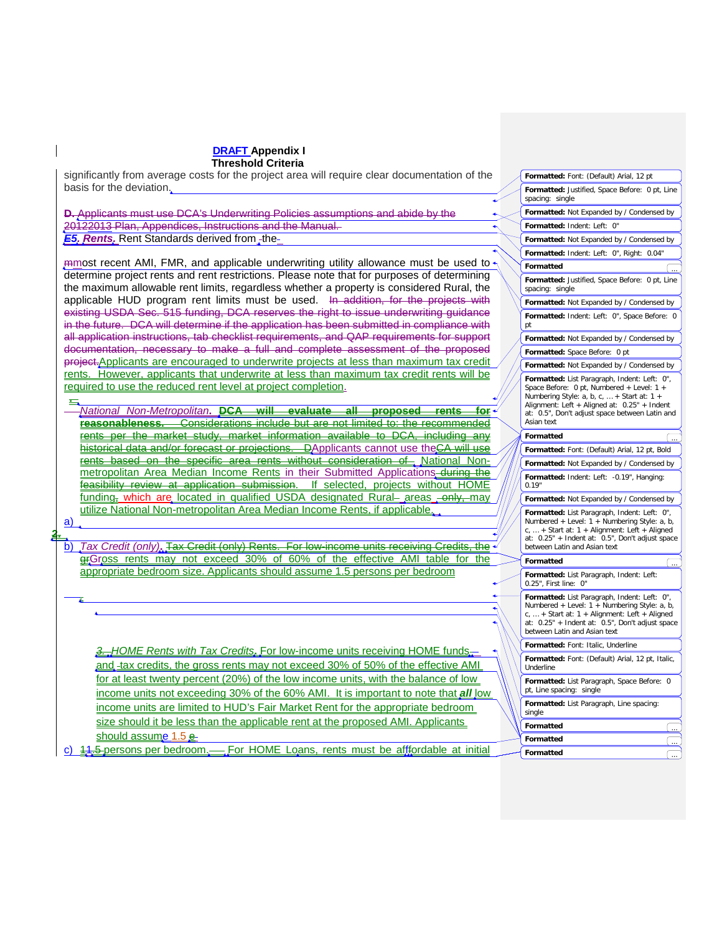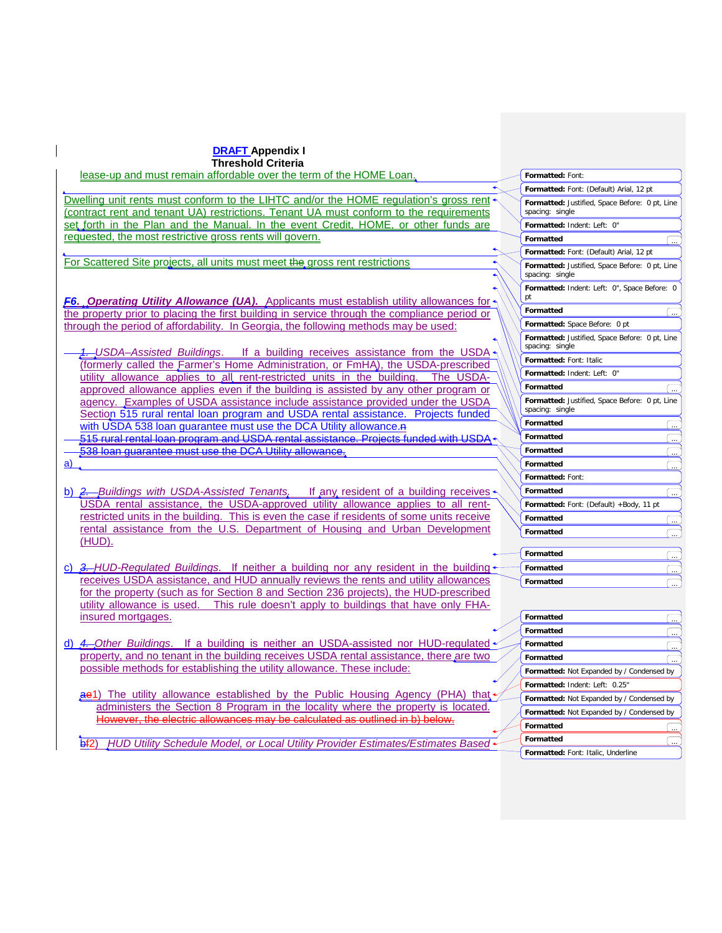| <b>DRAFT Appendix I</b>                                                                                                                                           |                                                                   |
|-------------------------------------------------------------------------------------------------------------------------------------------------------------------|-------------------------------------------------------------------|
| <b>Threshold Criteria</b>                                                                                                                                         |                                                                   |
| lease-up and must remain affordable over the term of the HOME Loan.                                                                                               | Formatted: Font:                                                  |
|                                                                                                                                                                   | Formatted: Font: (Default) Arial, 12 pt                           |
| Dwelling unit rents must conform to the LIHTC and/or the HOME regulation's gross rent                                                                             | Formatted: Justified, Space Before: 0 pt, Line                    |
| (contract rent and tenant UA) restrictions. Tenant UA must conform to the requirements                                                                            | spacing: single                                                   |
| set forth in the Plan and the Manual. In the event Credit, HOME, or other funds are                                                                               | Formatted: Indent: Left: 0"                                       |
| requested, the most restrictive gross rents will govern.                                                                                                          | Formatted                                                         |
| For Scattered Site projects, all units must meet the gross rent restrictions                                                                                      | Formatted: Font: (Default) Arial, 12 pt                           |
|                                                                                                                                                                   | Formatted: Justified, Space Before: 0 pt, Line<br>spacing: single |
|                                                                                                                                                                   | Formatted: Indent: Left: 0", Space Before: 0                      |
| <b>F6. Operating Utility Allowance (UA).</b> Applicants must establish utility allowances for                                                                     | pt                                                                |
| the property prior to placing the first building in service through the compliance period or                                                                      | <b>Formatted</b>                                                  |
| through the period of affordability. In Georgia, the following methods may be used:                                                                               | Formatted: Space Before: 0 pt                                     |
|                                                                                                                                                                   | Formatted: Justified, Space Before: 0 pt, Line                    |
| 4. USDA-Assisted Buildings. If a building receives assistance from the USDA +                                                                                     | spacing: single                                                   |
| (formerly called the Farmer's Home Administration, or FmHA), the USDA-prescribed                                                                                  | Formatted: Font: Italic                                           |
| utility allowance applies to all rent-restricted units in the building. The USDA-                                                                                 | Formatted: Indent: Left: 0"                                       |
| approved allowance applies even if the building is assisted by any other program or                                                                               | Formatted                                                         |
| agency. Examples of USDA assistance include assistance provided under the USDA                                                                                    | Formatted: Justified, Space Before: 0 pt, Line<br>spacing: single |
| Section 515 rural rental loan program and USDA rental assistance. Projects funded                                                                                 | Formatted                                                         |
| with USDA 538 loan guarantee must use the DCA Utility allowance. A<br>515 rural rental loan program and USDA rental assistance. Projects funded with USDA         | Formatted                                                         |
| 538 loan guarantee must use the DCA Utility allowance.                                                                                                            | Formatted                                                         |
| a)                                                                                                                                                                | $\ddotsc$<br><b>Formatted</b>                                     |
|                                                                                                                                                                   | Formatted: Font:                                                  |
| b) $2$ . Buildings with USDA-Assisted Tenants. If any resident of a building receives                                                                             | Formatted                                                         |
| USDA rental assistance, the USDA-approved utility allowance applies to all rent-                                                                                  | Formatted: Font: (Default) +Body, 11 pt                           |
| restricted units in the building. This is even the case if residents of some units receive                                                                        | Formatted                                                         |
| rental assistance from the U.S. Department of Housing and Urban Development                                                                                       | $\ddot{\phantom{0}}$<br>Formatted                                 |
| (HUD).                                                                                                                                                            |                                                                   |
|                                                                                                                                                                   | <b>Formatted</b><br>$\overline{\mathcal{L}}$                      |
| c) 3. HUD-Regulated Buildings. If neither a building nor any resident in the building                                                                             | Formatted<br>$\overline{\phantom{a}}$                             |
| receives USDA assistance, and HUD annually reviews the rents and utility allowances                                                                               | Formatted                                                         |
| for the property (such as for Section 8 and Section 236 projects), the HUD-prescribed                                                                             |                                                                   |
| utility allowance is used. This rule doesn't apply to buildings that have only FHA-                                                                               |                                                                   |
| insured mortgages.                                                                                                                                                | Formatted                                                         |
|                                                                                                                                                                   | Formatted                                                         |
| d) 4. Other Buildings. If a building is neither an USDA-assisted nor HUD-regulated                                                                                | Formatted                                                         |
| property, and no tenant in the building receives USDA rental assistance, there are two<br>possible methods for establishing the utility allowance. These include: | Formatted                                                         |
|                                                                                                                                                                   | Formatted: Not Expanded by / Condensed by                         |
| ae1) The utility allowance established by the Public Housing Agency (PHA) that +                                                                                  | Formatted: Indent: Left: 0.25"                                    |
| administers the Section 8 Program in the locality where the property is located.                                                                                  | Formatted: Not Expanded by / Condensed by                         |
| However, the electric allowances may be calculated as outlined in b) below.                                                                                       | Formatted: Not Expanded by / Condensed by                         |
|                                                                                                                                                                   | Formatted                                                         |
| HUD Utility Schedule Model, or Local Utility Provider Estimates/Estimates Based<br>H2                                                                             | Formatted<br>$\cdots$                                             |
|                                                                                                                                                                   | Formatted: Font: Italic, Underline                                |

 $\overline{\phantom{a}}$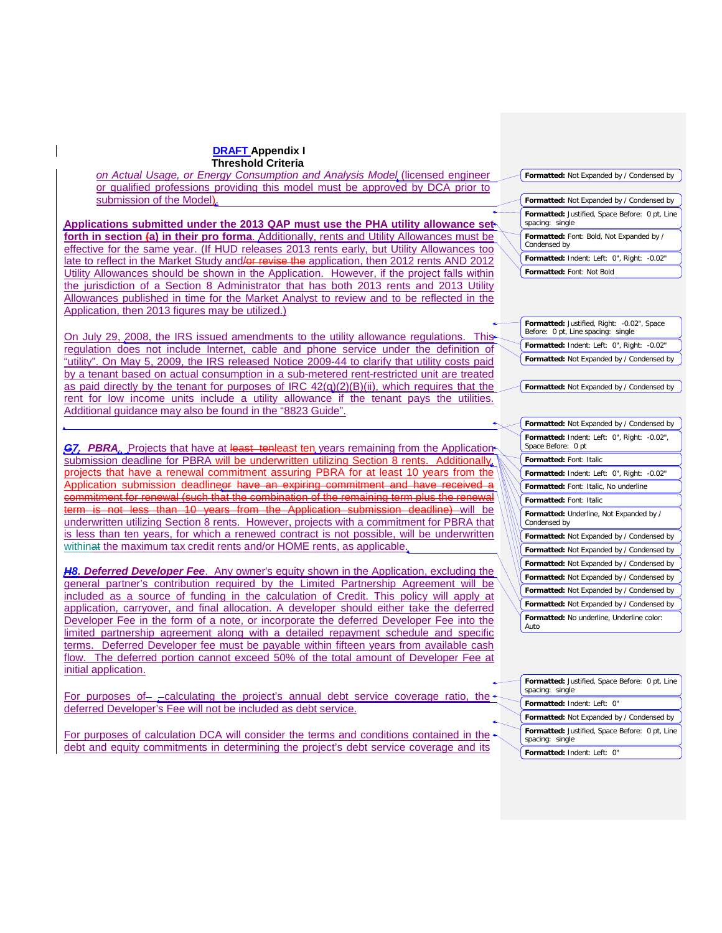*on Actual Usage, or Energy Consumption and Analysis Model* (licensed engineer or qualified professions providing this model must be approved by DCA prior to submission of the Model).

**Applications submitted under the 2013 QAP must use the PHA utility allowance set forth in section (a) in their pro forma**. Additionally, rents and Utility Allowances must be effective for the same year. (If HUD releases 2013 rents early, but Utility Allowances too late to reflect in the Market Study and/or revise the application, then 2012 rents AND 2012 Utility Allowances should be shown in the Application. However, if the project falls within the jurisdiction of a Section 8 Administrator that has both 2013 rents and 2013 Utility Allowances published in time for the Market Analyst to review and to be reflected in the Application, then 2013 figures may be utilized.)

On July 29, 2008, the IRS issued amendments to the utility allowance regulations. This regulation does not include Internet, cable and phone service under the definition of "utility". On May 5, 2009, the IRS released Notice 2009-44 to clarify that utility costs paid by a tenant based on actual consumption in a sub-metered rent-restricted unit are treated as paid directly by the tenant for purposes of IRC  $42(q)(2)(B)(ii)$ , which requires that the rent for low income units include a utility allowance if the tenant pays the utilities. Additional guidance may also be found in the "8823 Guide".

**G7. PBRA.** Projects that have at least tenleast ten years remaining from the Application submission deadline for PBRA will be underwritten utilizing Section 8 rents. Additionally, projects that have a renewal commitment assuring PBRA for at least 10 years from the Application submission deadlineer have an expiring commitment and have received commitment for renewal (such that the combination of the remaining term plus the ren term is not less than 10 years from the Application submission deadline) will be underwritten utilizing Section 8 rents. However, projects with a commitment for PBRA that is less than ten years, for which a renewed contract is not possible, will be underwritten withinat the maximum tax credit rents and/or HOME rents, as applicable.

*H8. Deferred Developer Fee*. Any owner's equity shown in the Application, excluding the general partner's contribution required by the Limited Partnership Agreement will be included as a source of funding in the calculation of Credit. This policy will apply at application, carryover, and final allocation. A developer should either take the deferred Developer Fee in the form of a note, or incorporate the deferred Developer Fee into the limited partnership agreement along with a detailed repayment schedule and specific terms. Deferred Developer fee must be payable within fifteen years from available cash flow. The deferred portion cannot exceed 50% of the total amount of Developer Fee at initial application.

For purposes of- - calculating the project's annual debt service coverage ratio, the deferred Developer's Fee will not be included as debt service.

For purposes of calculation DCA will consider the terms and conditions contained in the debt and equity commitments in determining the project's debt service coverage and its

**Formatted:** Not Expanded by / Condensed by

**Formatted:** Not Expanded by / Condensed by **Formatted:** Justified, Space Before: 0 pt, Line spacing: single

**Formatted:** Font: Bold, Not Expanded by / Condensed by

**Formatted:** Indent: Left: 0", Right: -0.02" **Formatted:** Font: Not Bold

**Formatted:** Justified, Right: -0.02", Space Before: 0 pt, Line spacing: single **Formatted:** Indent: Left: 0", Right: -0.02" **Formatted:** Not Expanded by / Condensed by

## **Formatted:** Not Expanded by / Condensed by

| Formatted: Not Expanded by / Condensed by                         |
|-------------------------------------------------------------------|
| Formatted: Indent: Left: 0", Right: -0.02",<br>Space Before: 0 pt |
| <b>Formatted: Font: Italic</b>                                    |
| Formatted: Indent: Left: 0", Right: -0.02"                        |
| Formatted: Font: Italic, No underline                             |
| <b>Formatted: Font: Italic</b>                                    |
| Formatted: Underline, Not Expanded by /<br>Condensed by           |
| Formatted: Not Expanded by / Condensed by                         |
| <b>Formatted:</b> Not Expanded by / Condensed by                  |
| <b>Formatted:</b> Not Expanded by / Condensed by                  |
| <b>Formatted:</b> Not Expanded by / Condensed by                  |
| Formatted: Not Expanded by / Condensed by                         |
| Formatted: Not Expanded by / Condensed by                         |
| Formatted: No underline, Underline color:<br>Auto                 |

**Formatted:** Justified, Space Before: 0 pt, Line spacing: single **Formatted:** Indent: Left: 0" **Formatted:** Not Expanded by / Condensed by **Formatted:** Justified, Space Before: 0 pt, Line spacing: single **Formatted:** Indent: Left: 0"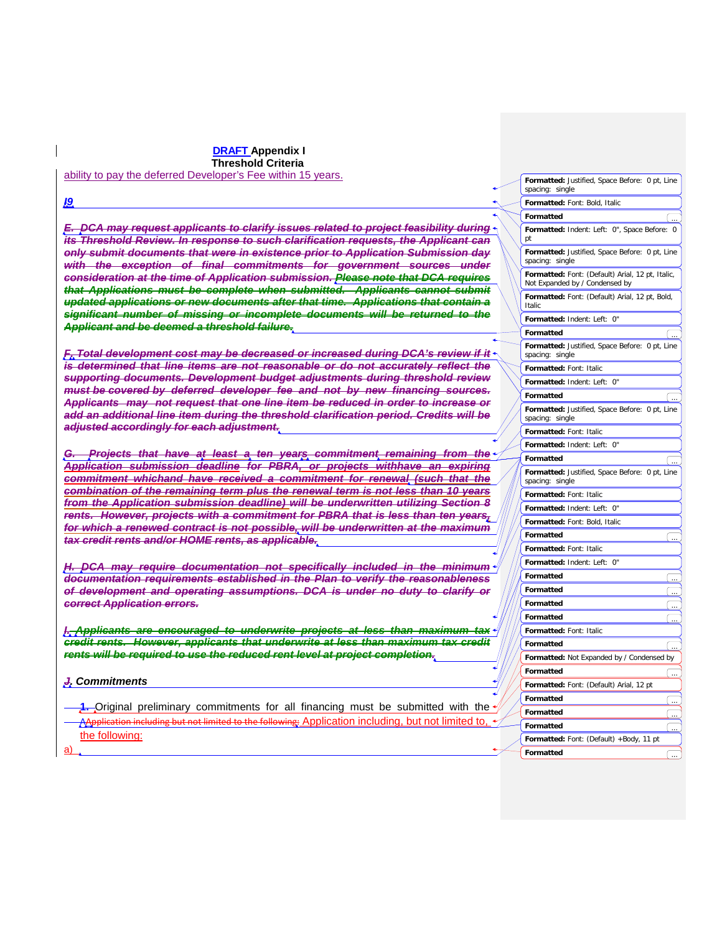**DRAFT Appendix I Threshold Criteria** ability to pay the deferred Developer's Fee within 15 years.

*I9 E. DCA may request applicants to clarify issues related to project feasibility during its Threshold Review. In response to such clarification requests, the Applicant can only submit documents that were in existence prior to Application Submission day with the exception of final commitments for government sources under consideration at the time of Application submission. Please note that DCA requires that Applications must be complete when submitted. Applicants cannot submit updated applications or new documents after that time. Applications that contain a significant number of missing or incomplete documents will be returned to the Applicant and be deemed a threshold failure. F. Total development cost may be decreased or increased during DCA's review if it is determined that line items are not reasonable or do not accurately reflect the supporting documents. Development budget adjustments during threshold review must be covered by deferred developer fee and not by new financing sources. Applicants may not request that one line item be reduced in order to increase or add an additional line item during the threshold clarification period. Credits will be adjusted accordingly for each adjustment. G. Projects that have at least a ten years commitment remaining from the Application submission deadline for PBRA, or projects withhave an expiring commitment whichand have received a commitment for renewal (such that the combination of the remaining term plus the renewal term is not less than 10 years from the Application submission deadline) will be underwritten utilizing Section 8 rents. However, projects with a commitment for PBRA that is less than ten years, for which a renewed contract is not possible, will be underwritten at the maximum tax credit rents and/or HOME rents, as applicable. H. DCA may require documentation not specifically included in the minimum documentation requirements established in the Plan to verify the reasonableness of development and operating assumptions. DCA is under no duty to clarify or correct Application errors. I. Applicants are encouraged to underwrite projects at less than maximum tax credit rents. However, applicants that underwrite at less than maximum tax credit rents will be required to use the reduced rent level at project completion. J. Commitments* **1.** Original preliminary commitments for all financing must be submitted with the AApplication including but not limited to the following: Application including, but not limited to, the following: a) **Formatted:** Justified, Space Before: 0 pt, Line spacing: single **Formatted:** Font: Bold, Italic **Formatted:** Indent: Left: 0", Space Before: 0 pt **Formatted** ... **Formatted:** Justified, Space Before: 0 pt, Line spacing: single **Formatted:** Font: (Default) Arial, 12 pt, Italic, Not Expanded by / Condensed by **Formatted:** Indent: Left: 0" **Formatted:** Font: (Default) Arial, 12 pt, Bold, Italic **Formatted Formatted:** Justified, Space Before: 0 pt, Line spacing: single **Formatted:** Font: Italic **Formatted:** Indent: Left: 0" **Formatted** ... **Formatted:** Justified, Space Before: 0 pt, Line spacing: single **Formatted:** Font: Italic **Formatted:** Indent: Left: 0" **Formatted** ... **Formatted:** Justified, Space Before: 0 pt, Line spacing: single **Formatted:** Font: Italic **Formatted:** Indent: Left: 0" **Formatted:** Font: Bold, Italic **Formatted** ... **Formatted:** Font: Italic **Formatted:** Indent: Left: 0" **Formatted Formatted** ... **Formatted Formatted Formatted:** Font: Italic **Formatted Formatted:** Not Expanded by / Condensed by **Formatted Formatted:** Font: (Default) Arial, 12 pt **Formatted Formatted Formatted** ... **Formatted:** Font: (Default) +Body, 11 pt **Formatted**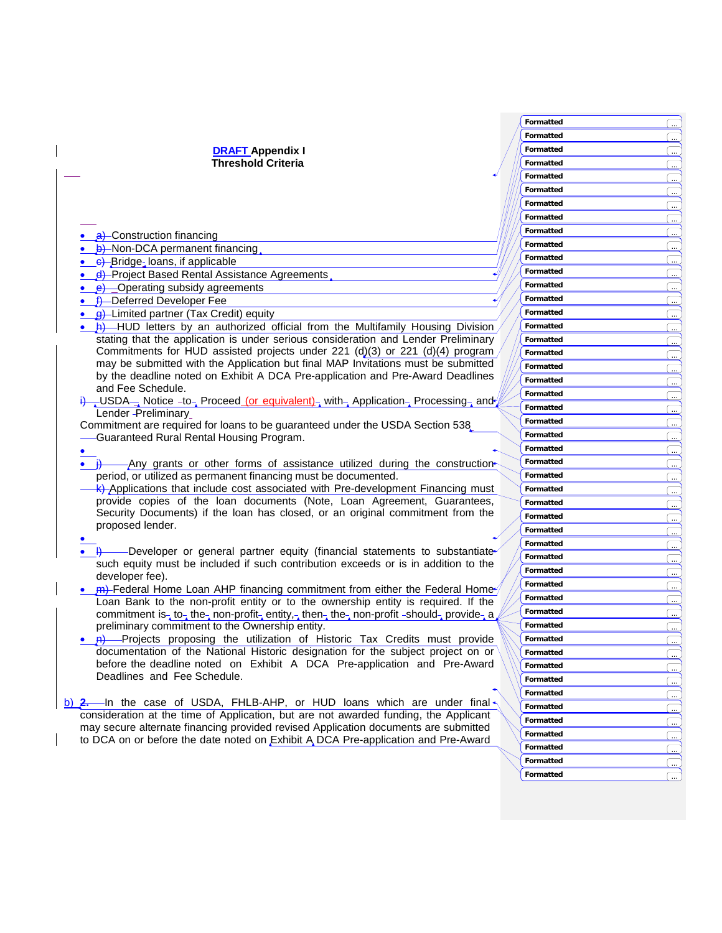|                                                                                          | Formatted        |  |
|------------------------------------------------------------------------------------------|------------------|--|
|                                                                                          | Formatted        |  |
| <b>DRAFT Appendix I</b>                                                                  | Formatted        |  |
| <b>Threshold Criteria</b>                                                                | Formatted        |  |
|                                                                                          | Formatted        |  |
|                                                                                          | Formatted        |  |
|                                                                                          | Formatted        |  |
|                                                                                          | Formatted        |  |
|                                                                                          | Formatted        |  |
| • a) Construction financing                                                              |                  |  |
| <b>b</b> ) Non-DCA permanent financing                                                   | Formatted        |  |
| • e-Bridge-loans, if applicable                                                          | Formatted        |  |
| <u>_d</u> ) Project Based Rental Assistance Agreements                                   | Formatted        |  |
| <b>e</b> ) Operating subsidy agreements                                                  | Formatted        |  |
| • f) Deferred Developer Fee                                                              | Formatted        |  |
| <b>g</b> )-Limited partner (Tax Credit) equity                                           | Formatted        |  |
| <b>A)</b> —HUD letters by an authorized official from the Multifamily Housing Division   | Formatted        |  |
| stating that the application is under serious consideration and Lender Preliminary       | Formatted        |  |
| Commitments for HUD assisted projects under 221 (d)(3) or 221 (d)(4) program,            | Formatted        |  |
| may be submitted with the Application but final MAP Invitations must be submitted        | Formatted        |  |
| by the deadline noted on Exhibit A DCA Pre-application and Pre-Award Deadlines           | Formatted        |  |
| and Fee Schedule.                                                                        | Formatted        |  |
| i) USDA Notice -to- Proceed (or equivalent) with Application Processing and              | Formatted        |  |
| Lender - Preliminary                                                                     | Formatted        |  |
| Commitment are required for loans to be guaranteed under the USDA Section 538            | Formatted        |  |
| -Guaranteed Rural Rental Housing Program.                                                | Formatted        |  |
| Any grants or other forms of assistance utilized during the construction                 | Formatted        |  |
| period, or utilized as permanent financing must be documented.                           | Formatted        |  |
| <b>k</b> ) Applications that include cost associated with Pre-development Financing must | Formatted        |  |
| provide copies of the loan documents (Note, Loan Agreement, Guarantees,                  | <b>Formatted</b> |  |
| Security Documents) if the loan has closed, or an original commitment from the           |                  |  |
| proposed lender.                                                                         | <b>Formatted</b> |  |
|                                                                                          | Formatted        |  |
| -Developer or general partner equity (financial statements to substantiate               | Formatted        |  |
| such equity must be included if such contribution exceeds or is in addition to the       | Formatted        |  |
| developer fee).                                                                          | Formatted        |  |
| Federal Home Loan AHP financing commitment from either the Federal Home                  | Formatted        |  |
| Loan Bank to the non-profit entity or to the ownership entity is required. If the        | Formatted        |  |
| commitment is-to-the-non-profit-entity,-then-the-non-profit-should-provide-a             | Formatted        |  |
| preliminary commitment to the Ownership entity.                                          | Formatted        |  |
| . <b>A)</b> Projects proposing the utilization of Historic Tax Credits must provide      | Formatted        |  |
| documentation of the National Historic designation for the subject project on or         | Formatted        |  |
| before the deadline noted on Exhibit A DCA Pre-application and Pre-Award                 | Formatted        |  |
| Deadlines and Fee Schedule.                                                              | Formatted        |  |
|                                                                                          | Formatted        |  |
| $\underline{b}$ ) 2. In the case of USDA, FHLB-AHP, or HUD loans which are under final   | Formatted        |  |
| consideration at the time of Application, but are not awarded funding, the Applicant     | Formatted        |  |
| may secure alternate financing provided revised Application documents are submitted      | Formatted        |  |
| to DCA on or before the date noted on Exhibit A DCA Pre-application and Pre-Award        |                  |  |
|                                                                                          | Formatted        |  |
|                                                                                          | Formatted        |  |

**Formatted**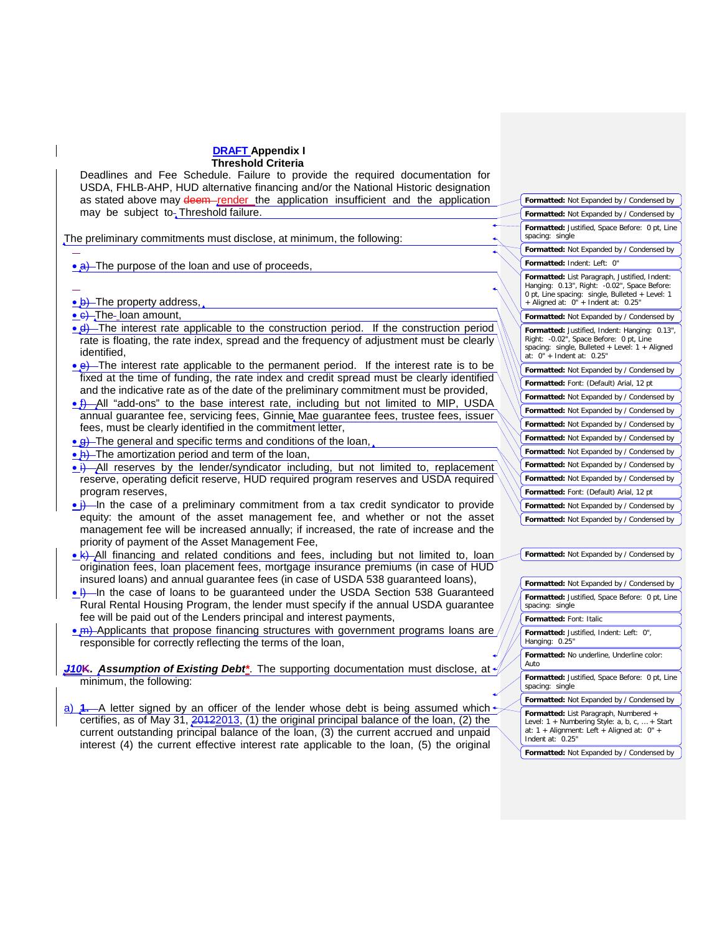Deadlines and Fee Schedule. Failure to provide the required documentation for USDA, FHLB-AHP, HUD alternative financing and/or the National Historic designation as stated above may deem render the application insufficient and the application may be subject to<sub>r</sub> Threshold failure.

The preliminary commitments must disclose, at minimum, the following:

• a) The purpose of the loan and use of proceeds,

**• b)** The property address,

• e) The-loan amount,

- $\bullet$  d) The interest rate applicable to the construction period. If the construction period rate is floating, the rate index, spread and the frequency of adjustment must be clearly identified,
- $\bullet$   $\bullet$ ) The interest rate applicable to the permanent period. If the interest rate is to be fixed at the time of funding, the rate index and credit spread must be clearly identified and the indicative rate as of the date of the preliminary commitment must be provided,
- $f$ ) All "add-ons" to the base interest rate, including but not limited to MIP, USDA annual guarantee fee, servicing fees, Ginnie Mae guarantee fees, trustee fees, issuer fees, must be clearly identified in the commitment letter,
- $\bullet$   $\bullet$ ). The general and specific terms and conditions of the loan,
- h) The amortization period and term of the loan,
- $\bullet$  i) All reserves by the lender/syndicator including, but not limited to, replacement reserve, operating deficit reserve, HUD required program reserves and USDA required program reserves,
- $\bullet$  ) In the case of a preliminary commitment from a tax credit syndicator to provide equity: the amount of the asset management fee, and whether or not the asset management fee will be increased annually; if increased, the rate of increase and the priority of payment of the Asset Management Fee,
- $k$ ) All financing and related conditions and fees, including but not limited to, loan origination fees, loan placement fees, mortgage insurance premiums (in case of HUD insured loans) and annual guarantee fees (in case of USDA 538 guaranteed loans),
- **I)** In the case of loans to be guaranteed under the USDA Section 538 Guaranteed Rural Rental Housing Program, the lender must specify if the annual USDA guarantee fee will be paid out of the Lenders principal and interest payments,
- m) Applicants that propose financing structures with government programs loans are responsible for correctly reflecting the terms of the loan,

*J10***K.** *Assumption of Existing Debt\**. The supporting documentation must disclose, at minimum, the following:

 $-$ A letter signed by an officer of the lender whose debt is being assumed which  $\cdot$ certifies, as of May 31, 20122013, (1) the original principal balance of the loan, (2) the current outstanding principal balance of the loan, (3) the current accrued and unpaid interest (4) the current effective interest rate applicable to the loan, (5) the original

| Formatted: Not Expanded by / Condensed by                                                                                                                                               |
|-----------------------------------------------------------------------------------------------------------------------------------------------------------------------------------------|
| Formatted: Not Expanded by / Condensed by                                                                                                                                               |
| Formatted: Justified, Space Before: 0 pt, Line<br>spacing: single                                                                                                                       |
| Formatted: Not Expanded by / Condensed by                                                                                                                                               |
| Formatted: Indent: Left: 0"                                                                                                                                                             |
| Formatted: List Paragraph, Justified, Indent:<br>Hanging: 0.13", Right: -0.02", Space Before:<br>0 pt, Line spacing: single, Bulleted + Level: 1<br>+ Aligned at: 0" + Indent at: 0.25" |
| Formatted: Not Expanded by / Condensed by                                                                                                                                               |
| Formatted: Justified, Indent: Hanging:<br>$0.13"$ .<br>Right: -0.02", Space Before: 0 pt, Line<br>spacing: single, Bulleted + Level: $1 +$ Aligned<br>at: 0" + Indent at: 0.25"         |
| Formatted: Not Expanded by / Condensed by                                                                                                                                               |
|                                                                                                                                                                                         |
| Formatted: Font: (Default) Arial, 12 pt                                                                                                                                                 |
| Formatted: Not Expanded by / Condensed by                                                                                                                                               |
| Formatted: Not Expanded by / Condensed by                                                                                                                                               |
| Formatted: Not Expanded by / Condensed by                                                                                                                                               |
| Formatted: Not Expanded by / Condensed by                                                                                                                                               |
| Formatted: Not Expanded by / Condensed by                                                                                                                                               |
| Formatted: Not Expanded by / Condensed by                                                                                                                                               |
| Formatted: Not Expanded by / Condensed by                                                                                                                                               |
| Formatted: Font: (Default) Arial, 12 pt                                                                                                                                                 |
| Formatted: Not Expanded by / Condensed by                                                                                                                                               |

**Formatted:** Not Expanded by / Condensed by

| Formatted: Not Expanded by / Condensed by                                                                                                                  |
|------------------------------------------------------------------------------------------------------------------------------------------------------------|
| Formatted: Justified, Space Before: 0 pt, Line<br>spacing: single                                                                                          |
| <b>Formatted: Font: Italic</b>                                                                                                                             |
| Formatted: Justified, Indent: Left: 0",<br>Hanging: 0.25"                                                                                                  |
| Formatted: No underline, Underline color:<br>Auto                                                                                                          |
| <b>Formatted:</b> Justified, Space Before: 0 pt, Line<br>spacing: single                                                                                   |
| Formatted: Not Expanded by / Condensed by                                                                                                                  |
| Formatted: List Paragraph, Numbered +<br>Level: $1 +$ Numbering Style: a, b, c,  + Start<br>at: 1 + Alignment: Left + Aligned at: 0" +<br>Indent at: 0.25" |
| Formatted: Not Expanded by / Condensed by                                                                                                                  |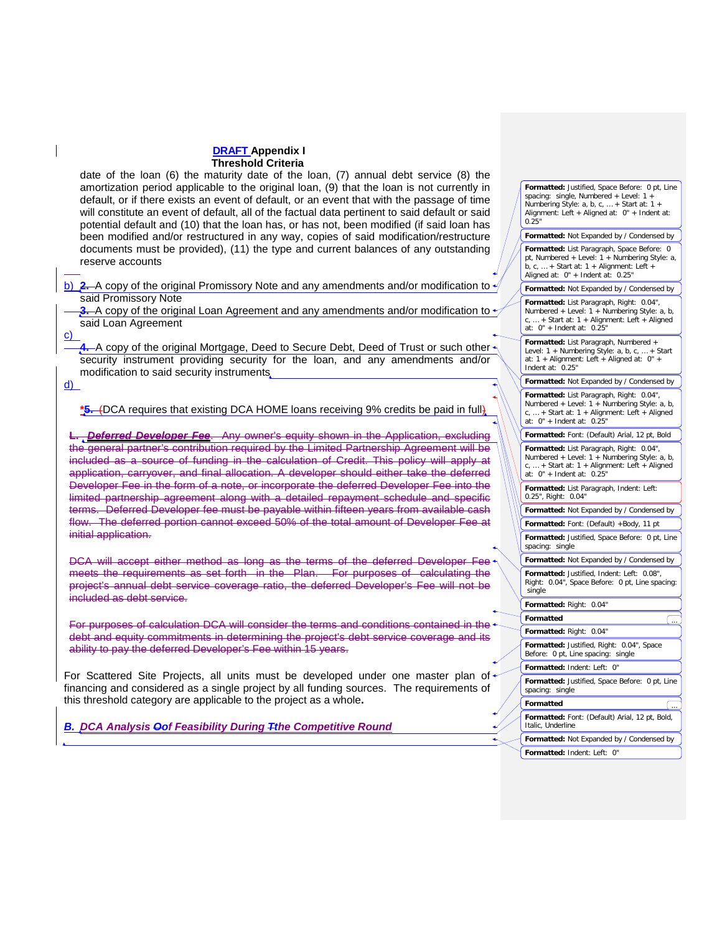date of the loan (6) the maturity date of the loan, (7) annual debt service (8) the amortization period applicable to the original loan, (9) that the loan is not currently in default, or if there exists an event of default, or an event that with the passage of time will constitute an event of default, all of the factual data pertinent to said default or said potential default and (10) that the loan has, or has not, been modified (if said loan has been modified and/or restructured in any way, copies of said modification/restructure documents must be provided), (11) the type and current balances of any outstanding reserve accounts b) 2. A copy of the original Promissory Note and any amendments and/or modification to said Promissory Note **3.** A copy of the original Loan Agreement and any amendments and/or modification to said Loan Agreement **4.** A copy of the original Mortgage, Deed to Secure Debt, Deed of Trust or such other  $\star$ security instrument providing security for the loan, and any amendments and/or modification to said security instruments **\*5.** (DCA requires that existing DCA HOME loans receiving 9% credits be paid in full) **L.** *Deferred Developer Fee*. Any owner's equity shown in the Application, excluding the general partner's contribution required by the Limited Partnership Agreement will be included as a source of funding in the calculation of Credit. This policy will apply at application, carryover, and final allocation. A developer should either take the deferred Developer Fee in the form of a note, or incorporate the deferred Developer Fee into the limited partnership agreement along with a detailed repayment schedule and specific terms. Deferred Developer fee must be payable within fifteen years from available cash flow. The deferred portion cannot exceed 50% of the total amount of Developer Fee at initial application. DCA will accept either method as long as the terms of the deferred Developer Fee meets the requirements as set forth in the Plan. For purposes of calculating the project's annual debt service coverage ratio, the deferred Developer's Fee will not be included as debt service. For purposes of calculation DCA will consider the terms and conditions contained in the debt and equity commitments in determining the project's debt service coverage and its ability to pay the deferred Developer's Fee within 15 years. For Scattered Site Projects, all units must be developed under one master plan of financing and considered as a single project by all funding sources. The requirements of this threshold category are applicable to the project as a whole**.** *B. DCA Analysis Oof Feasibility During Tthe Competitive Round* **Formatted:** Justified, Space Before: 0 pt, Line spacing: single, Numbered + Level: 1 + Numbering Style: a, b, c, … + Start at: 1 + Alignment: Left + Aligned at: 0" + Indent at:  $0.25"$ **Formatted:** Not Expanded by / Condensed by **Formatted:** List Paragraph, Space Before: 0 pt, Numbered + Level: 1 + Numbering Style: a, b, c, … + Start at: 1 + Alignment: Left + Aligned at: 0" + Indent at: 0.25" **Formatted:** Not Expanded by / Condensed by **Formatted:** List Paragraph, Right: 0.04", Numbered + Level: 1 + Numbering Style: a, b, c, … + Start at: 1 + Alignment: Left + Aligned at: 0" + Indent at: 0.25" **Formatted:** List Paragraph, Numbered + Level: 1 + Numbering Style: a, b, c, … + Start at: 1 + Alignment: Left + Aligned at: 0" + Indent at: 0.25" **Formatted:** Not Expanded by / Condensed by **Formatted:** List Paragraph, Right: 0.04", Numbered + Level: 1 + Numbering Style: a, b, c, … + Start at: 1 + Alignment: Left + Aligned at: 0" + Indent at: 0.25" **Formatted:** Font: (Default) Arial, 12 pt, Bold **Formatted:** List Paragraph, Right: 0.04", Numbered + Level: 1 + Numbering Style: a, b, + Start at: 1 + Alignment: Left + Aligned  $at: 0" + Indent at: 0.25"$ **Formatted:** List Paragraph, Indent: Left: 0.25", Right: 0.04" **Formatted:** Not Expanded by / Condensed by Formatted: Font: (Default) +Body, 11 pt **Formatted:** Justified, Space Before: 0 pt, Line spacing: single **Formatted:** Not Expanded by / Condensed by **Formatted:** Justified, Indent: Left: 0.08", Right: 0.04", Space Before: 0 pt, Line spacing: single **Formatted:** Right: 0.04" **Formatted** ... **Formatted:** Right: 0.04" **Formatted:** Justified, Right: 0.04", Space Before: 0 pt, Line spacing: single **Formatted:** Indent: Left: 0" **Formatted:** Justified, Space Before: 0 pt, Line spacing: single **Formatted Formatted:** Font: (Default) Arial, 12 pt, Bold, Italic, Underline **Formatted:** Not Expanded by / Condensed by **Formatted:** Indent: Left: 0"

c)

d)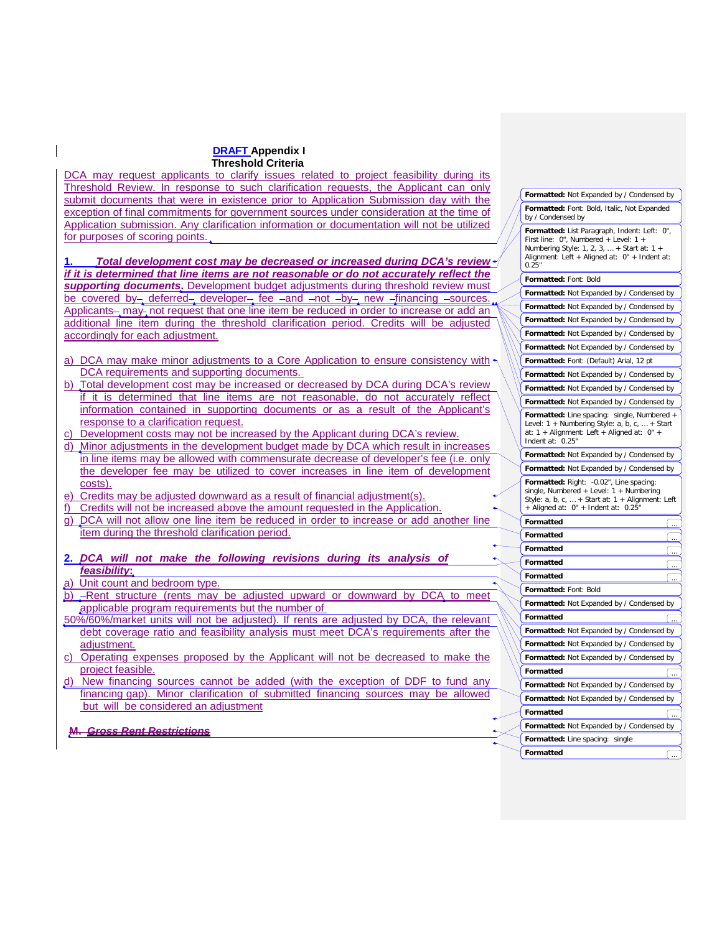DCA may request applicants to clarify issues related to project feasibility during its Threshold Review. In response to such clarification requests, the Applicant can only submit documents that were in existence prior to Application Submission day with the exception of final commitments for government sources under consideration at the time of Application submission. Any clarification information or documentation will not be utilized for purposes of scoring points.

**1.** *Total development cost may be decreased or increased during DCA's review if it is determined that line items are not reasonable or do not accurately reflect the supporting documents***.** Development budget adjustments during threshold review must be covered by deferred developer fee -and -not -by new -financing -sources. Applicants-, may-, not request that one line item be reduced in order to increase or add an additional line item during the threshold clarification period. Credits will be adjusted accordingly for each adjustment.

- a) DCA may make minor adjustments to a Core Application to ensure consistency with DCA requirements and supporting documents.
- b) Total development cost may be increased or decreased by DCA during DCA's review if it is determined that line items are not reasonable, do not accurately reflect information contained in supporting documents or as a result of the Applicant's response to a clarification request.
- c) Development costs may not be increased by the Applicant during DCA's review.
- d) Minor adjustments in the development budget made by DCA which result in increases in line items may be allowed with commensurate decrease of developer's fee (i.e. only the developer fee may be utilized to cover increases in line item of development costs).
- e) Credits may be adjusted downward as a result of financial adjustment(s).
- f) Credits will not be increased above the amount requested in the Application.
- g) DCA will not allow one line item be reduced in order to increase or add another line item during the threshold clarification period.
- **2.** *DCA will not make the following revisions during its analysis of feasibility***:**

## Unit count and bedroom type.

- b) -Rent structure (rents may be adjusted upward or downward by DCA to meet applicable program requirements but the number of
- 50%/60%/market units will not be adjusted). If rents are adjusted by DCA, the relevant debt coverage ratio and feasibility analysis must meet DCA's requirements after the adjustment.
- c) Operating expenses proposed by the Applicant will not be decreased to make the project feasible.
- d) New financing sources cannot be added (with the exception of DDF to fund any financing gap). Minor clarification of submitted financing sources may be allowed but will be considered an adjustment

**M.** *Gross Rent Restrictions*

| Formatted: Not Expanded by / Condensed by                                                                                                                                                     |    |
|-----------------------------------------------------------------------------------------------------------------------------------------------------------------------------------------------|----|
| Formatted: Font: Bold, Italic, Not Expanded<br>by / Condensed by                                                                                                                              |    |
| Formatted: List Paragraph, Indent: Left: 0",<br>First line: 0", Numbered + Level: 1 +<br>Numbering Style: 1, 2, 3,  + Start at: 1 +<br>Alignment: Left + Aligned at: 0" + Indent at:<br>0.25' |    |
| Formatted: Font: Bold                                                                                                                                                                         |    |
| Formatted: Not Expanded by / Condensed by                                                                                                                                                     |    |
| Formatted: Not Expanded by / Condensed by                                                                                                                                                     |    |
| Formatted: Not Expanded by / Condensed by                                                                                                                                                     |    |
| Formatted: Not Expanded by / Condensed by                                                                                                                                                     |    |
| Formatted: Not Expanded by / Condensed by                                                                                                                                                     |    |
| Formatted: Font: (Default) Arial, 12 pt                                                                                                                                                       |    |
| Formatted: Not Expanded by / Condensed by                                                                                                                                                     |    |
| Formatted: Not Expanded by / Condensed by                                                                                                                                                     |    |
| Formatted: Not Expanded by / Condensed by                                                                                                                                                     |    |
| Formatted: Line spacing: single, Numbered +<br>Level: 1 + Numbering Style: a, b, c,  + Start<br>at: 1 + Alignment: Left + Aligned at: 0" +<br>Indent at:<br>0.25"                             |    |
| Formatted: Not Expanded by / Condensed by                                                                                                                                                     |    |
| Formatted: Not Expanded by / Condensed by                                                                                                                                                     |    |
| Formatted: Right: - 0.02", Line spacing:<br>single, Numbered + Level: 1 + Numbering<br>Style: a, b, c,  + Start at: 1 + Alignment: Left<br>$+$ Aligned at: $0'' +$ Indent at: 0.25"           |    |
| Formatted                                                                                                                                                                                     |    |
| Formatted                                                                                                                                                                                     |    |
| Formatted                                                                                                                                                                                     |    |
| Formatted                                                                                                                                                                                     |    |
| Formatted                                                                                                                                                                                     |    |
| Formatted: Font: Bold                                                                                                                                                                         |    |
| Formatted: Not Expanded by / Condensed by                                                                                                                                                     |    |
| Formatted                                                                                                                                                                                     | ſ. |
| Formatted: Not Expanded by / Condensed by                                                                                                                                                     |    |
| Formatted: Not Expanded by / Condensed by                                                                                                                                                     |    |
| Formatted: Not Expanded by / Condensed by                                                                                                                                                     |    |
| Formatted                                                                                                                                                                                     |    |
| Formatted: Not Expanded by / Condensed by                                                                                                                                                     |    |
| Formatted: Not Expanded by / Condensed by                                                                                                                                                     |    |
| Formatted                                                                                                                                                                                     |    |
| Formatted: Not Expanded by / Condensed by                                                                                                                                                     |    |
| Formatted: Line spacing: single                                                                                                                                                               |    |
| Formatted                                                                                                                                                                                     |    |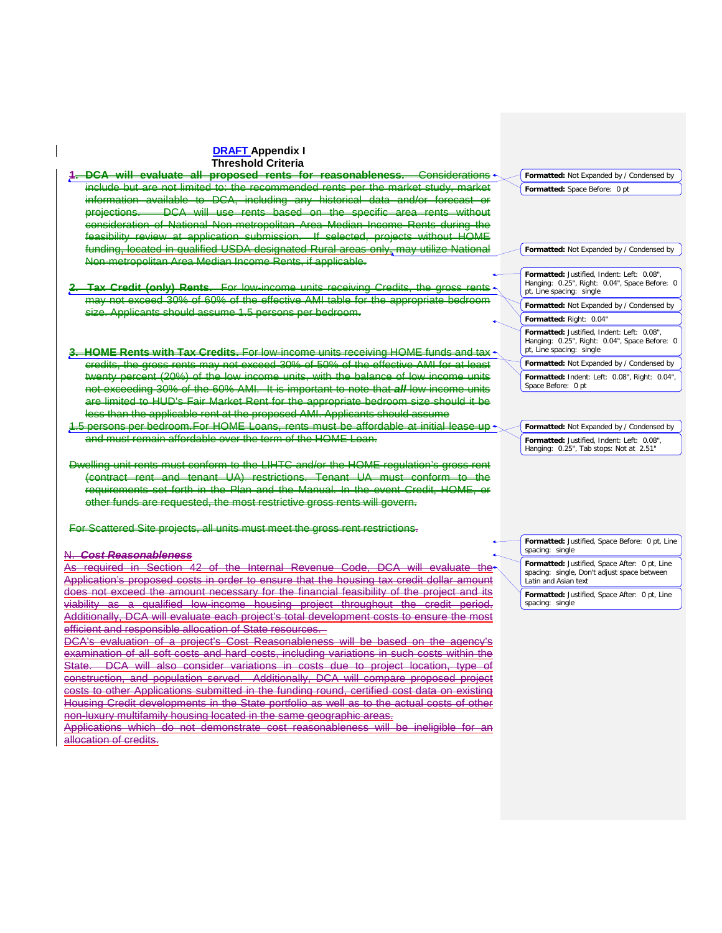**1. DCA will evaluate all proposed rents for reasonableness.** Considerations include but are not limited to: the recommended rents per the market study, market information available to DCA, including any historical data and/or forecast or projections. DCA will use rents based on the specific area rents without consideration of National Non-metropolitan Area Median Income Rents during the feasibility review at application submission. If selected, projects without HOME funding, located in qualified USDA designated Rural areas only, may utilize National Non-metropolitan Area Median Income Rents, if applicable. **Tax Credit (only) Rents.** For low-income units receiving Credits, the gross rents of may not exceed 30% of 60% of the effective AMI table for the appropriate bedroom size. Applicants should assume 1.5 persons per bedroom. **3. HOME Rents with Tax Credits.** For low-income units receiving HOME funds and tax credits, the gross rents may not exceed 30% of 50% of the effective AMI for at least twenty percent (20%) of the low income units, with the balance of low income units not exceeding 30% of the 60% AMI. It is important to note that *all* low income units are limited to HUD's Fair Market Rent for the appropriate bedroom size should it be less than the applicable rent at the proposed AMI. Applicants should assume .5 persons per bedroom.For HOME Loans, rents must be affordable at initial lease-up + and must remain affordable over the term of the HOME Loan. Dwelling unit rents must conform to the LIHTC and/or the HOME regulation's gross rent (contract rent and tenant UA) restrictions. Tenant UA must conform to the requirements set forth in the Plan and the Manual. In the event Credit, HOME, or other funds are requested, the most restrictive gross rents will govern. For Scattered Site projects, all units must meet the gross rent restrictions. N. *Cost Reasonableness* As required in Section 42 of the Internal Revenue Code, DCA will evaluate the Application's proposed costs in order to ensure that the housing tax credit dollar amount does not exceed the amount necessary for the financial feasibility of the project and its viability as a qualified low-income housing project throughout the credit period. Additionally, DCA will evaluate each project's total development costs to ensure the most efficient and responsible allocation of State resources. DCA's evaluation of a project's Cost Reasonableness will be based on the agency's **Formatted:** Not Expanded by / Condensed by **Formatted:** Space Before: 0 pt **Formatted:** Not Expanded by / Condensed by **Formatted:** Justified, Indent: Left: 0.08", Hanging: 0.25", Right: 0.04", Space Before: 0 pt, Line spacing: single **Formatted:** Not Expanded by / Condensed by **Formatted:** Right: 0.04" **Formatted:** Justified, Indent: Left: 0.08", Hanging: 0.25", Right: 0.04", Space Before: 0 pt, Line spacing: single **Formatted:** Not Expanded by / Condensed by **Formatted:** Indent: Left: 0.08", Right: 0.04", Space Before: 0 pt **Formatted:** Not Expanded by / Condensed by **Formatted:** Justified, Indent: Left: 0.08", Hanging: 0.25", Tab stops: Not at 2.51" **Formatted:** Justified, Space Before: 0 pt, Line spacing: single **Formatted:** Justified, Space After: 0 pt, Line spacing: single, Don't adjust space between Latin and Asian text **Formatted:** Justified, Space After: 0 pt, Line spacing: single

examination of all soft costs and hard costs, including variations in such costs within the<br>State DCA will also consider variations in costs due to project location, type of DCA will also consider variations in costs due to project location, type of construction, and population served. Additionally, DCA will compare proposed project costs to other Applications submitted in the funding round, certified cost data on existing Housing Credit developments in the State portfolio as well as to the actual costs of other non-luxury multifamily housing located in the same geographic areas.

Applications which do not demonstrate cost reasonableness will be ineligible for an allocation of credits.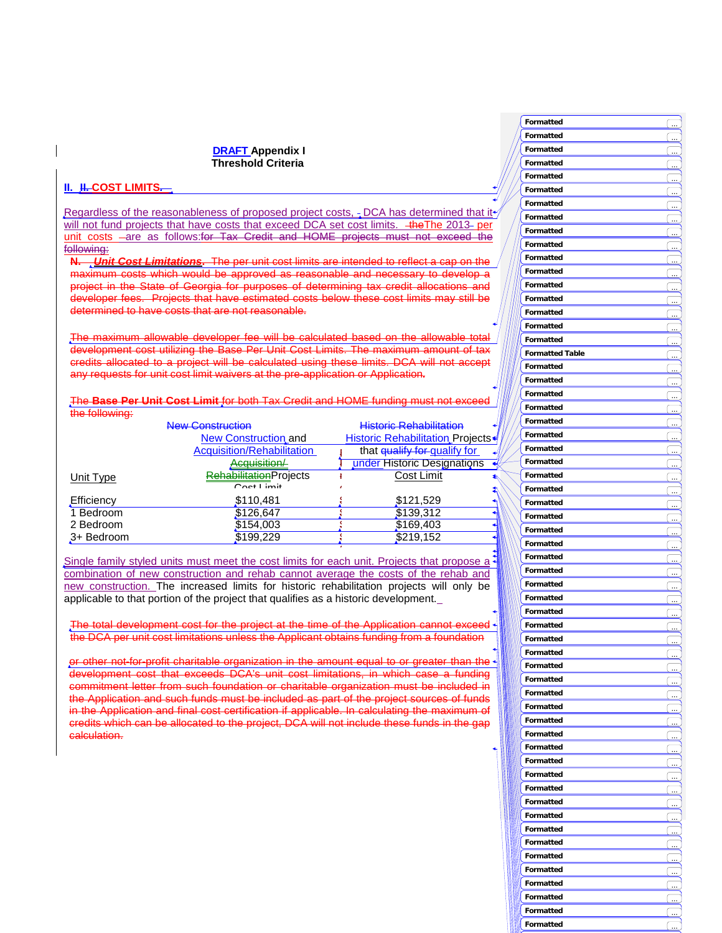## **II. II. COST LIMITS**

Regardless of the reasonableness of proposed project costs,  $\frac{1}{2}$  DCA has determined that it  $\frac{1}{2}$ will not fund projects that have costs that exceed DCA set cost limits. +**heThe 2013- per** unit costs -are as follows:for Tax Credit and HOME projects must not exceed the following:

**N.** *<u><i>Unit Cost Limitations*</u>. The per unit cost limits are intended to reflect a capital metal which would be approved as reasonable and necessary to develop project in the State of Georgia for purposes of determining tax credit allocations and developer fees. Projects that have estimated costs below these cost limits may still be determined to have costs that are not reasonable.

-maximum allowable developer fee will be calculated based on the allowable development cost utilizing the Base Per Unit Cost Limits. The maximum amount of tax credits allocated to a project will be calculated using these limits. DCA will not any requests for unit cost limit waivers at the pre-application or Application**.**

The **Base Per Unit Cost Limit** for both Tax Credit and HOME funding must not exceed the following:

|            | <b>New Construction</b>           | <b>Historic Rehabilitation</b>          |
|------------|-----------------------------------|-----------------------------------------|
|            | <b>New Construction and</b>       | <b>Historic Rehabilitation Projects</b> |
|            | <b>Acquisition/Rehabilitation</b> | that qualify for qualify for            |
|            | Acquisition/                      | under Historic Designations             |
| Unit Type  | <b>RehabilitationProjects</b>     | Cost Limit                              |
|            | $Cost$ $lim$ it                   |                                         |
| Efficiency | \$110,481                         | \$121,529                               |
| 1 Bedroom  | \$126,647                         | \$139,312                               |
| 2 Bedroom  | \$154,003                         | \$169,403                               |
| 3+ Bedroom | \$199,229                         | \$219,152                               |

Single family styled units must meet the cost limits for each unit. Projects that propose  $a^2$ combination of new construction and rehab cannot average the costs of the rehab and new construction. The increased limits for historic rehabilitation projects will only be applicable to that portion of the project that qualifies as a historic development.

2

The total development cost for the project at the time of the Application cannot exceed the DCA per unit cost limitations unless the Applicant obtains funding from a foundation

or other not-for-profit charitable organization in the amount equal to or greater than development cost that exceeds DCA's unit cost limitations, in which case a funding commitment letter from such foundation or charitable organization must be included in the Application and such funds must be included as part of the project sources of funds in the Application and final cost certification if applicable. In calculating the maximum of credits which can be allocated to the project, DCA will not include these funds in the gap calculation.

|   | Formatted              |           |
|---|------------------------|-----------|
|   | Formatted              |           |
|   | Formatted              |           |
|   |                        |           |
|   | Formatted              |           |
|   | Formatted              |           |
|   | Formatted              |           |
|   | Formatted              |           |
|   | Formatted              |           |
|   | Formatted              |           |
|   |                        |           |
|   | Formatted              |           |
| I | Formatted              |           |
|   | Formatted              |           |
| I | Formatted              |           |
|   | Formatted              |           |
|   |                        |           |
|   | Formatted              |           |
|   | Formatted              |           |
|   | Formatted              |           |
|   | <b>Formatted Table</b> |           |
|   | Formatted              |           |
|   | Formatted              |           |
|   |                        |           |
|   | Formatted              | .         |
|   | Formatted              |           |
|   | Formatted              |           |
|   | Formatted              |           |
|   | Formatted              |           |
|   |                        | .         |
|   | Formatted              |           |
|   | Formatted              |           |
|   | Formatted              |           |
|   | Formatted              |           |
|   | Formatted              |           |
|   |                        |           |
|   | Formatted              |           |
|   | Formatted              |           |
|   | Formatted              |           |
|   | Formatted              |           |
|   | Formatted              |           |
|   | Formatted              |           |
|   | Formatted              |           |
|   |                        |           |
|   | Formatted              |           |
|   | Formatted              |           |
|   | Formatted              |           |
|   | Formatted              | $\ddotsc$ |
|   | Formatted              |           |
|   | Formatted              |           |
|   |                        |           |
|   | Formatted              |           |
|   | Formatted              |           |
|   | <b>Formatted</b>       |           |
|   | Formatted              |           |
|   | Formatted              |           |
|   | Formatted              |           |
|   |                        |           |
|   | <b>Formatted</b>       |           |
|   | Formatted              |           |
|   | Formatted              |           |
|   | Formatted              |           |
|   | Formatted              |           |
|   |                        | .         |
|   | Formatted              |           |
|   | Formatted              |           |
|   | Formatted              |           |
|   | Formatted              |           |
|   | Formatted              |           |
|   | Formatted              |           |
|   |                        |           |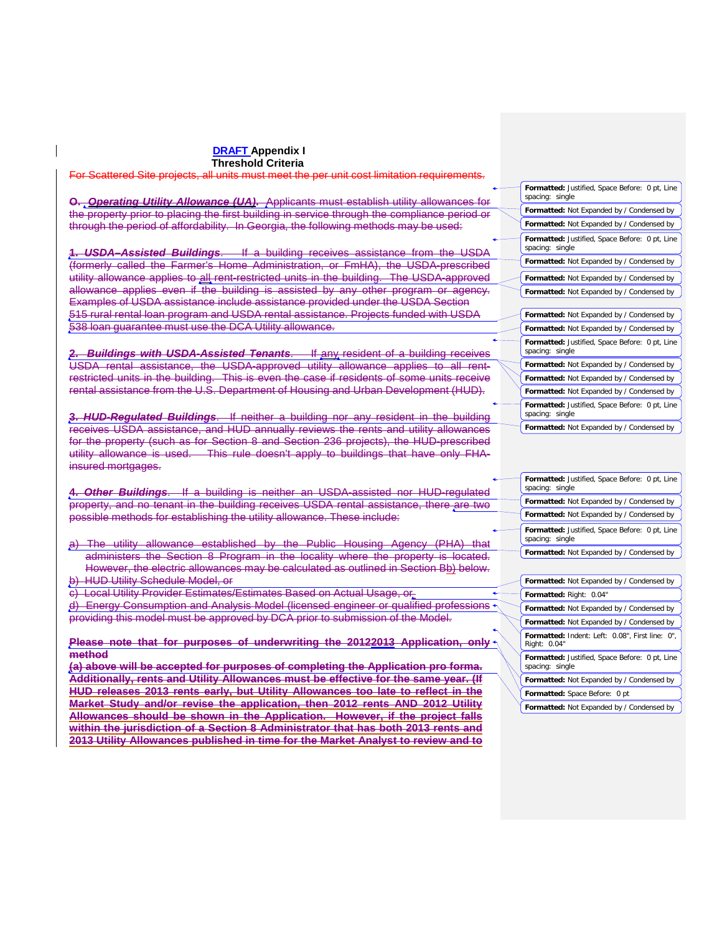For Scattered Site projects, all units must meet the per unit cost limitation requirements.

**O.** *Operating Utility Allowance (UA)***.** Applicants must establish utility allowances for the property prior to placing the first building in service through the compliance period or through the period of affordability. In Georgia, the following methods may be used:

**1.** *USDA–Assisted Buildings*. If a building receives assistance from the USDA (formerly called the Farmer's Home Administration, or FmHA), the USDA-prescribed utility allowance applies to all rent-restricted units in the building. The USDA-approved allowance applies even if the building is assisted by any other program or agency. Examples of USDA assistance include assistance provided under the USDA Section 515 rural rental loan program and USDA rental assistance. Projects funded with USDA 538 loan guarantee must use the DCA Utility allowance.

**2.** *Buildings with USDA-Assisted Tenants*. If any resident of a building receives USDA rental assistance, the USDA-approved utility allowance applies to all rentrestricted units in the building. This is even the case if residents of some units receive rental assistance from the U.S. Department of Housing and Urban Development (HUD).

**3.** *HUD-Regulated Buildings*. If neither a building nor any resident in the building receives USDA assistance, and HUD annually reviews the rents and utility allowances for the property (such as for Section 8 and Section 236 projects), the HUD-prescribed utility allowance is used. This rule doesn't apply to buildings that have only FHAinsured mortgages.

**4.** *Other Buildings*. If a building is neither an USDA-assisted nor HUD-regulated property, and no tenant in the building receives USDA rental assistance, there are two possible methods for establishing the utility allowance. These include:

a) The utility allowance established by the Public Housing Agency (PHA) that administers the Section 8 Program in the locality where the property is located. However, the electric allowances may be calculated as outlined in Section Bb) below. b) HUD Utility Schedule Model, or

c) Local Utility Provider Estimates/Estimates Based on Actual Usage, or d) Energy Consumption and Analysis Model (licensed engineer or qualified professions providing this model must be approved by DCA prior to submission of the Model.

**Please note that for purposes of underwriting the 20122013 Application, only method**

**(a) above will be accepted for purposes of completing the Application pro forma. Additionally, rents and Utility Allowances must be effective for the same year. (If HUD releases 2013 rents early, but Utility Allowances too late to reflect in the Market Study and/or revise the application, then 2012 rents AND 2012 Utility Allowances should be shown in the Application. However, if the project falls within the jurisdiction of a Section 8 Administrator that has both 2013 rents and 2013 Utility Allowances published in time for the Market Analyst to review and to** 

| Formatted: Justified, Space Before: 0 pt, Line<br>spacing: single |
|-------------------------------------------------------------------|
| Formatted: Not Expanded by / Condensed by                         |
| Formatted: Not Expanded by / Condensed by                         |
| Formatted: Justified, Space Before: 0 pt, Line<br>spacing: single |
| Formatted: Not Expanded by / Condensed by                         |
| Formatted: Not Expanded by / Condensed by                         |
| Formatted: Not Expanded by / Condensed by                         |
|                                                                   |
| Formatted: Not Expanded by / Condensed by                         |
| Formatted: Not Expanded by / Condensed by                         |
| Formatted: Justified, Space Before: 0 pt, Line<br>spacing: single |
| Formatted: Not Expanded by / Condensed by                         |
| Formatted: Not Expanded by / Condensed by                         |
| Formatted: Not Expanded by / Condensed by                         |
| Formatted: Justified, Space Before: 0 pt, Line<br>spacing: single |
| Formatted: Not Expanded by / Condensed by                         |

| Formatted: Justified, Space Before: 0 pt, Line<br>spacing: single |
|-------------------------------------------------------------------|
| Formatted: Not Expanded by / Condensed by                         |
| Formatted: Not Expanded by / Condensed by                         |
| Formatted: Justified, Space Before: 0 pt, Line<br>spacing: single |
| Formatted: Not Expanded by / Condensed by                         |
|                                                                   |
| Formatted: Not Expanded by / Condensed by                         |
| <b>Formatted: Right: 0.04"</b>                                    |

| Formatted: Right: 0.04"                                           |
|-------------------------------------------------------------------|
| Formatted: Not Expanded by / Condensed by                         |
| <b>Formatted:</b> Not Expanded by / Condensed by                  |
| Formatted: Indent: Left: 0.08", First line: 0",<br>Right: 0.04"   |
| Formatted: Justified, Space Before: 0 pt, Line<br>spacing: single |
| <b>Formatted:</b> Not Expanded by / Condensed by                  |
|                                                                   |
| Formatted: Space Before: 0 pt                                     |

**Formatted:** Not Expanded by / Condensed by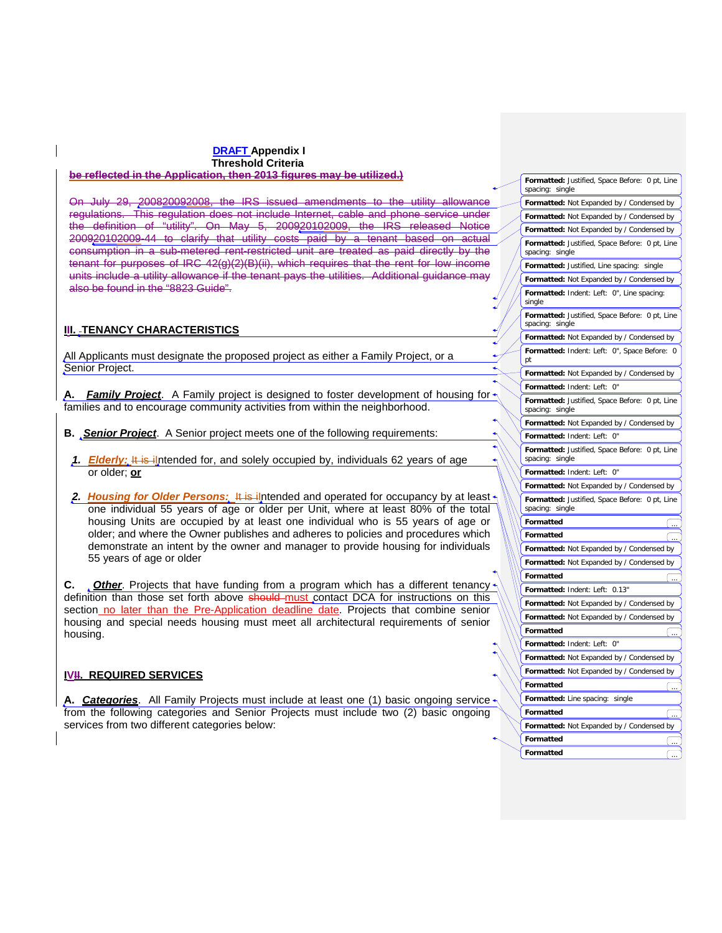#### **DRAFT Appendix I Threshold Criteria be reflected in the Application, then 2013 figures may be utilized.)**

On July 29, 200820092008, the IRS issued amendments to the utility allowance regulations. This regulation does not include Internet, cable and phone service under definition of "utility". On May 5, 200920102009, the IRS released Notice 200920102009-44 to clarify that utility costs paid by a tenant based on actual consumption in a sub-metered rent-restricted unit are treated as paid directly by the tenant for purposes of IRC 42(g)(2)(B)(ii), which requires that the rent for low income units include a utility allowance if the tenant pays the utilities. Additional guidance may also be found in the "8823 Guide".

## **III. TENANCY CHARACTERISTICS**

All Applicants must designate the proposed project as either a Family Project, or a Senior Project.

**Family Project**. A Family project is designed to foster development of housing for families and to encourage community activities from within the neighborhood.

- **B.** *Senior Project*. A Senior project meets one of the following requirements:
- 1. **Elderly:** It is ilntended for, and solely occupied by, individuals 62 years of age or older; **or**
- 2. Housing for Older Persons: It is ilntended and operated for occupancy by at least one individual 55 years of age or older per Unit, where at least 80% of the total housing Units are occupied by at least one individual who is 55 years of age or older; and where the Owner publishes and adheres to policies and procedures which demonstrate an intent by the owner and manager to provide housing for individuals 55 years of age or older

**C.** *Other*. Projects that have funding from a program which has a different tenancy definition than those set forth above should must contact DCA for instructions on this section no later than the Pre-Application deadline date. Projects that combine senior housing and special needs housing must meet all architectural requirements of senior housing.

## **IVII. REQUIRED SERVICES**

**A.** *Categories*. All Family Projects must include at least one (1) basic ongoing service from the following categories and Senior Projects must include two (2) basic ongoing services from two different categories below:

**Formatted:** Justified, Space Before: 0 pt, Line spacing: single **Formatted:** Not Expanded by / Condensed by **Formatted:** Not Expanded by / Condensed by **Formatted:** Not Expanded by / Condensed by **Formatted:** Justified, Space Before: 0 pt, Line spacing: single **Formatted:** Justified, Line spacing: single **Formatted:** Indent: Left: 0", Line spacing: single **Formatted:** Not Expanded by / Condensed by **Formatted:** Justified, Space Before: 0 pt, Line spacing: single **Formatted:** Not Expanded by / Condensed by **Formatted:** Indent: Left: 0", Space Before: 0 pt **Formatted:** Not Expanded by / Condensed by **Formatted:** Indent: Left: 0" **Formatted:** Justified, Space Before: 0 pt, Line spacing: single **Formatted:** Not Expanded by / Condensed by **Formatted:** Indent: Left: 0" **Formatted:** Justified, Space Before: 0 pt, Line spacing: single **Formatted:** Indent: Left: 0" **Formatted:** Not Expanded by / Condensed by **Formatted:** Justified, Space Before: 0 pt, Line spacing: single **Formatted Formatted** ... **Formatted:** Not Expanded by / Condensed by **Formatted:** Not Expanded by / Condensed by **Formatted** ... **Formatted:** Indent: Left: 0.13" **Formatted:** Not Expanded by / Condensed by **Formatted:** Not Expanded by / Condensed by **Formatted** ... **Formatted:** Indent: Left: 0" **Formatted:** Not Expanded by / Condensed by **Formatted:** Not Expanded by / Condensed by **Formatted** ... **Formatted:** Line spacing: single **Formatted Formatted:** Not Expanded by / Condensed by **Formatted Formatted**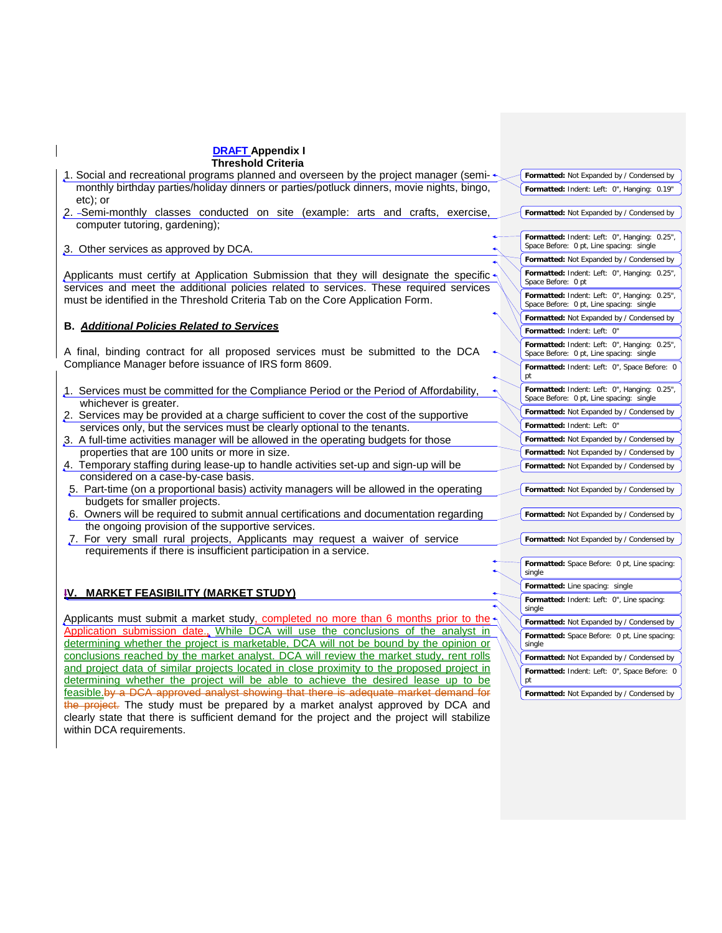| <b>DRAFT Appendix I</b>                                                                                                                                                           |                                                                                          |
|-----------------------------------------------------------------------------------------------------------------------------------------------------------------------------------|------------------------------------------------------------------------------------------|
| <b>Threshold Criteria</b>                                                                                                                                                         |                                                                                          |
| 1. Social and recreational programs planned and overseen by the project manager (semi- $\star$                                                                                    | Formatted: Not Expanded by / Condensed by                                                |
| monthly birthday parties/holiday dinners or parties/potluck dinners, movie nights, bingo,<br>etc); or                                                                             | Formatted: Indent: Left: 0", Hanging: 0.19"                                              |
| 2. -Semi-monthly classes conducted on site (example: arts and crafts, exercise,                                                                                                   | Formatted: Not Expanded by / Condensed by                                                |
| computer tutoring, gardening);                                                                                                                                                    |                                                                                          |
| 3. Other services as approved by DCA.                                                                                                                                             | Formatted: Indent: Left: 0", Hanging: 0.25",<br>Space Before: 0 pt, Line spacing: single |
|                                                                                                                                                                                   | Formatted: Not Expanded by / Condensed by                                                |
| Applicants must certify at Application Submission that they will designate the specific<br>services and meet the additional policies related to services. These required services | Formatted: Indent: Left: 0", Hanging: 0.25",<br>Space Before: 0 pt                       |
| must be identified in the Threshold Criteria Tab on the Core Application Form.                                                                                                    | Formatted: Indent: Left: 0", Hanging: 0.25",<br>Space Before: 0 pt, Line spacing: single |
|                                                                                                                                                                                   | Formatted: Not Expanded by / Condensed by                                                |
| <b>B. Additional Policies Related to Services</b>                                                                                                                                 | Formatted: Indent: Left: 0"                                                              |
| A final, binding contract for all proposed services must be submitted to the DCA                                                                                                  | Formatted: Indent: Left: 0", Hanging: 0.25",<br>Space Before: 0 pt, Line spacing: single |
| Compliance Manager before issuance of IRS form 8609.                                                                                                                              | Formatted: Indent: Left: 0", Space Before: 0<br>pt                                       |
| 1. Services must be committed for the Compliance Period or the Period of Affordability,                                                                                           | Formatted: Indent: Left: 0", Hanging: 0.25",<br>Space Before: 0 pt, Line spacing: single |
| whichever is greater.                                                                                                                                                             | Formatted: Not Expanded by / Condensed by                                                |
| 2. Services may be provided at a charge sufficient to cover the cost of the supportive                                                                                            | Formatted: Indent: Left: 0"                                                              |
| services only, but the services must be clearly optional to the tenants.                                                                                                          | Formatted: Not Expanded by / Condensed by                                                |
| 3. A full-time activities manager will be allowed in the operating budgets for those<br>properties that are 100 units or more in size.                                            |                                                                                          |
| 4. Temporary staffing during lease-up to handle activities set-up and sign-up will be                                                                                             | Formatted: Not Expanded by / Condensed by                                                |
| considered on a case-by-case basis.                                                                                                                                               | Formatted: Not Expanded by / Condensed by                                                |
| 5. Part-time (on a proportional basis) activity managers will be allowed in the operating                                                                                         |                                                                                          |
| budgets for smaller projects.                                                                                                                                                     | Formatted: Not Expanded by / Condensed by                                                |
| 6. Owners will be required to submit annual certifications and documentation regarding                                                                                            |                                                                                          |
| the ongoing provision of the supportive services.                                                                                                                                 | Formatted: Not Expanded by / Condensed by                                                |
| 7. For very small rural projects, Applicants may request a waiver of service                                                                                                      | Formatted: Not Expanded by / Condensed by                                                |
| requirements if there is insufficient participation in a service.                                                                                                                 |                                                                                          |
|                                                                                                                                                                                   | Formatted: Space Before: 0 pt, Line spacing:<br>single                                   |
|                                                                                                                                                                                   | Formatted: Line spacing: single                                                          |
| IV. MARKET FEASIBILITY (MARKET STUDY)                                                                                                                                             | Formatted: Indent: Left: 0", Line spacing:                                               |
|                                                                                                                                                                                   | single                                                                                   |
| Applicants must submit a market study, completed no more than 6 months prior to the                                                                                               | Formatted: Not Expanded by / Condensed by                                                |
| Application submission date., While DCA will use the conclusions of the analyst in                                                                                                | Formatted: Space Before: 0 pt, Line spacing:                                             |
| determining whether the project is marketable, DCA will not be bound by the opinion or                                                                                            | single                                                                                   |
| conclusions reached by the market analyst. DCA will review the market study, rent rolls                                                                                           | Formatted: Not Expanded by / Condensed by                                                |
| and project data of similar projects located in close proximity to the proposed project in                                                                                        | Formatted: Indent: Left: 0", Space Before: 0                                             |
| determining whether the project will be able to achieve the desired lease up to be                                                                                                | pt                                                                                       |
| feasible.by a DCA approved analyst showing that there is adequate market demand for                                                                                               | Formatted: Not Expanded by / Condensed by                                                |
| the project. The study must be prepared by a market analyst approved by DCA and                                                                                                   |                                                                                          |
| clearly state that there is sufficient demand for the project and the project will stabilize                                                                                      |                                                                                          |

within DCA requirements.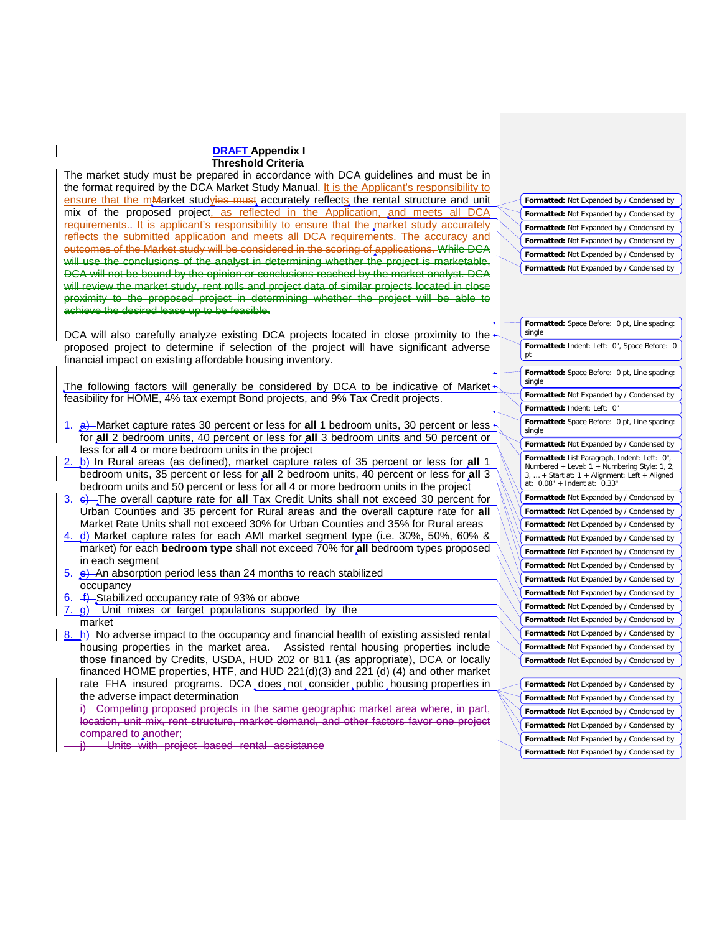The market study must be prepared in accordance with DCA guidelines and must be in the format required by the DCA Market Study Manual. It is the Applicant's responsibility to ensure that the mMarket studyies must accurately reflects the rental structure and unit mix of the proposed project, as reflected in the Application, and meets all DCA requirements.. It is applicant's responsibility to ensure that the market study accurately reflects the submitted application and meets all DCA requirements. The accuracy and outcomes of the Market study will be considered in the scoring of applications. While DCA will use the conclusions of the analyst in determining whether the project is marketable. DCA will not be bound by the opinion or conclusions reached by the market analyst. DCA will review the market study, rent rolls and project data of similar projects located in close proximity to the proposed project in determining whether the project will be able to achieve the desired lease up to be feasible.

DCA will also carefully analyze existing DCA projects located in close proximity to the proposed project to determine if selection of the project will have significant adverse financial impact on existing affordable housing inventory.

The following factors will generally be considered by DCA to be indicative of Market $\cdot$ feasibility for HOME, 4% tax exempt Bond projects, and 9% Tax Credit projects.

- 1. a) Market capture rates 30 percent or less for **all** 1 bedroom units, 30 percent or less for **all** 2 bedroom units, 40 percent or less for **all** 3 bedroom units and 50 percent or less for all 4 or more bedroom units in the project
- 2. b) In Rural areas (as defined), market capture rates of 35 percent or less for **all** 1 bedroom units, 35 percent or less for **all** 2 bedroom units, 40 percent or less for **all** 3 bedroom units and 50 percent or less for all 4 or more bedroom units in the project
- 3. c) The overall capture rate for **all** Tax Credit Units shall not exceed 30 percent for Urban Counties and 35 percent for Rural areas and the overall capture rate for **all**  Market Rate Units shall not exceed 30% for Urban Counties and 35% for Rural areas
- 4. d) Market capture rates for each AMI market segment type (i.e. 30%, 50%, 60% & market) for each **bedroom type** shall not exceed 70% for **all** bedroom types proposed in each segment
- $5.$  e) An absorption period less than 24 months to reach stabilized occupancy
- $f$ . Stabilized occupancy rate of 93% or above
- $\frac{g}{g}$  Unit mixes or target populations supported by the market
- $8.$   $\leftrightarrow$  No adverse impact to the occupancy and financial health of existing assisted rental housing properties in the market area. Assisted rental housing properties include those financed by Credits, USDA, HUD 202 or 811 (as appropriate), DCA or locally financed HOME properties, HTF, and HUD 221(d)(3) and 221 (d) (4) and other market rate FHA insured programs. DCA  $\frac{1}{2}$  does not consider public housing properties in the adverse impact determination

Competing proposed projects in the same geographic market area where, in part, location, unit mix, rent structure, market demand, and other factors favor one project compared to another;

Units with project based rental assistance

**Formatted:** Not Expanded by / Condensed by **Formatted:** Not Expanded by / Condensed by **Formatted:** Not Expanded by / Condensed by Formatted: Not Expanded by / Condensed by **Formatted:** Not Expanded by / Condensed by **Formatted:** Not Expanded by / Condensed by

**Formatted:** Space Before: 0 pt, Line spacing: single **Formatted:** Indent: Left: 0", Space Before: 0 pt **Formatted:** Space Before: 0 pt, Line spacing: single **Formatted:** Not Expanded by / Condensed by **Formatted:** Indent: Left: 0" **Formatted:** Space Before: 0 pt, Line spacing: single **Formatted:** Not Expanded by / Condensed by **Formatted:** List Paragraph, Indent: Left: 0", Numbered + Level: 1 + Numbering Style: 1, 2, + Start at: 1 + Alignment: Left + Aligned at: 0.08" + Indent at: 0.33" **Formatted:** Not Expanded by / Condensed by **Formatted:** Not Expanded by / Condensed by **Formatted:** Not Expanded by / Condensed by **Formatted:** Not Expanded by / Condensed by **Formatted:** Not Expanded by / Condensed by **Formatted:** Not Expanded by / Condensed by **Formatted:** Not Expanded by / Condensed by **Formatted:** Not Expanded by / Condensed by **Formatted:** Not Expanded by / Condensed by **Formatted:** Not Expanded by / Condensed by **Formatted:** Not Expanded by / Condensed by **Formatted:** Not Expanded by / Condensed by **Formatted:** Not Expanded by / Condensed by **Formatted:** Not Expanded by / Condensed by

**Formatted:** Not Expanded by / Condensed by **Formatted:** Not Expanded by / Condensed by **Formatted:** Not Expanded by / Condensed by **Formatted:** Not Expanded by / Condensed by **Formatted:** Not Expanded by / Condensed by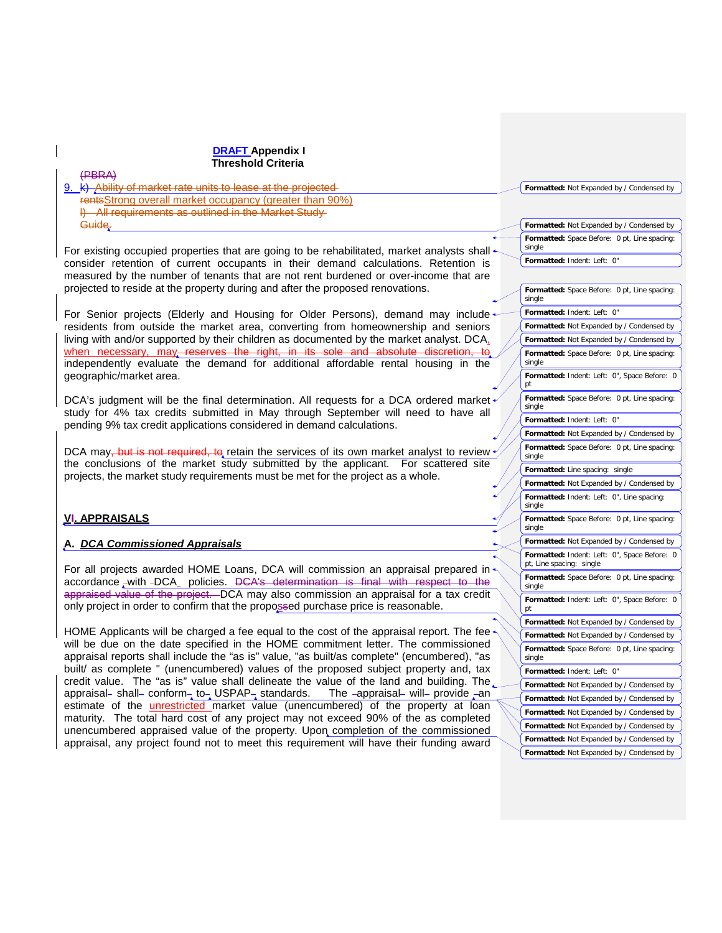| <b>DRAFT Appendix I</b>                                                                                                                                                       |                                                                                           |
|-------------------------------------------------------------------------------------------------------------------------------------------------------------------------------|-------------------------------------------------------------------------------------------|
| Threshold Criteria                                                                                                                                                            |                                                                                           |
| (PBRA)                                                                                                                                                                        |                                                                                           |
| 9. k) Ability of market rate units to lease at the projected-                                                                                                                 | Formatted: Not Expanded by / Condensed by                                                 |
| rents Strong overall market occupancy (greater than 90%)<br>I) All requirements as outlined in the Market Study-                                                              |                                                                                           |
| Guide.                                                                                                                                                                        | Formatted: Not Expanded by / Condensed by                                                 |
|                                                                                                                                                                               | Formatted: Space Before: 0 pt, Line spacing:                                              |
| For existing occupied properties that are going to be rehabilitated, market analysts shall $\star$                                                                            | single                                                                                    |
| consider retention of current occupants in their demand calculations. Retention is                                                                                            | Formatted: Indent: Left: 0"                                                               |
| measured by the number of tenants that are not rent burdened or over-income that are                                                                                          |                                                                                           |
| projected to reside at the property during and after the proposed renovations.                                                                                                | Formatted: Space Before: 0 pt, Line spacing:                                              |
|                                                                                                                                                                               | single                                                                                    |
| For Senior projects (Elderly and Housing for Older Persons), demand may include                                                                                               | Formatted: Indent: Left: 0"                                                               |
| residents from outside the market area, converting from homeownership and seniors<br>living with and/or supported by their children as documented by the market analyst. DCA, | Formatted: Not Expanded by / Condensed by                                                 |
| when necessary, may reserves the right, in its sole and absolute discretion, to                                                                                               | Formatted: Not Expanded by / Condensed by                                                 |
| independently evaluate the demand for additional affordable rental housing in the                                                                                             | Formatted: Space Before: 0 pt, Line spacing:<br>single                                    |
| geographic/market area.                                                                                                                                                       | Formatted: Indent: Left: 0", Space Before: 0                                              |
|                                                                                                                                                                               | pt                                                                                        |
| DCA's judgment will be the final determination. All requests for a DCA ordered market $\sim$                                                                                  | Formatted: Space Before: 0 pt, Line spacing:<br>single                                    |
| study for 4% tax credits submitted in May through September will need to have all                                                                                             | Formatted: Indent: Left: 0"                                                               |
| pending 9% tax credit applications considered in demand calculations.                                                                                                         | Formatted: Not Expanded by / Condensed by                                                 |
| DCA may, but is not required, to retain the services of its own market analyst to review $\gamma$                                                                             | Formatted: Space Before: 0 pt, Line spacing:                                              |
| the conclusions of the market study submitted by the applicant. For scattered site                                                                                            | single                                                                                    |
| projects, the market study requirements must be met for the project as a whole.                                                                                               | Formatted: Line spacing: single                                                           |
|                                                                                                                                                                               | Formatted: Not Expanded by / Condensed by                                                 |
|                                                                                                                                                                               | Formatted: Indent: Left: 0", Line spacing:<br>single                                      |
| <b>VI. APPRAISALS</b>                                                                                                                                                         | Formatted: Space Before: 0 pt, Line spacing:                                              |
|                                                                                                                                                                               | single                                                                                    |
| A. DCA Commissioned Appraisals                                                                                                                                                | Formatted: Not Expanded by / Condensed by                                                 |
|                                                                                                                                                                               | Formatted: Indent: Left: 0", Space Before: 0<br>pt, Line spacing: single                  |
| For all projects awarded HOME Loans, DCA will commission an appraisal prepared in                                                                                             | Formatted: Space Before: 0 pt, Line spacing:                                              |
| accordance -with -DCA policies. DCA's determination is final with respect to the<br>appraised value of the project. DCA may also commission an appraisal for a tax credit     | single                                                                                    |
| only project in order to confirm that the propossed purchase price is reasonable.                                                                                             | Formatted: Indent: Left: 0", Space Before: 0                                              |
|                                                                                                                                                                               | pt<br>Formatted: Not Expanded by / Condensed by                                           |
| HOME Applicants will be charged a fee equal to the cost of the appraisal report. The fee-                                                                                     |                                                                                           |
| will be due on the date specified in the HOME commitment letter. The commissioned                                                                                             | Formatted: Not Expanded by / Condensed by<br>Formatted: Space Before: 0 pt, Line spacing: |
| appraisal reports shall include the "as is" value, "as built/as complete" (encumbered), "as                                                                                   | single                                                                                    |
| built/ as complete " (unencumbered) values of the proposed subject property and, tax                                                                                          | Formatted: Indent: Left: 0"                                                               |
| credit value. The "as is" value shall delineate the value of the land and building. The                                                                                       | Formatted: Not Expanded by / Condensed by                                                 |
| appraisal- shall- conform- to- USPAP- standards.<br>The -appraisal- will- provide -an<br>estimate of the unrestricted market value (unencumbered) of the property at loan     | Formatted: Not Expanded by / Condensed by                                                 |
| maturity. The total hard cost of any project may not exceed 90% of the as completed                                                                                           | Formatted: Not Expanded by / Condensed by                                                 |
| unencumbered appraised value of the property. Upon completion of the commissioned                                                                                             | Formatted: Not Expanded by / Condensed by                                                 |
| appraisal, any project found not to meet this requirement will have their funding award                                                                                       | Formatted: Not Expanded by / Condensed by                                                 |
|                                                                                                                                                                               | Formatted: Not Expanded by / Condensed by                                                 |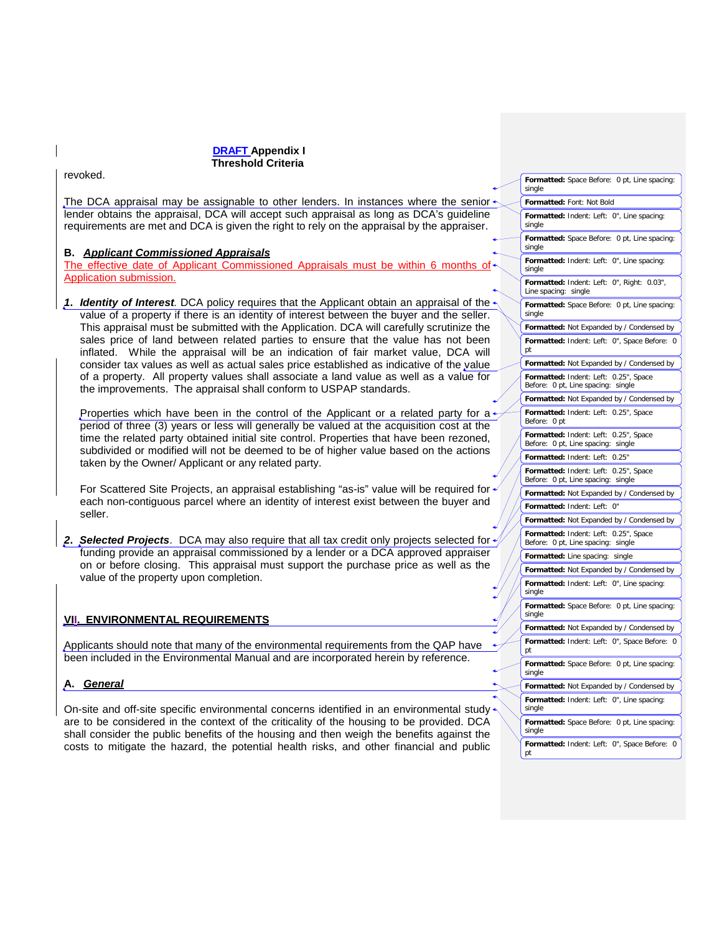costs to mitigate the hazard, the potential health risks, and other financial and public

revoked. The DCA appraisal may be assignable to other lenders. In instances where the senior lender obtains the appraisal, DCA will accept such appraisal as long as DCA's guideline requirements are met and DCA is given the right to rely on the appraisal by the appraiser. **B.** *Applicant Commissioned Appraisals* The effective date of Applicant Commissioned Appraisals must be within 6 months of Application submission. *1***.** *Identity of Interest.* DCA policy requires that the Applicant obtain an appraisal of the value of a property if there is an identity of interest between the buyer and the seller. This appraisal must be submitted with the Application. DCA will carefully scrutinize the sales price of land between related parties to ensure that the value has not been inflated. While the appraisal will be an indication of fair market value, DCA will consider tax values as well as actual sales price established as indicative of the value of a property. All property values shall associate a land value as well as a value for the improvements. The appraisal shall conform to USPAP standards. Properties which have been in the control of the Applicant or a related party for a period of three (3) years or less will generally be valued at the acquisition cost at the time the related party obtained initial site control. Properties that have been rezoned, subdivided or modified will not be deemed to be of higher value based on the actions taken by the Owner/ Applicant or any related party. For Scattered Site Projects, an appraisal establishing "as-is" value will be required for each non-contiguous parcel where an identity of interest exist between the buyer and seller. **2. Selected Projects.** DCA may also require that all tax credit only projects selected for funding provide an appraisal commissioned by a lender or a DCA approved appraiser on or before closing. This appraisal must support the purchase price as well as the value of the property upon completion. **VII. ENVIRONMENTAL REQUIREMENTS** Applicants should note that many of the environmental requirements from the QAP have been included in the Environmental Manual and are incorporated herein by reference. **A.** *General* On-site and off-site specific environmental concerns identified in an environmental study are to be considered in the context of the criticality of the housing to be provided. DCA shall consider the public benefits of the housing and then weigh the benefits against the **Formatted:** Space Before: 0 pt, Line spacing: single **Formatted:** Font: Not Bold **Formatted:** Indent: Left: 0", Line spacing: single **Formatted:** Space Before: 0 pt, Line spacing: single **Formatted:** Indent: Left: 0", Line spacing: single **Formatted:** Indent: Left: 0", Right: 0.03", Line spacing: single **Formatted:** Space Before: 0 pt, Line spacing: single **Formatted:** Not Expanded by / Condensed by **Formatted:** Indent: Left: 0", Space Before: 0 pt **Formatted:** Not Expanded by / Condensed by **Formatted:** Indent: Left: 0.25", Space Before: 0 pt, Line spacing: single **Formatted:** Not Expanded by / Condensed by **Formatted:** Indent: Left: 0.25", Space Before: 0 pt **Formatted:** Indent: Left: 0.25", Space Before: 0 pt, Line spacing: single **Formatted:** Indent: Left: 0.25" **Formatted:** Indent: Left: 0.25", Space Before: 0 pt, Line spacing: single **Formatted:** Not Expanded by / Condensed by **Formatted:** Indent: Left: 0" **Formatted:** Not Expanded by / Condensed by **Formatted:** Indent: Left: 0.25", Space Before: 0 pt, Line spacing: single **Formatted:** Line spacing: single **Formatted:** Not Expanded by / Condensed by **Formatted:** Indent: Left: 0", Line spacing: single **Formatted:** Space Before: 0 pt, Line spacing: single **Formatted:** Not Expanded by / Condensed by **Formatted:** Indent: Left: 0", Space Before: 0 pt **Formatted:** Space Before: 0 pt, Line spacing: single **Formatted:** Not Expanded by / Condensed by **Formatted:** Indent: Left: 0", Line spacing: single **Formatted:** Space Before: 0 pt, Line spacing: single

**Formatted:** Indent: Left: 0", Space Before: 0 pt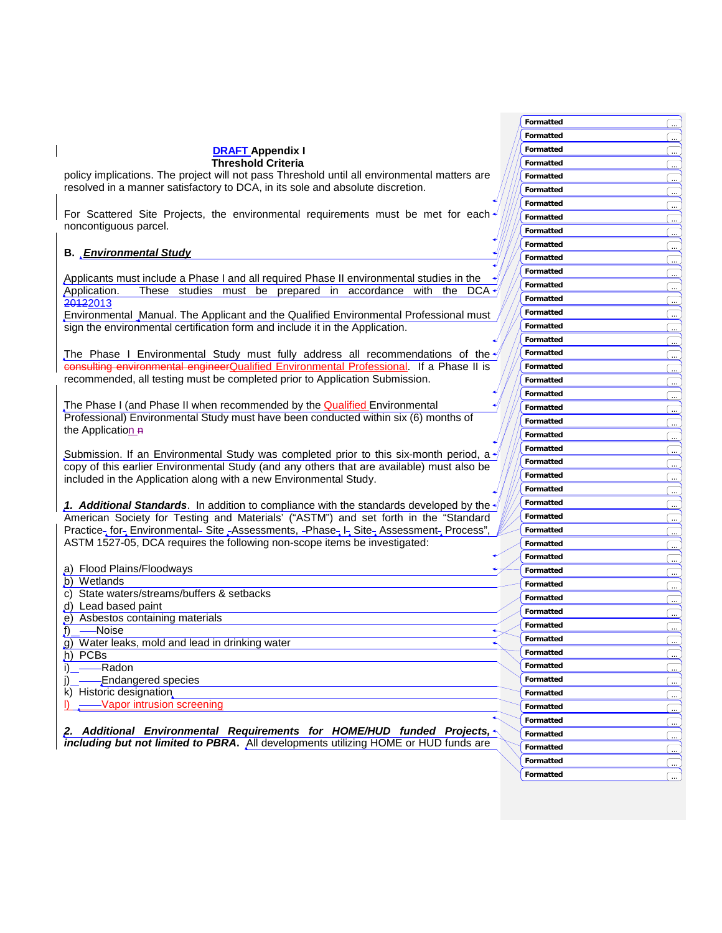|                                                                                                                                                                                 | Formatted        |  |
|---------------------------------------------------------------------------------------------------------------------------------------------------------------------------------|------------------|--|
|                                                                                                                                                                                 | Formatted        |  |
| <b>DRAFT Appendix I</b>                                                                                                                                                         | Formatted        |  |
| <b>Threshold Criteria</b>                                                                                                                                                       | Formatted        |  |
| policy implications. The project will not pass Threshold until all environmental matters are                                                                                    | Formatted        |  |
| resolved in a manner satisfactory to DCA, in its sole and absolute discretion.                                                                                                  | Formatted        |  |
|                                                                                                                                                                                 | Formatted        |  |
| For Scattered Site Projects, the environmental requirements must be met for each                                                                                                | Formatted        |  |
| noncontiguous parcel.                                                                                                                                                           | Formatted        |  |
|                                                                                                                                                                                 | Formatted        |  |
| <b>B.</b> Environmental Study                                                                                                                                                   | Formatted        |  |
|                                                                                                                                                                                 | Formatted        |  |
| Applicants must include a Phase I and all required Phase II environmental studies in the                                                                                        | Formatted        |  |
| These studies must be prepared in accordance with the DCA<br>Application.                                                                                                       | Formatted        |  |
| 20122013                                                                                                                                                                        | Formatted        |  |
| Environmental Manual. The Applicant and the Qualified Environmental Professional must<br>sign the environmental certification form and include it in the Application.           | Formatted        |  |
|                                                                                                                                                                                 | Formatted        |  |
|                                                                                                                                                                                 | Formatted        |  |
| The Phase I Environmental Study must fully address all recommendations of the $\psi$<br>consulting environmental engineerQualified Environmental Professional. If a Phase II is | Formatted        |  |
| recommended, all testing must be completed prior to Application Submission.                                                                                                     |                  |  |
|                                                                                                                                                                                 | Formatted        |  |
| The Phase I (and Phase II when recommended by the <b>Qualified</b> Environmental                                                                                                | Formatted        |  |
| Professional) Environmental Study must have been conducted within six (6) months of                                                                                             | Formatted        |  |
| the Application R                                                                                                                                                               | Formatted        |  |
|                                                                                                                                                                                 | Formatted        |  |
| Submission. If an Environmental Study was completed prior to this six-month period, a $\mathcal{N}$                                                                             | Formatted        |  |
| copy of this earlier Environmental Study (and any others that are available) must also be                                                                                       | Formatted        |  |
| included in the Application along with a new Environmental Study.                                                                                                               | Formatted        |  |
|                                                                                                                                                                                 | Formatted        |  |
| 1. Additional Standards. In addition to compliance with the standards developed by the $\sqrt{ }$                                                                               | Formatted        |  |
| American Society for Testing and Materials' ("ASTM") and set forth in the "Standard                                                                                             | Formatted        |  |
| Practice- for- Environmental- Site - Assessments, -Phase- I- Site- Assessment- Process",                                                                                        | Formatted        |  |
| ASTM 1527-05, DCA requires the following non-scope items be investigated:                                                                                                       | Formatted        |  |
|                                                                                                                                                                                 | <b>Formatted</b> |  |
| a) Flood Plains/Floodways                                                                                                                                                       | Formatted        |  |
| b) Wetlands<br>c) State waters/streams/buffers & setbacks                                                                                                                       | Formatted        |  |
| d) Lead based paint                                                                                                                                                             | Formatted        |  |
| e) Asbestos containing materials                                                                                                                                                | Formatted        |  |
| —Noise<br>Ĺ).                                                                                                                                                                   | Formatted        |  |
| g) Water leaks, mold and lead in drinking water                                                                                                                                 | Formatted        |  |
| h) PCBs                                                                                                                                                                         | Formatted        |  |
| -Radon                                                                                                                                                                          | Formatted        |  |
| Endangered species                                                                                                                                                              | Formatted        |  |
| k) Historic designation                                                                                                                                                         | Formatted        |  |
| Vapor intrusion screening                                                                                                                                                       | Formatted        |  |
|                                                                                                                                                                                 | Formatted        |  |
| 2. Additional Environmental Requirements for HOME/HUD funded Projects,                                                                                                          | Formatted        |  |
| including but not limited to PBRA. All developments utilizing HOME or HUD funds are                                                                                             | Formatted        |  |
|                                                                                                                                                                                 | Formatted        |  |
|                                                                                                                                                                                 | Formatted        |  |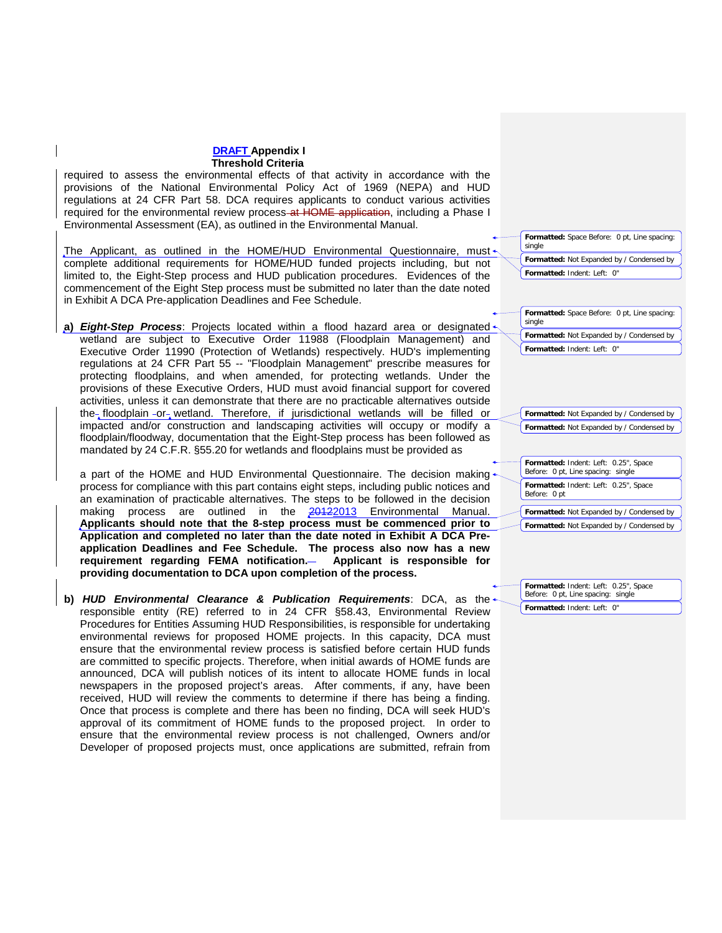required to assess the environmental effects of that activity in accordance with the provisions of the National Environmental Policy Act of 1969 (NEPA) and HUD regulations at 24 CFR Part 58. DCA requires applicants to conduct various activities required for the environmental review process-at HOME application, including a Phase I Environmental Assessment (EA), as outlined in the Environmental Manual.

The Applicant, as outlined in the HOME/HUD Environmental Questionnaire, must complete additional requirements for HOME/HUD funded projects including, but not limited to, the Eight-Step process and HUD publication procedures. Evidences of the commencement of the Eight Step process must be submitted no later than the date noted in Exhibit A DCA Pre-application Deadlines and Fee Schedule.

**a)** *Eight-Step Process*: Projects located within a flood hazard area or designated wetland are subject to Executive Order 11988 (Floodplain Management) and Executive Order 11990 (Protection of Wetlands) respectively. HUD's implementing regulations at 24 CFR Part 55 -- "Floodplain Management" prescribe measures for protecting floodplains, and when amended, for protecting wetlands. Under the provisions of these Executive Orders, HUD must avoid financial support for covered activities, unless it can demonstrate that there are no practicable alternatives outside the floodplain -or wetland. Therefore, if jurisdictional wetlands will be filled or impacted and/or construction and landscaping activities will occupy or modify a floodplain/floodway, documentation that the Eight-Step process has been followed as mandated by 24 C.F.R. §55.20 for wetlands and floodplains must be provided as

a part of the HOME and HUD Environmental Questionnaire. The decision making process for compliance with this part contains eight steps, including public notices and an examination of practicable alternatives. The steps to be followed in the decision making process are outlined in the 20122013 Environmental Manual. **Applicants should note that the 8-step process must be commenced prior to Application and completed no later than the date noted in Exhibit A DCA Preapplication Deadlines and Fee Schedule. The process also now has a new requirement regarding FEMA notification. Applicant is responsible for providing documentation to DCA upon completion of the process.**

**b)** *HUD Environmental Clearance & Publication Requirements*: DCA, as the responsible entity (RE) referred to in 24 CFR §58.43, Environmental Review Procedures for Entities Assuming HUD Responsibilities, is responsible for undertaking environmental reviews for proposed HOME projects. In this capacity, DCA must ensure that the environmental review process is satisfied before certain HUD funds are committed to specific projects. Therefore, when initial awards of HOME funds are announced, DCA will publish notices of its intent to allocate HOME funds in local newspapers in the proposed project's areas. After comments, if any, have been received, HUD will review the comments to determine if there has being a finding. Once that process is complete and there has been no finding, DCA will seek HUD's approval of its commitment of HOME funds to the proposed project. In order to ensure that the environmental review process is not challenged, Owners and/or Developer of proposed projects must, once applications are submitted, refrain from

**Formatted:** Space Before: 0 pt, Line spacing: single **Formatted:** Not Expanded by / Condensed by **Formatted:** Indent: Left: 0"

**Formatted:** Space Before: 0 pt, Line spacing: single

**Formatted:** Not Expanded by / Condensed by **Formatted:** Indent: Left: 0"

**Formatted:** Not Expanded by / Condensed by **Formatted:** Not Expanded by / Condensed by

**Formatted:** Indent: Left: 0.25", Space Before: 0 pt, Line spacing: single **Formatted:** Indent: Left: 0.25", Space Before: 0 pt **Formatted:** Not Expanded by / Condensed by

**Formatted:** Not Expanded by / Condensed by

**Formatted:** Indent: Left: 0.25", Space Before: 0 pt, Line spacing: single **Formatted:** Indent: Left: 0"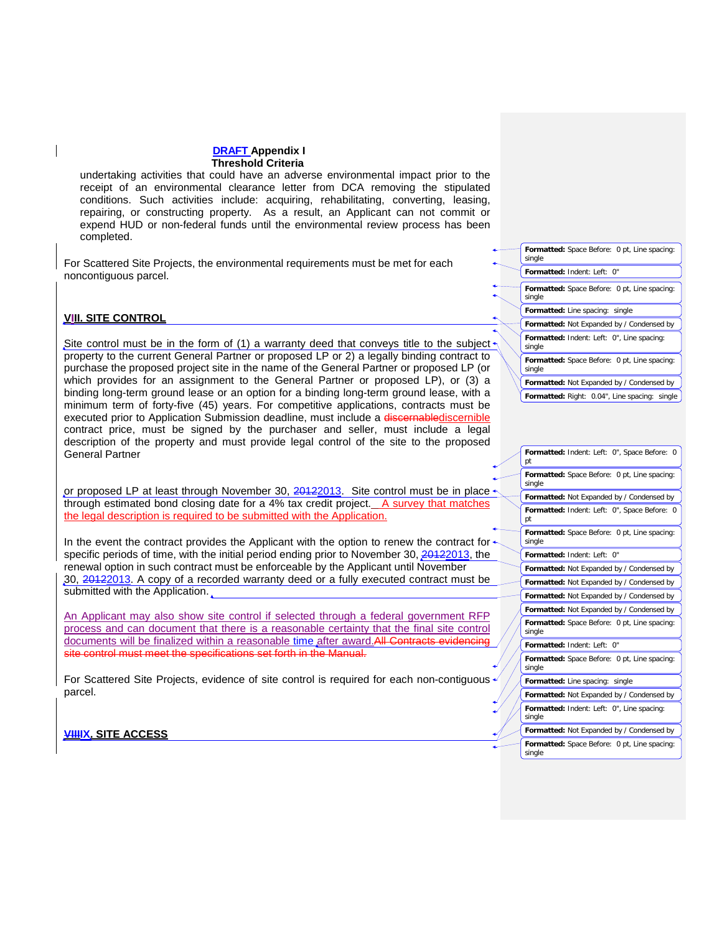undertaking activities that could have an adverse environmental impact prior to the receipt of an environmental clearance letter from DCA removing the stipulated conditions. Such activities include: acquiring, rehabilitating, converting, leasing, repairing, or constructing property. As a result, an Applicant can not commit or expend HUD or non-federal funds until the environmental review process has been completed.

For Scattered Site Projects, the environmental requirements must be met for each noncontiguous parcel.

## **VIII. SITE CONTROL**

Site control must be in the form of (1) a warranty deed that conveys title to the subject  $\cdot$ property to the current General Partner or proposed LP or 2) a legally binding contract to purchase the proposed project site in the name of the General Partner or proposed LP (or which provides for an assignment to the General Partner or proposed LP), or (3) a binding long-term ground lease or an option for a binding long-term ground lease, with a minimum term of forty-five (45) years. For competitive applications, contracts must be executed prior to Application Submission deadline, must include a discornablediscernible contract price, must be signed by the purchaser and seller, must include a legal description of the property and must provide legal control of the site to the proposed General Partner

or proposed LP at least through November 30,  $20122013$ . Site control must be in place through estimated bond closing date for a 4% tax credit project. A survey that matches the legal description is required to be submitted with the Application.

In the event the contract provides the Applicant with the option to renew the contract for specific periods of time, with the initial period ending prior to November 30, 20122013, the renewal option in such contract must be enforceable by the Applicant until November 30, 20122013. A copy of a recorded warranty deed or a fully executed contract must be submitted with the Application.

An Applicant may also show site control if selected through a federal government RFP process and can document that there is a reasonable certainty that the final site control documents will be finalized within a reasonable time after award. All Contr site control must meet the specifications set forth in the Manual.

For Scattered Site Projects, evidence of site control is required for each non-contiguous parcel.

**Formatted:** Indent: Left: 0" **Formatted:** Space Before: 0 pt, Line spacing: single **Formatted:** Line spacing: single **Formatted:** Not Expanded by / Condensed by **Formatted:** Indent: Left: 0", Line spacing: single **Formatted:** Space Before: 0 pt, Line spacing: single **Formatted:** Not Expanded by / Condensed by **Formatted:** Right: 0.04", Line spacing: single

**Formatted:** Space Before: 0 pt, Line spacing:

single

| рt     | Formatted: Indent: Left: 0", Space Before:<br>$\Omega$ |
|--------|--------------------------------------------------------|
| single | Formatted: Space Before: 0 pt, Line spacing:           |
|        | Formatted: Not Expanded by / Condensed by              |
| pt     | Formatted: Indent: Left: 0", Space Before: 0           |
| single | Formatted: Space Before: 0 pt, Line spacing:           |
|        | Formatted: Indent: Left: 0"                            |
|        | Formatted: Not Expanded by / Condensed by              |
|        | Formatted: Not Expanded by / Condensed by              |
|        | Formatted: Not Expanded by / Condensed by              |
|        | Formatted: Not Expanded by / Condensed by              |
| single | Formatted: Space Before: 0 pt, Line spacing:           |
|        | Formatted: Indent: Left: 0"                            |
| single | Formatted: Space Before: 0 pt, Line spacing:           |
|        | Formatted: Line spacing: single                        |
|        | Formatted: Not Expanded by / Condensed by              |
| single | Formatted: Indent: Left: 0", Line spacing:             |
|        | Formatted: Not Expanded by / Condensed by              |
| single | Formatted: Space Before: 0 pt, Line spacing:           |

**VIIIIX. SITE ACCESS**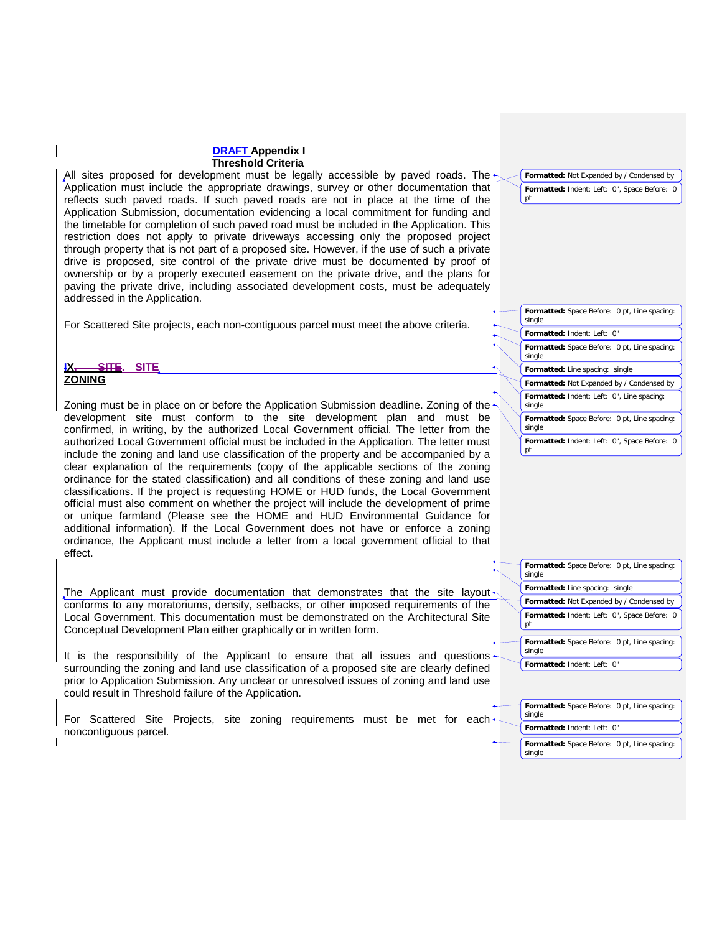All sites proposed for development must be legally accessible by paved roads. The  $\triangleleft$ Application must include the appropriate drawings, survey or other documentation that reflects such paved roads. If such paved roads are not in place at the time of the Application Submission, documentation evidencing a local commitment for funding and the timetable for completion of such paved road must be included in the Application. This restriction does not apply to private driveways accessing only the proposed project through property that is not part of a proposed site. However, if the use of such a private drive is proposed, site control of the private drive must be documented by proof of ownership or by a properly executed easement on the private drive, and the plans for paving the private drive, including associated development costs, must be adequately addressed in the Application.

For Scattered Site projects, each non-contiguous parcel must meet the above criteria.

#### **SITE. SITE ZONING**

Zoning must be in place on or before the Application Submission deadline. Zoning of the development site must conform to the site development plan and must be confirmed, in writing, by the authorized Local Government official. The letter from the authorized Local Government official must be included in the Application. The letter must include the zoning and land use classification of the property and be accompanied by a clear explanation of the requirements (copy of the applicable sections of the zoning ordinance for the stated classification) and all conditions of these zoning and land use classifications. If the project is requesting HOME or HUD funds, the Local Government official must also comment on whether the project will include the development of prime or unique farmland (Please see the HOME and HUD Environmental Guidance for additional information). If the Local Government does not have or enforce a zoning ordinance, the Applicant must include a letter from a local government official to that effect.

The Applicant must provide documentation that demonstrates that the site layout $\triangleleft$ conforms to any moratoriums, density, setbacks, or other imposed requirements of the Local Government. This documentation must be demonstrated on the Architectural Site Conceptual Development Plan either graphically or in written form.

It is the responsibility of the Applicant to ensure that all issues and questions surrounding the zoning and land use classification of a proposed site are clearly defined prior to Application Submission. Any unclear or unresolved issues of zoning and land use could result in Threshold failure of the Application.

For Scattered Site Projects, site zoning requirements must be met for each noncontiguous parcel.

**Formatted:** Space Before: 0 pt, Line spacing: single **Formatted:** Indent: Left: 0" **Formatted:** Space Before: 0 pt, Line spacing: single **Formatted:** Line spacing: single **Formatted:** Indent: Left: 0", Line spacing: single **Formatted:** Not Expanded by / Condensed by

**Formatted:** Not Expanded by / Condensed by **Formatted:** Indent: Left: 0", Space Before: 0

pt

pt

single

pt

single

single

**Formatted:** Space Before: 0 pt, Line spacing: single

**Formatted:** Indent: Left: 0", Space Before: 0

**Formatted:** Space Before: 0 pt, Line spacing:

**Formatted:** Not Expanded by / Condensed by **Formatted:** Indent: Left: 0", Space Before: 0

**Formatted:** Space Before: 0 pt, Line spacing:

**Formatted:** Line spacing: single

**Formatted:** Indent: Left: 0"

**Formatted:** Space Before: 0 pt, Line spacing: single **Formatted:** Indent: Left: 0"

**Formatted:** Space Before: 0 pt, Line spacing: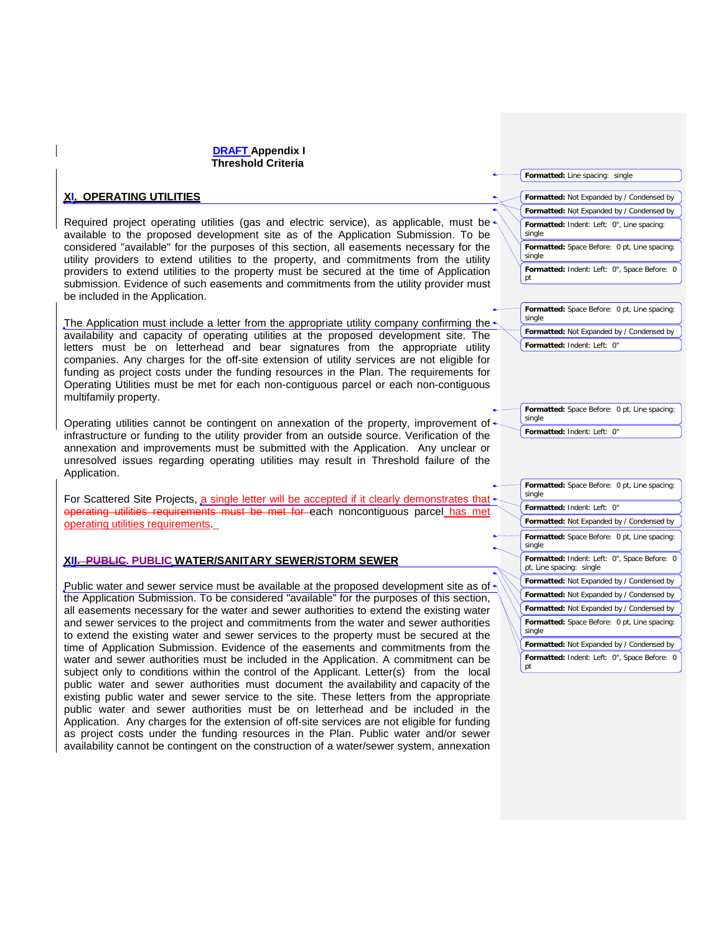## **XI. OPERATING UTILITIES**

Required project operating utilities (gas and electric service), as applicable, must be available to the proposed development site as of the Application Submission. To be considered "available" for the purposes of this section, all easements necessary for the utility providers to extend utilities to the property, and commitments from the utility providers to extend utilities to the property must be secured at the time of Application submission. Evidence of such easements and commitments from the utility provider must be included in the Application.

The Application must include a letter from the appropriate utility company confirming the availability and capacity of operating utilities at the proposed development site. The letters must be on letterhead and bear signatures from the appropriate utility companies. Any charges for the off-site extension of utility services are not eligible for funding as project costs under the funding resources in the Plan. The requirements for Operating Utilities must be met for each non-contiguous parcel or each non-contiguous multifamily property.

Operating utilities cannot be contingent on annexation of the property, improvement of infrastructure or funding to the utility provider from an outside source. Verification of the annexation and improvements must be submitted with the Application. Any unclear or unresolved issues regarding operating utilities may result in Threshold failure of the Application.

For Scattered Site Projects, a single letter will be accepted if it clearly demonstrates that operating utilities requirements must be met for each noncontiguous parcel has met must be met for each noncontiguous parcel has met operating utilities requirements.

## **XII. PUBLIC. PUBLIC WATER/SANITARY SEWER/STORM SEWER**

Public water and sewer service must be available at the proposed development site as of the Application Submission. To be considered "available" for the purposes of this section, all easements necessary for the water and sewer authorities to extend the existing water and sewer services to the project and commitments from the water and sewer authorities to extend the existing water and sewer services to the property must be secured at the time of Application Submission. Evidence of the easements and commitments from the water and sewer authorities must be included in the Application. A commitment can be subject only to conditions within the control of the Applicant. Letter(s) from the local public water and sewer authorities must document the availability and capacity of the existing public water and sewer service to the site. These letters from the appropriate public water and sewer authorities must be on letterhead and be included in the Application. Any charges for the extension of off-site services are not eligible for funding as project costs under the funding resources in the Plan. Public water and/or sewer availability cannot be contingent on the construction of a water/sewer system, annexation

**Formatted:** Line spacing: single

**Formatted:** Not Expanded by / Condensed by **Formatted:** Indent: Left: 0", Line spacing: single **Formatted:** Not Expanded by / Condensed by **Formatted:** Space Before: 0 pt, Line spacing: single

**Formatted:** Indent: Left: 0", Space Before: 0 pt

**Formatted:** Space Before: 0 pt, Line spacing: single **Formatted:** Not Expanded by / Condensed by **Formatted:** Indent: Left: 0"

**Formatted:** Space Before: 0 pt, Line spacing: single

**Formatted:** Indent: Left: 0"

**Formatted:** Space Before: 0 pt, Line spacing: single **Formatted:** Indent: Left: 0" **Formatted:** Not Expanded by / Condensed by **Formatted:** Space Before: 0 pt, Line spacing: single **Formatted:** Indent: Left: 0", Space Before: 0 pt, Line spacing: single **Formatted:** Not Expanded by / Condensed by **Formatted:** Not Expanded by / Condensed by **Formatted:** Not Expanded by / Condensed by **Formatted:** Space Before: 0 pt, Line spacing: single **Formatted:** Not Expanded by / Condensed by **Formatted:** Indent: Left: 0", Space Before: 0 pt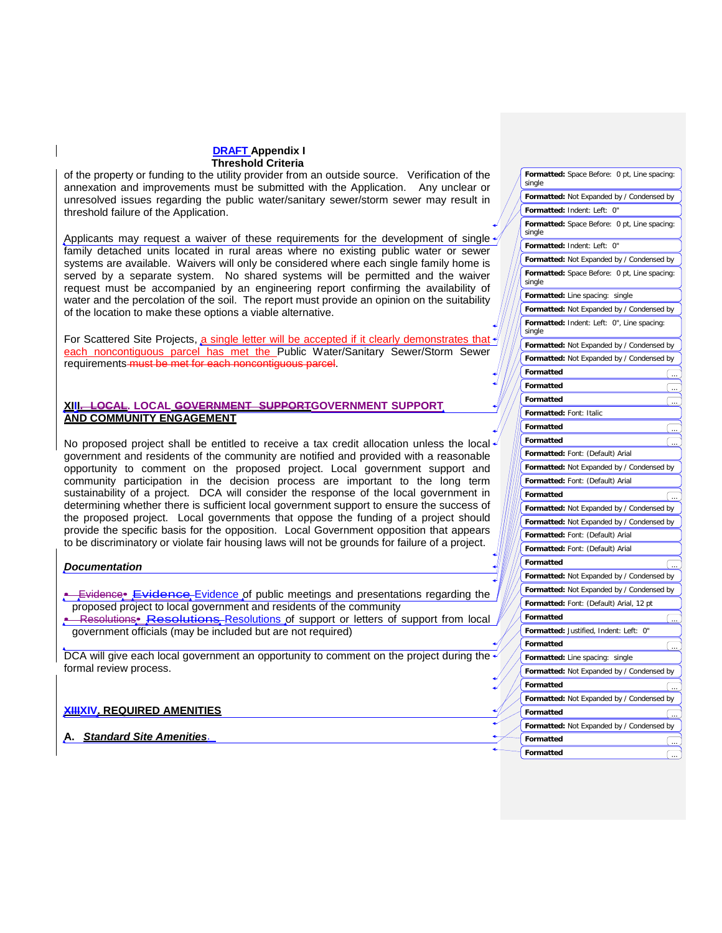of the property or funding to the utility provider from an outside source. Verification of the annexation and improvements must be submitted with the Application. Any unclear or unresolved issues regarding the public water/sanitary sewer/storm sewer may result in threshold failure of the Application.

Applicants may request a waiver of these requirements for the development of single family detached units located in rural areas where no existing public water or sewer systems are available. Waivers will only be considered where each single family home is served by a separate system. No shared systems will be permitted and the waiver request must be accompanied by an engineering report confirming the availability of water and the percolation of the soil. The report must provide an opinion on the suitability of the location to make these options a viable alternative.

For Scattered Site Projects, a single letter will be accepted if it clearly demonstrates that each noncontiguous parcel has met the Public Water/Sanitary Sewer/Storm Sewer requirements must be met for each noncontiguous parcel.

## **LOCAL. LOCAL GOVERNMENT SUPPORTGOVERNMENT SUPPORT AND COMMUNITY ENGAGEMENT**

No proposed project shall be entitled to receive a tax credit allocation unless the local government and residents of the community are notified and provided with a reasonable opportunity to comment on the proposed project. Local government support and community participation in the decision process are important to the long term sustainability of a project. DCA will consider the response of the local government in determining whether there is sufficient local government support to ensure the success of the proposed project. Local governments that oppose the funding of a project should provide the specific basis for the opposition. Local Government opposition that appears to be discriminatory or violate fair housing laws will not be grounds for failure of a project.

## *Documentation*

- **Evidence** Evidence Evidence of public meetings and presentations regarding the proposed project to local government and residents of the community
- Resolutions• Resolutions Resolutions of support or letters of support from local government officials (may be included but are not required)

DCA will give each local government an opportunity to comment on the project during the formal review process.

## **XIIIXIV. REQUIRED AMENITIES**

**Standard Site Amenities.** 

|  | Formatted: Space Before: 0 pt, Line spacing:<br>single |  |
|--|--------------------------------------------------------|--|
|  | Formatted: Not Expanded by / Condensed by              |  |
|  | Formatted: Indent: Left: 0"                            |  |
|  | Formatted: Space Before: 0 pt, Line spacing:<br>single |  |
|  | Formatted: Indent: Left: 0"                            |  |
|  | Formatted: Not Expanded by / Condensed by              |  |
|  | Formatted: Space Before: 0 pt, Line spacing:<br>single |  |
|  | <b>Formatted:</b> Line spacing: single                 |  |
|  | Formatted: Not Expanded by / Condensed by              |  |
|  | Formatted: Indent: Left: 0", Line spacing:<br>single   |  |
|  | Formatted: Not Expanded by / Condensed by              |  |
|  | Formatted: Not Expanded by / Condensed by              |  |
|  | Formatted                                              |  |
|  | Formatted                                              |  |
|  | Formatted                                              |  |
|  | Formatted: Font: Italic                                |  |
|  | Formatted                                              |  |
|  | Formatted                                              |  |
|  | Formatted: Font: (Default) Arial                       |  |
|  | Formatted: Not Expanded by / Condensed by              |  |
|  | Formatted: Font: (Default) Arial                       |  |
|  | Formatted                                              |  |
|  | Formatted: Not Expanded by / Condensed by              |  |
|  | Formatted: Not Expanded by / Condensed by              |  |
|  | Formatted: Font: (Default) Arial                       |  |
|  | Formatted: Font: (Default) Arial                       |  |
|  | Formatted                                              |  |
|  | Formatted: Not Expanded by / Condensed by              |  |
|  | Formatted: Not Expanded by / Condensed by              |  |
|  | Formatted: Font: (Default) Arial, 12 pt                |  |
|  | Formatted                                              |  |
|  | Formatted: Justified, Indent: Left: 0"                 |  |
|  | Formatted                                              |  |
|  | Formatted: Line spacing: single                        |  |
|  | Formatted: Not Expanded by / Condensed by              |  |
|  | Formatted                                              |  |
|  | Formatted: Not Expanded by / Condensed by              |  |
|  | Formatted                                              |  |
|  | Formatted: Not Expanded by / Condensed by              |  |
|  | Formatted                                              |  |
|  | Formatted                                              |  |
|  |                                                        |  |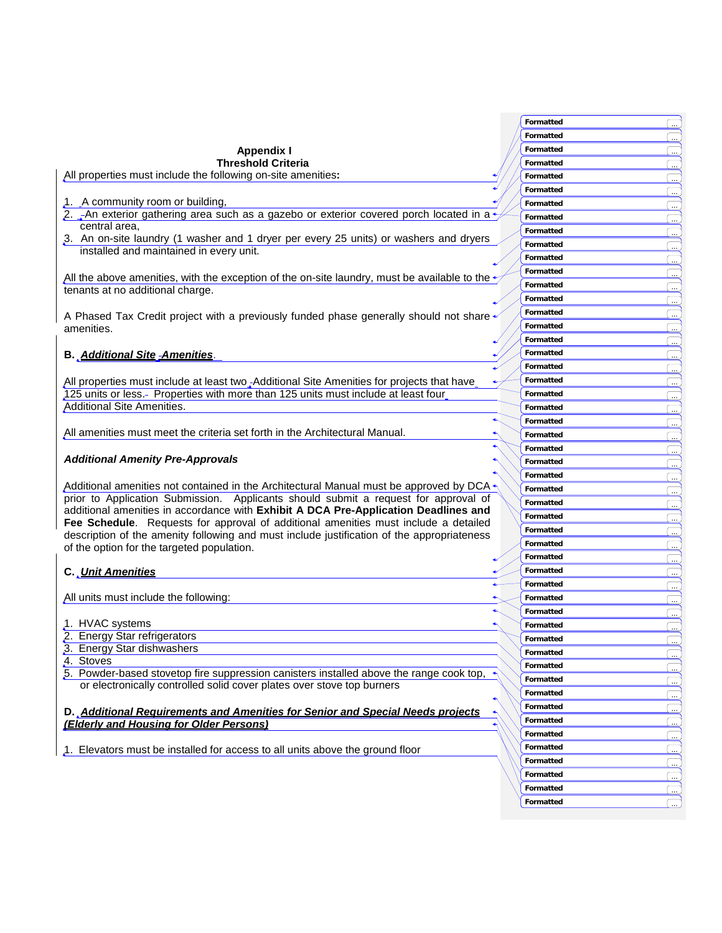|                                                                                                      | Formatted        |                         |
|------------------------------------------------------------------------------------------------------|------------------|-------------------------|
|                                                                                                      | Formatted        |                         |
| <b>Appendix I</b>                                                                                    | Formatted        |                         |
| <b>Threshold Criteria</b>                                                                            | Formatted        |                         |
| All properties must include the following on-site amenities:                                         | Formatted        |                         |
|                                                                                                      | Formatted        |                         |
| 1. A community room or building,                                                                     | Formatted        |                         |
| 2. _An exterior gathering area such as a gazebo or exterior covered porch located in a               |                  |                         |
| central area,                                                                                        | Formatted        |                         |
| 3. An on-site laundry (1 washer and 1 dryer per every 25 units) or washers and dryers                | Formatted        |                         |
| installed and maintained in every unit.                                                              | Formatted        |                         |
|                                                                                                      | Formatted        |                         |
| All the above amenities, with the exception of the on-site laundry, must be available to the $\cdot$ | <b>Formatted</b> |                         |
| tenants at no additional charge.                                                                     | Formatted        |                         |
|                                                                                                      | Formatted        |                         |
| A Phased Tax Credit project with a previously funded phase generally should not share                | Formatted        |                         |
| amenities.                                                                                           | Formatted        |                         |
|                                                                                                      | Formatted        |                         |
|                                                                                                      | Formatted        |                         |
| <b>B.</b> Additional Site Amenities.                                                                 | Formatted        |                         |
|                                                                                                      |                  |                         |
| All properties must include at least two, Additional Site Amenities for projects that have           | Formatted        |                         |
| 125 units or less.- Properties with more than 125 units must include at least four                   | Formatted        | $\ldots$                |
| <b>Additional Site Amenities.</b>                                                                    | Formatted        |                         |
|                                                                                                      | Formatted        |                         |
| All amenities must meet the criteria set forth in the Architectural Manual.                          | Formatted        |                         |
|                                                                                                      | Formatted        |                         |
| <b>Additional Amenity Pre-Approvals</b>                                                              | Formatted        |                         |
|                                                                                                      | Formatted        |                         |
| Additional amenities not contained in the Architectural Manual must be approved by DCA $\cdot$       | Formatted        |                         |
| prior to Application Submission. Applicants should submit a request for approval of                  | Formatted        |                         |
| additional amenities in accordance with Exhibit A DCA Pre-Application Deadlines and                  | Formatted        |                         |
| Fee Schedule. Requests for approval of additional amenities must include a detailed                  |                  |                         |
| description of the amenity following and must include justification of the appropriateness           | Formatted        | $\bar{z}$               |
| of the option for the targeted population.                                                           | Formatted        |                         |
|                                                                                                      | Formatted        |                         |
| C. Unit Amenities                                                                                    | Formatted        |                         |
|                                                                                                      | Formatted        |                         |
| All units must include the following:                                                                | Formatted        |                         |
|                                                                                                      | Formatted        |                         |
| 1. HVAC systems                                                                                      | Formatted        |                         |
| 2. Energy Star refrigerators                                                                         | Formatted        |                         |
| 3. Energy Star dishwashers                                                                           | Formatted        | $\ddot{\phantom{a}}$    |
| 4. Stoves                                                                                            | Formatted        |                         |
| 5. Powder-based stovetop fire suppression canisters installed above the range cook top,              | Formatted        | $\overline{\mathbf{r}}$ |
| or electronically controlled solid cover plates over stove top burners                               |                  |                         |
|                                                                                                      | Formatted        |                         |
| D. Additional Requirements and Amenities for Senior and Special Needs projects                       | Formatted        | $\ldots$                |
| (Elderly and Housing for Older Persons)                                                              | Formatted        |                         |
|                                                                                                      | Formatted        |                         |
| 1. Elevators must be installed for access to all units above the ground floor                        | Formatted        |                         |
|                                                                                                      | Formatted        | $\ldots$                |
|                                                                                                      | Formatted        |                         |
|                                                                                                      | Formatted        |                         |
|                                                                                                      | Formatted        |                         |
|                                                                                                      |                  |                         |

**Contract**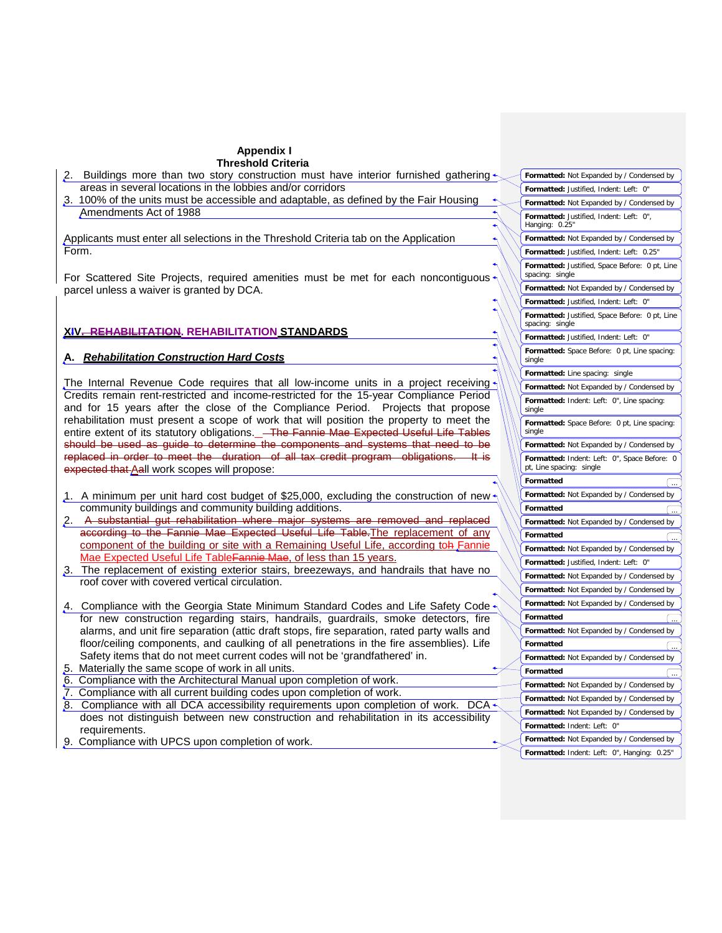| 2. Buildings more than two story construction must have interior furnished gathering $\sim$                                                                                 |  | Formatted: Not Expanded by / Condensed by                                |
|-----------------------------------------------------------------------------------------------------------------------------------------------------------------------------|--|--------------------------------------------------------------------------|
| areas in several locations in the lobbies and/or corridors                                                                                                                  |  | Formatted: Justified, Indent: Left: 0"                                   |
| 3. 100% of the units must be accessible and adaptable, as defined by the Fair Housing                                                                                       |  | Formatted: Not Expanded by / Condensed by                                |
| Amendments Act of 1988                                                                                                                                                      |  | Formatted: Justified, Indent: Left: 0",<br>Hanging: 0.25"                |
| Applicants must enter all selections in the Threshold Criteria tab on the Application                                                                                       |  | Formatted: Not Expanded by / Condensed by                                |
| Form.                                                                                                                                                                       |  | Formatted: Justified, Indent: Left: 0.25"                                |
| For Scattered Site Projects, required amenities must be met for each noncontiguous                                                                                          |  | Formatted: Justified, Space Before: 0 pt, Line<br>spacing: single        |
| parcel unless a waiver is granted by DCA.                                                                                                                                   |  | Formatted: Not Expanded by / Condensed by                                |
|                                                                                                                                                                             |  | Formatted: Justified, Indent: Left: 0"                                   |
|                                                                                                                                                                             |  | Formatted: Justified, Space Before: 0 pt, Line<br>spacing: single        |
| <b>XIV. REHABILITATION. REHABILITATION STANDARDS</b>                                                                                                                        |  | Formatted: Justified, Indent: Left: 0"                                   |
| A. Rehabilitation Construction Hard Costs                                                                                                                                   |  | Formatted: Space Before: 0 pt, Line spacing:<br>single                   |
|                                                                                                                                                                             |  | Formatted: Line spacing: single                                          |
| The Internal Revenue Code requires that all low-income units in a project receiving                                                                                         |  | Formatted: Not Expanded by / Condensed by                                |
| Credits remain rent-restricted and income-restricted for the 15-year Compliance Period                                                                                      |  | Formatted: Indent: Left: 0", Line spacing:                               |
| and for 15 years after the close of the Compliance Period. Projects that propose<br>rehabilitation must present a scope of work that will position the property to meet the |  | single                                                                   |
| entire extent of its statutory obligations._ <del>_ The Fannie Mae Expected Useful Life Tables</del>                                                                        |  | Formatted: Space Before: 0 pt, Line spacing:<br>single                   |
| should be used as guide to determine the components and systems that need to be                                                                                             |  | Formatted: Not Expanded by / Condensed by                                |
| replaced in order to meet the duration of all tax credit program obligations. It is                                                                                         |  | Formatted: Indent: Left: 0", Space Before: 0                             |
| expected that Aall work scopes will propose:                                                                                                                                |  | pt, Line spacing: single                                                 |
|                                                                                                                                                                             |  | Formatted                                                                |
| 1. A minimum per unit hard cost budget of \$25,000, excluding the construction of new $\star$                                                                               |  | Formatted: Not Expanded by / Condensed by                                |
| community buildings and community building additions.                                                                                                                       |  | Formatted                                                                |
| 2. A substantial gut rehabilitation where major systems are removed and replaced                                                                                            |  | Formatted: Not Expanded by / Condensed by                                |
| according to the Fannie Mae Expected Useful Life Table The replacement of any                                                                                               |  | Formatted                                                                |
| component of the building or site with a Remaining Useful Life, according to hFannie                                                                                        |  | Formatted: Not Expanded by / Condensed by                                |
| Mae Expected Useful Life Table Fannie Mae, of less than 15 years.                                                                                                           |  | Formatted: Justified, Indent: Left: 0"                                   |
| 3. The replacement of existing exterior stairs, breezeways, and handrails that have no                                                                                      |  | Formatted: Not Expanded by / Condensed by                                |
| roof cover with covered vertical circulation.                                                                                                                               |  | Formatted: Not Expanded by / Condensed by                                |
| 4. Compliance with the Georgia State Minimum Standard Codes and Life Safety Code                                                                                            |  | Formatted: Not Expanded by / Condensed by                                |
| for new construction regarding stairs, handrails, guardrails, smoke detectors, fire                                                                                         |  | Formatted                                                                |
| alarms, and unit fire separation (attic draft stops, fire separation, rated party walls and                                                                                 |  | Formatted: Not Expanded by / Condensed by                                |
| floor/ceiling components, and caulking of all penetrations in the fire assemblies). Life                                                                                    |  | Formatted                                                                |
| Safety items that do not meet current codes will not be 'grandfathered' in.                                                                                                 |  | Formatted: Not Expanded by / Condensed by                                |
| 5. Materially the same scope of work in all units.                                                                                                                          |  | Formatted                                                                |
| 6. Compliance with the Architectural Manual upon completion of work.                                                                                                        |  | Formatted: Not Expanded by / Condensed by                                |
| 7. Compliance with all current building codes upon completion of work.                                                                                                      |  | Formatted: Not Expanded by / Condensed by                                |
| Compliance with all DCA accessibility requirements upon completion of work. DCA $\star$<br>8.                                                                               |  |                                                                          |
| does not distinguish between new construction and rehabilitation in its accessibility                                                                                       |  | Formatted: Not Expanded by / Condensed by<br>Formatted: Indent: Left: 0" |
| requirements.                                                                                                                                                               |  | Formatted: Not Expanded by / Condensed by                                |
| 9. Compliance with UPCS upon completion of work.                                                                                                                            |  | Formatted: Indent: Left: 0", Hanging: 0.25"                              |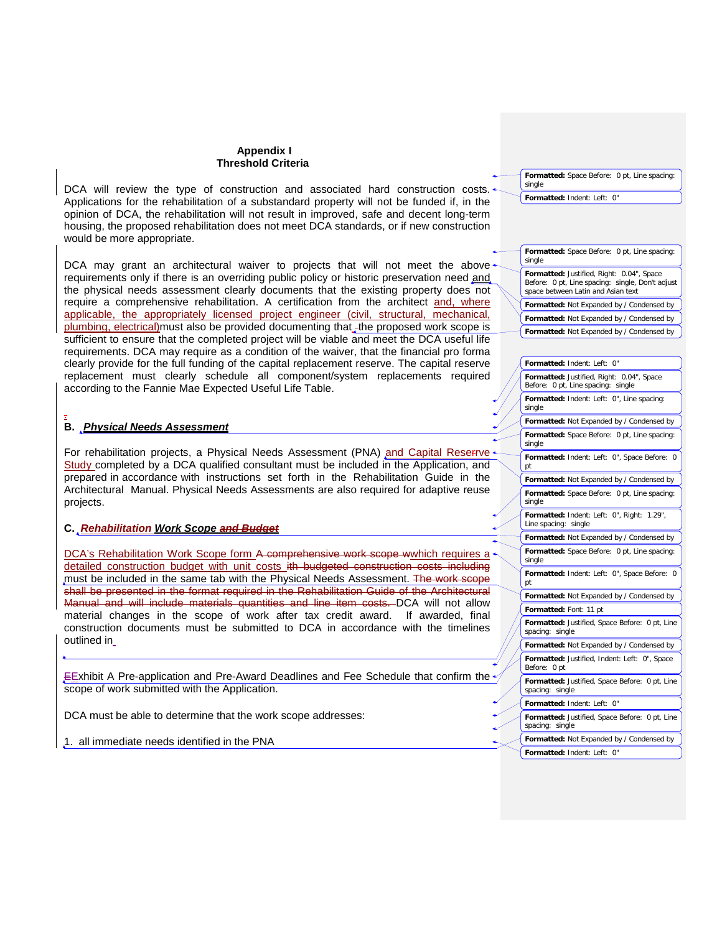DCA will review the type of construction and associated hard construction costs. Applications for the rehabilitation of a substandard property will not be funded if, in the opinion of DCA, the rehabilitation will not result in improved, safe and decent long-term housing, the proposed rehabilitation does not meet DCA standards, or if new construction would be more appropriate.

DCA may grant an architectural waiver to projects that will not meet the above requirements only if there is an overriding public policy or historic preservation need and the physical needs assessment clearly documents that the existing property does not require a comprehensive rehabilitation. A certification from the architect and, where applicable, the appropriately licensed project engineer (civil, structural, mechanical, plumbing, electrical)must also be provided documenting that the proposed work scope is sufficient to ensure that the completed project will be viable and meet the DCA useful life requirements. DCA may require as a condition of the waiver, that the financial pro forma clearly provide for the full funding of the capital replacement reserve. The capital reserve replacement must clearly schedule all component/system replacements required according to the Fannie Mae Expected Useful Life Table.

### . **B.** *Physical Needs Assessment*

For rehabilitation projects, a Physical Needs Assessment (PNA) and Capital Reserrve + Study completed by a DCA qualified consultant must be included in the Application, and prepared in accordance with instructions set forth in the Rehabilitation Guide in the Architectural Manual. Physical Needs Assessments are also required for adaptive reuse projects.

## **C.** *Rehabilitation Work Scope and Budget*

DCA's Rehabilitation Work Scope form A comprehensive work scope wwhich requires a  $\sim$ detailed construction budget with unit costs ith budgeted construction costs including must be included in the same tab with the Physical Needs Assessment. The work scope shall be presented in the format required in the Rehabilitation Guide of the Architectural Manual and will include materials quantities and line item costs. DCA will not allow material changes in the scope of work after tax credit award. If awarded, final construction documents must be submitted to DCA in accordance with the timelines outlined in

EExhibit A Pre-application and Pre-Award Deadlines and Fee Schedule that confirm the  $\gamma$ scope of work submitted with the Application.

DCA must be able to determine that the work scope addresses:

1. all immediate needs identified in the PNA

**Formatted:** Space Before: 0 pt, Line spacing: single

**Formatted:** Indent: Left: 0"

| Formatted: Space Before: 0 pt, Line spacing:<br>single                                                                              |
|-------------------------------------------------------------------------------------------------------------------------------------|
| Formatted: Justified, Right: 0.04", Space<br>Before: 0 pt, Line spacing: single, Don't adjust<br>space between Latin and Asian text |
| Formatted: Not Expanded by / Condensed by                                                                                           |
| Formatted: Not Expanded by / Condensed by                                                                                           |
| Formatted: Not Expanded by / Condensed by                                                                                           |

| Formatted: Indent: Left: 0"                                                     |
|---------------------------------------------------------------------------------|
| Formatted: Justified, Right: 0.04", Space<br>Before: 0 pt, Line spacing: single |
| Formatted: Indent: Left: 0", Line spacing:<br>single                            |
| Formatted: Not Expanded by / Condensed by                                       |
| Formatted: Space Before: 0 pt, Line spacing:<br>single                          |
| Formatted: Indent: Left: 0", Space Before: 0<br>рt                              |
| Formatted: Not Expanded by / Condensed by                                       |
| Formatted: Space Before: 0 pt, Line spacing:<br>single                          |
| Formatted: Indent: Left: 0", Right: 1.29",<br>Line spacing: single              |
| Formatted: Not Expanded by / Condensed by                                       |
| Formatted: Space Before: 0 pt, Line spacing:<br>single                          |
| Formatted: Indent: Left: 0", Space Before: 0<br>pt                              |
| Formatted: Not Expanded by / Condensed by                                       |
| Formatted: Font: 11 pt                                                          |
| Formatted: Justified, Space Before: 0 pt, Line<br>spacing: single               |
| Formatted: Not Expanded by / Condensed by                                       |
| Formatted: Justified, Indent: Left: 0", Space<br>Before: 0 pt                   |
| Formatted: Justified, Space Before: 0 pt, Line<br>spacing: single               |
| Formatted: Indent: Left: 0"                                                     |
| Formatted: Justified, Space Before: 0 pt, Line<br>spacing: single               |
| Formatted: Not Expanded by / Condensed by                                       |
| Formatted: Indent: Left: 0"                                                     |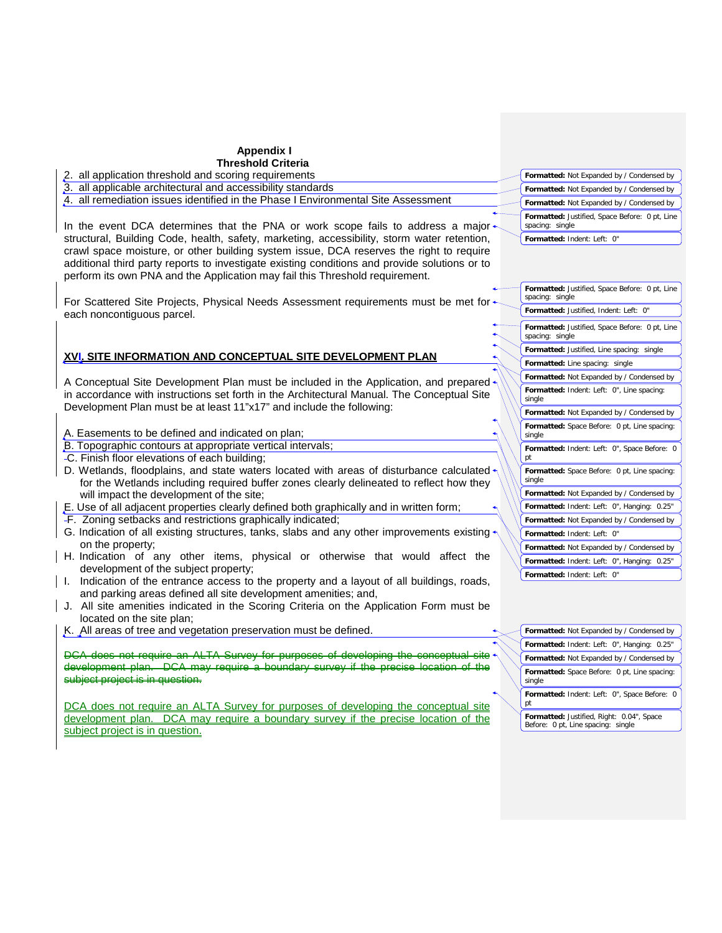| <b>Appendix I</b>                                                                                                                                                                                                                                                        |                                                                                 |
|--------------------------------------------------------------------------------------------------------------------------------------------------------------------------------------------------------------------------------------------------------------------------|---------------------------------------------------------------------------------|
| <b>Threshold Criteria</b>                                                                                                                                                                                                                                                |                                                                                 |
| 2. all application threshold and scoring requirements                                                                                                                                                                                                                    | Formatted: Not Expanded by / Condensed by                                       |
| 3. all applicable architectural and accessibility standards                                                                                                                                                                                                              | Formatted: Not Expanded by / Condensed by                                       |
| 4. all remediation issues identified in the Phase I Environmental Site Assessment                                                                                                                                                                                        | Formatted: Not Expanded by / Condensed by                                       |
|                                                                                                                                                                                                                                                                          |                                                                                 |
| In the event DCA determines that the PNA or work scope fails to address a major $\triangleleft$                                                                                                                                                                          | Formatted: Justified, Space Before: 0 pt, Line<br>spacing: single               |
| structural, Building Code, health, safety, marketing, accessibility, storm water retention,                                                                                                                                                                              | Formatted: Indent: Left: 0"                                                     |
| crawl space moisture, or other building system issue, DCA reserves the right to require<br>additional third party reports to investigate existing conditions and provide solutions or to<br>perform its own PNA and the Application may fail this Threshold requirement. |                                                                                 |
| For Scattered Site Projects, Physical Needs Assessment requirements must be met for                                                                                                                                                                                      | Formatted: Justified, Space Before: 0 pt, Line<br>spacing: single               |
| each noncontiguous parcel.                                                                                                                                                                                                                                               | Formatted: Justified, Indent: Left: 0"                                          |
|                                                                                                                                                                                                                                                                          | Formatted: Justified, Space Before: 0 pt, Line<br>spacing: single               |
|                                                                                                                                                                                                                                                                          | Formatted: Justified, Line spacing: single                                      |
| XVI, SITE INFORMATION AND CONCEPTUAL SITE DEVELOPMENT PLAN                                                                                                                                                                                                               | Formatted: Line spacing: single                                                 |
|                                                                                                                                                                                                                                                                          | Formatted: Not Expanded by / Condensed by                                       |
| A Conceptual Site Development Plan must be included in the Application, and prepared<br>in accordance with instructions set forth in the Architectural Manual. The Conceptual Site                                                                                       | Formatted: Indent: Left: 0", Line spacing:<br>single                            |
| Development Plan must be at least 11"x17" and include the following:                                                                                                                                                                                                     | Formatted: Not Expanded by / Condensed by                                       |
| A. Easements to be defined and indicated on plan;                                                                                                                                                                                                                        | Formatted: Space Before: 0 pt, Line spacing:<br>single                          |
| B. Topographic contours at appropriate vertical intervals;                                                                                                                                                                                                               | Formatted: Indent: Left: 0", Space Before: 0                                    |
| -C. Finish floor elevations of each building;                                                                                                                                                                                                                            | pt                                                                              |
| D. Wetlands, floodplains, and state waters located with areas of disturbance calculated<br>for the Wetlands including required buffer zones clearly delineated to reflect how they                                                                                       | Formatted: Space Before: 0 pt, Line spacing:<br>single                          |
| will impact the development of the site;                                                                                                                                                                                                                                 | Formatted: Not Expanded by / Condensed by                                       |
| E. Use of all adjacent properties clearly defined both graphically and in written form;                                                                                                                                                                                  | Formatted: Indent: Left: 0", Hanging: 0.25"                                     |
| -F. Zoning setbacks and restrictions graphically indicated;                                                                                                                                                                                                              | Formatted: Not Expanded by / Condensed by                                       |
| G. Indication of all existing structures, tanks, slabs and any other improvements existing                                                                                                                                                                               | Formatted: Indent: Left: 0"                                                     |
| on the property;                                                                                                                                                                                                                                                         | Formatted: Not Expanded by / Condensed by                                       |
| H. Indication of any other items, physical or otherwise that would affect the                                                                                                                                                                                            |                                                                                 |
| development of the subject property;                                                                                                                                                                                                                                     | Formatted: Indent: Left: 0", Hanging: 0.25"                                     |
| I. Indication of the entrance access to the property and a layout of all buildings, roads,                                                                                                                                                                               | Formatted: Indent: Left: 0"                                                     |
| and parking areas defined all site development amenities; and,<br>J. All site amenities indicated in the Scoring Criteria on the Application Form must be                                                                                                                |                                                                                 |
| located on the site plan;                                                                                                                                                                                                                                                |                                                                                 |
| K. All areas of tree and vegetation preservation must be defined.                                                                                                                                                                                                        |                                                                                 |
|                                                                                                                                                                                                                                                                          | Formatted: Not Expanded by / Condensed by                                       |
| DCA does not require an ALTA Survey for purposes                                                                                                                                                                                                                         | Formatted: Indent: Left: 0", Hanging: 0.25"                                     |
| development plan. DCA may require a boundary survey if the precise                                                                                                                                                                                                       | Formatted: Not Expanded by / Condensed by                                       |
| subject project is in question.                                                                                                                                                                                                                                          | Formatted: Space Before: 0 pt, Line spacing:<br>single                          |
| DCA does not require an ALTA Survey for purposes of developing the conceptual site                                                                                                                                                                                       | Formatted: Indent: Left: 0", Space Before: 0<br>pt                              |
| development plan. DCA may require a boundary survey if the precise location of the<br>subject project is in question.                                                                                                                                                    | Formatted: Justified, Right: 0.04", Space<br>Before: 0 pt, Line spacing: single |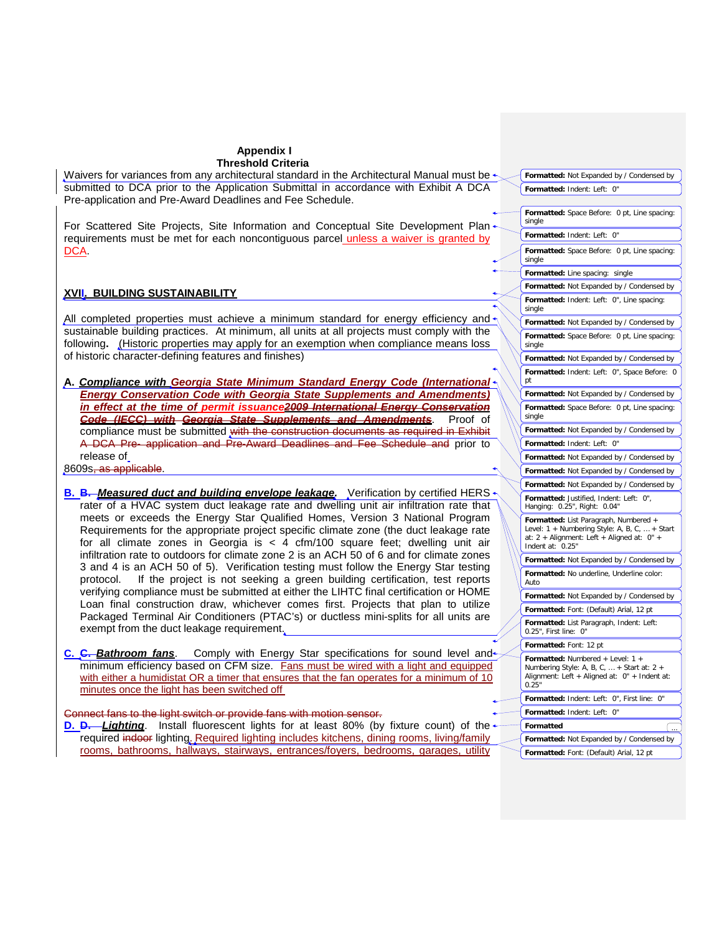Waivers for variances from any architectural standard in the Architectural Manual must be  $\rightarrow$ submitted to DCA prior to the Application Submittal in accordance with Exhibit A DCA Pre-application and Pre-Award Deadlines and Fee Schedule.

For Scattered Site Projects, Site Information and Conceptual Site Development Plan $\leftarrow$ requirements must be met for each noncontiguous parcel unless a waiver is granted by DCA.

## **XVII. BUILDING SUSTAINABILITY**

All completed properties must achieve a minimum standard for energy efficiency and  $\sim$ sustainable building practices. At minimum, all units at all projects must comply with the following**.** (Historic properties may apply for an exemption when compliance means loss of historic character-defining features and finishes)

**A.** *Compliance with Georgia State Minimum Standard Energy Code (International Energy Conservation Code with Georgia State Supplements and Amendments) in effect at the time of permit issuance2009 International Energy Conservation*  **Code (IECC) with Georgia State Supplements and Amendments.** compliance must be submitted with the construction documents as required in Exhibit A DCA Pre- application and Pre-Award Deadlines and Fee Schedule and prior to release of

8609s, as applicable.

**B. B.** Measured duct and building envelope leakage. Verification by certified HERS rater of a HVAC system duct leakage rate and dwelling unit air infiltration rate that meets or exceeds the Energy Star Qualified Homes, Version 3 National Program Requirements for the appropriate project specific climate zone (the duct leakage rate for all climate zones in Georgia is  $<$  4 cfm/100 square feet; dwelling unit air infiltration rate to outdoors for climate zone 2 is an ACH 50 of 6 and for climate zones 3 and 4 is an ACH 50 of 5). Verification testing must follow the Energy Star testing protocol. If the project is not seeking a green building certification, test reports If the project is not seeking a green building certification, test reports verifying compliance must be submitted at either the LIHTC final certification or HOME Loan final construction draw, whichever comes first. Projects that plan to utilize Packaged Terminal Air Conditioners (PTAC's) or ductless mini-splits for all units are exempt from the duct leakage requirement.

**C. C.** *Bathroom fans*. Comply with Energy Star specifications for sound level and minimum efficiency based on CFM size. Fans must be wired with a light and equipped with either a humidistat OR a timer that ensures that the fan operates for a minimum of 10 minutes once the light has been switched off

#### Connect fans to the light switch or provide fans with motion sensor.

**D. D.** Lighting. Install fluorescent lights for at least 80% (by fixture count) of the ← required indoor lighting. Required lighting includes kitchens, dining rooms, living/family rooms, bathrooms, hallways, stairways, entrances/foyers, bedrooms, garages, utility

| Formatted: Not Expanded by / Condensed by                                                                                                                     |  |  |  |
|---------------------------------------------------------------------------------------------------------------------------------------------------------------|--|--|--|
| Formatted: Indent: Left: 0"                                                                                                                                   |  |  |  |
|                                                                                                                                                               |  |  |  |
| Formatted: Space Before: 0 pt, Line spacing:<br>single                                                                                                        |  |  |  |
| Formatted: Indent: Left: 0"                                                                                                                                   |  |  |  |
| Formatted: Space Before: 0 pt, Line spacing:<br>single                                                                                                        |  |  |  |
| Formatted: Line spacing:<br>single                                                                                                                            |  |  |  |
| Formatted: Not Expanded by / Condensed by                                                                                                                     |  |  |  |
| Formatted: Indent: Left: 0", Line spacing:<br>single                                                                                                          |  |  |  |
| Formatted: Not Expanded by / Condensed by                                                                                                                     |  |  |  |
| Formatted: Space Before: 0 pt, Line spacing:<br>single                                                                                                        |  |  |  |
| Formatted: Not Expanded by / Condensed by                                                                                                                     |  |  |  |
| Formatted: Indent: Left: 0", Space Before: 0<br>рt                                                                                                            |  |  |  |
| Formatted: Not Expanded by / Condensed by                                                                                                                     |  |  |  |
| Formatted: Space Before: 0 pt, Line spacing:<br>single                                                                                                        |  |  |  |
| Formatted: Not Expanded by / Condensed by                                                                                                                     |  |  |  |
| Formatted: Indent: Left: 0"                                                                                                                                   |  |  |  |
| Formatted: Not Expanded by / Condensed by                                                                                                                     |  |  |  |
| Formatted: Not Expanded by / Condensed by                                                                                                                     |  |  |  |
| Formatted: Not Expanded by / Condensed by                                                                                                                     |  |  |  |
| Formatted: Justified, Indent: Left: 0",<br>Hanging: 0.25", Right: 0.04"                                                                                       |  |  |  |
| Formatted: List Paragraph, Numbered +<br>Level: $1 +$ Numbering Style: A, B, C,  + Start<br>at: 2 + Alignment: Left + Aligned at: 0" +<br>Indent at:<br>0.25" |  |  |  |
| Formatted: Not Expanded by / Condensed by                                                                                                                     |  |  |  |
| Formatted: No underline, Underline color:<br>Auto                                                                                                             |  |  |  |
| Formatted: Not Expanded by / Condensed by                                                                                                                     |  |  |  |
| Formatted: Font: (Default) Arial, 12 pt                                                                                                                       |  |  |  |
| Formatted: List Paragraph, Indent: Left:<br>0.25", First line: 0"                                                                                             |  |  |  |
| Formatted: Font: 12 pt                                                                                                                                        |  |  |  |
| Formatted: Numbered + Level: 1<br>Numbering Style: A, B, C,  + Start at: 2 +<br>Alignment: Left + Aligned at: 0" + Indent at:<br>0.25"                        |  |  |  |
| Formatted: Indent: Left: 0", First line:<br>0"                                                                                                                |  |  |  |
| Formatted: Indent: Left:<br>0"                                                                                                                                |  |  |  |
| Formatted                                                                                                                                                     |  |  |  |
| Formatted: Not Expanded by / Condensed by                                                                                                                     |  |  |  |
| Formatted: Font: (Default) Arial, 12 pt                                                                                                                       |  |  |  |
|                                                                                                                                                               |  |  |  |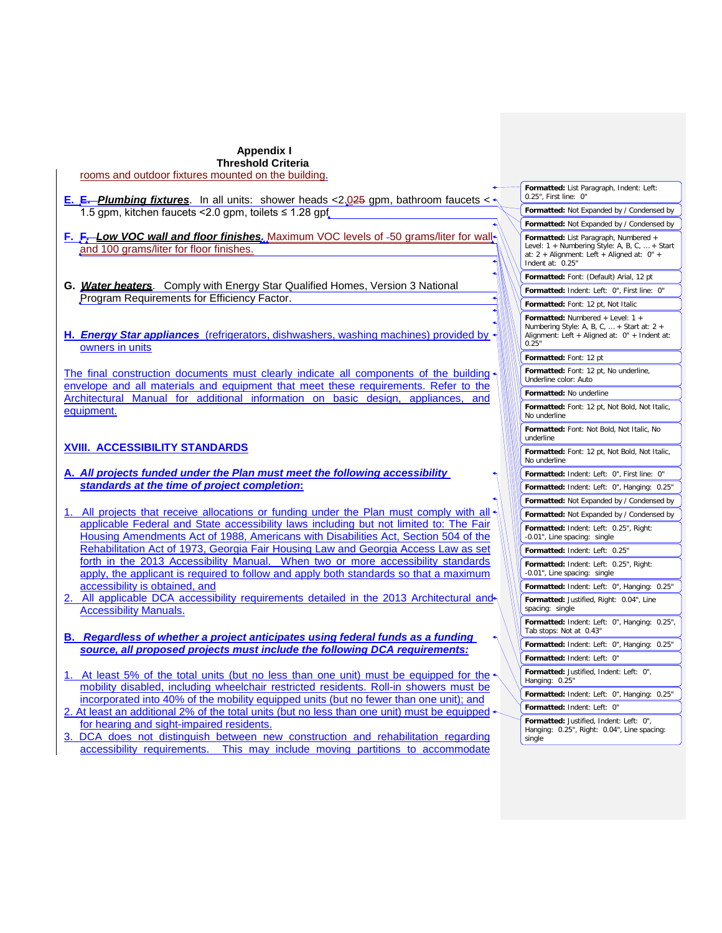#### **Appendix I Threshold Criteria** rooms and outdoor fixtures mounted on the building.

- **E. E.** *Plumbing fixtures*. In all units: shower heads <2.025 gpm, bathroom faucets < 1.5 gpm, kitchen faucets < 2.0 gpm, toilets ≤ 1.28 gpf
- **F.** F<sub>*r*</sub>-Low VOC wall and floor finishes. Maximum VOC levels of -50 grams/liter for walland 100 grams/liter for floor finishes.
- **G.** *Water heaters*. Comply with Energy Star Qualified Homes, Version 3 National Program Requirements for Efficiency Factor.
- **H.** *Energy Star appliances* (refrigerators, dishwashers, washing machines) provided by owners in units

The final construction documents must clearly indicate all components of the building envelope and all materials and equipment that meet these requirements. Refer to the Architectural Manual for additional information on basic design, appliances, and equipment.

# **XVIII. ACCESSIBILITY STANDARDS**

- **A.** *All projects funded under the Plan must meet the following accessibility standards at the time of project completion***:**
- All projects that receive allocations or funding under the Plan must comply with all applicable Federal and State accessibility laws including but not limited to: The Fair Housing Amendments Act of 1988, Americans with Disabilities Act, Section 504 of the Rehabilitation Act of 1973, Georgia Fair Housing Law and Georgia Access Law as set forth in the 2013 Accessibility Manual. When two or more accessibility standards apply, the applicant is required to follow and apply both standards so that a maximum accessibility is obtained, and
- 2. All applicable DCA accessibility requirements detailed in the 2013 Architectural and Accessibility Manuals.
- **B.** *Regardless of whether a project anticipates using federal funds as a funding source, all proposed projects must include the following DCA requirements:*
- At least 5% of the total units (but no less than one unit) must be equipped for the mobility disabled, including wheelchair restricted residents. Roll-in showers must be incorporated into 40% of the mobility equipped units (but no fewer than one unit); and 2. At least an additional 2% of the total units (but no less than one unit) must be equipped
- for hearing and sight-impaired residents.
- 3. DCA does not distinguish between new construction and rehabilitation regarding accessibility requirements. This may include moving partitions to accommodate

| Formatted: List Paragraph, Indent: Left:<br>0.25", First line: 0"                                                                                        |  |  |  |  |
|----------------------------------------------------------------------------------------------------------------------------------------------------------|--|--|--|--|
| Formatted: Not Expanded by / Condensed by                                                                                                                |  |  |  |  |
| Formatted: Not Expanded by / Condensed by                                                                                                                |  |  |  |  |
| Formatted: List Paragraph, Numbered +<br>Level: 1 + Numbering Style: A, B, C,  + Start<br>at: 2 + Alignment: Left + Aligned at: 0" +<br>Indent at: 0.25" |  |  |  |  |
| Formatted: Font: (Default) Arial, 12 pt                                                                                                                  |  |  |  |  |
| Formatted: Indent: Left: 0", First line:<br>0"                                                                                                           |  |  |  |  |
| Formatted: Font: 12 pt, Not Italic                                                                                                                       |  |  |  |  |
| Formatted: Numbered + Level: 1 +<br>Numbering Style: A, B, C,  + Start at: 2 +<br>Alignment: Left + Aligned at: 0" + Indent at:<br>0.25"                 |  |  |  |  |
| Formatted: Font: 12 pt                                                                                                                                   |  |  |  |  |
| Formatted: Font: 12 pt, No underline,<br>Underline color: Auto                                                                                           |  |  |  |  |
| Formatted: No underline                                                                                                                                  |  |  |  |  |
| Formatted: Font: 12 pt, Not Bold, Not Italic,<br>No underline                                                                                            |  |  |  |  |
| Formatted: Font: Not Bold, Not Italic, No<br>underline                                                                                                   |  |  |  |  |
| Formatted: Font: 12 pt, Not Bold, Not Italic,<br>No underline                                                                                            |  |  |  |  |
| Formatted: Indent: Left: 0", First line: 0"                                                                                                              |  |  |  |  |
| Formatted: Indent: Left: 0", Hanging: 0.25"                                                                                                              |  |  |  |  |
| <b>Formatted:</b> Not Expanded by / Condensed by                                                                                                         |  |  |  |  |
| Formatted: Not Expanded by / Condensed by                                                                                                                |  |  |  |  |
| Formatted: Indent: Left: 0.25", Right:<br>-0.01", Line spacing:<br>single                                                                                |  |  |  |  |
| Formatted: Indent: Left: 0.25"                                                                                                                           |  |  |  |  |
| Formatted: Indent: Left: 0.25", Right:<br>-0.01", Line spacing: single                                                                                   |  |  |  |  |
| Formatted: Indent: Left: 0", Hanging:<br>0.25"                                                                                                           |  |  |  |  |
| Formatted: Justified, Right: 0.04", Line<br>spacing: single                                                                                              |  |  |  |  |
| Formatted: Indent: Left: 0", Hanging: 0.25",<br>Tab stops: Not at 0.43"                                                                                  |  |  |  |  |
| Formatted: Indent: Left: 0", Hanging: 0.25"                                                                                                              |  |  |  |  |
| Formatted: Indent: Left: 0"                                                                                                                              |  |  |  |  |
| Formatted: Justified, Indent: Left:<br>0",<br>Hanging: 0.25"                                                                                             |  |  |  |  |
| Formatted: Indent: Left:<br>0", Hanging:<br>0.25"                                                                                                        |  |  |  |  |
| Formatted: Indent: Left:<br>0"                                                                                                                           |  |  |  |  |
| Formatted: Justified, Indent: Left: 0",<br>0.25", Right: 0.04", Line spacing:<br>Hanging:<br>single                                                      |  |  |  |  |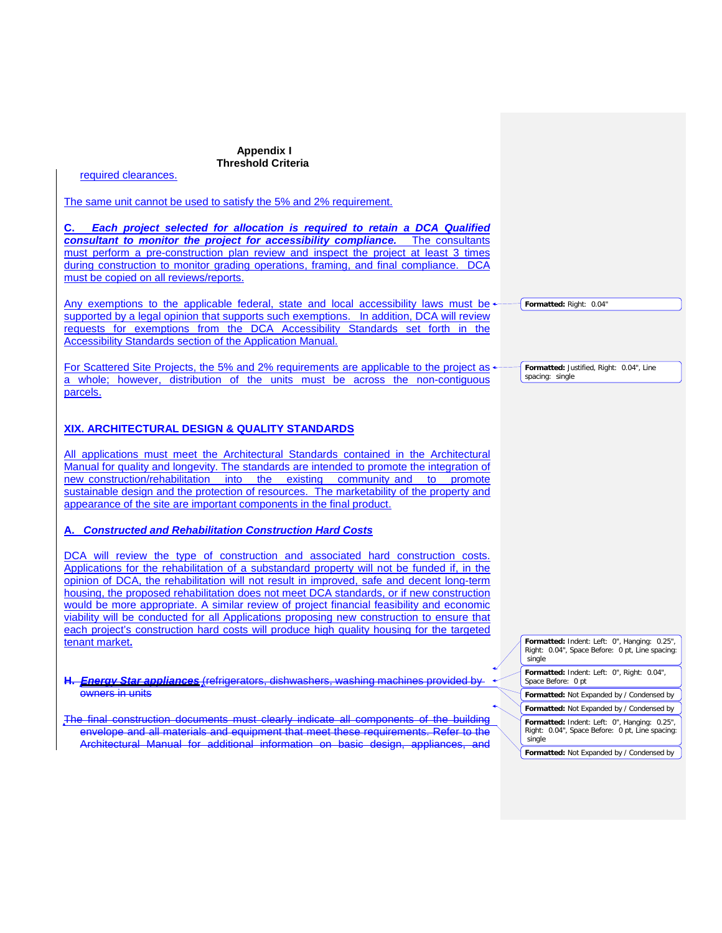required clearances.

The same unit cannot be used to satisfy the 5% and 2% requirement.

**C.** *Each project selected for allocation is required to retain a DCA Qualified consultant to monitor the project for accessibility compliance.* The consultants must perform a pre-construction plan review and inspect the project at least 3 times during construction to monitor grading operations, framing, and final compliance. DCA must be copied on all reviews/reports.

Any exemptions to the applicable federal, state and local accessibility laws must be supported by a legal opinion that supports such exemptions. In addition, DCA will review requests for exemptions from the DCA Accessibility Standards set forth in the Accessibility Standards section of the Application Manual.

For Scattered Site Projects, the 5% and 2% requirements are applicable to the project as  $\cdot$ a whole; however, distribution of the units must be across the non-contiguous parcels.

## **XIX. ARCHITECTURAL DESIGN & QUALITY STANDARDS**

All applications must meet the Architectural Standards contained in the Architectural Manual for quality and longevity. The standards are intended to promote the integration of new construction/rehabilitation into the existing community and to promote sustainable design and the protection of resources. The marketability of the property and appearance of the site are important components in the final product.

## **A.** *Constructed and Rehabilitation Construction Hard Costs*

DCA will review the type of construction and associated hard construction costs. Applications for the rehabilitation of a substandard property will not be funded if, in the opinion of DCA, the rehabilitation will not result in improved, safe and decent long-term housing, the proposed rehabilitation does not meet DCA standards, or if new construction would be more appropriate. A similar review of project financial feasibility and economic viability will be conducted for all Applications proposing new construction to ensure that each project's construction hard costs will produce high quality housing for the targeted tenant market**.**

**H.** *Energy Star appliances* (refrigerators, dishwashers, washing machines provided by owners in units

The final construction documents must clearly indicate all components of the building envelope and all materials and equipment that meet these requirements. Refer to the Architectural Manual for additional information on basic design, appliances,

**Formatted:** Indent: Left: 0", Hanging: 0.25", Right: 0.04", Space Before: 0 pt, Line spacing: single

**Formatted:** Indent: Left: 0", Right: 0.04", Space Before: 0 pt

**Formatted:** Not Expanded by / Condensed by

**Formatted:** Not Expanded by / Condensed by **Formatted:** Indent: Left: 0", Hanging: 0.25", Right: 0.04", Space Before: 0 pt, Line spacing: single

**Formatted:** Not Expanded by / Condensed by

**Formatted:** Justified, Right: 0.04", Line

**Formatted:** Right: 0.04"

spacing: single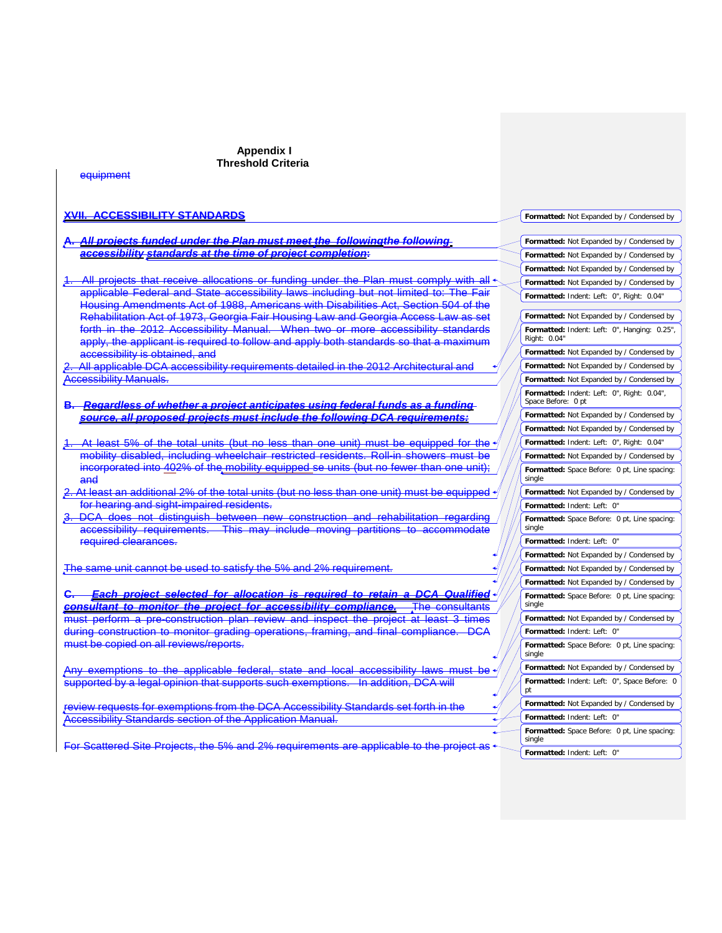| eauipment                                                                                                                                                                 |                                                                  |
|---------------------------------------------------------------------------------------------------------------------------------------------------------------------------|------------------------------------------------------------------|
|                                                                                                                                                                           |                                                                  |
| <b>ACCESSIBILITY STANDARDS</b>                                                                                                                                            | Formatted: Not Expanded by / Condensed by                        |
| <u>All projects funded under the Plan must meet the  followingthe following </u>                                                                                          | Formatted: Not Expanded by / Condensed by                        |
| accessibility standards at the time of project completion:                                                                                                                | Formatted: Not Expanded by / Condensed by                        |
|                                                                                                                                                                           | Formatted: Not Expanded by / Condensed by                        |
| All projects that receive allocations or funding under the Plan must comply with all $\cdot$                                                                              | Formatted: Not Expanded by / Condensed by                        |
| applicable Federal and State accessibility laws including but not limited to: Th<br>Housing Amendments Act of 1988, Americans with Disabilities Act, Section 504 of the   | Formatted: Indent: Left: 0", Right: 0.04"                        |
| Rehabilitation Act of 1973, Georgia Fair Housing Law and Georgia Access Law                                                                                               | Formatted: Not Expanded by / Condensed by                        |
| forth in the 2012 Accessibility Manual. When two or more accessibility standards<br>apply, the applicant is required to follow and apply both standards so that a maximum | Formatted: Indent: Left: 0", Hanging: 0.25",<br>Right: 0.04"     |
| <del>accessibility is obtained, and</del>                                                                                                                                 | Formatted: Not Expanded by / Condensed by                        |
| All applicable DCA accessibility requirements detailed in the 2012 Architectural and                                                                                      | Formatted: Not Expanded by / Condensed by                        |
| <b>Accessibility Manuals.</b>                                                                                                                                             | Formatted: Not Expanded by / Condensed by                        |
| <del>Regardless of whether a project anticipates using federal funds as a funding</del>                                                                                   | Formatted: Indent: Left: 0", Right: 0.04",<br>Space Before: 0 pt |
| source, all proposed projects must include the following DCA requirements                                                                                                 | Formatted: Not Expanded by / Condensed by                        |
|                                                                                                                                                                           | Formatted: Not Expanded by / Condensed by                        |
| <u>At least 5% of the total units (but no less than one unit) must be equipped for the </u>                                                                               | Formatted: Indent: Left: 0", Right: 0.04"                        |
| mobility disabled, including wheelchair restricted residents. Roll-in showers must be                                                                                     | Formatted: Not Expanded by / Condensed by                        |
| incorporated into 402% of the mobility equipped se units (but no fewer than one unit).<br>and                                                                             | Formatted: Space Before: 0 pt, Line spacing:<br>single           |
| 2. At least an additional 2% of the total units (but no less than one unit) must be equipped                                                                              | Formatted: Not Expanded by / Condensed by                        |
| for hearing and sight-impaired residents.                                                                                                                                 | Formatted: Indent: Left: 0"                                      |
| does not distinguish between new construction and rehabilitation regarding<br><del>DCA</del>                                                                              | Formatted: Space Before: 0 pt, Line spacing:                     |
| accessibility requirements.<br>may include<br><del>This.</del><br><del>moving</del>                                                                                       | single<br>Formatted: Indent: Left: 0"                            |
| required clearances.                                                                                                                                                      | Formatted: Not Expanded by / Condensed by                        |
| The same unit cannot be used to satisfy the 5% and 2% requirement.                                                                                                        | Formatted: Not Expanded by / Condensed by                        |
|                                                                                                                                                                           | Formatted: Not Expanded by / Condensed by                        |
| Each project selected for allocation is required to<br>retain a DCA<br><b>Qualified</b>                                                                                   | Formatted: Space Before: 0 pt, Line spacing:<br>single           |
| consultant to monitor the project for accessibility compliance<br>The consultants<br><u>times</u>                                                                         | Formatted: Not Expanded by / Condensed by                        |
| perform a pre-construction plan review and inspect the project at least 3<br>during construction to monitor grading operations, framing, and final compliance             | Formatted: Indent: Left: 0"                                      |
| must be copied on all reviews/reports.                                                                                                                                    | Formatted: Space Before: 0 pt, Line spacing:                     |
|                                                                                                                                                                           | single                                                           |
| Any exemptions to the applicable federal, state and local accessibility laws must be                                                                                      | Formatted: Not Expanded by / Condensed by                        |
| supported by a legal opinion that supports such exemptions. In addition, DCA will                                                                                         | Formatted: Indent: Left: 0", Space Before: 0<br>pt               |
| review requests for exemptions from the DCA Accessibility Standards set forth in the                                                                                      | Formatted: Not Expanded by / Condensed by                        |
| <b>Accessibility Standards section of the Application Manual.</b>                                                                                                         | Formatted: Indent: Left: 0"                                      |
| For Scattered Site Projects, the 5% and 2% requirements are applicable                                                                                                    | Formatted: Space Before: 0 pt, Line spacing:<br>single           |
|                                                                                                                                                                           | Formatted: Indent: Left: 0"                                      |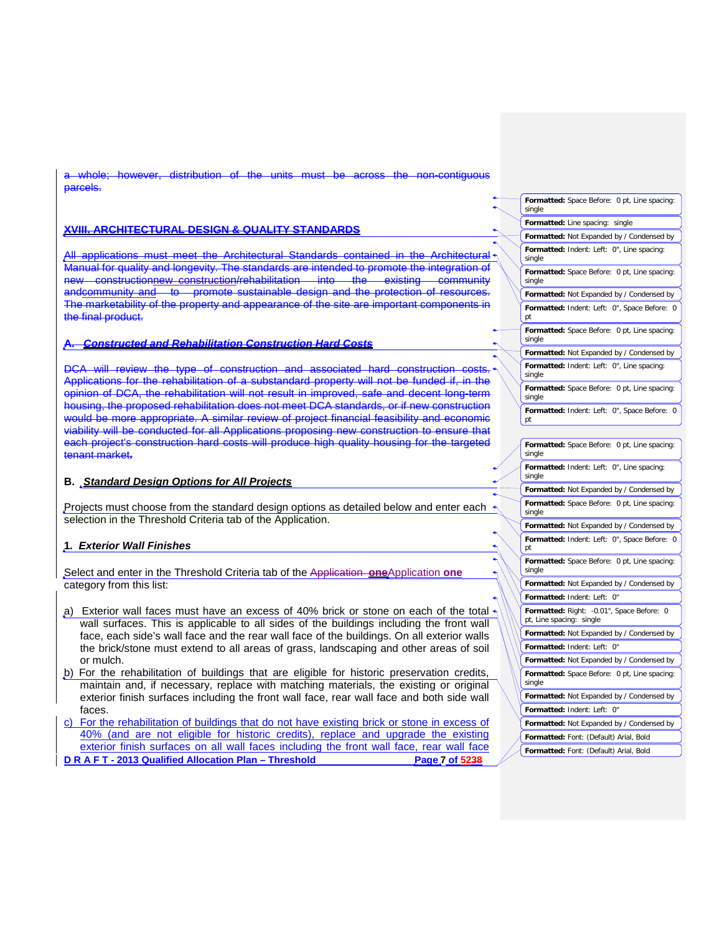whole; however, distribution of the units must be across the non-contiguous parcels.

# **XVIII. ARCHITECTURAL DESIGN & QUALITY STANDARDS**

applications must meet the Architectural Standards contained in the Manual for quality and longevity. The standards are intended to promote the integration of constructionnew construction/rehabilitation into the existing andcommunity and to promote sustainable design and the protection of resources. The marketability of the property and appearance of the site are important components in the final product.

# **A.** *Constructed and Rehabilitation Construction Hard Costs*

DCA will review the type of construction and associated hard construction costs. Applications for the rehabilitation of a substandard property will not be funded if, in the opinion of DCA, the rehabilitation will not result in improved, safe and decent long-term housing, the proposed rehabilitation does not meet DCA standards, or if new construction would be more appropriate. A similar review of project financial feasibility and economic viability will be conducted for all Applications proposing new construction to ensure that each project's construction hard costs will produce high quality housing for the targeted tenant market**.**

#### **B.** *Standard Design Options for All Projects*

Projects must choose from the standard design options as detailed below and enter each  $\sim$ selection in the Threshold Criteria tab of the Application.

#### **1***. Exterior Wall Finishes*

Select and enter in the Threshold Criteria tab of the Application **one**Application one category from this list:

- a) Exterior wall faces must have an excess of 40% brick or stone on each of the total  $\star$ wall surfaces. This is applicable to all sides of the buildings including the front wall face, each side's wall face and the rear wall face of the buildings. On all exterior walls the brick/stone must extend to all areas of grass, landscaping and other areas of soil or mulch.
- b) For the rehabilitation of buildings that are eligible for historic preservation credits, maintain and, if necessary, replace with matching materials, the existing or original exterior finish surfaces including the front wall face, rear wall face and both side wall faces.
- **D R A F T - 2013 Qualified Allocation Plan – Threshold Page 7 of 5238** c) For the rehabilitation of buildings that do not have existing brick or stone in excess of 40% (and are not eligible for historic credits), replace and upgrade the existing exterior finish surfaces on all wall faces including the front wall face, rear wall face

|  | Formatted: Space Before: 0 pt, Line spacing:<br>single                         |
|--|--------------------------------------------------------------------------------|
|  | Formatted: Line spacing: single                                                |
|  | Formatted: Not Expanded by / Condensed by                                      |
|  | Formatted: Indent: Left: 0", Line spacing:<br>single                           |
|  | Formatted: Space Before: 0 pt, Line spacing:<br>single                         |
|  | Formatted: Not Expanded by / Condensed by                                      |
|  | Formatted: Indent: Left: 0", Space Before: 0<br>рt                             |
|  | Formatted: Space Before: 0 pt, Line spacing:<br>single                         |
|  | Formatted: Not Expanded by / Condensed by                                      |
|  | Formatted: Indent: Left: 0", Line spacing:<br>single                           |
|  | Formatted: Space Before: 0 pt, Line spacing:<br>single                         |
|  | Formatted: Indent: Left: 0", Space Before: 0<br>рt                             |
|  |                                                                                |
|  | Formatted: Space Before: 0 pt, Line spacing:<br>single                         |
|  | Formatted: Indent: Left: 0", Line spacing:<br>single                           |
|  | Formatted: Not Expanded by / Condensed by                                      |
|  | Formatted: Space Before: 0 pt, Line spacing:<br>single                         |
|  | Formatted: Not Expanded by / Condensed by                                      |
|  | Formatted: Indent: Left: 0", Space Before: 0<br>рt                             |
|  | Formatted: Space Before: 0 pt, Line spacing:<br>single                         |
|  | Formatted: Not Expanded by / Condensed by                                      |
|  | Formatted: Indent: Left: 0"                                                    |
|  | Formatted: Right:<br>-0.01", Space Before:<br>0<br>pt, Line spacing:<br>single |
|  | Formatted: Not Expanded by / Condensed by                                      |
|  | Formatted: Indent: Left:<br>0"                                                 |
|  | Formatted: Not Expanded by / Condensed by                                      |
|  | Formatted: Space Before: 0 pt, Line spacing:<br>single                         |
|  | Formatted: Not Expanded by / Condensed by                                      |
|  | Formatted: Indent: Left: 0"                                                    |
|  | Formatted: Not Expanded by / Condensed by                                      |
|  | Formatted: Font: (Default) Arial, Bold                                         |
|  | Formatted: Font: (Default) Arial, Bold                                         |
|  |                                                                                |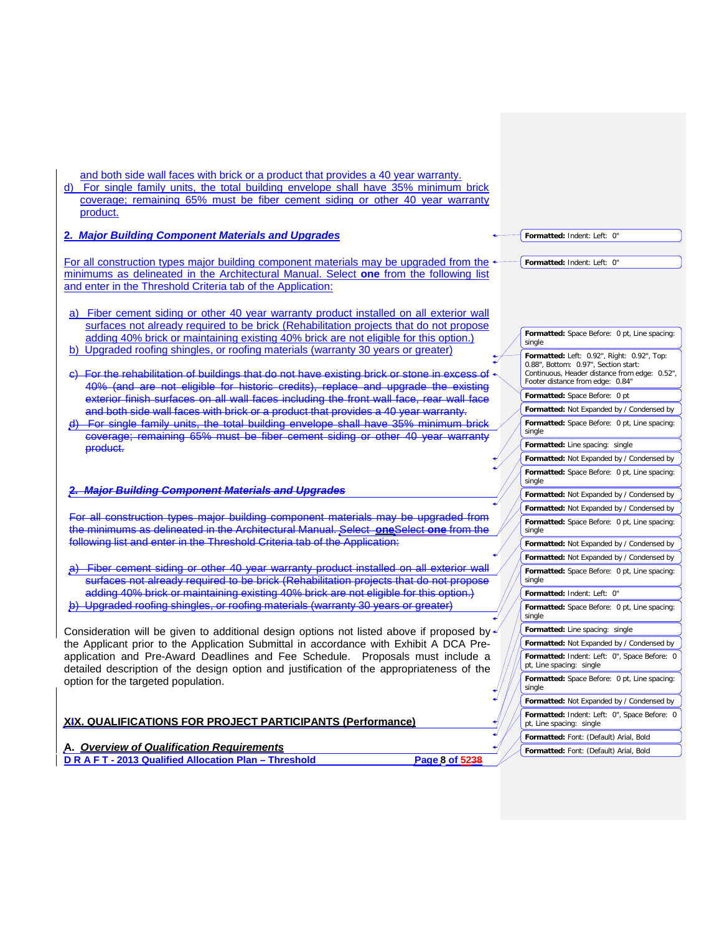| and both side wall faces with brick or a product that provides a 40 year warranty.<br>d) For single family units, the total building envelope shall have 35% minimum brick         |                                                                                    |
|------------------------------------------------------------------------------------------------------------------------------------------------------------------------------------|------------------------------------------------------------------------------------|
| coverage; remaining 65% must be fiber cement siding or other 40 year warranty                                                                                                      |                                                                                    |
| product.                                                                                                                                                                           |                                                                                    |
|                                                                                                                                                                                    |                                                                                    |
| 2. Major Building Component Materials and Upgrades                                                                                                                                 | Formatted: Indent: Left: 0"                                                        |
| For all construction types major building component materials may be upgraded from the                                                                                             | Formatted: Indent: Left: 0"                                                        |
| minimums as delineated in the Architectural Manual. Select one from the following list                                                                                             |                                                                                    |
| and enter in the Threshold Criteria tab of the Application:                                                                                                                        |                                                                                    |
|                                                                                                                                                                                    |                                                                                    |
| a) Fiber cement siding or other 40 year warranty product installed on all exterior wall                                                                                            |                                                                                    |
| surfaces not already required to be brick (Rehabilitation projects that do not propose                                                                                             | Formatted: Space Before: 0 pt, Line spacing:                                       |
| adding 40% brick or maintaining existing 40% brick are not eligible for this option.)<br>b) Upgraded roofing shingles, or roofing materials (warranty 30 years or greater)         | single                                                                             |
|                                                                                                                                                                                    | Formatted: Left: 0.92", Right: 0.92", Top:<br>0.88", Bottom: 0.97", Section start: |
| For the rehabilitation of buildings that do not have existing brick or stone in excess of                                                                                          | Continuous, Header distance from edge: 0.52",                                      |
| 40% (and are not eligible for historic credits), replace and upgrade the existing                                                                                                  | Footer distance from edge: 0.84"                                                   |
| exterior finish surfaces on all wall faces including the front wall face, rear wall face                                                                                           | Formatted: Space Before: 0 pt                                                      |
| and both side wall faces with brick or a product that provides a 40 year warranty.                                                                                                 | Formatted: Not Expanded by / Condensed by                                          |
| For single family units, the total building envelope shall have 35% minimum brick<br>coverage; remaining 65% must be fiber cement siding or other 40 year warranty                 | Formatted: Space Before: 0 pt, Line spacing:<br>single                             |
| product.                                                                                                                                                                           | Formatted: Line spacing: single                                                    |
|                                                                                                                                                                                    | Formatted: Not Expanded by / Condensed by                                          |
|                                                                                                                                                                                    | Formatted: Space Before: 0 pt, Line spacing:<br>single                             |
| <b>Major Building Component Materials and Upgrades</b>                                                                                                                             | Formatted: Not Expanded by / Condensed by                                          |
|                                                                                                                                                                                    | Formatted: Not Expanded by / Condensed by                                          |
| For all construction types major building component materials may be upgraded from                                                                                                 | Formatted: Space Before: 0 pt, Line spacing:                                       |
| the minimums as delineated in the Architectural Manual. Select one Select one from the                                                                                             | single                                                                             |
| following list and enter in the Threshold Criteria tab of the Application:                                                                                                         | Formatted: Not Expanded by / Condensed by                                          |
| Fiber cement siding or other 40 year warranty product installed on all exterior wall                                                                                               | Formatted: Not Expanded by / Condensed by                                          |
| surfaces not already required to be brick (Rehabilitation projects that do not propose                                                                                             | Formatted: Space Before: 0 pt, Line spacing:<br>single                             |
| adding 40% brick or maintaining existing 40% brick are not eligible for this option.)                                                                                              | Formatted: Indent: Left: 0"                                                        |
| Upgraded roofing shingles, or roofing materials (warranty 30 years or greater)                                                                                                     | Formatted: Space Before: 0 pt, Line spacing:                                       |
|                                                                                                                                                                                    | single<br>Formatted: Line spacing: single                                          |
| Consideration will be given to additional design options not listed above if proposed by<br>the Applicant prior to the Application Submittal in accordance with Exhibit A DCA Pre- | Formatted: Not Expanded by / Condensed by                                          |
| application and Pre-Award Deadlines and Fee Schedule. Proposals must include a                                                                                                     | Formatted: Indent: Left: 0", Space Before: 0                                       |
| detailed description of the design option and justification of the appropriateness of the                                                                                          | pt, Line spacing: single                                                           |
| option for the targeted population.                                                                                                                                                | Formatted: Space Before: 0 pt, Line spacing:<br>single                             |
|                                                                                                                                                                                    | Formatted: Not Expanded by / Condensed by                                          |
| XIX. QUALIFICATIONS FOR PROJECT PARTICIPANTS (Performance)                                                                                                                         | Formatted: Indent: Left: 0", Space Before: 0<br>pt, Line spacing: single           |
|                                                                                                                                                                                    | Formatted: Font: (Default) Arial, Bold                                             |
| A. Overview of Qualification Requirements                                                                                                                                          | Formatted: Font: (Default) Arial, Bold                                             |
| DRAFT-2013 Qualified Allocation Plan - Threshold<br>Page 8 of 5238                                                                                                                 |                                                                                    |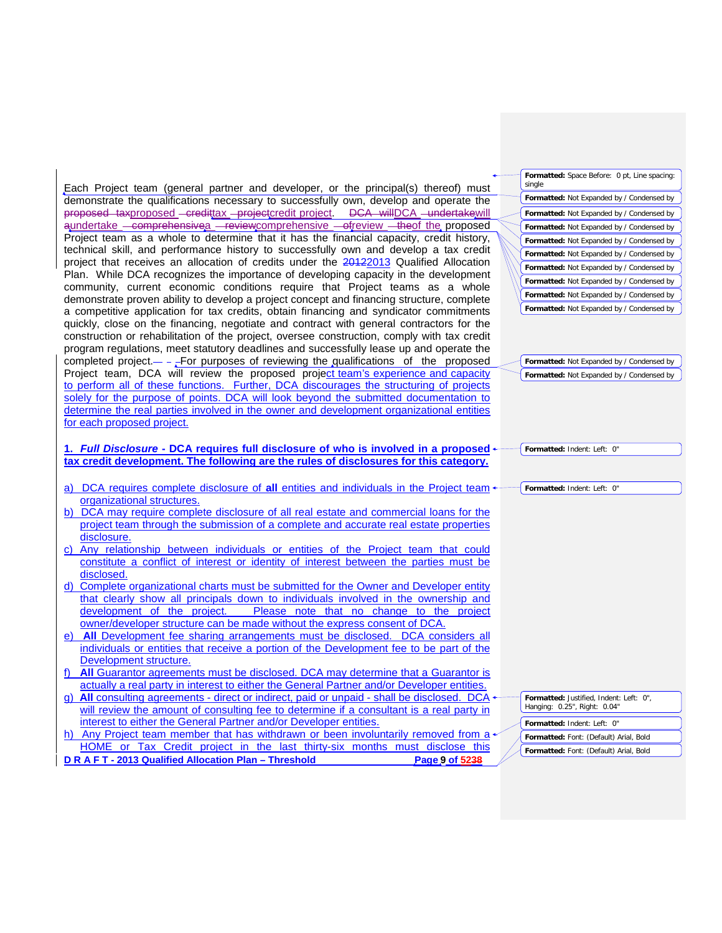**D R A F T - 2013 Qualified Allocation Plan – Threshold Page 9 of 5238 Formatted:** Font: (Default) Arial, Bold **Formatted:** Font: (Default) Arial, Bold Each Project team (general partner and developer, or the principal(s) thereof) must demonstrate the qualifications necessary to successfully own, develop and operate the proposed taxproposed - credittax - projectcredit project. DCA willDCA - undertakewill aundertake comprehensivea reviewcomprehensive ofreview theof the proposed Project team as a whole to determine that it has the financial capacity, credit history, technical skill, and performance history to successfully own and develop a tax credit project that receives an allocation of credits under the 20122013 Qualified Allocation Plan. While DCA recognizes the importance of developing capacity in the development community, current economic conditions require that Project teams as a whole demonstrate proven ability to develop a project concept and financing structure, complete a competitive application for tax credits, obtain financing and syndicator commitments quickly, close on the financing, negotiate and contract with general contractors for the construction or rehabilitation of the project, oversee construction, comply with tax credit program regulations, meet statutory deadlines and successfully lease up and operate the completed project.  $-$  - For purposes of reviewing the qualifications of the proposed Project team, DCA will review the proposed project team's experience and capacity to perform all of these functions. Further, DCA discourages the structuring of projects solely for the purpose of points. DCA will look beyond the submitted documentation to determine the real parties involved in the owner and development organizational entities for each proposed project. **1.** *Full Disclosure* **- DCA requires full disclosure of who is involved in a proposed tax credit development. The following are the rules of disclosures for this category.** a) DCA requires complete disclosure of **all** entities and individuals in the Project team organizational structures. b) DCA may require complete disclosure of all real estate and commercial loans for the project team through the submission of a complete and accurate real estate properties disclosure. c) Any relationship between individuals or entities of the Project team that could constitute a conflict of interest or identity of interest between the parties must be disclosed. d) Complete organizational charts must be submitted for the Owner and Developer entity that clearly show all principals down to individuals involved in the ownership and development of the project. Please note that no change to the project owner/developer structure can be made without the express consent of DCA. e) **All** Development fee sharing arrangements must be disclosed. DCA considers all individuals or entities that receive a portion of the Development fee to be part of the Development structure. All Guarantor agreements must be disclosed. DCA may determine that a Guarantor is actually a real party in interest to either the General Partner and/or Developer entities g) **All** consulting agreements - direct or indirect, paid or unpaid - shall be disclosed. DCA will review the amount of consulting fee to determine if a consultant is a real party in interest to either the General Partner and/or Developer entities. h) Any Project team member that has withdrawn or been involuntarily removed from a HOME or Tax Credit project in the last thirty-six months must disclose this **Formatted:** Space Before: 0 pt, Line spacing: single **Formatted:** Not Expanded by / Condensed by **Formatted:** Not Expanded by / Condensed by **Formatted:** Not Expanded by / Condensed by **Formatted:** Not Expanded by / Condensed by **Formatted:** Not Expanded by / Condensed by **Formatted:** Not Expanded by / Condensed by **Formatted:** Not Expanded by / Condensed by **Formatted:** Not Expanded by / Condensed by **Formatted:** Not Expanded by / Condensed by **Formatted:** Not Expanded by / Condensed by **Formatted:** Not Expanded by / Condensed by **Formatted:** Indent: Left: 0" **Formatted:** Indent: Left: 0" **Formatted:** Justified, Indent: Left: 0" Hanging: 0.25", Right: 0.04" **Formatted:** Indent: Left: 0"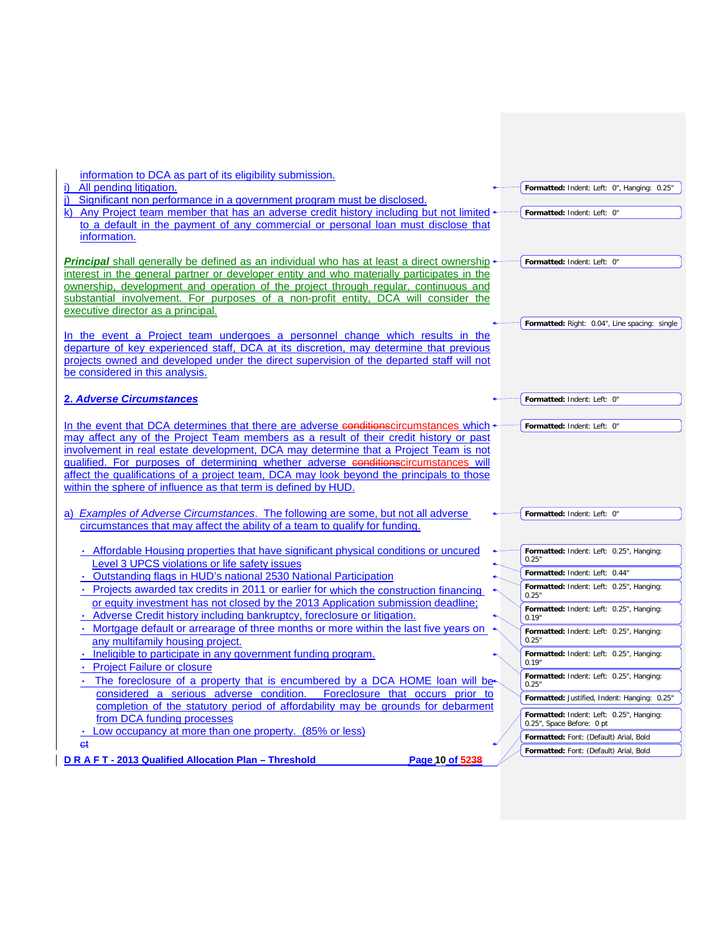| information to DCA as part of its eligibility submission.<br>All pending litigation.                                                                       | Formatted: Indent: Left: 0", Hanging: 0.25"                           |
|------------------------------------------------------------------------------------------------------------------------------------------------------------|-----------------------------------------------------------------------|
| Significant non performance in a government program must be disclosed.                                                                                     |                                                                       |
| k) Any Project team member that has an adverse credit history including but not limited                                                                    | Formatted: Indent: Left: 0"                                           |
| to a default in the payment of any commercial or personal loan must disclose that                                                                          |                                                                       |
| information.                                                                                                                                               |                                                                       |
| <b>Principal</b> shall generally be defined as an individual who has at least a direct ownership of                                                        | Formatted: Indent: Left: 0"                                           |
| interest in the general partner or developer entity and who materially participates in the                                                                 |                                                                       |
| ownership, development and operation of the project through regular, continuous and                                                                        |                                                                       |
| substantial involvement. For purposes of a non-profit entity, DCA will consider the                                                                        |                                                                       |
| executive director as a principal.                                                                                                                         | Formatted: Right: 0.04", Line spacing: single                         |
| In the event a Project team undergoes a personnel change which results in the                                                                              |                                                                       |
| departure of key experienced staff, DCA at its discretion, may determine that previous                                                                     |                                                                       |
| projects owned and developed under the direct supervision of the departed staff will not                                                                   |                                                                       |
| be considered in this analysis.                                                                                                                            |                                                                       |
|                                                                                                                                                            |                                                                       |
| 2. Adverse Circumstances                                                                                                                                   | Formatted: Indent: Left: 0"                                           |
| In the event that DCA determines that there are adverse conditionscircumstances which                                                                      | Formatted: Indent: Left: 0"                                           |
| may affect any of the Project Team members as a result of their credit history or past                                                                     |                                                                       |
| involvement in real estate development, DCA may determine that a Project Team is not                                                                       |                                                                       |
| qualified. For purposes of determining whether adverse conditionscircumstances will                                                                        |                                                                       |
| affect the qualifications of a project team, DCA may look beyond the principals to those<br>within the sphere of influence as that term is defined by HUD. |                                                                       |
|                                                                                                                                                            |                                                                       |
| a) Examples of Adverse Circumstances. The following are some, but not all adverse                                                                          | Formatted: Indent: Left: 0"                                           |
| circumstances that may affect the ability of a team to qualify for funding.                                                                                |                                                                       |
|                                                                                                                                                            |                                                                       |
| • Affordable Housing properties that have significant physical conditions or uncured<br>Level 3 UPCS violations or life safety issues                      | Formatted: Indent: Left: 0.25", Hanging:<br>0.25"                     |
| • Outstanding flags in HUD's national 2530 National Participation                                                                                          | Formatted: Indent: Left: 0.44"                                        |
| • Projects awarded tax credits in 2011 or earlier for which the construction financing                                                                     | Formatted: Indent: Left: 0.25", Hanging:                              |
| or equity investment has not closed by the 2013 Application submission deadline;                                                                           | 0.25"<br>Formatted: Indent: Left: 0.25", Hanging:                     |
| • Adverse Credit history including bankruptcy, foreclosure or litigation.                                                                                  | 0.19"                                                                 |
| Mortgage default or arrearage of three months or more within the last five years on                                                                        | Formatted: Indent: Left: 0.25", Hanging:                              |
| any multifamily housing project.<br>· Ineligible to participate in any government funding program.                                                         | 0.25"<br>Formatted: Indent: Left: 0.25", Hanging:                     |
| <b>Project Failure or closure</b>                                                                                                                          | 0.19"                                                                 |
| The foreclosure of a property that is encumbered by a DCA HOME loan will be                                                                                | Formatted: Indent: Left: 0.25", Hanging:                              |
| considered a serious adverse condition.<br>Foreclosure that occurs prior to                                                                                | 0.25"<br>Formatted: Justified, Indent: Hanging: 0.25"                 |
| completion of the statutory period of affordability may be grounds for debarment                                                                           |                                                                       |
| from DCA funding processes                                                                                                                                 | Formatted: Indent: Left: 0.25", Hanging:<br>0.25", Space Before: 0 pt |
| Low occupancy at more than one property. (85% or less)                                                                                                     | Formatted: Font: (Default) Arial, Bold                                |
| eŧ                                                                                                                                                         | Formatted: Font: (Default) Arial, Bold                                |
| DRAFT-2013 Qualified Allocation Plan - Threshold<br>Page 10 of 5238                                                                                        |                                                                       |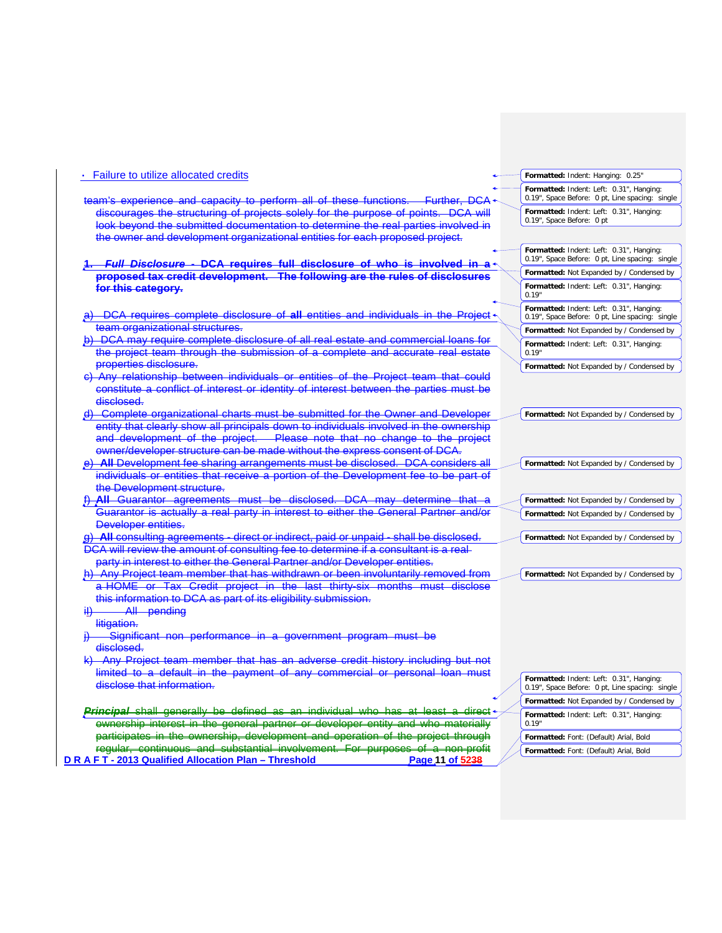| • Failure to utilize allocated credits                                                                                                                                  | Formatted: Indent: Hanging: 0.25"                                                           |
|-------------------------------------------------------------------------------------------------------------------------------------------------------------------------|---------------------------------------------------------------------------------------------|
| team's experience and capacity to perform all of these functions.<br><del>Further, DCA</del>                                                                            | Formatted: Indent: Left: 0.31", Hanging:<br>0.19", Space Before: 0 pt, Line spacing: single |
| discourages the structuring of projects solely for the purpose of points. DCA will<br>look beyond the submitted documentation to determine the real parties involved in | Formatted: Indent: Left: 0.31", Hanging:<br>0.19", Space Before: 0 pt                       |
| the owner and development organizational entities for each proposed project.                                                                                            |                                                                                             |
|                                                                                                                                                                         | Formatted: Indent: Left: 0.31", Hanging:                                                    |
|                                                                                                                                                                         | 0.19", Space Before: 0 pt, Line spacing: single                                             |
| <del>Full Disclosure - DCA requires full disclosure of who is involved in a</del><br>proposed tax credit development. The following are the rules of disclosures        | Formatted: Not Expanded by / Condensed by                                                   |
| for this category.                                                                                                                                                      | Formatted: Indent: Left: 0.31", Hanging:<br>0.19"                                           |
| DCA requires complete disclosure of all entities and individuals in the Project                                                                                         | Formatted: Indent: Left: 0.31", Hanging:<br>0.19", Space Before: 0 pt, Line spacing: single |
| team organizational structures.                                                                                                                                         | Formatted: Not Expanded by / Condensed by                                                   |
| DCA may require complete disclosure of all real estate and commercial loans for                                                                                         | Formatted: Indent: Left: 0.31", Hanging:                                                    |
| the project team through the submission of a complete and accurate real estate<br>properties disclosure.                                                                | 0.19"                                                                                       |
| Any relationship between individuals or entities of the Project team that could                                                                                         | Formatted: Not Expanded by / Condensed by                                                   |
| constitute a conflict of interest or identity of interest between the parties must be<br>disclosed.                                                                     |                                                                                             |
| d) Complete organizational charts must be submitted for the Owner and Developer                                                                                         | Formatted: Not Expanded by / Condensed by                                                   |
| entity that clearly show all principals down to individuals involved in the ownership                                                                                   |                                                                                             |
| and development of the project.<br>Please note that no change to the project                                                                                            |                                                                                             |
| owner/developer structure can be made without the express consent of DCA.                                                                                               |                                                                                             |
| e) All Development fee sharing arrangements must be disclosed. DCA considers all                                                                                        | Formatted: Not Expanded by / Condensed by                                                   |
| individuals or entities that receive a portion of the Development fee to be part of                                                                                     |                                                                                             |
| the Development structure.                                                                                                                                              |                                                                                             |
| All Guarantor agreements must be disclosed. DCA may determine that                                                                                                      | Formatted: Not Expanded by / Condensed by                                                   |
| Guarantor is actually a real party in interest to either the General Partner and/or                                                                                     | Formatted: Not Expanded by / Condensed by                                                   |
| Developer entities.                                                                                                                                                     |                                                                                             |
| <b>All consulting agreements - direct or indirect, paid or unpaid - shall be disclosed.</b><br><del>g)</del>                                                            | Formatted: Not Expanded by / Condensed by                                                   |
| DCA will review the amount of consulting fee to determine if a consultant is a real<br>party in interest to either the General Partner and/or Developer entities.       |                                                                                             |
| h) Any Project team member that has withdrawn or been involuntarily removed from                                                                                        | Formatted: Not Expanded by / Condensed by                                                   |
| a HOME or Tax Credit project in the last thirty-six months must disclose                                                                                                |                                                                                             |
| this information to DCA as part of its eligibility submission.                                                                                                          |                                                                                             |
| iii)<br><del>All pending</del>                                                                                                                                          |                                                                                             |
| litigation.                                                                                                                                                             |                                                                                             |
| <u>Significant non performance in a government program must be</u>                                                                                                      |                                                                                             |
| disclosed.                                                                                                                                                              |                                                                                             |
| Any Project team member that has an adverse credit history including but not                                                                                            |                                                                                             |
| default in the payment of any commercial or personal loan must<br>limited to a                                                                                          |                                                                                             |
| disclose that information.                                                                                                                                              | Formatted: Indent: Left: 0.31", Hanging:<br>0.19", Space Before: 0 pt, Line spacing: single |
|                                                                                                                                                                         | Formatted: Not Expanded by / Condensed by                                                   |
| <b>Principal</b> shall generally be defined as an individual who has at<br><del>–least</del><br>-a                                                                      | Formatted: Indent: Left: 0.31", Hanging:                                                    |
| interest in the general partner or developer entity and who materially<br>ewnership                                                                                     | 0.19'                                                                                       |
| participates in the ewnerchip, development and operation of the                                                                                                         | Formatted: Font: (Default) Arial, Bold                                                      |
| regular, continuous and cubstantial involvement. For purposes of a non-profit                                                                                           | Formatted: Font: (Default) Arial, Bold                                                      |
| D R A F T - 2013 Qualified Allocation Plan - Threshold<br>Page 11 of 5238                                                                                               |                                                                                             |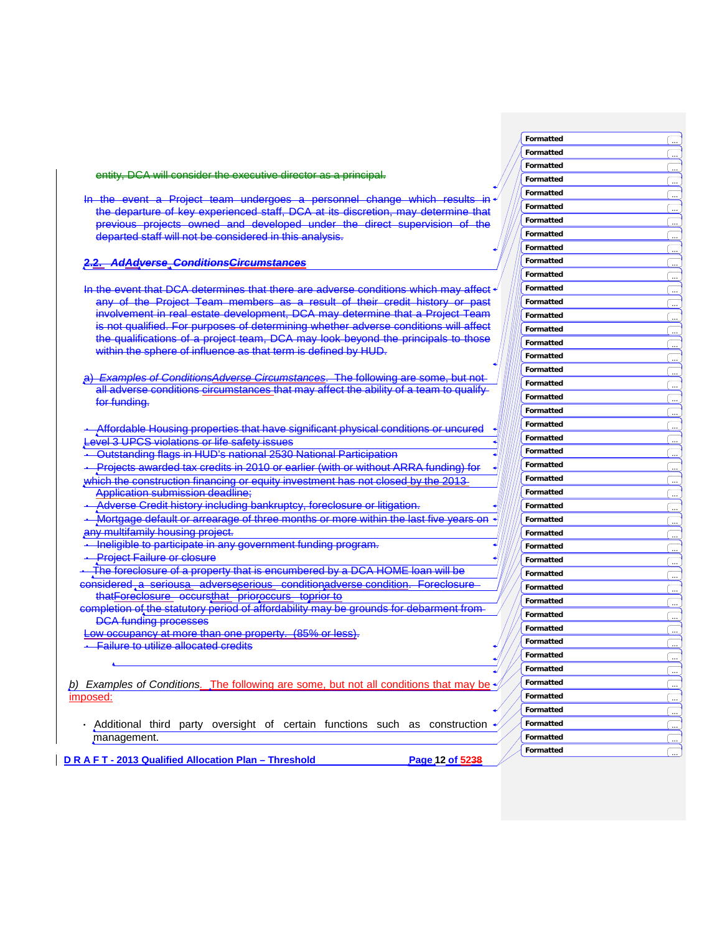In the event a Project team undergoes a personnel change which results the departure of key experienced staff, DCA at its discretion, may determine that previous projects owned and developed under the direct supervision of the departed staff will not be considered in this analysis.

**2.2.** *AdAdverse ConditionsCircumstances*

In the event that DCA determines that there are adverse conditions which may affect any of the Project Team members as a result of their credit history or past involvement in real estate development, DCA may determine that a Project Team is not qualified. For purposes of determining whether adverse conditions will affect the qualifications of a project team, DCA may look beyond the principals to those within the sphere of influence as that term is defined by HUD.

a) *Examples of ConditionsAdverse Circumstances*. The following are some, but not all adverse conditions circumstances that may affect the ability of a team to qualify for funding.

**·** Affordable Housing properties that have significant physical conditions or uncured vel 3 UPCS violations or life safety issues

**·** Outstanding flags in HUD's national 2530 National Participation

entity, DCA will consider the executive director as a principal.

**·** Projects awarded tax credits in 2010 or earlier (with or without ARRA funding) for which the construction financing or equity investment has not closed by the 2013-

Application submission deadline ;

**·** Adverse Credit history including bankruptcy, foreclosure or litigation.

**·** Mortgage default or arrearage of three months or more within the last five years on w multifamily housing project.

**·** Ineligible to participate in any government funding program.

**Project Failure or closure** 

**·** The foreclosure of a property that is encumbered by a DCA HOME loan will b e

considered a seriousa adverseserious conditionadverse condition. Foreclosure thatForeclosure occursthat prioroccurs toprior to completion of the statutory period of affordability may be grounds for debarment from

DCA funding processes

Low occupancy at more than one property. (85% or less) .

**·** Failure to utilize allocated credits

**b)** Examples of Conditions. The following are some, but not all conditions that may be imposed:

**·** Additional third party oversight of certain functions such as construction management.

**D R A F T - 2013 Q u a l ified Alloca t ion P lan – Thresho l**

**d Page 12 of 5 2 3 8**

**Formatted Formatted** 

**Formatted Formatted Formatted Formatted Formatted** 

**Formatted Formatted Formatted Formatted** ... **Formatted Formatted** 

**Formatted Formatted Formatted Formatted Formatted** 

**Formatted** ... **Formatted Formatted** ... **Formatted** 

**Formatted** ... **Formatted Formatted Formatted Formatted Formatted** ... **Formatted Formatted Formatted** ... **Formatted** 

**Formatted Formatted Formatted Formatted Formatted Formatted Formatted** 

**Formatted** ... **Formatted** ...

**Formatted** ...

**Formatted** ...

**Formatted** ...

**Formatted** *CON* **Formatted** ...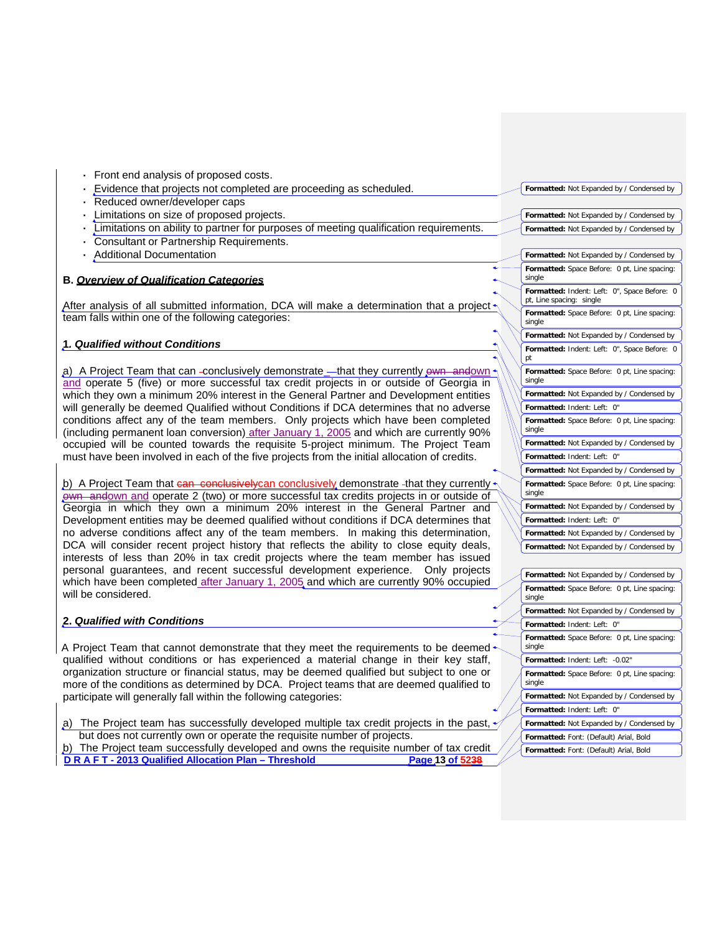**D R A F T - 2013 Qualified Allocation Plan – Threshold Page 13 of 5238 Formatted:** Font: (Default) Arial, Bold **Formatted:** Font: (Default) Arial, Bold **·** Front end analysis of proposed costs. **·** Evidence that projects not completed are proceeding as scheduled. **·** Reduced owner/developer caps **·** Limitations on size of proposed projects. **Limitations on ability to partner for purposes of meeting qualification requirements. ·** Consultant or Partnership Requirements. **·** Additional Documentation **B.** *Overview of Qualification Categories* After analysis of all submitted information, DCA will make a determination that a project team falls within one of the following categories: **1***. Qualified without Conditions* a) A Project Team that can -conclusively demonstrate \_- that they currently own andown and operate 5 (five) or more successful tax credit projects in or outside of Georgia in which they own a minimum 20% interest in the General Partner and Development entities will generally be deemed Qualified without Conditions if DCA determines that no adverse conditions affect any of the team members. Only projects which have been completed (including permanent loan conversion) after January 1, 2005 and which are currently 90% occupied will be counted towards the requisite 5-project minimum. The Project Team must have been involved in each of the five projects from the initial allocation of credits. b) A Project Team that can conclusively can conclusively demonstrate -that they currently own andown and operate 2 (two) or more successful tax credits projects in or outside of Georgia in which they own a minimum 20% interest in the General Partner and Development entities may be deemed qualified without conditions if DCA determines that no adverse conditions affect any of the team members. In making this determination, DCA will consider recent project history that reflects the ability to close equity deals, interests of less than 20% in tax credit projects where the team member has issued personal guarantees, and recent successful development experience. Only projects which have been completed after January 1, 2005 and which are currently 90% occupied will be considered. **2.** *Qualified with Conditions* A Project Team that cannot demonstrate that they meet the requirements to be deemed qualified without conditions or has experienced a material change in their key staff, organization structure or financial status, may be deemed qualified but subject to one or more of the conditions as determined by DCA. Project teams that are deemed qualified to participate will generally fall within the following categories: a) The Project team has successfully developed multiple tax credit projects in the past, but does not currently own or operate the requisite number of projects. b) The Project team successfully developed and owns the requisite number of tax credit **Formatted:** Not Expanded by / Condensed by **Formatted:** Not Expanded by / Condensed by **Formatted:** Not Expanded by / Condensed by **Formatted:** Not Expanded by / Condensed by **Formatted:** Space Before: 0 pt, Line spacing: single **Formatted:** Indent: Left: 0", Space Before: 0 pt, Line spacing: single **Formatted:** Space Before: 0 pt, Line spacing: single **Formatted:** Not Expanded by / Condensed by **Formatted:** Indent: Left: 0", Space Before: 0 pt **Formatted:** Space Before: 0 pt, Line spacing: single **Formatted:** Not Expanded by / Condensed by **Formatted:** Indent: Left: 0" **Formatted:** Space Before: 0 pt, Line spacing: single **Formatted:** Not Expanded by / Condensed by **Formatted:** Indent: Left: 0" **Formatted:** Not Expanded by / Condensed by **Formatted:** Space Before: 0 pt, Line spacing: single **Formatted:** Not Expanded by / Condensed by **Formatted:** Indent: Left: 0" **Formatted:** Not Expanded by / Condensed by **Formatted:** Not Expanded by / Condensed by **Formatted:** Not Expanded by / Condensed by **Formatted:** Space Before: 0 pt, Line spacing: single **Formatted:** Not Expanded by / Condensed by **Formatted:** Indent: Left: 0" **Formatted:** Space Before: 0 pt, Line spacing: single **Formatted:** Indent: Left: -0.02" **Formatted:** Space Before: 0 pt, Line spacing: single **Formatted:** Not Expanded by / Condensed by **Formatted:** Indent: Left: 0" **Formatted:** Not Expanded by / Condensed by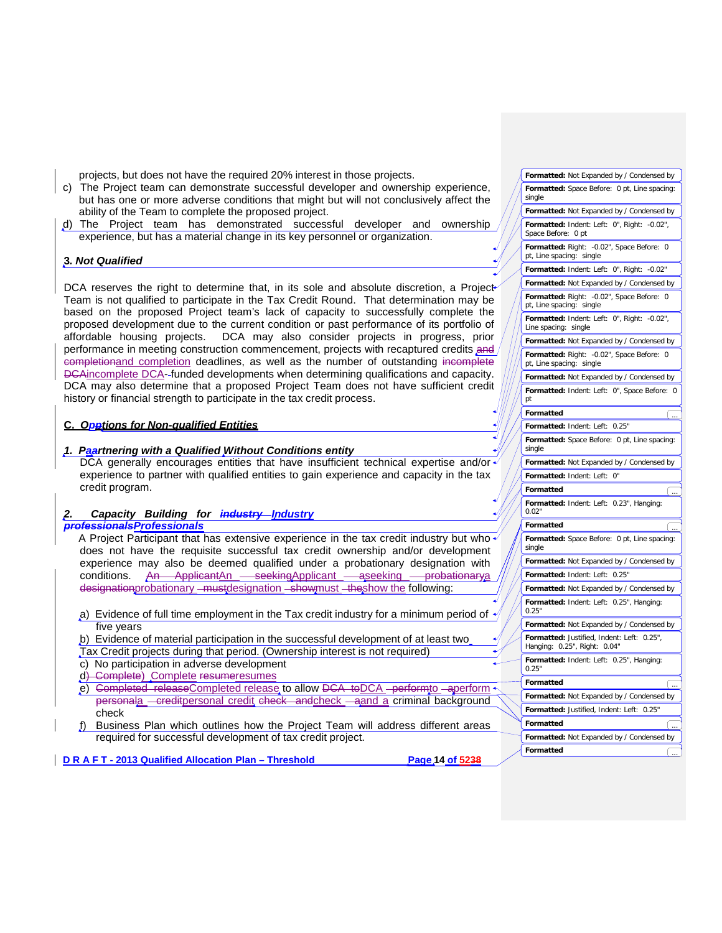projects, but does not have the required 20% interest in those projects.

- c) The Project team can demonstrate successful developer and ownership experience, but has one or more adverse conditions that might but will not conclusively affect the ability of the Team to complete the proposed project.
- d) The Project team has demonstrated successful developer and ownership experience, but has a material change in its key personnel or organization.

#### **3***. Not Qualified*

DCA reserves the right to determine that, in its sole and absolute discretion, a Project Team is not qualified to participate in the Tax Credit Round. That determination may be based on the proposed Project team's lack of capacity to successfully complete the proposed development due to the current condition or past performance of its portfolio of affordable housing projects. DCA may also consider projects in progress, prior performance in meeting construction commencement, projects with recaptured credits and completionand completion deadlines, as well as the number of outstanding incomplete DCAincomplete DCA- funded developments when determining qualifications and capacity. DCA may also determine that a proposed Project Team does not have sufficient credit history or financial strength to participate in the tax credit process.

# **C.** *Opptions for Non-qualified Entities*

# *1. Paartnering with a Qualified Without Conditions entity*

DCA generally encourages entities that have insufficient technical expertise and/or experience to partner with qualified entities to gain experience and capacity in the tax credit program.

# *2. Capacity Building for industry Industry*

# *professionalsProfessionals*

A Project Participant that has extensive experience in the tax credit industry but who does not have the requisite successful tax credit ownership and/or development experience may also be deemed qualified under a probationary designation with conditions. An ApplicantAn - seekingApplicant - aseeking - probationarya designationprobationary - mustdesignation - showmust - the show the following:

- a) Evidence of full time employment in the Tax credit industry for a minimum period of five years
- b) Evidence of material participation in the successful development of at least two Tax Credit projects during that period. (Ownership interest is not required)
- c) No participation in adverse development
- d) Complete) Complete resumeresumes
- e) Completed releaseCompleted release to allow DCA toDCA -performto -aperform personala creditpersonal credit check andcheck aand a criminal background check
- f) Business Plan which outlines how the Project Team will address different areas required for successful development of tax credit project.

**D R A F T - 2013 Qualified Allocation Plan – Threshold Page 14 of 5238**

**Formatted** ...

**Formatted** ...

**Formatted:** Not Expanded by / Condensed by **Formatted:** Space Before: 0 pt, Line spacing:

**Formatted:** Not Expanded by / Condensed by **Formatted:** Indent: Left: 0", Right: -0.02",

**Formatted:** Right: -0.02", Space Before: 0

**Formatted:** Indent: Left: 0", Right: -0.02" **Formatted:** Not Expanded by / Condensed by **Formatted:** Right: -0.02", Space Before: 0

**Formatted:** Indent: Left: 0", Right: -0.02",

**Formatted:** Not Expanded by / Condensed by **Formatted:** Right: -0.02", Space Before: 0

**Formatted:** Not Expanded by / Condensed by **Formatted:** Indent: Left: 0", Space Before: 0

**Formatted:** Space Before: 0 pt, Line spacing:

**Formatted:** Not Expanded by / Condensed by

**Formatted:** Indent: Left: 0.23", Hanging:

**Formatted:** Space Before: 0 pt, Line spacing:

**Formatted:** Not Expanded by / Condensed by

**Formatted:** Not Expanded by / Condensed by **Formatted:** Indent: Left: 0.25", Hanging:

**Formatted:** Not Expanded by / Condensed by **Formatted:** Justified, Indent: Left: 0.25", Hanging: 0.25", Right: 0.04"

**Formatted:** Indent: Left: 0.25", Hanging:

**Formatted:** Not Expanded by / Condensed by **Formatted:** Justified, Indent: Left: 0.25"

**Formatted:** Not Expanded by / Condensed by

single

Space Before: 0 pt

pt, Line spacing: single

pt, Line spacing: single

pt, Line spacing: single

**Formatted:** Indent: Left: 0.25"

**Formatted:** Indent: Left: 0"

**Formatted:** Indent: Left: 0.25"

pt **Formatted** ...

single

0.02" **Formatted** 

single

0.25"

0.25" **Formatted** 

**Formatted** 

Line spacing: single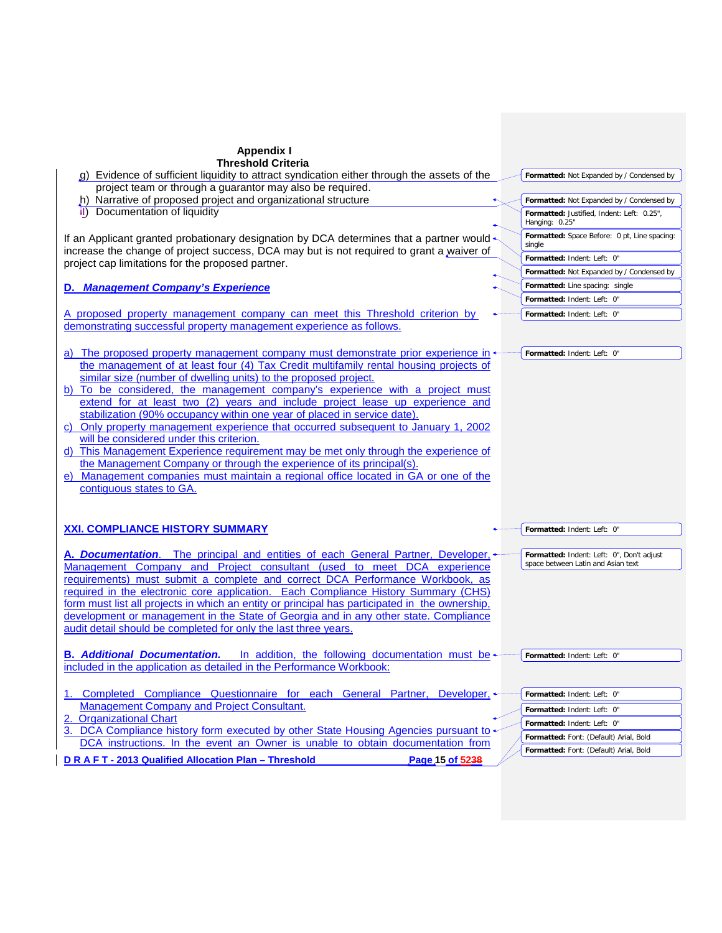| <b>Appendix I</b><br><b>Threshold Criteria</b>                                                                                                                                         |                                                              |
|----------------------------------------------------------------------------------------------------------------------------------------------------------------------------------------|--------------------------------------------------------------|
| g) Evidence of sufficient liquidity to attract syndication either through the assets of the<br>project team or through a guarantor may also be required.                               | Formatted: Not Expanded by / Condensed by                    |
| h) Narrative of proposed project and organizational structure                                                                                                                          | Formatted: Not Expanded by / Condensed by                    |
| Documentation of liquidity<br>4D                                                                                                                                                       | Formatted: Justified, Indent: Left: 0.25",<br>Hanging: 0.25" |
| If an Applicant granted probationary designation by DCA determines that a partner would -<br>increase the change of project success, DCA may but is not required to grant a waiver of  | Formatted: Space Before: 0 pt, Line spacing:<br>single       |
| project cap limitations for the proposed partner.                                                                                                                                      | Formatted: Indent: Left: 0"                                  |
|                                                                                                                                                                                        | Formatted: Not Expanded by / Condensed by                    |
| D. Management Company's Experience                                                                                                                                                     | Formatted: Line spacing: single                              |
|                                                                                                                                                                                        | Formatted: Indent: Left: 0"                                  |
| A proposed property management company can meet this Threshold criterion by<br>demonstrating successful property management experience as follows.                                     | Formatted: Indent: Left: 0"                                  |
|                                                                                                                                                                                        |                                                              |
| a) The proposed property management company must demonstrate prior experience in $\leftarrow$<br>the management of at least four (4) Tax Credit multifamily rental housing projects of | Formatted: Indent: Left: 0"                                  |
| similar size (number of dwelling units) to the proposed project.                                                                                                                       |                                                              |
| b) To be considered, the management company's experience with a project must                                                                                                           |                                                              |
| extend for at least two (2) years and include project lease up experience and                                                                                                          |                                                              |
| stabilization (90% occupancy within one year of placed in service date).                                                                                                               |                                                              |
| c) Only property management experience that occurred subsequent to January 1, 2002                                                                                                     |                                                              |
| will be considered under this criterion.                                                                                                                                               |                                                              |
| d) This Management Experience requirement may be met only through the experience of                                                                                                    |                                                              |
| the Management Company or through the experience of its principal(s).<br>e) Management companies must maintain a regional office located in GA or one of the                           |                                                              |
| contiguous states to GA.                                                                                                                                                               |                                                              |
|                                                                                                                                                                                        |                                                              |
| <b>XXI. COMPLIANCE HISTORY SUMMARY</b>                                                                                                                                                 | Formatted: Indent: Left: 0"                                  |
|                                                                                                                                                                                        |                                                              |
| A. Documentation. The principal and entities of each General Partner, Developer,                                                                                                       | Formatted: Indent: Left: 0", Don't adjust                    |
| Management Company and Project consultant (used to meet DCA experience                                                                                                                 | space between Latin and Asian text                           |
| requirements) must submit a complete and correct DCA Performance Workbook, as                                                                                                          |                                                              |
| required in the electronic core application. Each Compliance History Summary (CHS)                                                                                                     |                                                              |
| form must list all projects in which an entity or principal has participated in the ownership,                                                                                         |                                                              |
| development or management in the State of Georgia and in any other state. Compliance<br>audit detail should be completed for only the last three years.                                |                                                              |
|                                                                                                                                                                                        |                                                              |
| <b>B.</b> Additional Documentation.<br>In addition, the following documentation must be $\leftarrow$                                                                                   | Formatted: Indent: Left: 0"                                  |
| included in the application as detailed in the Performance Workbook:                                                                                                                   |                                                              |
| 1. Completed Compliance Questionnaire for each General Partner,<br>Developer, <                                                                                                        | Formatted: Indent: Left: 0"                                  |
| <b>Management Company and Project Consultant.</b>                                                                                                                                      | Formatted: Indent: Left: 0"                                  |
| 2. Organizational Chart                                                                                                                                                                | Formatted: Indent: Left: 0"                                  |
| 3. DCA Compliance history form executed by other State Housing Agencies pursuant to                                                                                                    | Formatted: Font: (Default) Arial, Bold                       |
| DCA instructions. In the event an Owner is unable to obtain documentation from                                                                                                         | Formatted: Font: (Default) Arial, Bold                       |
| Page 15 of 5238<br>D R A F T - 2013 Qualified Allocation Plan - Threshold                                                                                                              |                                                              |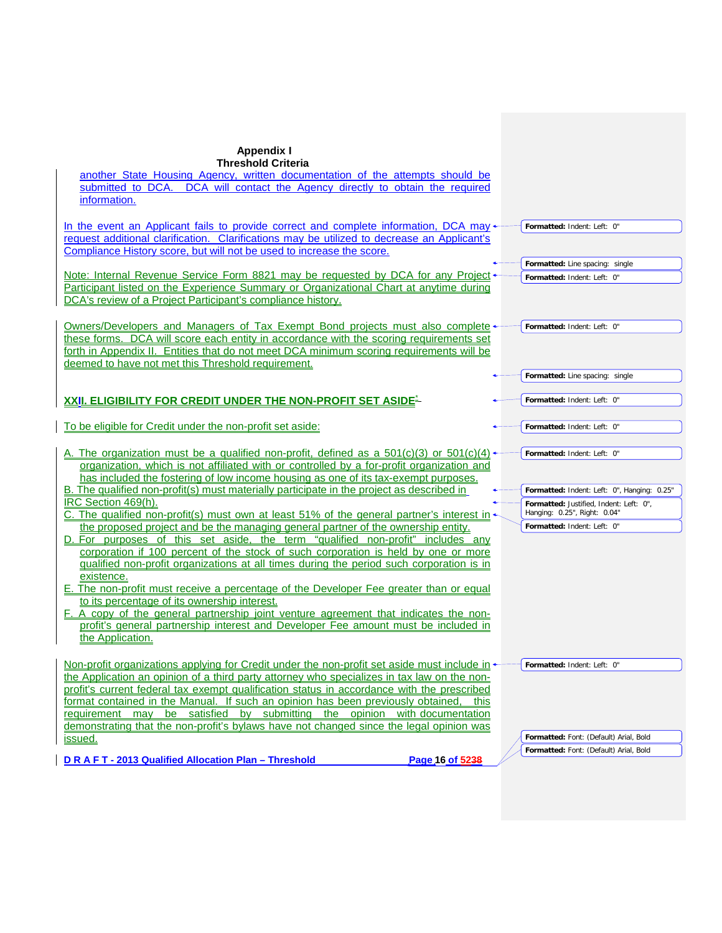| <b>Appendix I</b>                                                                                                                                                                   |                                             |
|-------------------------------------------------------------------------------------------------------------------------------------------------------------------------------------|---------------------------------------------|
| <b>Threshold Criteria</b>                                                                                                                                                           |                                             |
| another State Housing Agency, written documentation of the attempts should be                                                                                                       |                                             |
| submitted to DCA. DCA will contact the Agency directly to obtain the required                                                                                                       |                                             |
| information.                                                                                                                                                                        |                                             |
|                                                                                                                                                                                     |                                             |
| In the event an Applicant fails to provide correct and complete information, DCA may $\star$                                                                                        | Formatted: Indent: Left: 0"                 |
| request additional clarification. Clarifications may be utilized to decrease an Applicant's                                                                                         |                                             |
| Compliance History score, but will not be used to increase the score.                                                                                                               |                                             |
|                                                                                                                                                                                     | Formatted: Line spacing: single             |
| Note: Internal Revenue Service Form 8821 may be requested by DCA for any Project                                                                                                    | Formatted: Indent: Left: 0"                 |
| Participant listed on the Experience Summary or Organizational Chart at anytime during                                                                                              |                                             |
| DCA's review of a Project Participant's compliance history.                                                                                                                         |                                             |
|                                                                                                                                                                                     |                                             |
| <b>Owners/Developers and Managers of Tax Exempt Bond projects must also complete</b>                                                                                                | Formatted: Indent: Left: 0"                 |
| these forms. DCA will score each entity in accordance with the scoring requirements set<br>forth in Appendix II. Entities that do not meet DCA minimum scoring requirements will be |                                             |
| deemed to have not met this Threshold requirement.                                                                                                                                  |                                             |
|                                                                                                                                                                                     | Formatted: Line spacing: single             |
|                                                                                                                                                                                     |                                             |
| XXII. ELIGIBILITY FOR CREDIT UNDER THE NON-PROFIT SET ASIDE=                                                                                                                        | Formatted: Indent: Left: 0"                 |
|                                                                                                                                                                                     |                                             |
| To be eligible for Credit under the non-profit set aside:                                                                                                                           | Formatted: Indent: Left: 0"                 |
|                                                                                                                                                                                     |                                             |
| A. The organization must be a qualified non-profit, defined as a $501(c)(3)$ or $501(c)(4)$                                                                                         | Formatted: Indent: Left: 0"                 |
| organization, which is not affiliated with or controlled by a for-profit organization and                                                                                           |                                             |
| has included the fostering of low income housing as one of its tax-exempt purposes.                                                                                                 |                                             |
| B. The qualified non-profit(s) must materially participate in the project as described in                                                                                           | Formatted: Indent: Left: 0", Hanging: 0.25" |
| IRC Section 469(h).                                                                                                                                                                 | Formatted: Justified, Indent: Left: 0",     |
| C. The qualified non-profit(s) must own at least 51% of the general partner's interest in                                                                                           | Hanging: 0.25", Right: 0.04"                |
| the proposed project and be the managing general partner of the ownership entity.                                                                                                   | Formatted: Indent: Left: 0"                 |
| D. For purposes of this set aside, the term "qualified non-profit" includes any                                                                                                     |                                             |
| corporation if 100 percent of the stock of such corporation is held by one or more                                                                                                  |                                             |
| qualified non-profit organizations at all times during the period such corporation is in                                                                                            |                                             |
| existence.                                                                                                                                                                          |                                             |
| E. The non-profit must receive a percentage of the Developer Fee greater than or equal<br>to its percentage of its ownership interest.                                              |                                             |
| F. A copy of the general partnership joint venture agreement that indicates the non-                                                                                                |                                             |
| profit's general partnership interest and Developer Fee amount must be included in                                                                                                  |                                             |
| the Application.                                                                                                                                                                    |                                             |
|                                                                                                                                                                                     |                                             |
| Non-profit organizations applying for Credit under the non-profit set aside must include in $\rightarrow$                                                                           | Formatted: Indent: Left: 0"                 |
| the Application an opinion of a third party attorney who specializes in tax law on the non-                                                                                         |                                             |
| profit's current federal tax exempt qualification status in accordance with the prescribed                                                                                          |                                             |
| format contained in the Manual. If such an opinion has been previously obtained,<br>this                                                                                            |                                             |
| requirement may be satisfied by submitting the opinion with documentation                                                                                                           |                                             |
| demonstrating that the non-profit's bylaws have not changed since the legal opinion was                                                                                             |                                             |
| issued.                                                                                                                                                                             | Formatted: Font: (Default) Arial, Bold      |
|                                                                                                                                                                                     | Formatted: Font: (Default) Arial, Bold      |
| DRAFT-2013 Qualified Allocation Plan - Threshold<br>Page 16 of 5238                                                                                                                 |                                             |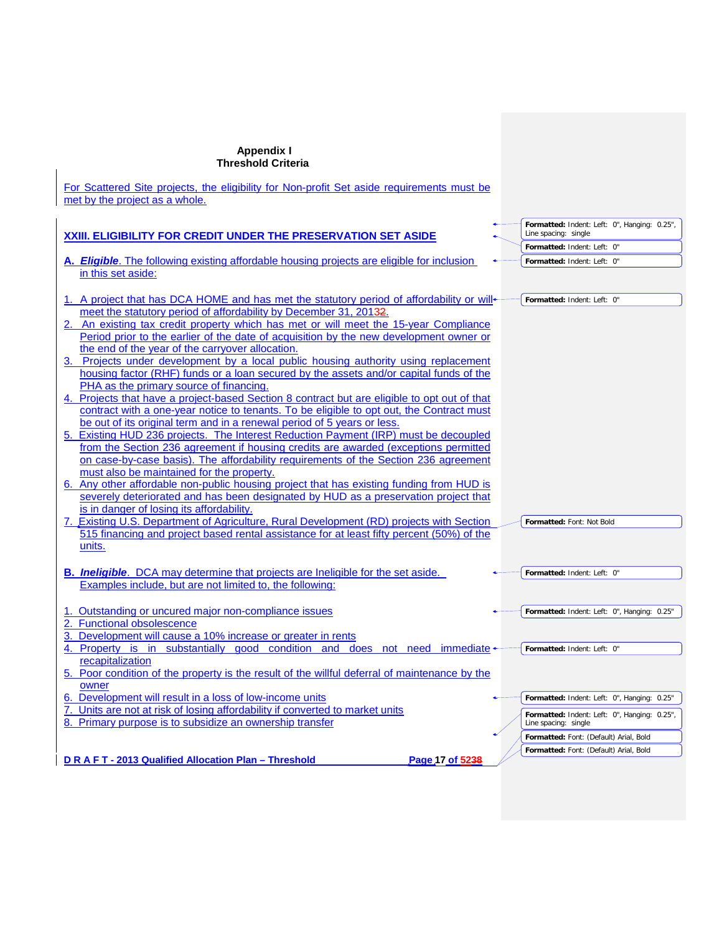# **Appendix I**

| Threshold Criteria                                                                                                                                                                                                                                                                                                                                                                                                                                                                                                                                                                                                                                                                                                                                                                                                                                                                                                                                                                                                                                                                                                                                                                                                                                                                                                                                                                                                                                        |                                                                      |
|-----------------------------------------------------------------------------------------------------------------------------------------------------------------------------------------------------------------------------------------------------------------------------------------------------------------------------------------------------------------------------------------------------------------------------------------------------------------------------------------------------------------------------------------------------------------------------------------------------------------------------------------------------------------------------------------------------------------------------------------------------------------------------------------------------------------------------------------------------------------------------------------------------------------------------------------------------------------------------------------------------------------------------------------------------------------------------------------------------------------------------------------------------------------------------------------------------------------------------------------------------------------------------------------------------------------------------------------------------------------------------------------------------------------------------------------------------------|----------------------------------------------------------------------|
| For Scattered Site projects, the eligibility for Non-profit Set aside requirements must be<br>met by the project as a whole.                                                                                                                                                                                                                                                                                                                                                                                                                                                                                                                                                                                                                                                                                                                                                                                                                                                                                                                                                                                                                                                                                                                                                                                                                                                                                                                              |                                                                      |
| <b>XXIII. ELIGIBILITY FOR CREDIT UNDER THE PRESERVATION SET ASIDE</b>                                                                                                                                                                                                                                                                                                                                                                                                                                                                                                                                                                                                                                                                                                                                                                                                                                                                                                                                                                                                                                                                                                                                                                                                                                                                                                                                                                                     | Formatted: Indent: Left: 0", Hanging: 0.25",<br>Line spacing: single |
|                                                                                                                                                                                                                                                                                                                                                                                                                                                                                                                                                                                                                                                                                                                                                                                                                                                                                                                                                                                                                                                                                                                                                                                                                                                                                                                                                                                                                                                           | Formatted: Indent: Left: 0"                                          |
| A. <b>Eligible</b> . The following existing affordable housing projects are eligible for inclusion<br>in this set aside:                                                                                                                                                                                                                                                                                                                                                                                                                                                                                                                                                                                                                                                                                                                                                                                                                                                                                                                                                                                                                                                                                                                                                                                                                                                                                                                                  | Formatted: Indent: Left: 0"                                          |
| 1. A project that has DCA HOME and has met the statutory period of affordability or will<br>meet the statutory period of affordability by December 31, 20132.<br>2. An existing tax credit property which has met or will meet the 15-year Compliance<br>Period prior to the earlier of the date of acquisition by the new development owner or<br>the end of the year of the carryover allocation.<br>3. Projects under development by a local public housing authority using replacement<br>housing factor (RHF) funds or a loan secured by the assets and/or capital funds of the<br>PHA as the primary source of financing.<br>4. Projects that have a project-based Section 8 contract but are eligible to opt out of that<br>contract with a one-year notice to tenants. To be eligible to opt out, the Contract must<br>be out of its original term and in a renewal period of 5 years or less.<br>5. Existing HUD 236 projects. The Interest Reduction Payment (IRP) must be decoupled<br>from the Section 236 agreement if housing credits are awarded (exceptions permitted<br>on case-by-case basis). The affordability requirements of the Section 236 agreement<br>must also be maintained for the property.<br>6. Any other affordable non-public housing project that has existing funding from HUD is<br>severely deteriorated and has been designated by HUD as a preservation project that<br>is in danger of losing its affordability. | Formatted: Indent: Left: 0"                                          |
| 7. Existing U.S. Department of Agriculture, Rural Development (RD) projects with Section<br>515 financing and project based rental assistance for at least fifty percent (50%) of the<br>units.                                                                                                                                                                                                                                                                                                                                                                                                                                                                                                                                                                                                                                                                                                                                                                                                                                                                                                                                                                                                                                                                                                                                                                                                                                                           | Formatted: Font: Not Bold                                            |
| <b>B.</b> <i>Ineligible</i> . DCA may determine that projects are lneligible for the set aside.<br>Examples include, but are not limited to, the following:                                                                                                                                                                                                                                                                                                                                                                                                                                                                                                                                                                                                                                                                                                                                                                                                                                                                                                                                                                                                                                                                                                                                                                                                                                                                                               | Formatted: Indent: Left: 0"                                          |
| 1. Outstanding or uncured major non-compliance issues<br>2. Functional obsolescence<br>3. Development will cause a 10% increase or greater in rents                                                                                                                                                                                                                                                                                                                                                                                                                                                                                                                                                                                                                                                                                                                                                                                                                                                                                                                                                                                                                                                                                                                                                                                                                                                                                                       | Formatted: Indent: Left: 0", Hanging: 0.25"                          |
| 4. Property is in substantially good condition and does not need immediate +<br>recapitalization<br>5. Poor condition of the property is the result of the willful deferral of maintenance by the<br>owner                                                                                                                                                                                                                                                                                                                                                                                                                                                                                                                                                                                                                                                                                                                                                                                                                                                                                                                                                                                                                                                                                                                                                                                                                                                | Formatted: Indent: Left: 0"                                          |
| 6. Development will result in a loss of low-income units                                                                                                                                                                                                                                                                                                                                                                                                                                                                                                                                                                                                                                                                                                                                                                                                                                                                                                                                                                                                                                                                                                                                                                                                                                                                                                                                                                                                  | Formatted: Indent: Left: 0", Hanging: 0.25"                          |
| 7. Units are not at risk of losing affordability if converted to market units<br>8. Primary purpose is to subsidize an ownership transfer                                                                                                                                                                                                                                                                                                                                                                                                                                                                                                                                                                                                                                                                                                                                                                                                                                                                                                                                                                                                                                                                                                                                                                                                                                                                                                                 | Formatted: Indent: Left: 0", Hanging: 0.25",<br>Line spacing: single |
|                                                                                                                                                                                                                                                                                                                                                                                                                                                                                                                                                                                                                                                                                                                                                                                                                                                                                                                                                                                                                                                                                                                                                                                                                                                                                                                                                                                                                                                           | Formatted: Font: (Default) Arial, Bold                               |
|                                                                                                                                                                                                                                                                                                                                                                                                                                                                                                                                                                                                                                                                                                                                                                                                                                                                                                                                                                                                                                                                                                                                                                                                                                                                                                                                                                                                                                                           | Formatted: Font: (Default) Arial, Bold                               |
| Page 17 of 5238<br>DRAFT-2013 Qualified Allocation Plan - Threshold                                                                                                                                                                                                                                                                                                                                                                                                                                                                                                                                                                                                                                                                                                                                                                                                                                                                                                                                                                                                                                                                                                                                                                                                                                                                                                                                                                                       |                                                                      |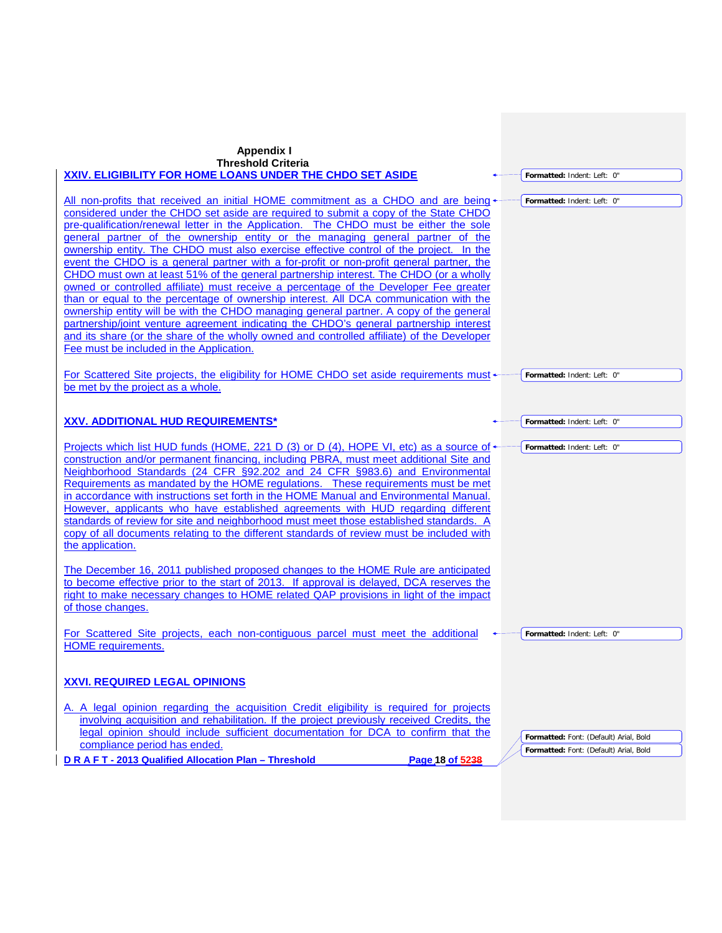| <b>Appendix I</b><br><b>Threshold Criteria</b><br>XXIV. ELIGIBILITY FOR HOME LOANS UNDER THE CHDO SET ASIDE                                                                                                                                                                                                                                                                                                                                                                                                                                                                                                                                                                                                                                                                                                                                                                                                                                                                                                                                                                                                                                       | Formatted: Indent: Left: 0"                                                      |
|---------------------------------------------------------------------------------------------------------------------------------------------------------------------------------------------------------------------------------------------------------------------------------------------------------------------------------------------------------------------------------------------------------------------------------------------------------------------------------------------------------------------------------------------------------------------------------------------------------------------------------------------------------------------------------------------------------------------------------------------------------------------------------------------------------------------------------------------------------------------------------------------------------------------------------------------------------------------------------------------------------------------------------------------------------------------------------------------------------------------------------------------------|----------------------------------------------------------------------------------|
| All non-profits that received an initial HOME commitment as a CHDO and are being<br>considered under the CHDO set aside are required to submit a copy of the State CHDO<br>pre-qualification/renewal letter in the Application. The CHDO must be either the sole<br>general partner of the ownership entity or the managing general partner of the<br>ownership entity. The CHDO must also exercise effective control of the project. In the<br>event the CHDO is a general partner with a for-profit or non-profit general partner, the<br>CHDO must own at least 51% of the general partnership interest. The CHDO (or a wholly<br>owned or controlled affiliate) must receive a percentage of the Developer Fee greater<br>than or equal to the percentage of ownership interest. All DCA communication with the<br>ownership entity will be with the CHDO managing general partner. A copy of the general<br>partnership/joint venture agreement indicating the CHDO's general partnership interest<br>and its share (or the share of the wholly owned and controlled affiliate) of the Developer<br>Fee must be included in the Application. | Formatted: Indent: Left: 0"                                                      |
| For Scattered Site projects, the eligibility for HOME CHDO set aside requirements must +<br>be met by the project as a whole.                                                                                                                                                                                                                                                                                                                                                                                                                                                                                                                                                                                                                                                                                                                                                                                                                                                                                                                                                                                                                     | Formatted: Indent: Left: 0"                                                      |
| <b>XXV. ADDITIONAL HUD REQUIREMENTS*</b>                                                                                                                                                                                                                                                                                                                                                                                                                                                                                                                                                                                                                                                                                                                                                                                                                                                                                                                                                                                                                                                                                                          | Formatted: Indent: Left: 0"                                                      |
| Projects which list HUD funds (HOME, 221 D (3) or D (4), HOPE VI, etc) as a source of +<br>construction and/or permanent financing, including PBRA, must meet additional Site and<br>Neighborhood Standards (24 CFR §92.202 and 24 CFR §983.6) and Environmental<br>Requirements as mandated by the HOME regulations. These requirements must be met<br>in accordance with instructions set forth in the HOME Manual and Environmental Manual.<br>However, applicants who have established agreements with HUD regarding different<br>standards of review for site and neighborhood must meet those established standards. A<br>copy of all documents relating to the different standards of review must be included with<br>the application.                                                                                                                                                                                                                                                                                                                                                                                                     | Formatted: Indent: Left: 0"                                                      |
| The December 16, 2011 published proposed changes to the HOME Rule are anticipated<br>to become effective prior to the start of 2013. If approval is delayed, DCA reserves the<br>right to make necessary changes to HOME related QAP provisions in light of the impact<br>of those changes.                                                                                                                                                                                                                                                                                                                                                                                                                                                                                                                                                                                                                                                                                                                                                                                                                                                       |                                                                                  |
| For Scattered Site projects, each non-contiguous parcel must meet the additional<br><b>HOME</b> requirements.                                                                                                                                                                                                                                                                                                                                                                                                                                                                                                                                                                                                                                                                                                                                                                                                                                                                                                                                                                                                                                     | Formatted: Indent: Left: 0"                                                      |
| <b>XXVI. REQUIRED LEGAL OPINIONS</b>                                                                                                                                                                                                                                                                                                                                                                                                                                                                                                                                                                                                                                                                                                                                                                                                                                                                                                                                                                                                                                                                                                              |                                                                                  |
| A. A legal opinion regarding the acquisition Credit eligibility is required for projects<br>involving acquisition and rehabilitation. If the project previously received Credits, the<br>legal opinion should include sufficient documentation for DCA to confirm that the<br>compliance period has ended.<br>DRAFT-2013 Qualified Allocation Plan - Threshold<br>Page 18 of 5238                                                                                                                                                                                                                                                                                                                                                                                                                                                                                                                                                                                                                                                                                                                                                                 | Formatted: Font: (Default) Arial, Bold<br>Formatted: Font: (Default) Arial, Bold |
|                                                                                                                                                                                                                                                                                                                                                                                                                                                                                                                                                                                                                                                                                                                                                                                                                                                                                                                                                                                                                                                                                                                                                   |                                                                                  |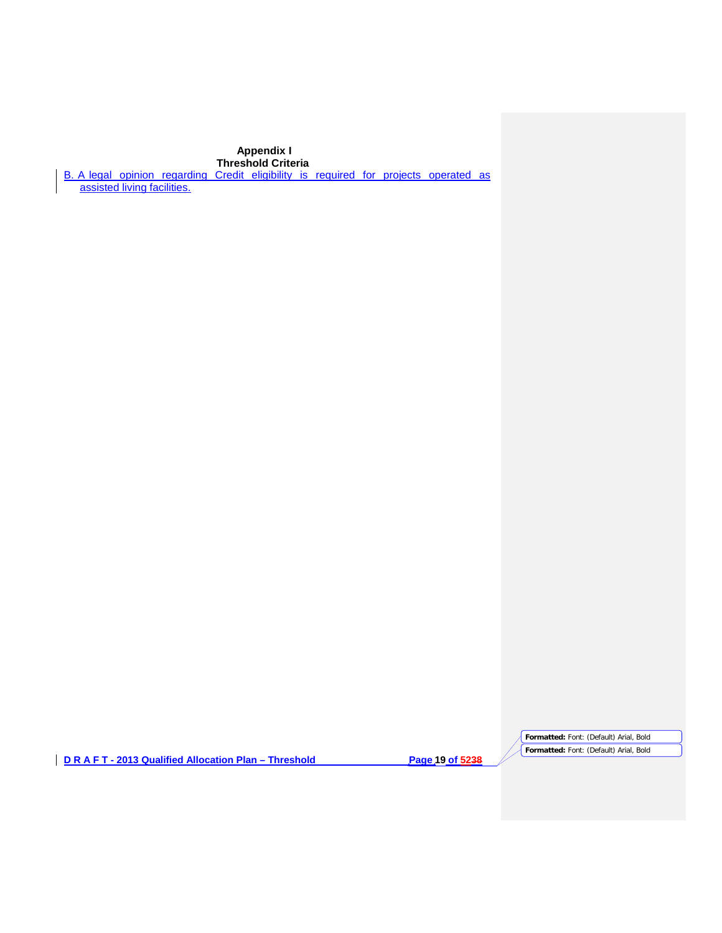# **Appendix I**

**Threshold Criteria**

B. A legal opinion regarding Credit eligibility is required for projects operated as assisted living facilities.

**D R A F T - 2013 Qualified Allocation Plan – Threshold Page 19 of 5238**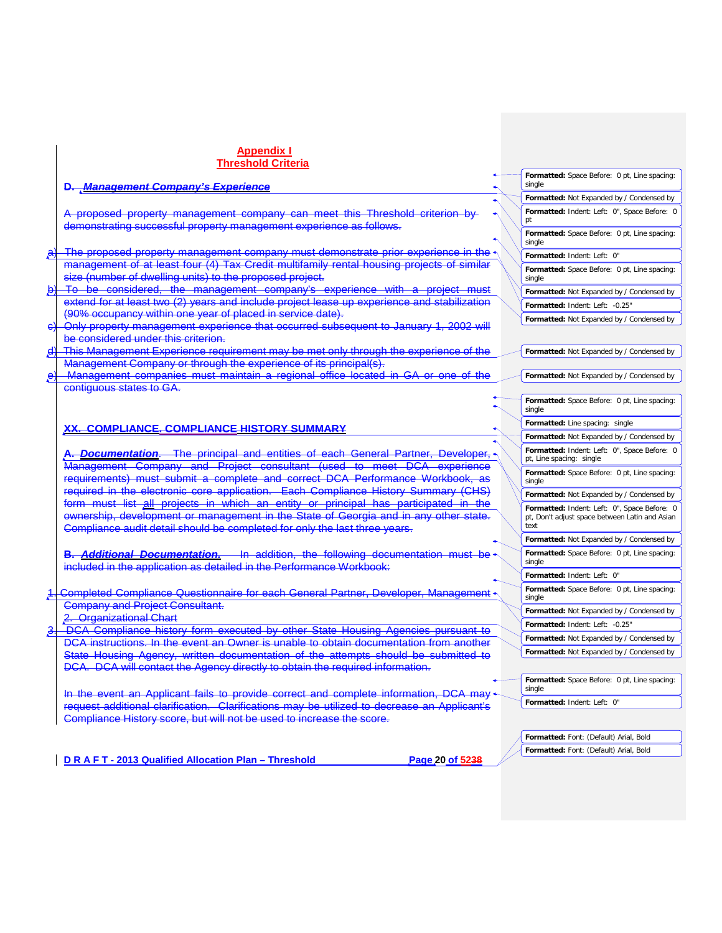|              | Appendix I                                                                                                                                                                 |                                                                                                        |
|--------------|----------------------------------------------------------------------------------------------------------------------------------------------------------------------------|--------------------------------------------------------------------------------------------------------|
|              | <b>Threshold Criteria</b>                                                                                                                                                  |                                                                                                        |
|              | D. Management Company's Experience                                                                                                                                         | Formatted: Space Before: 0 pt, Line spacing:<br>single                                                 |
|              |                                                                                                                                                                            | Formatted: Not Expanded by / Condensed by                                                              |
|              | A proposed property management company can meet this Threshold criterion by<br>demonstrating successful property management experience as follows.                         | Formatted: Indent: Left: 0", Space Before: 0                                                           |
|              |                                                                                                                                                                            | Formatted: Space Before: 0 pt, Line spacing:<br>single                                                 |
|              | The proposed property management company must demonstrate prior experience in the                                                                                          | Formatted: Indent: Left: 0"                                                                            |
|              | management of at least four (4) Tax Credit multifamily rental housing projects of similar<br>size (number of dwelling units) to the proposed project.                      | Formatted: Space Before: 0 pt, Line spacing:<br>single                                                 |
| $\Theta$     | To be considered, the management company's experience with a project must                                                                                                  | Formatted: Not Expanded by / Condensed by                                                              |
|              | extend for at least two (2) years and include project lease up experience and stabilization                                                                                | Formatted: Indent: Left: -0.25"                                                                        |
|              | (90% occupancy within one year of placed in service date).                                                                                                                 | Formatted: Not Expanded by / Condensed by                                                              |
| $\Theta$     | Only property management experience that occurred subsequent to January 1, 2002 will<br>be considered under this criterion.                                                |                                                                                                        |
| ₫            | This Management Experience requirement may be met only through the experience of the                                                                                       | Formatted: Not Expanded by / Condensed by                                                              |
|              | Management Company or through the experience of its principal(s).                                                                                                          |                                                                                                        |
| $\mathbf{e}$ | Management companies must maintain a regional office located in GA or one of the                                                                                           | Formatted: Not Expanded by / Condensed by                                                              |
|              | contiguous states to GA.                                                                                                                                                   | Formatted: Space Before: 0 pt, Line spacing:<br>single                                                 |
|              | <b>COMPLIANCE. COMPLIANCE HISTORY SUMMARY</b>                                                                                                                              | Formatted: Line spacing: single                                                                        |
|              |                                                                                                                                                                            | Formatted: Not Expanded by / Condensed by                                                              |
|              | A. Documentation. The principal and entities of each General Partner, Developer,                                                                                           | Formatted: Indent: Left: 0", Space Before: 0<br>pt, Line spacing: single                               |
|              | Management Company and Project consultant (used to meet DCA experience                                                                                                     | Formatted: Space Before: 0 pt, Line spacing:                                                           |
|              | requirements) must submit a complete and correct DCA Performance Workbook.<br>required in the electronic core application. Each Compliance History Summary (CHS)           | single                                                                                                 |
|              | form must list all projects in which an entity or principal has participated in the                                                                                        | Formatted: Not Expanded by / Condensed by                                                              |
|              | ewnership, development or management in the State of Georgia and in any other state.<br>Compliance audit detail should be completed for only the last three years.         | Formatted: Indent: Left: 0", Space Before: 0<br>pt, Don't adjust space between Latin and Asian<br>text |
|              |                                                                                                                                                                            | Formatted: Not Expanded by / Condensed by                                                              |
|              | <b>B. Additional Documentation.</b> In addition, the following documentation must be<br>included in the application as detailed in the Performance Workbook:               | Formatted: Space Before: 0 pt, Line spacing:<br>single                                                 |
|              |                                                                                                                                                                            | Formatted: Indent: Left: 0"                                                                            |
|              | 1. Completed Compliance Questionnaire for each General Partner, Developer, Management +                                                                                    | Formatted: Space Before: 0 pt, Line spacing:<br>single                                                 |
|              | <b>Company and Project Consultant.</b>                                                                                                                                     | Formatted: Not Expanded by / Condensed by                                                              |
|              | 2. Organizational Chart                                                                                                                                                    | Formatted: Indent: Left: -0.25"                                                                        |
| β.           | DCA Compliance history form executed by other State Housing Agencies pursuant to<br>DCA instructions. In the event an Owner is unable to obtain documentation from another | Formatted: Not Expanded by / Condensed by                                                              |
|              |                                                                                                                                                                            | Formatted: Not Expanded by / Condensed by                                                              |
|              | State Housing Agency, written documentation of the attempts should be submitted to<br>DCA. DCA will contact the Agency directly to obtain the required information.        |                                                                                                        |
|              |                                                                                                                                                                            | Formatted: Space Before: 0 pt, Line spacing:                                                           |
|              | event an Applicant fails to provide correct and complete information, DCA may                                                                                              | single                                                                                                 |
|              | uest additional clarification. Clarifications may be utilized to decrease an                                                                                               | Formatted: Indent: Left: 0"                                                                            |
|              | Compliance History score, but will not be used to increase the score.                                                                                                      |                                                                                                        |
|              |                                                                                                                                                                            |                                                                                                        |
|              |                                                                                                                                                                            | Formatted: Font: (Default) Arial, Bold                                                                 |
|              |                                                                                                                                                                            | Formatted: Font: (Default) Arial, Bold                                                                 |
|              | D R A F T - 2013 Qualified Allocation Plan - Threshold<br>Page 20 of 5238                                                                                                  |                                                                                                        |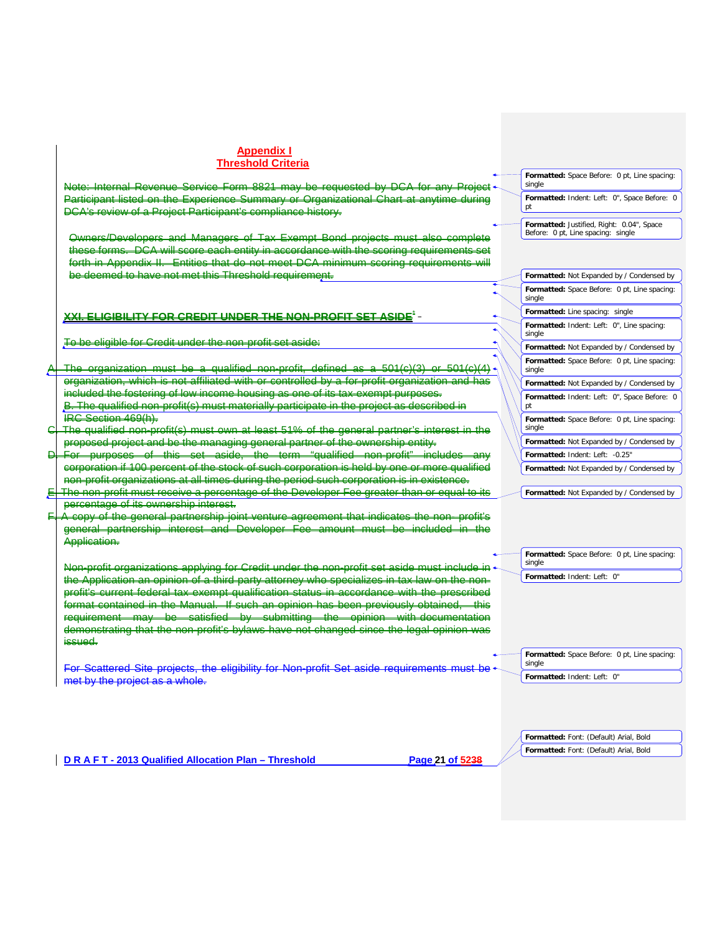Note: Internal Revenue Service Form 8821 may be requested by DCA for any Project<br>Participant listed on the Experience Summary or Organizational Chart at anytime during Participant listed on the Experience Summary or Organizational Chart DCA's review of a Project Participant's compliance history.

Owners/Developers and Managers of Tax Exempt Bond projects must also complete these forms. DCA will score each entity in accordance with the scoring requirements Appendix II. Entities that do not meet DCA minimum scoring requirements will be deemed to have not met this Threshold requirement.

# **XXI. ELIGIBILITY FOR CREDIT UNDER THE NON-PROFIT SET ASIDE**\*

To be eligible for Credit under the non-profit set aside:

The organization must be a qualified non-profit, defined as a  $504(e)(3)$  or organization, which is not affiliated with or controlled by a for-profit organization and has ided the fostering of low income housing as one of its tax-exempt The qualified non-profit(s) must materially participate in the project as described in IRC Section 469(h).

C. The qualified non-profit(s) must own at least 51% of the general partner's interest in the proposed project and be the managing general partner of the ownership entity.

D. For purposes of this set aside, the term "qualified non-profit" includes any corporation if 100 percent of the stock of such corporation is held by one or more qualified non-profit organizations at all times during the period such corporation is in existence.  $E$ . The non-profit must receive a percentage of the Developer Fee greater than or equal to its

percentage of its ownership interest. F. A copy of the general partnership joint venture agreement that indicates the non- profit's interest and Developer Fee amount must be included in Application.

Non-profit organizations applying for Credit under the Application an opinion of a third party attorney who profit's current federal tax exempt qualification status in accordance with the pres<br>fermat contained in the Manual. If such an opinion has been previously ebtained format contained in the Manual. If such an opinion<br>requirement may be satisfied by submitting requirement may be satisfied by submitting the opinion with documentation demonstrating that the non-profit's bylaws have not changed since the legal opinion was issued.

For Scattered Site projects, the eligibility for Non-profit Set aside requirements must be met by the project as a whole.

| <b>Formatted:</b> Space Before: 0 pt. Line spacing: |  |
|-----------------------------------------------------|--|
| single                                              |  |
| Formatted: Indent: Left: 0", Space Before: 0        |  |

**Formatted:** Justified, Right: 0.04", Space Before: 0 pt, Line spacing: single

pt

|        | <b>Formatted:</b> Not Expanded by / Condensed by    |
|--------|-----------------------------------------------------|
| single | <b>Formatted:</b> Space Before: 0 pt, Line spacing: |
|        | <b>Formatted:</b> Line spacing: single              |
| single | Formatted: Indent: Left: 0", Line spacing:          |
|        | Formatted: Not Expanded by / Condensed by           |
| single | <b>Formatted:</b> Space Before: 0 pt, Line spacing: |
|        | Formatted: Not Expanded by / Condensed by           |
| pt     | Formatted: Indent: Left: 0", Space Before: 0        |
| single | <b>Formatted:</b> Space Before: 0 pt, Line spacing: |
|        | <b>Formatted:</b> Not Expanded by / Condensed by    |
|        | Formatted: Indent: Left: -0.25"                     |
|        | Formatted: Not Expanded by / Condensed by           |

**Formatted:** Not Expanded by / Condensed by

**Formatted:** Space Before: 0 pt, Line spacing: single **Formatted:** Indent: Left: 0"

**Formatted:** Space Before: 0 pt, Line spacing: single

**Formatted:** Indent: Left: 0"

**Formatted:** Font: (Default) Arial, Bold **Formatted:** Font: (Default) Arial, Bold

**D R A F T - 2013 Qualified Allocation Plan – Threshold Page 21 of 5238**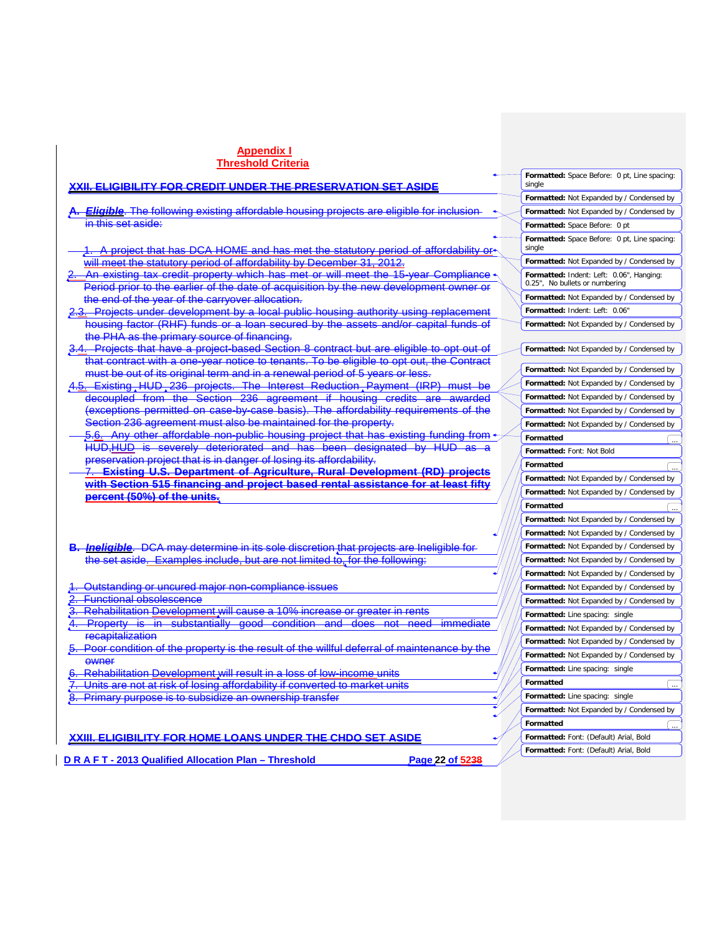| <u>XXII. ELIGIBILITY FOR CREDIT UNDER THE PRESERVATION SET ASIDE</u>                                                                                          | Formatted: Space Before: 0 pt, Line spacing:<br>single |
|---------------------------------------------------------------------------------------------------------------------------------------------------------------|--------------------------------------------------------|
|                                                                                                                                                               | Formatted: Not Expanded by / Condensed by              |
| Eligible. The following existing affordable housing projects are eligible for inclusion                                                                       | Formatted: Not Expanded by / Condensed by              |
| in this set aside:                                                                                                                                            | Formatted: Space Before: 0 pt                          |
|                                                                                                                                                               | Formatted: Space Before: 0 pt, Line spacing:<br>single |
| 1. A project that has DCA HOME and has met the statutory period of affordability or-<br>will meet the statutory period of affordability by December 31, 2012. | Formatted: Not Expanded by / Condensed by              |
| An existing tax credit property which has met or will meet the 15-year Compliance +                                                                           | Formatted: Indent: Left: 0.06", Hanging:               |
| Period prior to the earlier of the date of acquisition by the new development owner or                                                                        | 0.25", No bullets or numbering                         |
| the end of the year of the carryover allocation.                                                                                                              | Formatted: Not Expanded by / Condensed by              |
| 2.3. Projects under development by a local public housing authority using replacement                                                                         | Formatted: Indent: Left: 0.06"                         |
| housing factor (RHF) funds or a loan secured by the assets and/or capital funds of                                                                            | Formatted: Not Expanded by / Condensed by              |
| the PHA as the primary source of financing.                                                                                                                   |                                                        |
| <b>Projects that have a project-based Section 8 contract but are eligible to opt out of</b>                                                                   | Formatted: Not Expanded by / Condensed by              |
| that contract with a one-year notice to tenants. To be eligible to opt out, the Contract                                                                      | Formatted: Not Expanded by / Condensed by              |
| must be out of its original term and in a renewal period of 5 years or less.                                                                                  | Formatted: Not Expanded by / Condensed by              |
| Existing HUD, 236 projects. The Interest Reduction, Payment (IRP) must be<br><del>4.5.</del>                                                                  | Formatted: Not Expanded by / Condensed by              |
| decoupled from the Section 236 agreement if housing credits are awarded                                                                                       |                                                        |
| (exceptions permitted on case-by-case basis). The affordability requirements of the<br>Section 236 agreement must also be maintained for the property.        | Formatted: Not Expanded by / Condensed by              |
| Any other affordable non-public housing project that has existing funding from                                                                                | Formatted: Not Expanded by / Condensed by              |
| <del>HUD.HUD is severely deteriorated and has been designated by HUD as a</del>                                                                               | Formatted                                              |
| preservation project that is in danger of losing its affordability.                                                                                           | Formatted: Font: Not Bold                              |
| <u>Existing U.S. Department of Agriculture, Rural Development (RD) projects</u>                                                                               | Formatted                                              |
| <u>with Section 515 financing and project based rental assistance for at least fifty</u>                                                                      | Formatted: Not Expanded by / Condensed by              |
| percent (50%) of the units.                                                                                                                                   | Formatted: Not Expanded by / Condensed by              |
|                                                                                                                                                               | Formatted                                              |
|                                                                                                                                                               | Formatted: Not Expanded by / Condensed by              |
|                                                                                                                                                               | Formatted: Not Expanded by / Condensed by              |
| <b>B.</b> Incligible. DCA may determine in its sole discretion that projects are Incligible for                                                               | Formatted: Not Expanded by / Condensed by              |
| the set aside. Examples include, but are not limited to, for the following:                                                                                   | Formatted: Not Expanded by / Condensed by              |
|                                                                                                                                                               | Formatted: Not Expanded by / Condensed by              |
| Outstanding or uncured major non-compliance issues                                                                                                            | Formatted: Not Expanded by / Condensed by              |
| <b>Functional obsolescence</b>                                                                                                                                | Formatted: Not Expanded by / Condensed by              |
| Rehabilitation Development will cause a 10% increase or greater in rents                                                                                      | Formatted: Line spacing: single                        |
| <b>Property is in substantially good condition</b><br>immediate<br>and does<br>need<br>-not                                                                   | Formatted: Not Expanded by / Condensed by              |
| recapitalization                                                                                                                                              | Formatted: Not Expanded by / Condensed by              |
| Poor condition of the property is the result of the willful deferral of maintenance by the<br><b>OWNEF</b>                                                    | Formatted: Not Expanded by / Condensed by              |
| Rehabilitation Development will result in a loss of low-income units                                                                                          | Formatted: Line spacing: single                        |
| Units are not at risk of losing affordability if converted to market units                                                                                    | Formatted                                              |
| <u>8.  Primary purpose is to subsidize an ownership transfer</u>                                                                                              | Formatted: Line spacing: single                        |
|                                                                                                                                                               | Formatted: Not Expanded by / Condensed by              |
|                                                                                                                                                               | Formatted                                              |
| <u>XXIII. ELIGIBILITY FOR HOME LOANS UNDER THE CHDO SET ASIDE</u>                                                                                             | Formatted: Font: (Default) Arial, Bold                 |
|                                                                                                                                                               | Formatted: Font: (Default) Arial, Bold                 |
|                                                                                                                                                               |                                                        |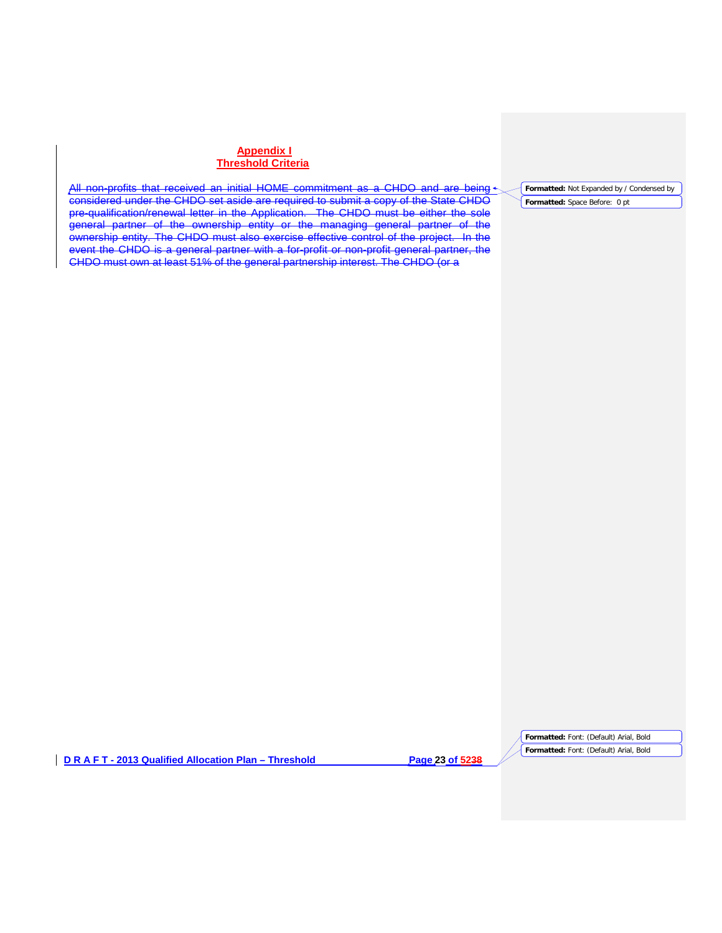All non-profits that received an initial HOME commitment as a CHDO and are being considered under the CHDO set aside are required to submit a copy of the State CHDO pre-qualification/renewal letter in the Application. The CHDO must be either the sole general partner of the ownership entity or the managing general partner of the ownership entity. The CHDO must also exercise effective control of the project. In the event the CHDO is a general partner with a for-profit or non-profit general partner, the CHDO must own at least 51% of the general partnership interest. The CHDO (or a

**Formatted:** Not Expanded by / Condensed by

**Formatted:** Space Before: 0 pt

**D R A F T - 2013 Qualified Allocation Plan – Threshold Page 23 of 5238**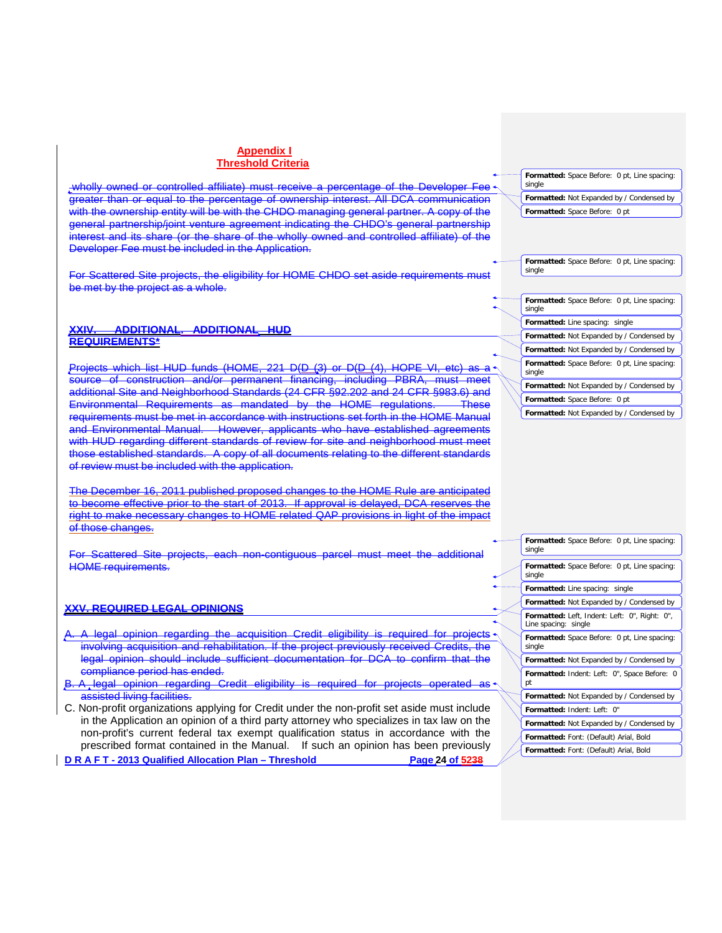wholly owned or controlled affiliate) must receive a percentage of the Developer Fee greater than or equal to the percentage of ownership interest. All DCA communication with the ownership entity will be with the CHDO managing general partner. A copy of the general partnership/joint venture agreement indicating the CHDO's general partnership interest and its share (or the share of the wholly owned and controlled affiliate) of the Developer Fee must be included in the Application.

For Scattered Site projects, the eligibility for HOME CHDO set aside requirements must be met by the project as a whole.

#### **XXIV. ADDITIONAL. ADDITIONAL HUD REQUIREMENTS\***

Projects which list HUD funds (HOME, 221 D(D (3) or D(D (4), HOPE VI, etc) as a r source of construction and/or permanent financing, including PBRA, must meet additional Site and Neighborhood Standards (24 CFR §92.202 and 24 CFR §983.6) and Environmental Requirements as mandated by the HOME regulations. These requirements must be met in accordance with instructions set forth in the HOME Manual and Environmental Manual. However, applicants who have established agreements with HUD regarding different standards of review for site and neighborhood must meet those established standards. A copy of all documents relating to the different standards of review must be included with the application.

The December 16, 2011 published proposed changes to the HOME Rule are anticipated to become effective prior to the start of 2013. If approval is delayed, DCA reserves the right to make necessary changes to HOME related QAP provisions in light of the impact of those changes.

For Scattered Site projects, each non-contiguous parcel must meet the additional HOME requirements.

# **XXV. REQUIRED LEGAL OPINIONS**

- opinion regarding the acquisition Credit eligibility is required for projects involving acquisition and rehabilitation. If the project previously received Credits, the legal opinion should include sufficient documentation for DCA to confirm that the compliance period has ended.
- B. A legal opinion regarding Credit eligibility is required for projects operated as sisted living facilities.
- **D R A F T - 2013 Qualified Allocation Plan – Threshold Page 24 of 5238** C. Non-profit organizations applying for Credit under the non-profit set aside must include in the Application an opinion of a third party attorney who specializes in tax law on the non-profit's current federal tax exempt qualification status in accordance with the prescribed format contained in the Manual. If such an opinion has been previously

**Formatted:** Space Before: 0 pt, Line spacing: single

**Formatted:** Not Expanded by / Condensed by **Formatted:** Space Before: 0 pt

**Formatted:** Space Before: 0 pt, Line spacing: single

**Formatted:** Space Before: 0 pt, Line spacing: single

**Formatted:** Line spacing: single

**Formatted:** Not Expanded by / Condensed by

**Formatted:** Not Expanded by / Condensed by

**Formatted:** Space Before: 0 pt, Line spacing: single

**Formatted:** Not Expanded by / Condensed by

**Formatted:** Space Before: 0 pt

**Formatted:** Not Expanded by / Condensed by

**Formatted:** Font: (Default) Arial, Bold **Formatted:** Font: (Default) Arial, Bold **Formatted:** Space Before: 0 pt, Line spacing: single **Formatted:** Space Before: 0 pt, Line spacing: single **Formatted:** Line spacing: single **Formatted:** Not Expanded by / Condensed by **Formatted:** Left, Indent: Left: 0", Right: 0", Line spacing: single **Formatted:** Space Before: 0 pt, Line spacing: single **Formatted:** Not Expanded by / Condensed by **Formatted:** Indent: Left: 0", Space Before: 0 pt **Formatted:** Not Expanded by / Condensed by **Formatted:** Indent: Left: 0" **Formatted:** Not Expanded by / Condensed by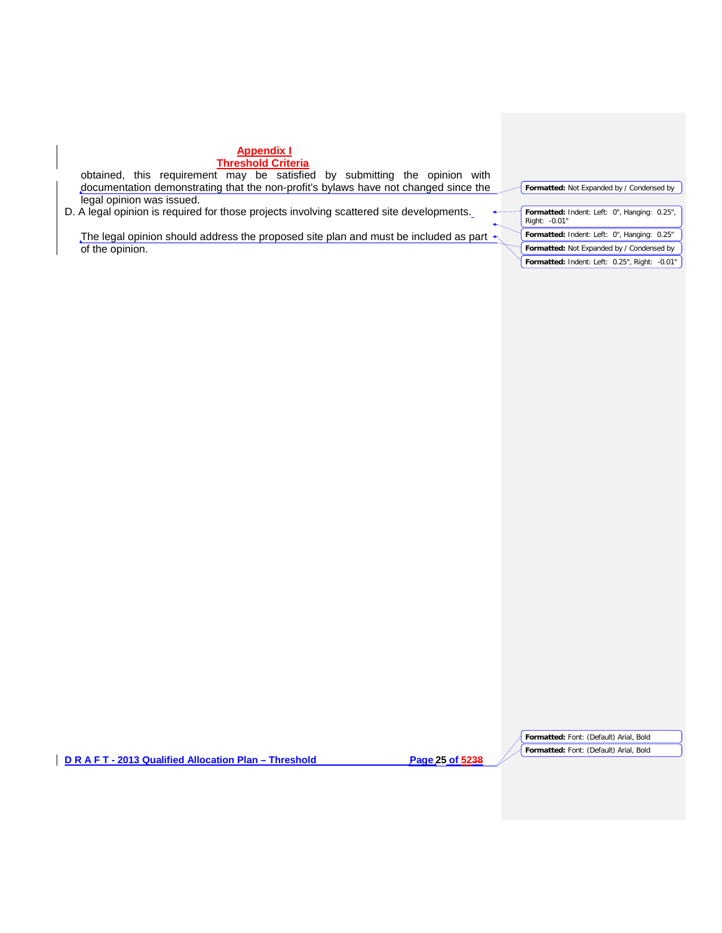| <b>Appendix I</b>                                                                                  |                                                               |
|----------------------------------------------------------------------------------------------------|---------------------------------------------------------------|
| <b>Threshold Criteria</b>                                                                          |                                                               |
| this requirement may be satisfied by<br>submitting<br>the<br>with<br>obtained.<br>opinion          |                                                               |
| documentation demonstrating that the non-profit's bylaws have not changed since the                | Formatted: Not Expanded by / Condensed by                     |
| legal opinion was issued.                                                                          |                                                               |
| D. A legal opinion is required for those projects involving scattered site developments.           | Formatted: Indent: Left: 0", Hanging: 0.25",<br>Right: -0.01" |
| The legal opinion should address the proposed site plan and must be included as part $\rightarrow$ | Formatted: Indent: Left: 0", Hanging: 0.25"                   |
| of the opinion.                                                                                    | Formatted: Not Expanded by / Condensed by                     |
|                                                                                                    | Formatted: Indent: Left: 0.25", Right: -0.01"                 |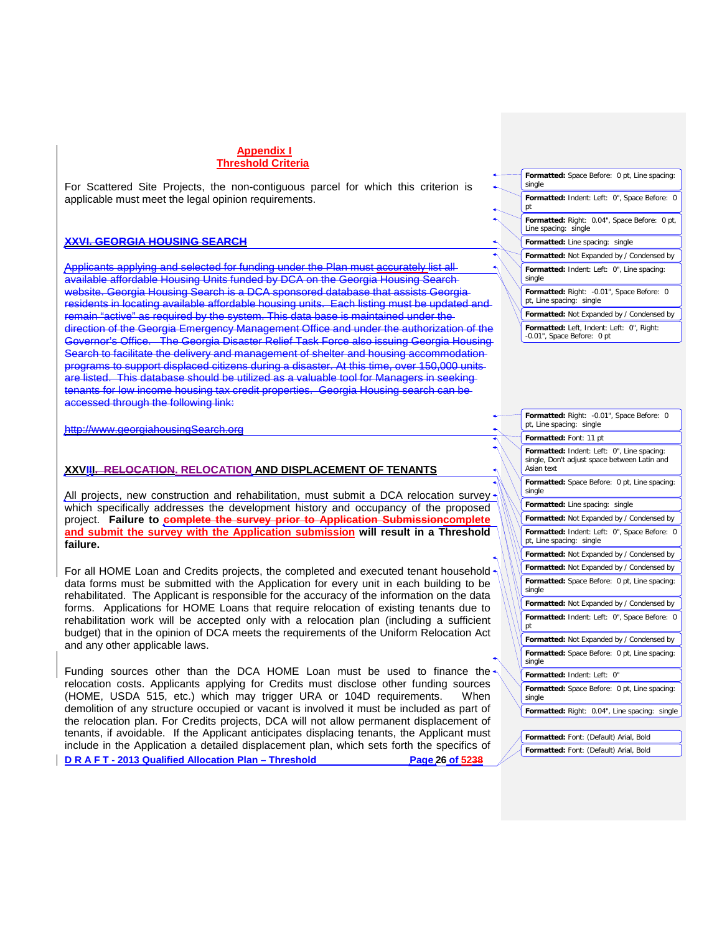For Scattered Site Projects, the non-contiguous parcel for which this criterion is applicable must meet the legal opinion requirements.

### **XXVI. GEORGIA HOUSING SEARCH**

Applicants applying and selected for funding under the Plan must accurately list all available affordable Housing Units funded by DCA on the Georgia Housing Search website. Georgia Housing Search is a DCA sponsored database that assists Georgia residents in locating available affordable housing units. Each listing must be updated and remain "active" as required by the system. This data base is maintained under the direction of the Georgia Emergency Management Office and under the authorization of the Governor's Office. The Georgia Disaster Relief Task Force also issuing Georgia Housing Search to facilitate the delivery and management of shelter and housing accommodation programs to support displaced citizens during a disaster. At this time, over 150,000 units are listed. This database should be utilized as a valuable tool for Managers in seeking tenants for low income housing tax credit properties. Georgia Housing search can be accessed through the following link:

#### http://www.georgiahousingSearch.org

# **XXVIII. RELOCATION. RELOCATION AND DISPLACEMENT OF TENANTS**

All projects, new construction and rehabilitation, must submit a DCA relocation survey which specifically addresses the development history and occupancy of the proposed project. Failure to complete the survey prior to Application Submissioncomplete **and submit the survey with the Application submission will result in a Threshold failure.**

For all HOME Loan and Credits projects, the completed and executed tenant household data forms must be submitted with the Application for every unit in each building to be rehabilitated. The Applicant is responsible for the accuracy of the information on the data forms. Applications for HOME Loans that require relocation of existing tenants due to rehabilitation work will be accepted only with a relocation plan (including a sufficient budget) that in the opinion of DCA meets the requirements of the Uniform Relocation Act and any other applicable laws.

**D R A F T - 2013 Qualified Allocation Plan – Threshold Page 26 of 5238** Funding sources other than the DCA HOME Loan must be used to finance the relocation costs. Applicants applying for Credits must disclose other funding sources<br>(HOMF, USDA 515, etc.) which may trigger URA or 104D requirements. When (HOME, USDA 515, etc.) which may trigger URA or 104D requirements. demolition of any structure occupied or vacant is involved it must be included as part of the relocation plan. For Credits projects, DCA will not allow permanent displacement of tenants, if avoidable. If the Applicant anticipates displacing tenants, the Applicant must include in the Application a detailed displacement plan, which sets forth the specifics of

| <b>Formatted:</b> Space Before: 0 pt, Line spacing:<br>single           |
|-------------------------------------------------------------------------|
| Formatted: Indent: Left: 0", Space Before: 0<br>рt                      |
| Formatted: Right: 0.04", Space Before: 0 pt,<br>Line spacing: single    |
| <b>Formatted:</b> Line spacing: single                                  |
| <b>Formatted:</b> Not Expanded by / Condensed by                        |
| Formatted: Indent: Left: 0", Line spacing:<br>single                    |
| Formatted: Right: -0.01", Space Before: 0<br>pt, Line spacing: single   |
| Formatted: Not Expanded by / Condensed by                               |
| Formatted: Left, Indent: Left: 0", Right:<br>-0.01", Space Before: 0 pt |

|                                                        | Formatted: Right: - 0.01", Space Before: 0<br>pt, Line spacing: single                                   |  |  |  |  |
|--------------------------------------------------------|----------------------------------------------------------------------------------------------------------|--|--|--|--|
|                                                        | Formatted: Font: 11 pt                                                                                   |  |  |  |  |
|                                                        | Formatted: Indent: Left: 0", Line spacing:<br>single, Don't adjust space between Latin and<br>Asian text |  |  |  |  |
|                                                        | Formatted: Space Before: 0 pt, Line spacing:<br>single                                                   |  |  |  |  |
|                                                        | Formatted: Line spacing: single                                                                          |  |  |  |  |
|                                                        | Formatted: Not Expanded by / Condensed by                                                                |  |  |  |  |
|                                                        | Formatted: Indent: Left: 0", Space Before: 0<br>pt, Line spacing: single                                 |  |  |  |  |
|                                                        | Formatted: Not Expanded by / Condensed by                                                                |  |  |  |  |
|                                                        | Formatted: Not Expanded by / Condensed by                                                                |  |  |  |  |
|                                                        | Formatted: Space Before: 0 pt, Line spacing:<br>single                                                   |  |  |  |  |
|                                                        | Formatted: Not Expanded by / Condensed by                                                                |  |  |  |  |
|                                                        | Formatted: Indent: Left: 0", Space Before: 0<br>pt                                                       |  |  |  |  |
|                                                        | Formatted: Not Expanded by / Condensed by                                                                |  |  |  |  |
|                                                        | Formatted: Space Before: 0 pt, Line spacing:<br>single                                                   |  |  |  |  |
|                                                        | Formatted: Indent: Left: 0"                                                                              |  |  |  |  |
| Formatted: Space Before: 0 pt, Line spacing:<br>single |                                                                                                          |  |  |  |  |
|                                                        | Formatted: Right: 0.04", Line spacing: single                                                            |  |  |  |  |
|                                                        |                                                                                                          |  |  |  |  |
|                                                        | Formatted: Font: (Default) Arial, Bold                                                                   |  |  |  |  |

**Formatted:** Font: (Default) Arial, Bold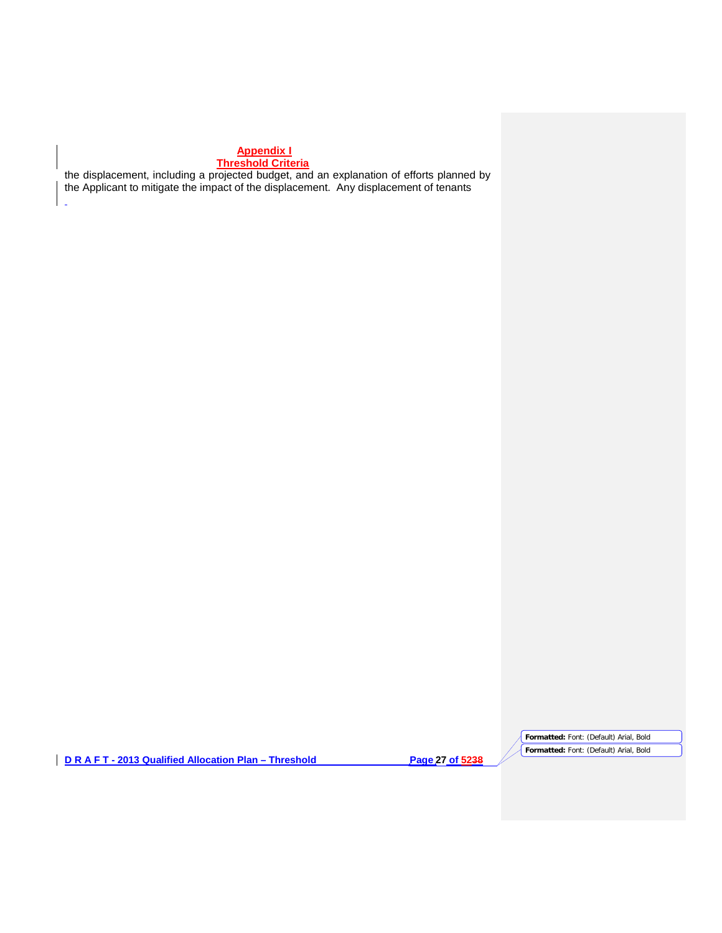# **Appendix I**

# **Threshold Criteria**

l.

the displacement, including a projected budget, and an explanation of efforts planned by the Applicant to mitigate the impact of the displacement. Any displacement of tenants

**D R A F T - 2013 Qualified Allocation Plan – Threshold Page 27 of 5238**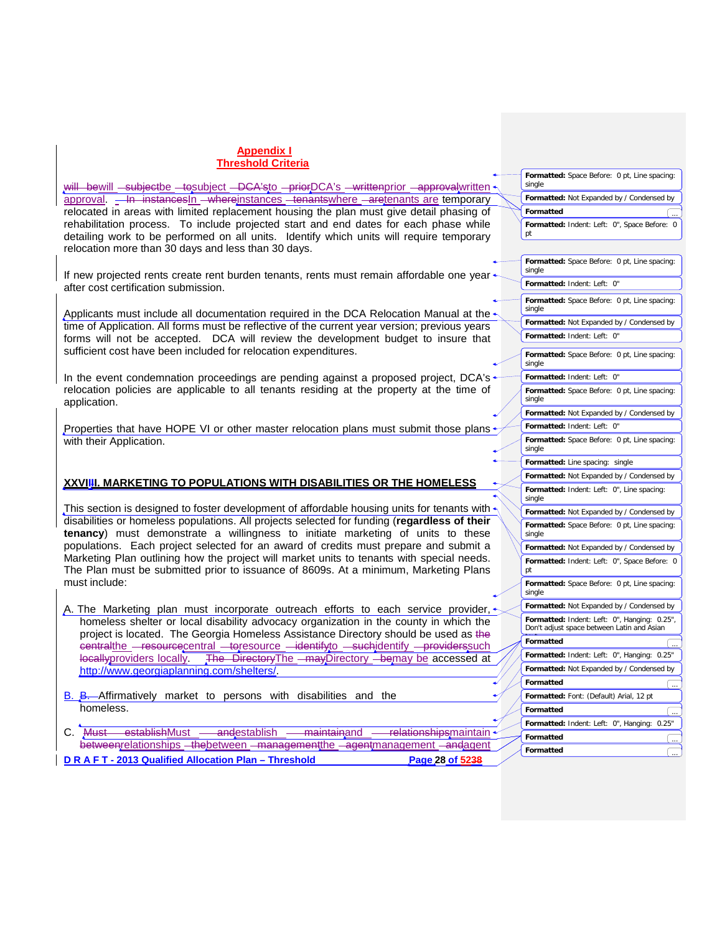|                                                                                                                                 | Formatted: Space Before: 0 pt, Line spacing:           |
|---------------------------------------------------------------------------------------------------------------------------------|--------------------------------------------------------|
| will bewill subjectbe to unlied - DCA'sto - prior DCA's - writtenprior - approvalwritten                                        | single                                                 |
| approval. - In instances in - where instances - tenants where - are tenants are temporary                                       | Formatted: Not Expanded by / Condensed by              |
| relocated in areas with limited replacement housing the plan must give detail phasing of                                        | Formatted                                              |
| rehabilitation process. To include projected start and end dates for each phase while                                           | Formatted: Indent: Left: 0", Space Before: 0           |
| detailing work to be performed on all units. Identify which units will require temporary                                        | pt                                                     |
| relocation more than 30 days and less than 30 days.                                                                             |                                                        |
|                                                                                                                                 | Formatted: Space Before: 0 pt, Line spacing:<br>single |
| If new projected rents create rent burden tenants, rents must remain affordable one year.                                       | Formatted: Indent: Left: 0"                            |
| after cost certification submission.                                                                                            |                                                        |
|                                                                                                                                 | Formatted: Space Before: 0 pt, Line spacing:<br>single |
| Applicants must include all documentation required in the DCA Relocation Manual at the $\textcolor{red}{\star}$                 | Formatted: Not Expanded by / Condensed by              |
| time of Application. All forms must be reflective of the current year version; previous years                                   | Formatted: Indent: Left: 0"                            |
| forms will not be accepted. DCA will review the development budget to insure that                                               |                                                        |
| sufficient cost have been included for relocation expenditures.                                                                 | Formatted: Space Before: 0 pt, Line spacing:           |
|                                                                                                                                 | single                                                 |
| In the event condemnation proceedings are pending against a proposed project, DCA's -                                           | Formatted: Indent: Left: 0"                            |
| relocation policies are applicable to all tenants residing at the property at the time of                                       | Formatted: Space Before: 0 pt, Line spacing:           |
| application.                                                                                                                    | single                                                 |
|                                                                                                                                 | Formatted: Not Expanded by / Condensed by              |
| Properties that have HOPE VI or other master relocation plans must submit those plans                                           | Formatted: Indent: Left: 0"                            |
| with their Application.                                                                                                         | Formatted: Space Before: 0 pt, Line spacing:<br>single |
|                                                                                                                                 | Formatted: Line spacing: single                        |
|                                                                                                                                 | Formatted: Not Expanded by / Condensed by              |
| <u>XXVIIII. MARKETING TO POPULATIONS WITH DISABILITIES OR THE HOMELESS</u>                                                      | Formatted: Indent: Left: 0", Line spacing:<br>single   |
| This section is designed to foster development of affordable housing units for tenants with $\cdot$                             | Formatted: Not Expanded by / Condensed by              |
| disabilities or homeless populations. All projects selected for funding (regardless of their                                    | Formatted: Space Before: 0 pt, Line spacing:           |
| tenancy) must demonstrate a willingness to initiate marketing of units to these                                                 | single                                                 |
| populations. Each project selected for an award of credits must prepare and submit a                                            | Formatted: Not Expanded by / Condensed by              |
| Marketing Plan outlining how the project will market units to tenants with special needs.                                       | Formatted: Indent: Left: 0", Space Before: 0           |
| The Plan must be submitted prior to issuance of 8609s. At a minimum, Marketing Plans                                            | pt                                                     |
| must include:                                                                                                                   | Formatted: Space Before: 0 pt, Line spacing:<br>single |
| A. The Marketing plan must incorporate outreach efforts to each service provider, +                                             | Formatted: Not Expanded by / Condensed by              |
| homeless shelter or local disability advocacy organization in the county in which the                                           | Formatted: Indent: Left: 0", Hanging: 0.25",           |
| project is located. The Georgia Homeless Assistance Directory should be used as the                                             | Don't adjust space between Latin and Asian             |
| contralthe -resourcecentral -toresource -identify to -suchidentify -providers such                                              | Formatted                                              |
| locallyproviders locally. The Directory The - may Directory - bemay be accessed at                                              | Formatted: Indent: Left: 0", Hanging: 0.25"            |
| http://www.georgiaplanning.com/shelters/                                                                                        | Formatted: Not Expanded by / Condensed by              |
|                                                                                                                                 | Formatted                                              |
| B. B. Affirmatively market to persons with disabilities and the                                                                 | Formatted: Font: (Default) Arial, 12 pt                |
| homeless.                                                                                                                       | Formatted                                              |
|                                                                                                                                 | Formatted: Indent: Left: 0", Hanging: 0.25"            |
| establishMust<br><del>and</del> establish<br><del>maintain</del> and<br>C. <del>Must</del><br><del>relationships</del> maintain | Formatted                                              |
| betweenrelationships - the between - management the - agent management - and agent                                              |                                                        |
| DRAFT-2013 Qualified Allocation Plan - Threshold<br>Page 28 of 5238                                                             | Formatted                                              |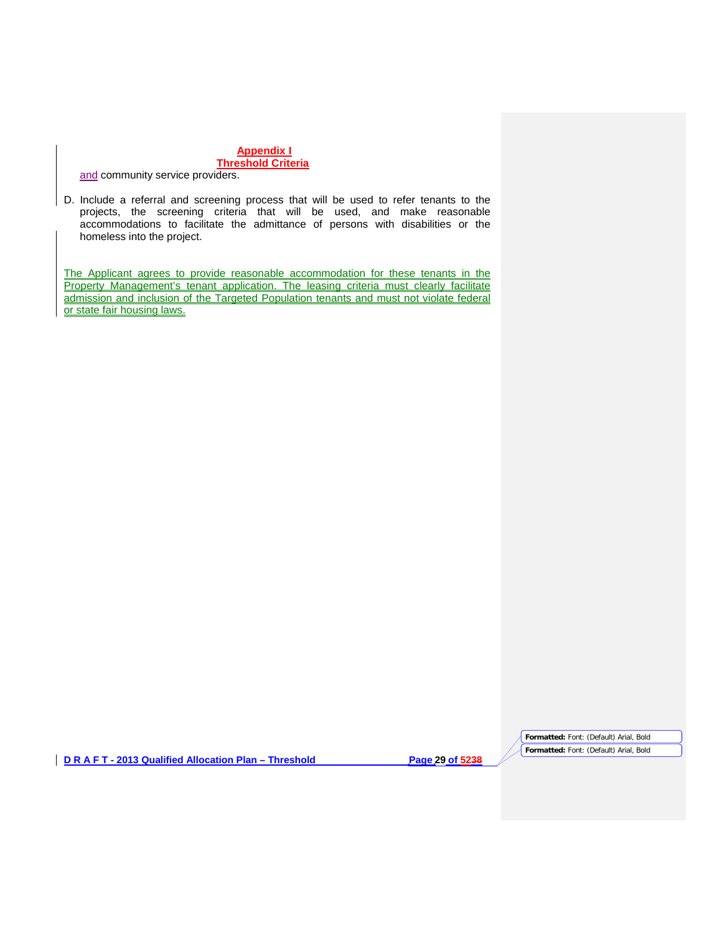# **Appendix I**

# **Threshold Criteria**

and community service providers.

D. Include a referral and screening process that will be used to refer tenants to the projects, the screening criteria that will be used, and make reasonable accommodations to facilitate the admittance of persons with disabilities or the homeless into the project.

The Applicant agrees to provide reasonable accommodation for these tenants in the Property Management's tenant application. The leasing criteria must clearly facilitate admission and inclusion of the Targeted Population tenants and must not violate federal or state fair housing laws.

**D R A F T - 2013 Qualified Allocation Plan – Threshold Page 29 of 5238**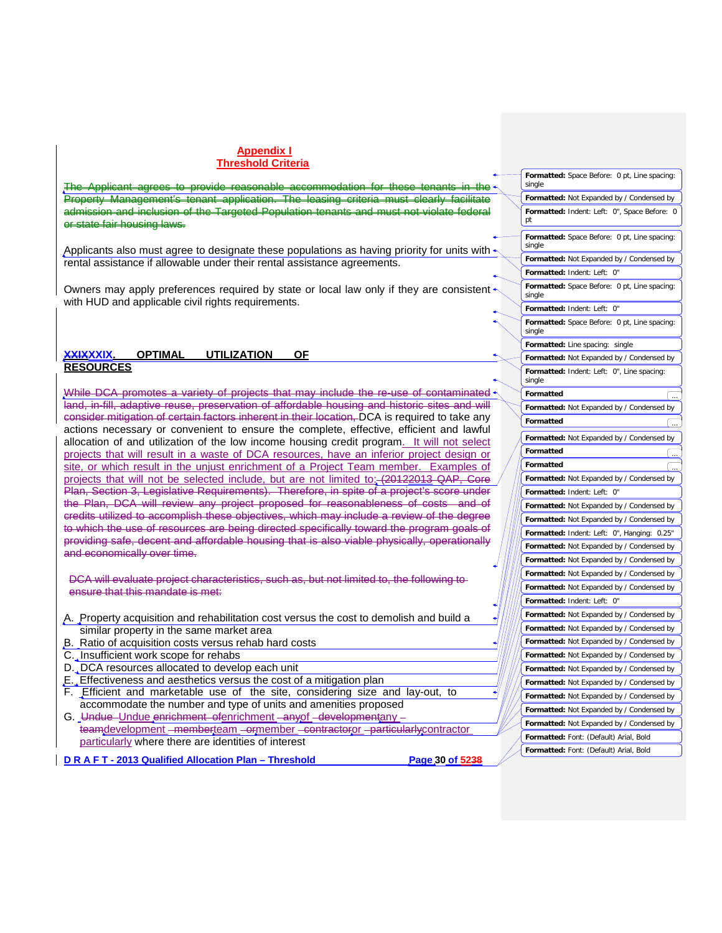The Applicant agrees to provide reasonable accommodation for these tenants in the application and inclusion of the Targeted Population or state fair housing laws.

Applicants also must agree to designate these populations as having priority for units with  $\uparrow$ rental assistance if allowable under their rental assistance agreements.

Owners may apply preferences required by state or local law only if they are consistent  $\cdot$ with HUD and applicable civil rights requirements.

#### **XXIXXXIX. OPTIMAL UTILIZATION OF RESOURCES**

While DCA promotes a variety of projects that may include the re-use of contaminated  $\sim$ land, in-fill, adaptive reuse, preservation of affordable housing and historic sites and will consider mitigation of certain factors inherent in their location, DCA is required to take any actions necessary or convenient to ensure the complete, effective, efficient and lawful allocation of and utilization of the low income housing credit program. It will not select projects that will result in a waste of DCA resources, have an inferior project design or site, or which result in the unjust enrichment of a Project Team member. Examples of projects that will not be selected include, but are not limited to: (20122013 QAP, Core Plan, Section 3, Legislative Requirements). Therefore, in spite of a project's score under the Plan, DCA will review any project proposed for reasonableness of costs and of credits utilized to accomplish these objectives, which may include a review of the degree to which the use of resources are being directed specifically toward the program goals of providing safe, decent and affordable housing that is also viable physically, operationally and economically over time.

DCA will evaluate project characteristics, such as, but not limited to, the following to ensure that this mandate is met:

- A. Property acquisition and rehabilitation cost versus the cost to demolish and build a similar property in the same market area
- B. Ratio of acquisition costs versus rehab hard costs
- C. Insufficient work scope for rehabs
- D. DCA resources allocated to develop each unit
- E. Effectiveness and aesthetics versus the cost of a mitigation plan
- F. Efficient and marketable use of the site, considering size and lay-out, to accommodate the number and type of units and amenities proposed
- G. Undue Undue enrichment ofenrichment anyof developmentany teamdevelopment <del>- membert</del>eam - ormember - contractor or particularly contractor particularly where there are identities of interest
- **D R A F T - 2013 Qualified Allocation Plan – Threshold Page 30 of 5238**

| Formatted: Space Before: 0 pt, Line spacing:<br>single |   |
|--------------------------------------------------------|---|
| Formatted: Not Expanded by / Condensed by              |   |
| Formatted: Indent: Left: 0", Space Before:<br>pt       | 0 |
| Formatted: Space Before: 0 pt, Line spacing:<br>single |   |
| <b>Formatted:</b> Not Expanded by / Condensed by       |   |
| Formatted: Indent: Left: 0"                            |   |
| Formatted: Space Before: 0 pt, Line spacing:<br>single |   |
| Formatted: Indent: Left: 0"                            |   |
| Formatted: Space Before: 0 pt, Line spacing:<br>single |   |
| Formatted: Line spacing: single                        |   |
| Formatted: Not Expanded by / Condensed by              |   |
| Formatted: Indent: Left: 0", Line spacing:<br>single   |   |
| Formatted                                              |   |
| Formatted: Not Expanded by / Condensed by              |   |
| Formatted                                              |   |
| Formatted: Not Expanded by / Condensed by              |   |
| Formatted                                              |   |
| Formatted                                              |   |
| Formatted: Not Expanded by / Condensed by              |   |
| Formatted: Indent: Left: 0"                            |   |
| Formatted: Not Expanded by / Condensed by              |   |
| Formatted: Not Expanded by / Condensed by              |   |
| Formatted: Indent: Left: 0", Hanging: 0.25"            |   |
| Formatted: Not Expanded by / Condensed by              |   |
| Formatted: Not Expanded by / Condensed by              |   |
| Formatted: Not Expanded by / Condensed by              |   |
| Formatted: Not Expanded by / Condensed by              |   |
| Formatted: Indent: Left:<br>0"                         |   |
| Formatted: Not Expanded by / Condensed by              |   |
| Formatted: Not Expanded by / Condensed by              |   |
| Formatted: Not Expanded by / Condensed by              |   |
| Formatted: Not Expanded by / Condensed by              |   |
| Formatted: Not Expanded by / Condensed by              |   |
| Formatted: Not Expanded by / Condensed by              |   |
| Formatted: Not Expanded by / Condensed by              |   |
| Formatted: Not Expanded by / Condensed by              |   |
| Formatted: Not Expanded by / Condensed by              |   |
| Formatted: Font: (Default) Arial, Bold                 |   |
| Formatted: Font: (Default) Arial, Bold                 |   |
|                                                        |   |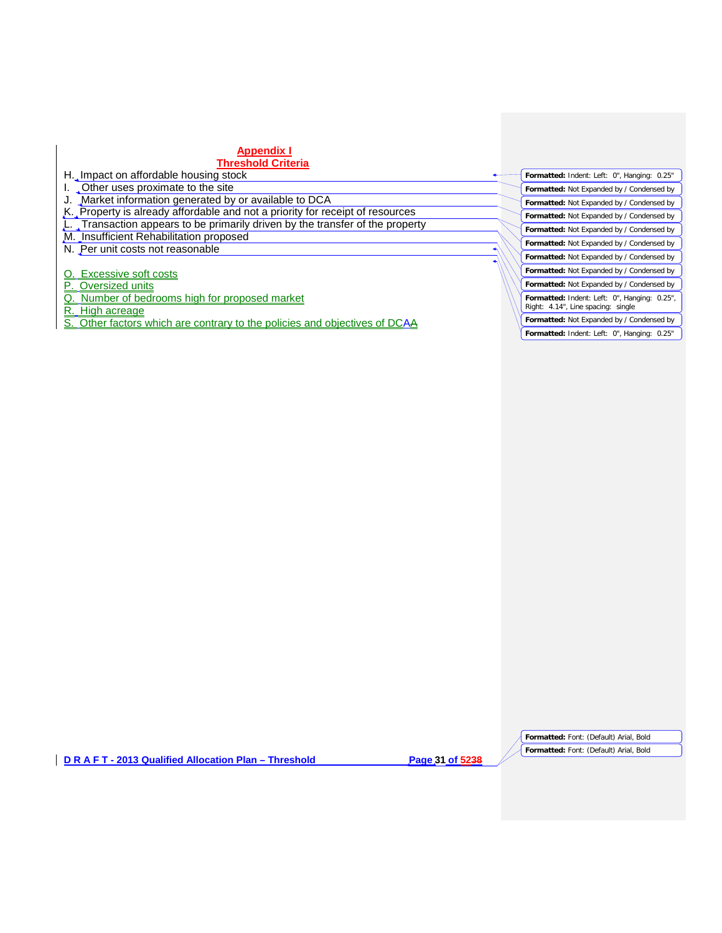# **Appendix I**

# **Threshold Criteria**

H. Impact on affordable housing stock

I. Other uses proximate to the site<br>J. Market information generated by Market information generated by or available to DCA

K. Property is already affordable and not a priority for receipt of resources

L. Transaction appears to be primarily driven by the transfer of the property

M. Insufficient Rehabilitation proposed

N. Per unit costs not reasonable

O. Excessive soft costs

P. Oversized units

Q. Number of bedrooms high for proposed market

R. High acreage

Other factors which are contrary to the policies and objectives of DCAA

**Formatted:** Indent: Left: 0", Hanging: 0.25" **Formatted:** Not Expanded by / Condensed by **Formatted:** Not Expanded by / Condensed by **Formatted:** Not Expanded by / Condensed by **Formatted:** Not Expanded by / Condensed by **Formatted:** Not Expanded by / Condensed by **Formatted:** Not Expanded by / Condensed by **Formatted:** Not Expanded by / Condensed by **Formatted:** Not Expanded by / Condensed by **Formatted:** Indent: Left: 0", Hanging: 0.25", Right: 4.14", Line spacing: single **Formatted:** Not Expanded by / Condensed by **Formatted:** Indent: Left: 0", Hanging: 0.25"

**D R A F T - 2013 Qualified Allocation Plan – Threshold Page 31 of 5238**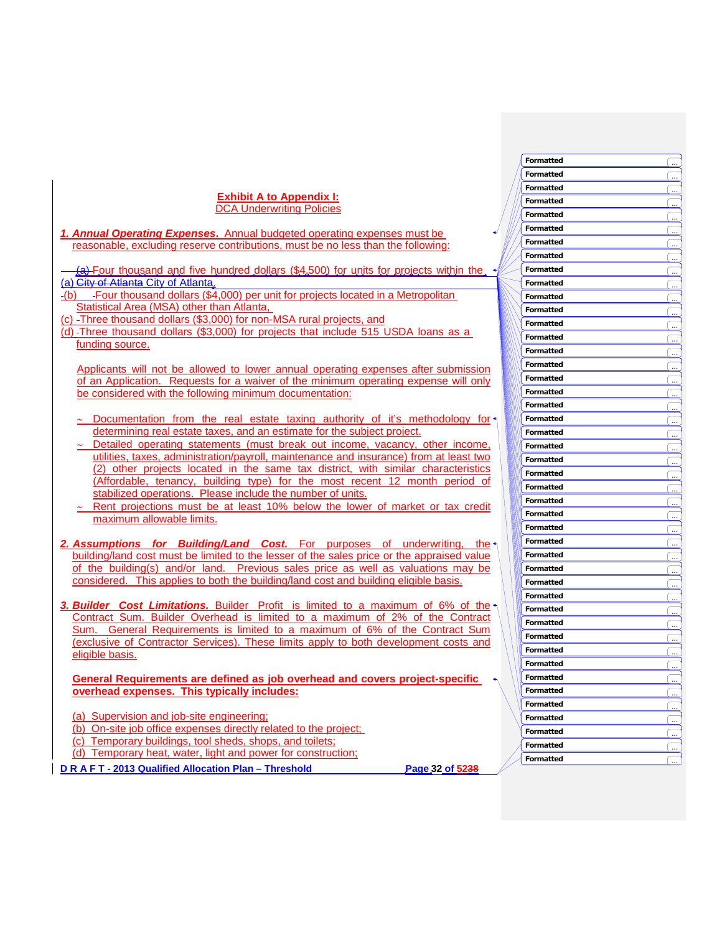#### **Exhibit A to Appendix I:** DCA Underwriting Policies

- 1. Annual Operating Expenses. Annual budgeted operating expenses must be <u>reasonable, excluding reserve contributions, must be no less than the following:</u>
- (a) Four thousand and five hundred dollars (\$4,500) for units for projects within the <u>(a) <del>City of Atlanta</del> City of Atlanta,</u>
- (b) -Four thousand dollars (\$4,000) per unit for projects located in a Metropolitan Statistical Area (MSA) other than Atlanta,
- (c) -Three thousand dollars (\$3,000) for non-MSA rural projects, and
- (d) Three thousand dollars (\$3,000) for projects that include 515 USDA loans as a funding source.

Applicants will not be allowed to lower annual operating expenses after submission <u>of an Application. Requests for a waiver of the minimum operating expense will only</u> be considered with the following minimum documentation:

- ∼ Documentation from the real estate taxing authority of it's methodology for determining real estate taxes, and an estimate for the subject project.
- Detailed operating statements (must break out income, vacancy, other income, utilities, taxes, administration/payroll, maintenance and insurance) from at least two (2) other projects located in the same tax district, with similar characteristics (Affordable, tenancy, building type) for the most recent 12 month period of stabilized operations. Please include the number of units.
- Rent projections must be at least 10% below the lower of market or tax credit maximum allowable limits.
- 2. Assumptions for Building/Land Cost. For purposes of underwriting, t <u>he</u>· building/land cost must be limited to the lesser of the sales price or the appraised value of the building(s) and/or land. Previous sales price as well as valuations may be considered. This applies to both the building/land cost and building eligible basis.
- **3. Builder Cost Limitations.** Builder Profit is limited to a maximum of 6% of the Contract Sum. Builder Overhead is limited to a maximum of 2% of the Contract Sum. General Requirements is limited to a maximum of 6% of the Contract Sum (exclusive of Contractor Services). These limits apply to both development costs and eligible basis.

<u>General Requirements are defined as job overhead and covers project-specific</u> **<u>overhead expenses. This typically includes:</u>** 

- (a) Supervision and job-site engineering;
- (b) On-site job office expenses directly related to the project;
- (c) Temporary buildings, tool sheds, shops, and toilets;

(d) Temporary heat, water, light and power for construction;

**D R A F T - 2013 Q u a l ified Alloca t ion P lan – Thresho l**

**d Page 32 of 5 2 3 8**

**Formatted Formatted** 

**Formatted Formatted** 

**Formatted Formatted** 

**Formatted** 

**Formatted** 

**Formatted** 

**Formatted Formatted Formatted Formatted** ...

**Formatted** 

**Formatted Formatted** ... **Formatted** 

**Formatted Formatted Formatted** ... **Formatted Formatted** ... **Formatted Formatted Formatted** ... **Formatted** 

**Formatted Formatted** ... **Formatted Formatted Formatted** ... **Formatted Formatted Formatted Formatted Formatted** ... **Formatted Formatted** 

**Formatted** 

**Formatted** ...

**Formatted** ...

**Formatted** ...

**Formatted** ... **Formatted** ...

**Formatted** ...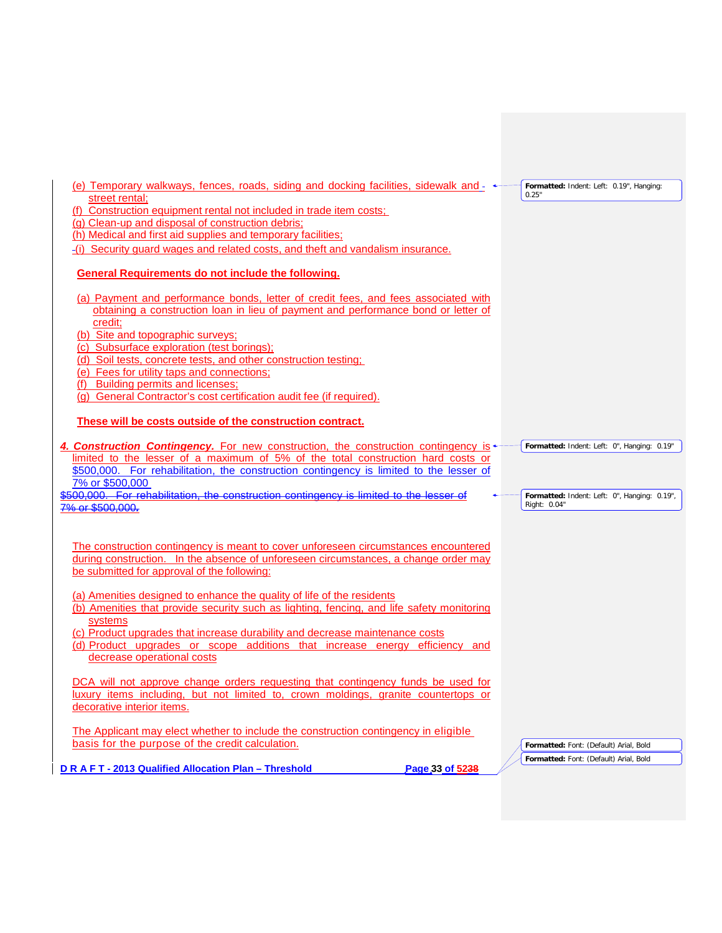| (e) Temporary walkways, fences, roads, siding and docking facilities, sidewalk and -                                                                                     | Formatted: Indent: Left: 0.19", Hanging:     |
|--------------------------------------------------------------------------------------------------------------------------------------------------------------------------|----------------------------------------------|
| street rental;                                                                                                                                                           | 0.25"                                        |
| (f) Construction equipment rental not included in trade item costs;<br>(g) Clean-up and disposal of construction debris;                                                 |                                              |
| (h) Medical and first aid supplies and temporary facilities;                                                                                                             |                                              |
| -(i) Security guard wages and related costs, and theft and vandalism insurance.                                                                                          |                                              |
|                                                                                                                                                                          |                                              |
| General Requirements do not include the following.                                                                                                                       |                                              |
| (a) Payment and performance bonds, letter of credit fees, and fees associated with                                                                                       |                                              |
| obtaining a construction loan in lieu of payment and performance bond or letter of                                                                                       |                                              |
| credit;                                                                                                                                                                  |                                              |
| (b) Site and topographic surveys;                                                                                                                                        |                                              |
| (c) Subsurface exploration (test borings);                                                                                                                               |                                              |
| (d) Soil tests, concrete tests, and other construction testing;                                                                                                          |                                              |
| (e) Fees for utility taps and connections;<br>(f) Building permits and licenses;                                                                                         |                                              |
| (g) General Contractor's cost certification audit fee (if required).                                                                                                     |                                              |
|                                                                                                                                                                          |                                              |
| These will be costs outside of the construction contract.                                                                                                                |                                              |
| 4. Construction Contingency. For new construction, the construction contingency is +<br>limited to the lesser of a maximum of 5% of the total construction hard costs or | Formatted: Indent: Left: 0", Hanging: 0.19"  |
| \$500,000. For rehabilitation, the construction contingency is limited to the lesser of                                                                                  |                                              |
| 7% or \$500,000<br>500.000. For rehabilitation, the construction contingency is limited                                                                                  | Formatted: Indent: Left: 0", Hanging: 0.19", |
| or \$500,000.                                                                                                                                                            | Right: 0.04"                                 |
|                                                                                                                                                                          |                                              |
|                                                                                                                                                                          |                                              |
| The construction contingency is meant to cover unforeseen circumstances encountered                                                                                      |                                              |
| during construction. In the absence of unforeseen circumstances, a change order may                                                                                      |                                              |
| be submitted for approval of the following:                                                                                                                              |                                              |
| (a) Amenities designed to enhance the quality of life of the residents                                                                                                   |                                              |
| (b) Amenities that provide security such as lighting, fencing, and life safety monitoring                                                                                |                                              |
| systems                                                                                                                                                                  |                                              |
| (c) Product upgrades that increase durability and decrease maintenance costs                                                                                             |                                              |
| (d) Product upgrades or scope additions that increase energy efficiency and                                                                                              |                                              |
| decrease operational costs                                                                                                                                               |                                              |
| DCA will not approve change orders requesting that contingency funds be used for                                                                                         |                                              |
| luxury items including, but not limited to, crown moldings, granite countertops or                                                                                       |                                              |
| decorative interior items.                                                                                                                                               |                                              |
|                                                                                                                                                                          |                                              |
| The Applicant may elect whether to include the construction contingency in eligible<br>basis for the purpose of the credit calculation.                                  |                                              |
|                                                                                                                                                                          | Formatted: Font: (Default) Arial, Bold       |
| DRAFT-2013 Qualified Allocation Plan - Threshold<br>Page 33 of 5238                                                                                                      | Formatted: Font: (Default) Arial, Bold       |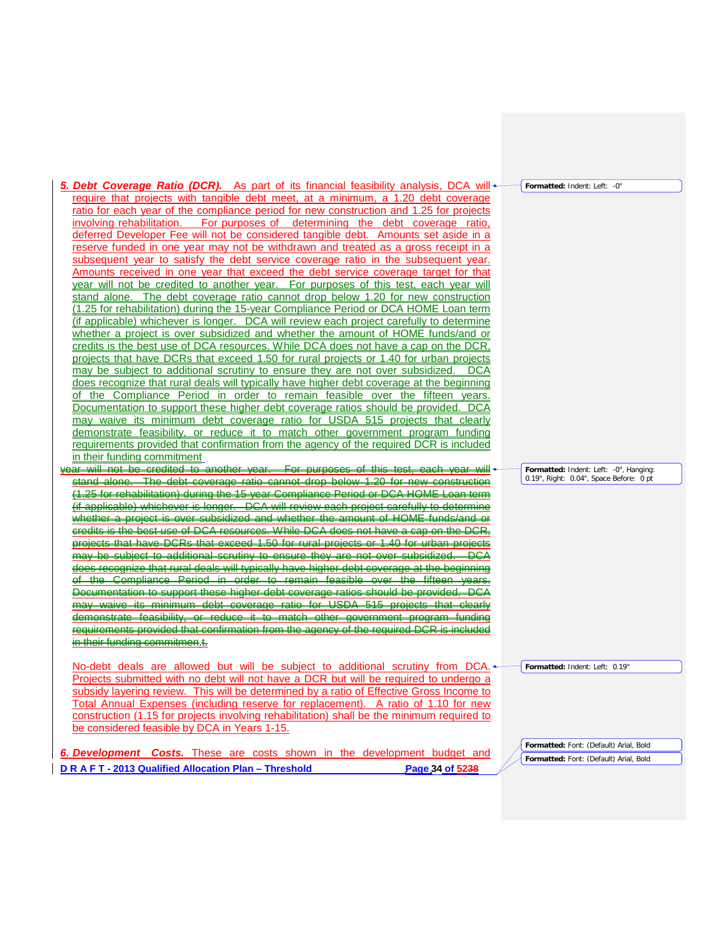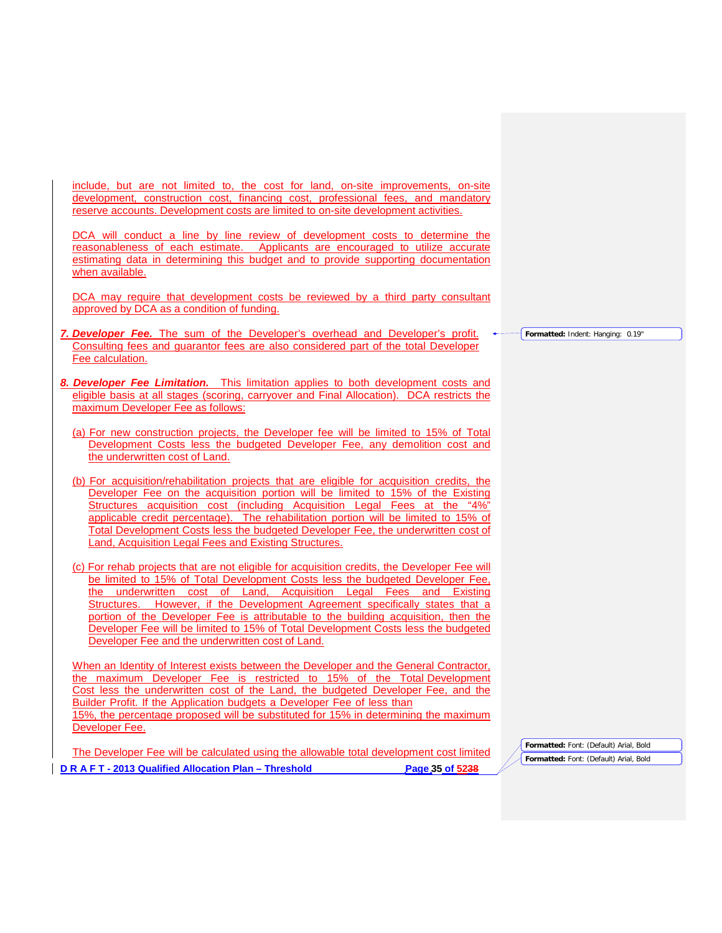include, but are not limited to, the cost for land, on-site improvements, on-site development, construction cost, financing cost, professional fees, and mandatory reserve accounts. Development costs are limited to on-site development activities.

DCA will conduct a line by line review of development costs to determine the reasonableness of each estimate. Applicants are encouraged to utilize accurate estimating data in determining this budget and to provide supporting documentation when available.

DCA may require that development costs be reviewed by a third party consultant approved by DCA as a condition of funding.

- *7. Developer Fee.* The sum of the Developer's overhead and Developer's profit. Consulting fees and guarantor fees are also considered part of the total Developer Fee calculation.
- *8. Developer Fee Limitation.* This limitation applies to both development costs and eligible basis at all stages (scoring, carryover and Final Allocation). DCA restricts the maximum Developer Fee as follows:
	- (a) For new construction projects, the Developer fee will be limited to 15% of Total Development Costs less the budgeted Developer Fee, any demolition cost and the underwritten cost of Land.
	- (b) For acquisition/rehabilitation projects that are eligible for acquisition credits, the Developer Fee on the acquisition portion will be limited to 15% of the Existing Structures acquisition cost (including Acquisition Legal Fees at the "4%" applicable credit percentage). The rehabilitation portion will be limited to 15% of Total Development Costs less the budgeted Developer Fee, the underwritten cost of Land, Acquisition Legal Fees and Existing Structures.
	- (c) For rehab projects that are not eligible for acquisition credits, the Developer Fee will be limited to 15% of Total Development Costs less the budgeted Developer Fee, the underwritten cost of Land, Acquisition Legal Fees and Existing Structures. However, if the Development Agreement specifically states that a portion of the Developer Fee is attributable to the building acquisition, then the Developer Fee will be limited to 15% of Total Development Costs less the budgeted Developer Fee and the underwritten cost of Land.

When an Identity of Interest exists between the Developer and the General Contractor, the maximum Developer Fee is restricted to 15% of the Total Development Cost less the underwritten cost of the Land, the budgeted Developer Fee, and the Builder Profit. If the Application budgets a Developer Fee of less than 15%, the percentage proposed will be substituted for 15% in determining the maximum Developer Fee.

**D R A F T - 2013 Qualified Allocation Plan – Threshold Page 35 of 5238** The Developer Fee will be calculated using the allowable total development cost limited

**Formatted:** Font: (Default) Arial, Bold **Formatted:** Font: (Default) Arial, Bold

**Formatted:** Indent: Hanging: 0.19"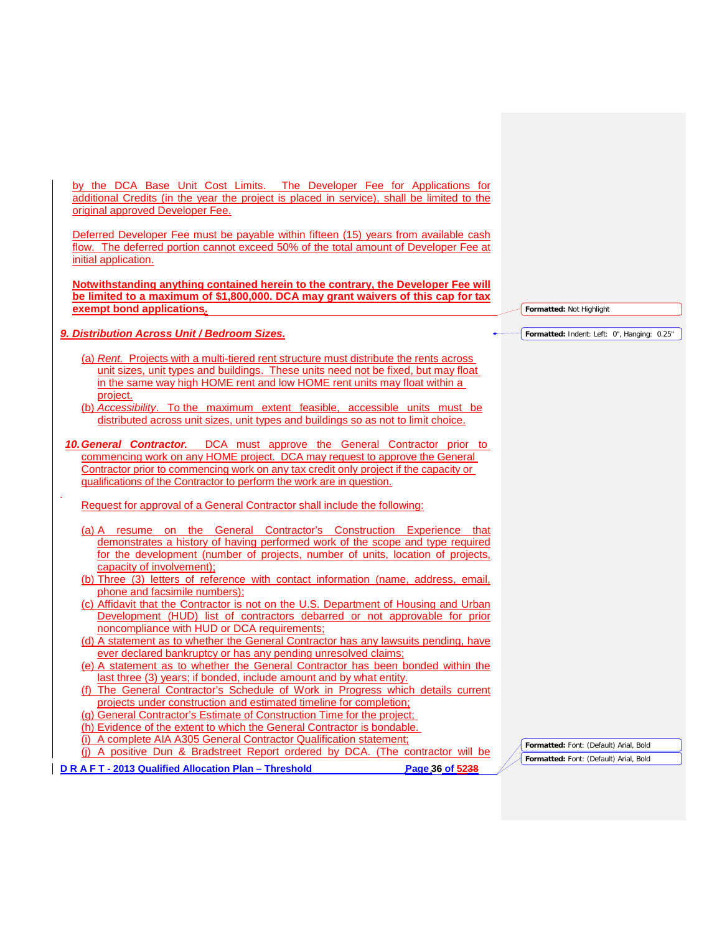by the DCA Base Unit Cost Limits. The Developer Fee for Applications for additional Credits (in the year the project is placed in service), shall be limited to the original approved Developer Fee.

Deferred Developer Fee must be payable within fifteen (15) years from available cash flow. The deferred portion cannot exceed 50% of the total amount of Developer Fee at initial application.

**Notwithstanding anything contained herein to the contrary, the Developer Fee will be limited to a maximum of \$1,800,000. DCA may grant waivers of this cap for tax exempt bond applications.**

# *9. Distribution Across Unit / Bedroom Sizes.*

- (a) *Rent.* Projects with a multi-tiered rent structure must distribute the rents across unit sizes, unit types and buildings. These units need not be fixed, but may float in the same way high HOME rent and low HOME rent units may float within a project.
- (b) *Accessibility*. To the maximum extent feasible, accessible units must be distributed across unit sizes, unit types and buildings so as not to limit choice.
- *10.General Contractor.* DCA must approve the General Contractor prior to commencing work on any HOME project. DCA may request to approve the General Contractor prior to commencing work on any tax credit only project if the capacity or qualifications of the Contractor to perform the work are in question.

Request for approval of a General Contractor shall include the following:

- (a) A resume on the General Contractor's Construction Experience that demonstrates a history of having performed work of the scope and type required for the development (number of projects, number of units, location of projects, capacity of involvement);
- (b) Three (3) letters of reference with contact information (name, address, email, phone and facsimile numbers);
- (c) Affidavit that the Contractor is not on the U.S. Department of Housing and Urban Development (HUD) list of contractors debarred or not approvable for prior noncompliance with HUD or DCA requirements;
- (d) A statement as to whether the General Contractor has any lawsuits pending, have ever declared bankruptcy or has any pending unresolved claims;
- (e) A statement as to whether the General Contractor has been bonded within the last three (3) years; if bonded, include amount and by what entity.
- (f) The General Contractor's Schedule of Work in Progress which details current projects under construction and estimated timeline for completion;
- (g) General Contractor's Estimate of Construction Time for the project;
- (h) Evidence of the extent to which the General Contractor is bondable.
- (i) A complete AIA A305 General Contractor Qualification statement;

(j) A positive Dun & Bradstreet Report ordered by DCA. (The contractor will be

**D R A F T - 2013 Qualified Allocation Plan – Threshold Page 36 of 5238**

**Formatted:** Not Highlight

**Formatted:** Indent: Left: 0", Hanging: 0.25"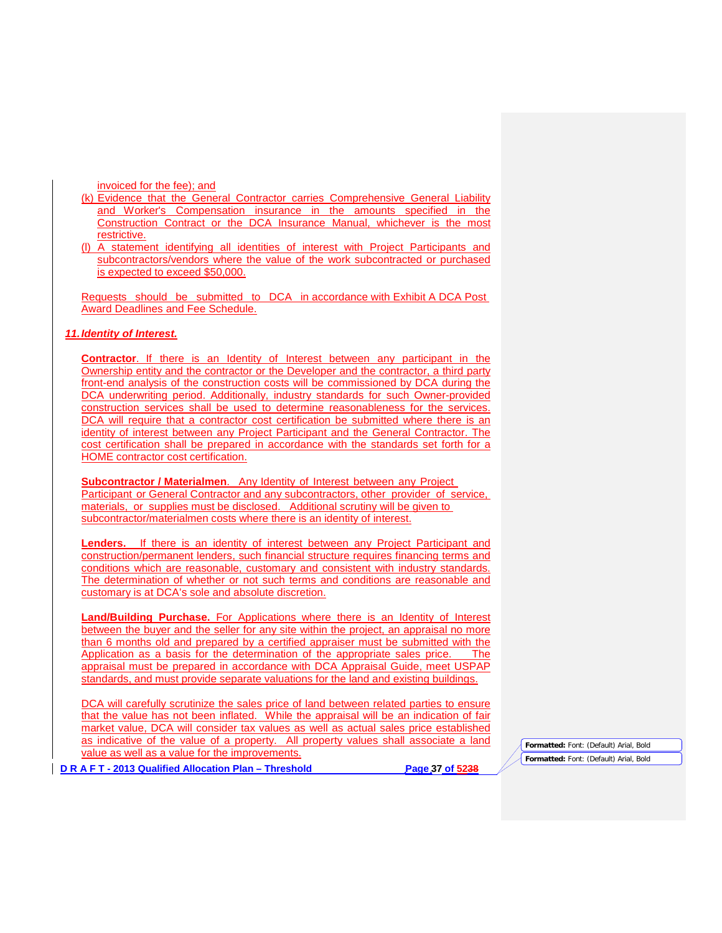invoiced for the fee); and

- (k) Evidence that the General Contractor carries Comprehensive General Liability and Worker's Compensation insurance in the amounts specified in the Construction Contract or the DCA Insurance Manual, whichever is the most restrictive.
- (l) A statement identifying all identities of interest with Project Participants and subcontractors/vendors where the value of the work subcontracted or purchased is expected to exceed \$50,000.

Requests should be submitted to DCA in accordance with Exhibit A DCA Post Award Deadlines and Fee Schedule.

# *11.Identity of Interest.*

**Contractor**. If there is an Identity of Interest between any participant in the Ownership entity and the contractor or the Developer and the contractor, a third party front-end analysis of the construction costs will be commissioned by DCA during the DCA underwriting period. Additionally, industry standards for such Owner-provided construction services shall be used to determine reasonableness for the services. DCA will require that a contractor cost certification be submitted where there is an identity of interest between any Project Participant and the General Contractor. The cost certification shall be prepared in accordance with the standards set forth for a HOME contractor cost certification.

**Subcontractor / Materialmen**. Any Identity of Interest between any Project Participant or General Contractor and any subcontractors, other provider of service, materials, or supplies must be disclosed. Additional scrutiny will be given to subcontractor/materialmen costs where there is an identity of interest.

Lenders. If there is an identity of interest between any Project Participant and construction/permanent lenders, such financial structure requires financing terms and conditions which are reasonable, customary and consistent with industry standards. The determination of whether or not such terms and conditions are reasonable and customary is at DCA's sole and absolute discretion.

**Land/Building Purchase.** For Applications where there is an Identity of Interest between the buyer and the seller for any site within the project, an appraisal no more than 6 months old and prepared by a certified appraiser must be submitted with the Application as a basis for the determination of the appropriate sales price. The appraisal must be prepared in accordance with DCA Appraisal Guide, meet USPAP standards, and must provide separate valuations for the land and existing buildings.

DCA will carefully scrutinize the sales price of land between related parties to ensure that the value has not been inflated. While the appraisal will be an indication of fair market value, DCA will consider tax values as well as actual sales price established as indicative of the value of a property. All property values shall associate a land value as well as a value for the improvements.

**D R A F T - 2013 Qualified Allocation Plan – Threshold Page 37 of 5238**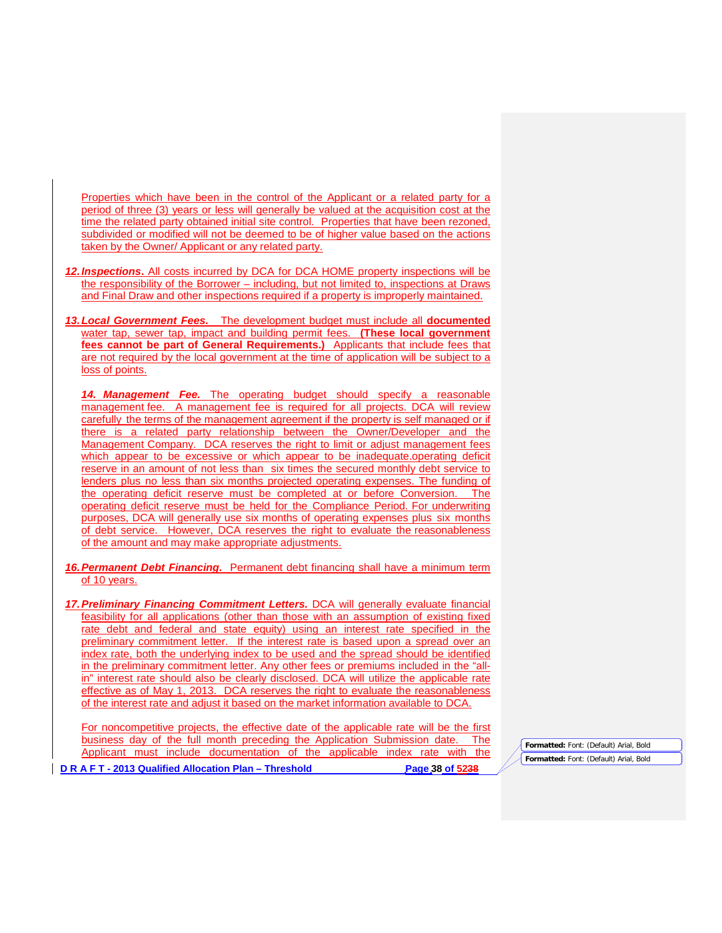Properties which have been in the control of the Applicant or a related party for a period of three (3) years or less will generally be valued at the acquisition cost at the time the related party obtained initial site control. Properties that have been rezoned, subdivided or modified will not be deemed to be of higher value based on the actions taken by the Owner/ Applicant or any related party.

- *12.Inspections***.** All costs incurred by DCA for DCA HOME property inspections will be the responsibility of the Borrower – including, but not limited to, inspections at Draws and Final Draw and other inspections required if a property is improperly maintained.
- *13.Local Government Fees.* The development budget must include all **documented**  water tap, sewer tap, impact and building permit fees. **(These local government fees cannot be part of General Requirements.)** Applicants that include fees that are not required by the local government at the time of application will be subject to a loss of points.

*14. Management Fee.* The operating budget should specify a reasonable management fee. A management fee is required for all projects. DCA will review carefully the terms of the management agreement if the property is self managed or if there is a related party relationship between the Owner/Developer and the Management Company. DCA reserves the right to limit or adjust management fees which appear to be excessive or which appear to be inadequate.operating deficit reserve in an amount of not less than six times the secured monthly debt service to lenders plus no less than six months projected operating expenses. The funding of the operating deficit reserve must be completed at or before Conversion. The operating deficit reserve must be held for the Compliance Period. For underwriting purposes, DCA will generally use six months of operating expenses plus six months of debt service. However, DCA reserves the right to evaluate the reasonableness of the amount and may make appropriate adjustments.

- *16.Permanent Debt Financing.* Permanent debt financing shall have a minimum term of 10 years.
- *17.Preliminary Financing Commitment Letters.* DCA will generally evaluate financial feasibility for all applications (other than those with an assumption of existing fixed rate debt and federal and state equity) using an interest rate specified in the preliminary commitment letter. If the interest rate is based upon a spread over an index rate, both the underlying index to be used and the spread should be identified in the preliminary commitment letter. Any other fees or premiums included in the "allin" interest rate should also be clearly disclosed. DCA will utilize the applicable rate effective as of May 1, 2013. DCA reserves the right to evaluate the reasonableness of the interest rate and adjust it based on the market information available to DCA.

For noncompetitive projects, the effective date of the applicable rate will be the first business day of the full month preceding the Application Submission date. The Applicant must include documentation of the applicable index rate with the

**Formatted:** Font: (Default) Arial, Bold **Formatted:** Font: (Default) Arial, Bold

**D R A F T - 2013 Qualified Allocation Plan – Threshold Page 38 of 5238**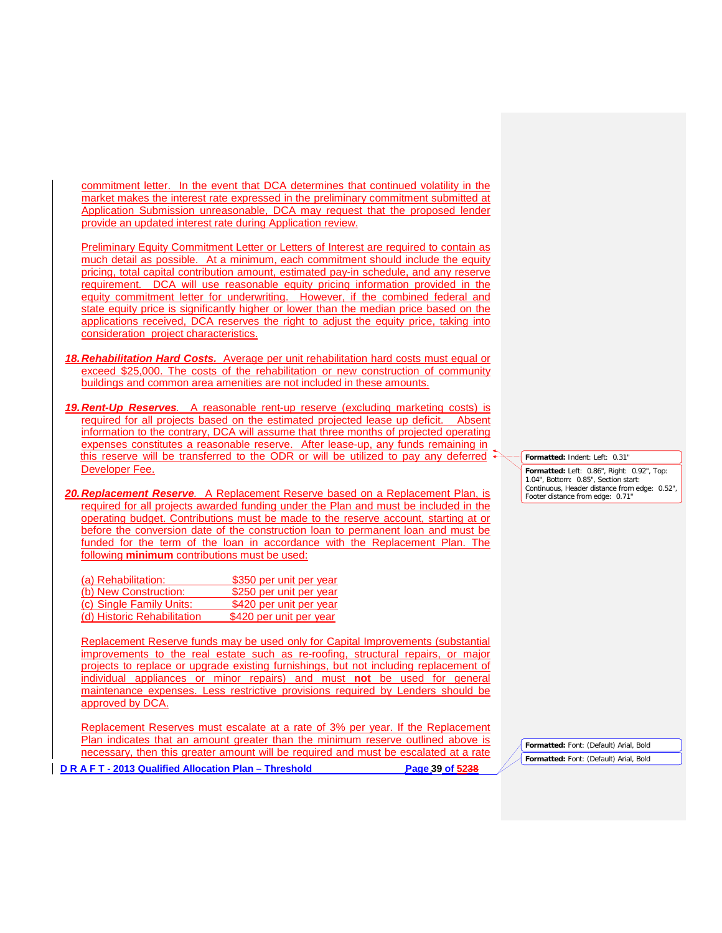commitment letter. In the event that DCA determines that continued volatility in the market makes the interest rate expressed in the preliminary commitment submitted at Application Submission unreasonable, DCA may request that the proposed lender provide an updated interest rate during Application review.

Preliminary Equity Commitment Letter or Letters of Interest are required to contain as much detail as possible. At a minimum, each commitment should include the equity pricing, total capital contribution amount, estimated pay-in schedule, and any reserve requirement. DCA will use reasonable equity pricing information provided in the equity commitment letter for underwriting. However, if the combined federal and state equity price is significantly higher or lower than the median price based on the applications received, DCA reserves the right to adjust the equity price, taking into consideration project characteristics.

- *18.Rehabilitation Hard Costs.* Average per unit rehabilitation hard costs must equal or exceed \$25,000. The costs of the rehabilitation or new construction of community buildings and common area amenities are not included in these amounts.
- *19.Rent-Up Reserves.* A reasonable rent-up reserve (excluding marketing costs) is required for all projects based on the estimated projected lease up deficit. Absent information to the contrary, DCA will assume that three months of projected operating expenses constitutes a reasonable reserve. After lease-up, any funds remaining in this reserve will be transferred to the ODR or will be utilized to pay any deferred Developer Fee.

*20.Replacement Reserve.* A Replacement Reserve based on a Replacement Plan, is required for all projects awarded funding under the Plan and must be included in the operating budget. Contributions must be made to the reserve account, starting at or before the conversion date of the construction loan to permanent loan and must be funded for the term of the loan in accordance with the Replacement Plan. The following **minimum** contributions must be used:

| (a) Rehabilitation:         | \$350 per unit per year |
|-----------------------------|-------------------------|
| (b) New Construction:       | \$250 per unit per year |
| (c) Single Family Units:    | \$420 per unit per year |
| (d) Historic Rehabilitation | \$420 per unit per year |

Replacement Reserve funds may be used only for Capital Improvements (substantial improvements to the real estate such as re-roofing, structural repairs, or major projects to replace or upgrade existing furnishings, but not including replacement of individual appliances or minor repairs) and must **not** be used for general maintenance expenses. Less restrictive provisions required by Lenders should be approved by DCA.

**D R A F T - 2013 Qualified Allocation Plan – Threshold Page 39 of 5238** Replacement Reserves must escalate at a rate of 3% per year. If the Replacement Plan indicates that an amount greater than the minimum reserve outlined above is necessary, then this greater amount will be required and must be escalated at a rate

**Formatted:** Font: (Default) Arial, Bold **Formatted:** Font: (Default) Arial, Bold

**Formatted:** Indent: Left: 0.31" **Formatted:** Left: 0.86", Right: 0.92", Top:

1.04", Bottom: 0.85", Section start: Continuous, Header distance from edge: 0.52", Footer distance from edge: 0.71"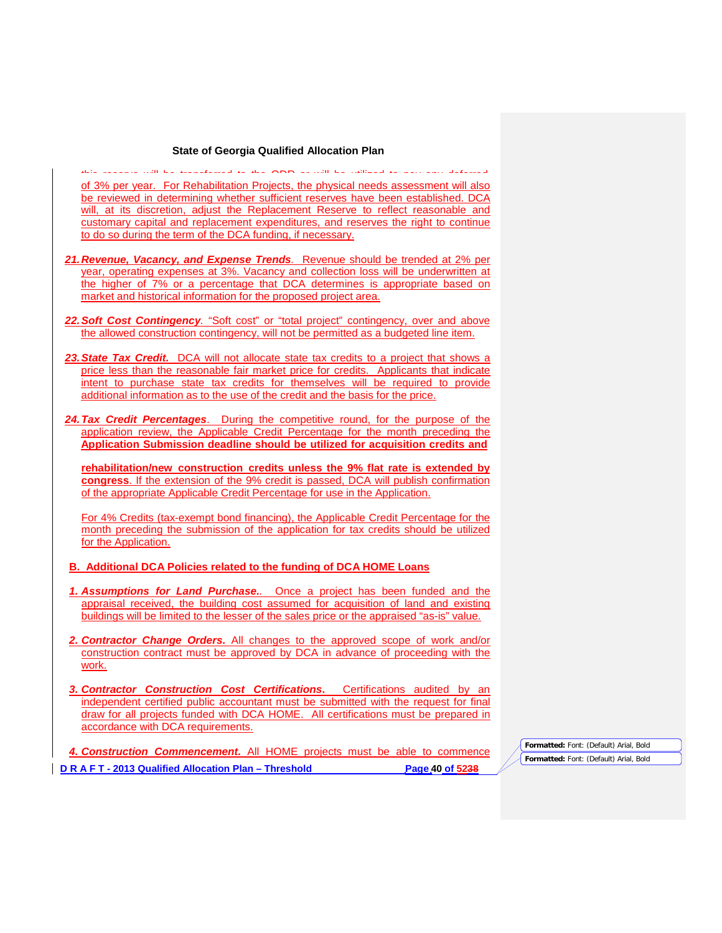#### **State of Georgia Qualified Allocation Plan**

this reserve will be transferred to the ODR or will be utilized to pay any deferred of 3% per year. For Rehabilitation Projects, the physical needs assessment will also be reviewed in determining whether sufficient reserves have been established. DCA will, at its discretion, adjust the Replacement Reserve to reflect reasonable and customary capital and replacement expenditures, and reserves the right to continue to do so during the term of the DCA funding, if necessary.

- *21.Revenue, Vacancy, and Expense Trends.* Revenue should be trended at 2% per year, operating expenses at 3%. Vacancy and collection loss will be underwritten at the higher of 7% or a percentage that DCA determines is appropriate based on market and historical information for the proposed project area.
- *22.Soft Cost Contingency.* "Soft cost" or "total project" contingency, over and above the allowed construction contingency, will not be permitted as a budgeted line item.
- *23.State Tax Credit.* DCA will not allocate state tax credits to a project that shows a price less than the reasonable fair market price for credits. Applicants that indicate intent to purchase state tax credits for themselves will be required to provide additional information as to the use of the credit and the basis for the price.
- *24.Tax Credit Percentages*. During the competitive round, for the purpose of the application review, the Applicable Credit Percentage for the month preceding the **Application Submission deadline should be utilized for acquisition credits and**

**rehabilitation/new construction credits unless the 9% flat rate is extended by congress**. If the extension of the 9% credit is passed, DCA will publish confirmation of the appropriate Applicable Credit Percentage for use in the Application.

For 4% Credits (tax-exempt bond financing), the Applicable Credit Percentage for the month preceding the submission of the application for tax credits should be utilized for the Application.

#### **B. Additional DCA Policies related to the funding of DCA HOME Loans**

- *1. Assumptions for Land Purchase..* Once a project has been funded and the appraisal received, the building cost assumed for acquisition of land and existing buildings will be limited to the lesser of the sales price or the appraised "as-is" value.
- *2. Contractor Change Orders.* All changes to the approved scope of work and/or construction contract must be approved by DCA in advance of proceeding with the work.
- *3. Contractor Construction Cost Certifications***.** Certifications audited by an independent certified public accountant must be submitted with the request for final draw for all projects funded with DCA HOME. All certifications must be prepared in accordance with DCA requirements.

**D R A F T - 2013 Qualified Allocation Plan – Threshold Page 40 of 5238** *4. Construction Commencement.* All HOME projects must be able to commence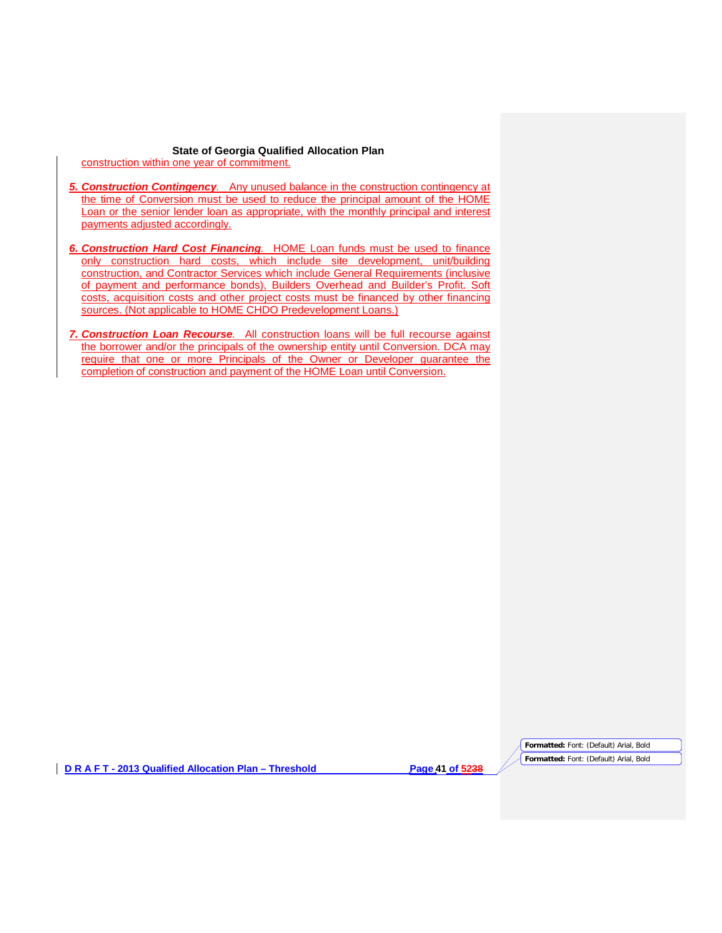**State of Georgia Qualified Allocation Plan** construction within one year of commitment.

- *5. Construction Contingency.* Any unused balance in the construction contingency at the time of Conversion must be used to reduce the principal amount of the HOME Loan or the senior lender loan as appropriate, with the monthly principal and interest payments adjusted accordingly.
- *6. Construction Hard Cost Financing.* HOME Loan funds must be used to finance only construction hard costs, which include site development, unit/building construction, and Contractor Services which include General Requirements (inclusive of payment and performance bonds), Builders Overhead and Builder's Profit. Soft costs, acquisition costs and other project costs must be financed by other financing sources. (Not applicable to HOME CHDO Predevelopment Loans.)
- *7. Construction Loan Recourse.* All construction loans will be full recourse against the borrower and/or the principals of the ownership entity until Conversion. DCA may require that one or more Principals of the Owner or Developer guarantee the completion of construction and payment of the HOME Loan until Conversion.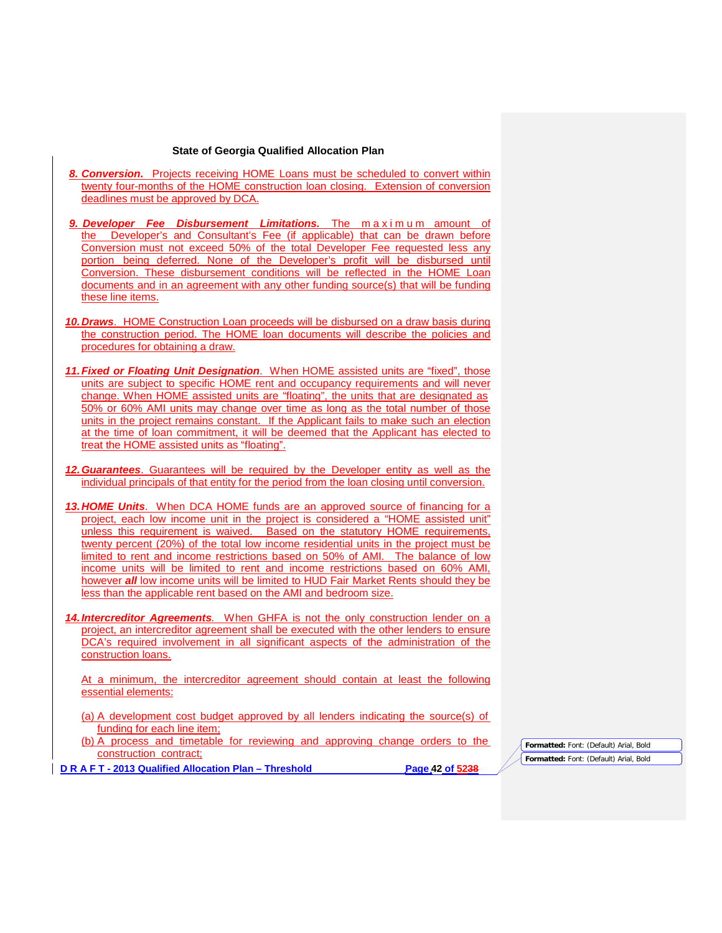#### **State of Georgia Qualified Allocation Plan**

- *8. Conversion.* Projects receiving HOME Loans must be scheduled to convert within twenty four-months of the HOME construction loan closing. Extension of conversion deadlines must be approved by DCA.
- *9. Developer Fee Disbursement Limitations.* The maximum amount of the Developer's and Consultant's Fee (if applicable) that can be drawn before Conversion must not exceed 50% of the total Developer Fee requested less any portion being deferred. None of the Developer's profit will be disbursed until Conversion. These disbursement conditions will be reflected in the HOME Loan documents and in an agreement with any other funding source(s) that will be funding these line items.
- *10.Draws*. HOME Construction Loan proceeds will be disbursed on a draw basis during the construction period. The HOME loan documents will describe the policies and procedures for obtaining a draw.
- *11.Fixed or Floating Unit Designation*. When HOME assisted units are "fixed", those units are subject to specific HOME rent and occupancy requirements and will never change. When HOME assisted units are "floating", the units that are designated as 50% or 60% AMI units may change over time as long as the total number of those units in the project remains constant. If the Applicant fails to make such an election at the time of loan commitment, it will be deemed that the Applicant has elected to treat the HOME assisted units as "floating".
- *12.Guarantees*. Guarantees will be required by the Developer entity as well as the individual principals of that entity for the period from the loan closing until conversion.
- *13.HOME Units*. When DCA HOME funds are an approved source of financing for a project, each low income unit in the project is considered a "HOME assisted unit" unless this requirement is waived. Based on the statutory HOME requirements, twenty percent (20%) of the total low income residential units in the project must be limited to rent and income restrictions based on 50% of AMI. The balance of low income units will be limited to rent and income restrictions based on 60% AMI, however *all* low income units will be limited to HUD Fair Market Rents should they be less than the applicable rent based on the AMI and bedroom size.
- *14.Intercreditor Agreements.* When GHFA is not the only construction lender on a project, an intercreditor agreement shall be executed with the other lenders to ensure DCA's required involvement in all significant aspects of the administration of the construction loans.

At a minimum, the intercreditor agreement should contain at least the following essential elements:

- (a) A development cost budget approved by all lenders indicating the source(s) of funding for each line item;
- (b) A process and timetable for reviewing and approving change orders to the construction contract;

**D R A F T - 2013 Qualified Allocation Plan – Threshold Page 42 of 5238**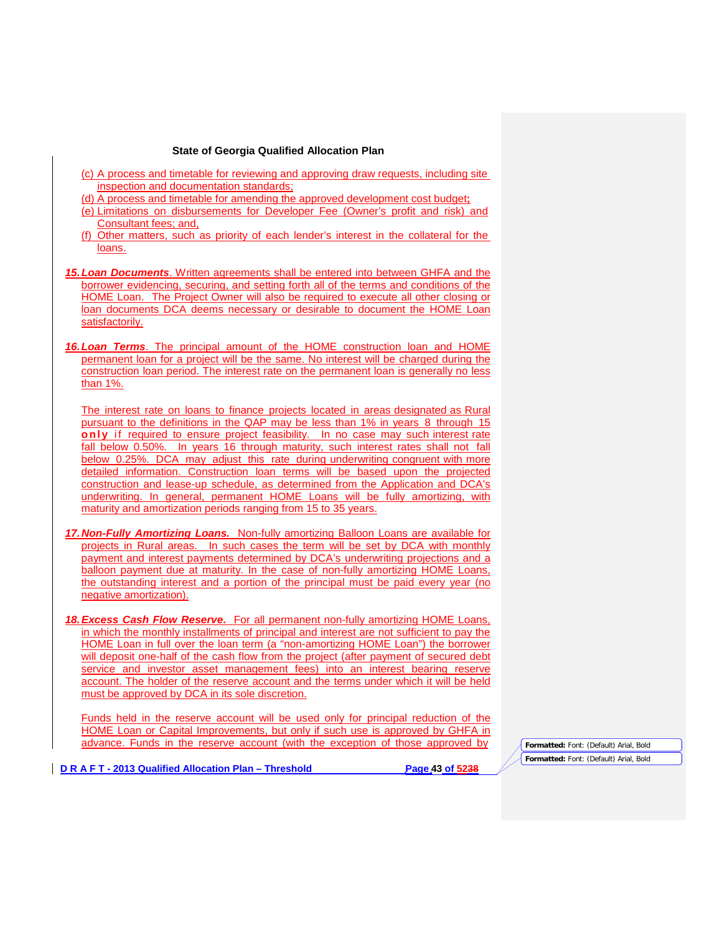- (c) A process and timetable for reviewing and approving draw requests, including site inspection and documentation standards;
- (d) A process and timetable for amending the approved development cost budget**;**
- (e) Limitations on disbursements for Developer Fee (Owner's profit and risk) and Consultant fees; and,
- (f) Other matters, such as priority of each lender's interest in the collateral for the loans.
- *15.Loan Documents*. Written agreements shall be entered into between GHFA and the borrower evidencing, securing, and setting forth all of the terms and conditions of the HOME Loan. The Project Owner will also be required to execute all other closing or loan documents DCA deems necessary or desirable to document the HOME Loan satisfactorily.
- *16.Loan Terms*. The principal amount of the HOME construction loan and HOME permanent loan for a project will be the same. No interest will be charged during the construction loan period. The interest rate on the permanent loan is generally no less than 1%.

The interest rate on loans to finance projects located in areas designated as Rural pursuant to the definitions in the QAP may be less than 1% in years 8 through 15 **only** if required to ensure project feasibility. In no case may such interest rate fall below 0.50%. In years 16 through maturity, such interest rates shall not fall below 0.25%. DCA may adjust this rate during underwriting congruent with more detailed information. Construction loan terms will be based upon the projected construction and lease-up schedule, as determined from the Application and DCA's underwriting. In general, permanent HOME Loans will be fully amortizing, with maturity and amortization periods ranging from 15 to 35 years.

- *17.Non-Fully Amortizing Loans.* Non-fully amortizing Balloon Loans are available for projects in Rural areas. In such cases the term will be set by DCA with monthly payment and interest payments determined by DCA's underwriting projections and a balloon payment due at maturity. In the case of non-fully amortizing HOME Loans, the outstanding interest and a portion of the principal must be paid every year (no negative amortization).
- *18.Excess Cash Flow Reserve***.** For all permanent non-fully amortizing HOME Loans, in which the monthly installments of principal and interest are not sufficient to pay the HOME Loan in full over the loan term (a "non-amortizing HOME Loan") the borrower will deposit one-half of the cash flow from the project (after payment of secured debt service and investor asset management fees) into an interest bearing reserve account. The holder of the reserve account and the terms under which it will be held must be approved by DCA in its sole discretion.

Funds held in the reserve account will be used only for principal reduction of the HOME Loan or Capital Improvements, but only if such use is approved by GHFA in advance. Funds in the reserve account (with the exception of those approved by

**D R A F T - 2013 Qualified Allocation Plan – Threshold Page 43 of 5238**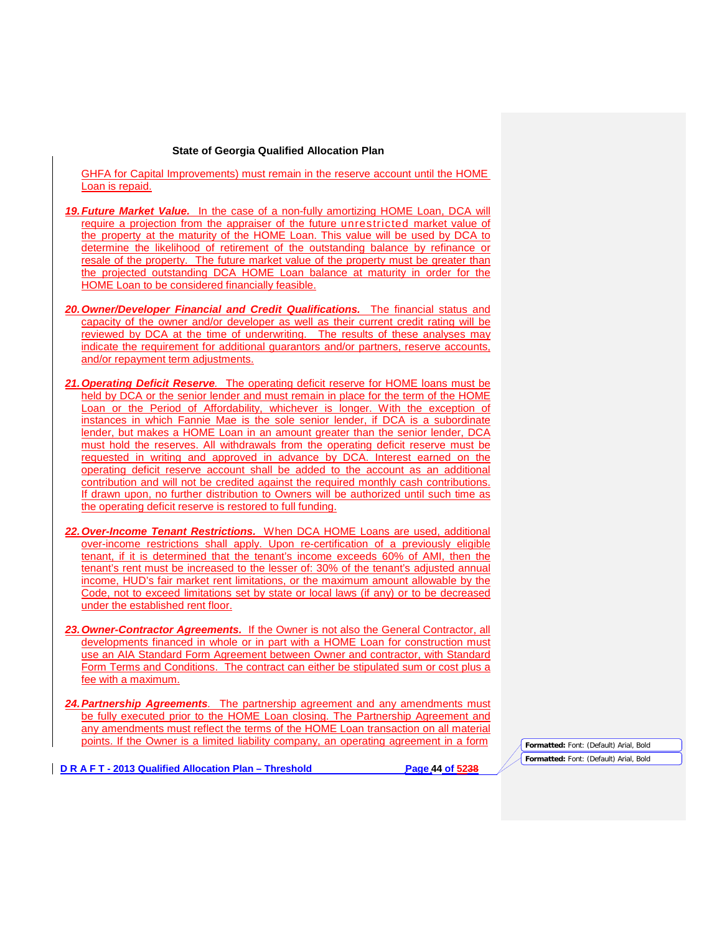GHFA for Capital Improvements) must remain in the reserve account until the HOME Loan is repaid.

- *19.Future Market Value.* In the case of a non-fully amortizing HOME Loan, DCA will require a projection from the appraiser of the future unrestricted market value of the property at the maturity of the HOME Loan. This value will be used by DCA to determine the likelihood of retirement of the outstanding balance by refinance or resale of the property. The future market value of the property must be greater than the projected outstanding DCA HOME Loan balance at maturity in order for the HOME Loan to be considered financially feasible.
- *20.Owner/Developer Financial and Credit Qualifications.* The financial status and capacity of the owner and/or developer as well as their current credit rating will be reviewed by DCA at the time of underwriting. The results of these analyses may indicate the requirement for additional guarantors and/or partners, reserve accounts, and/or repayment term adjustments.
- *21.Operating Deficit Reserve.* The operating deficit reserve for HOME loans must be held by DCA or the senior lender and must remain in place for the term of the HOME Loan or the Period of Affordability, whichever is longer. With the exception of instances in which Fannie Mae is the sole senior lender, if DCA is a subordinate lender, but makes a HOME Loan in an amount greater than the senior lender, DCA must hold the reserves. All withdrawals from the operating deficit reserve must be requested in writing and approved in advance by DCA. Interest earned on the operating deficit reserve account shall be added to the account as an additional contribution and will not be credited against the required monthly cash contributions. If drawn upon, no further distribution to Owners will be authorized until such time as the operating deficit reserve is restored to full funding.
- *22.Over-Income Tenant Restrictions.* When DCA HOME Loans are used, additional over-income restrictions shall apply. Upon re-certification of a previously eligible tenant, if it is determined that the tenant's income exceeds 60% of AMI, then the tenant's rent must be increased to the lesser of: 30% of the tenant's adjusted annual income, HUD's fair market rent limitations, or the maximum amount allowable by the Code, not to exceed limitations set by state or local laws (if any) or to be decreased under the established rent floor.
- *23.Owner-Contractor Agreements.* If the Owner is not also the General Contractor, all developments financed in whole or in part with a HOME Loan for construction must use an AIA Standard Form Agreement between Owner and contractor, with Standard Form Terms and Conditions. The contract can either be stipulated sum or cost plus a fee with a maximum.
- *24.Partnership Agreements.* The partnership agreement and any amendments must be fully executed prior to the HOME Loan closing. The Partnership Agreement and any amendments must reflect the terms of the HOME Loan transaction on all material points. If the Owner is a limited liability company, an operating agreement in a form

**D R A F T - 2013 Qualified Allocation Plan – Threshold Page 44 of 5238**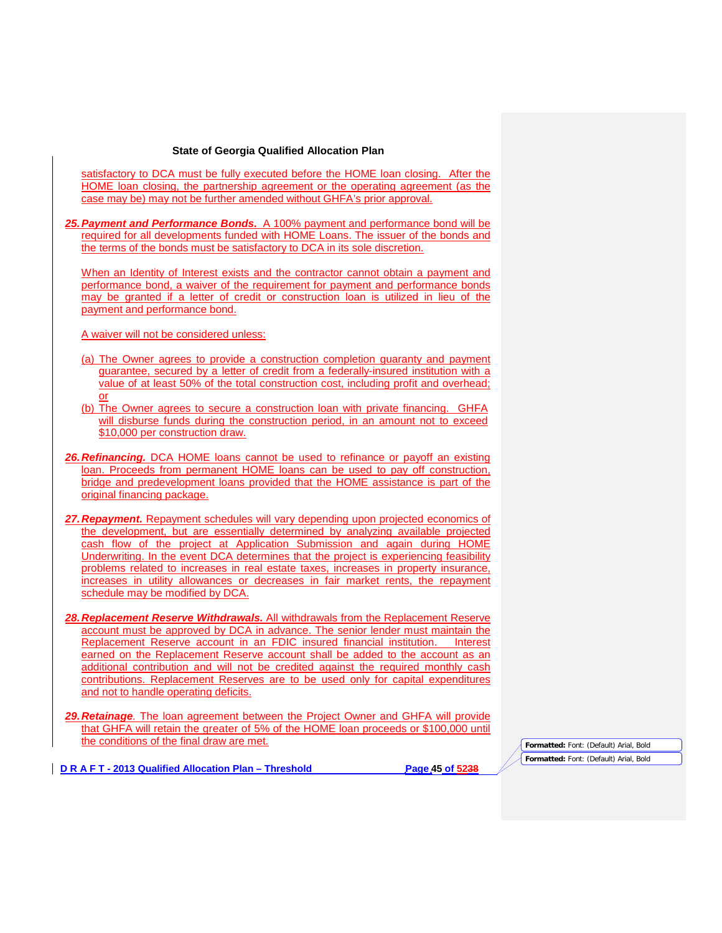satisfactory to DCA must be fully executed before the HOME loan closing. After the HOME loan closing, the partnership agreement or the operating agreement (as the case may be) may not be further amended without GHFA's prior approval.

*25.Payment and Performance Bonds.* A 100% payment and performance bond will be required for all developments funded with HOME Loans. The issuer of the bonds and the terms of the bonds must be satisfactory to DCA in its sole discretion.

When an Identity of Interest exists and the contractor cannot obtain a payment and performance bond, a waiver of the requirement for payment and performance bonds may be granted if a letter of credit or construction loan is utilized in lieu of the payment and performance bond.

A waiver will not be considered unless:

- (a) The Owner agrees to provide a construction completion guaranty and payment guarantee, secured by a letter of credit from a federally-insured institution with a value of at least 50% of the total construction cost, including profit and overhead; or
- (b) The Owner agrees to secure a construction loan with private financing. GHFA will disburse funds during the construction period, in an amount not to exceed \$10,000 per construction draw.
- *26.Refinancing.* DCA HOME loans cannot be used to refinance or payoff an existing loan. Proceeds from permanent HOME loans can be used to pay off construction, bridge and predevelopment loans provided that the HOME assistance is part of the original financing package.
- 27. Repayment. Repayment schedules will vary depending upon projected economics of the development, but are essentially determined by analyzing available projected cash flow of the project at Application Submission and again during HOME Underwriting. In the event DCA determines that the project is experiencing feasibility problems related to increases in real estate taxes, increases in property insurance, increases in utility allowances or decreases in fair market rents, the repayment schedule may be modified by DCA.
- *28.Replacement Reserve Withdrawals.* All withdrawals from the Replacement Reserve account must be approved by DCA in advance. The senior lender must maintain the Replacement Reserve account in an FDIC insured financial institution. Interest earned on the Replacement Reserve account shall be added to the account as an additional contribution and will not be credited against the required monthly cash contributions. Replacement Reserves are to be used only for capital expenditures and not to handle operating deficits.
- *29.Retainage.* The loan agreement between the Project Owner and GHFA will provide that GHFA will retain the greater of 5% of the HOME loan proceeds or \$100,000 until the conditions of the final draw are met.

**D R A F T - 2013 Qualified Allocation Plan – Threshold Page 45 of 5238**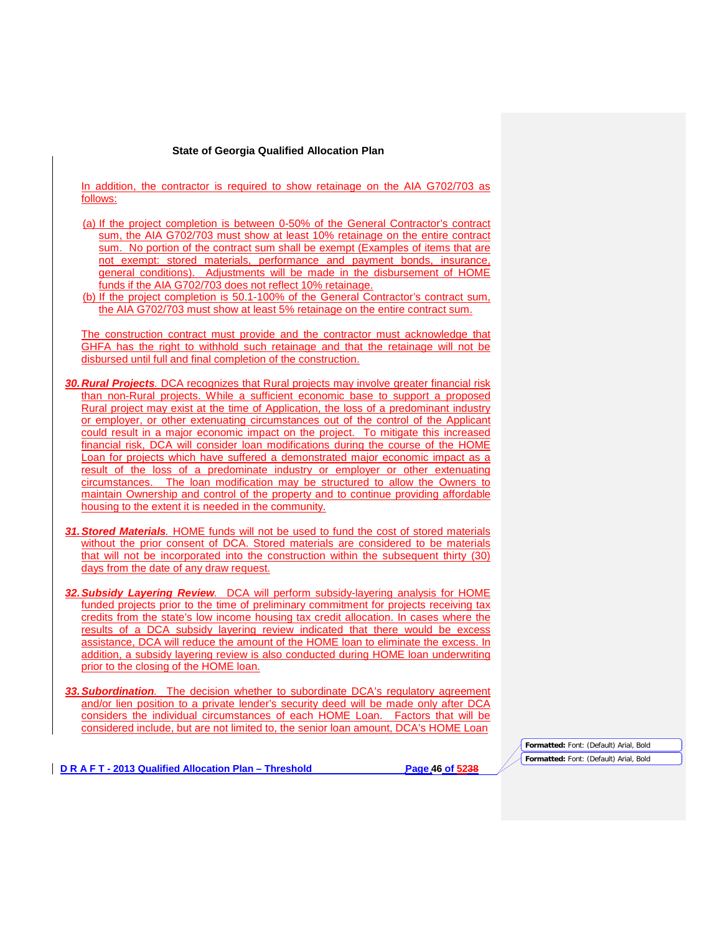In addition, the contractor is required to show retainage on the AIA G702/703 as follows:

- (a) If the project completion is between 0-50% of the General Contractor's contract sum, the AIA G702/703 must show at least 10% retainage on the entire contract sum. No portion of the contract sum shall be exempt (Examples of items that are not exempt: stored materials, performance and payment bonds, insurance, general conditions). Adjustments will be made in the disbursement of HOME funds if the AIA G702/703 does not reflect 10% retainage.
- (b) If the project completion is 50.1-100% of the General Contractor's contract sum, the AIA G702/703 must show at least 5% retainage on the entire contract sum.

The construction contract must provide and the contractor must acknowledge that GHFA has the right to withhold such retainage and that the retainage will not be disbursed until full and final completion of the construction.

- *30.Rural Projects.* DCA recognizes that Rural projects may involve greater financial risk than non-Rural projects. While a sufficient economic base to support a proposed Rural project may exist at the time of Application, the loss of a predominant industry or employer, or other extenuating circumstances out of the control of the Applicant could result in a major economic impact on the project. To mitigate this increased financial risk, DCA will consider loan modifications during the course of the HOME Loan for projects which have suffered a demonstrated major economic impact as a result of the loss of a predominate industry or employer or other extenuating circumstances. The loan modification may be structured to allow the Owners to maintain Ownership and control of the property and to continue providing affordable housing to the extent it is needed in the community.
- *31.Stored Materials.* HOME funds will not be used to fund the cost of stored materials without the prior consent of DCA. Stored materials are considered to be materials that will not be incorporated into the construction within the subsequent thirty (30) days from the date of any draw request.
- *32.Subsidy Layering Review.* DCA will perform subsidy-layering analysis for HOME funded projects prior to the time of preliminary commitment for projects receiving tax credits from the state's low income housing tax credit allocation. In cases where the results of a DCA subsidy layering review indicated that there would be excess assistance, DCA will reduce the amount of the HOME loan to eliminate the excess. In addition, a subsidy layering review is also conducted during HOME loan underwriting prior to the closing of the HOME loan.
- *33.Subordination.* The decision whether to subordinate DCA's regulatory agreement and/or lien position to a private lender's security deed will be made only after DCA considers the individual circumstances of each HOME Loan. Factors that will be considered include, but are not limited to, the senior loan amount, DCA's HOME Loan

## **D R A F T - 2013 Qualified Allocation Plan – Threshold Page 46 of 5238**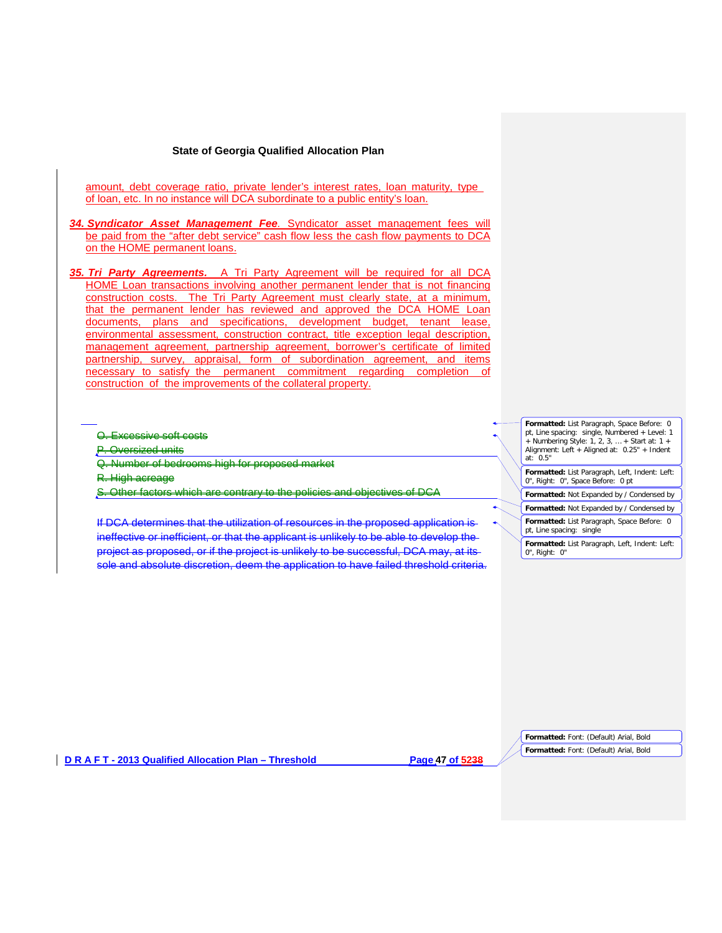amount, debt coverage ratio, private lender's interest rates, loan maturity, type of loan, etc. In no instance will DCA subordinate to a public entity's loan.

*34. Syndicator Asset Management Fee.* Syndicator asset management fees will be paid from the "after debt service" cash flow less the cash flow payments to DCA on the HOME permanent loans.

*35. Tri Party Agreements.* A Tri Party Agreement will be required for all DCA HOME Loan transactions involving another permanent lender that is not financing construction costs. The Tri Party Agreement must clearly state, at a minimum, that the permanent lender has reviewed and approved the DCA HOME Loan documents, plans and specifications, development budget, tenant lease, environmental assessment, construction contract, title exception legal description, management agreement, partnership agreement, borrower's certificate of limited partnership, survey, appraisal, form of subordination agreement, and items necessary to satisfy the permanent commitment regarding completion of construction of the improvements of the collateral property.

O. Excessive soft costs

**Oversized units** 

Q. Number of bedrooms high for proposed market

R. High acreage

S. Other factors which are contrary to the policies and objectives of DCA

If DCA determines that the utilization of resources in the proposed application is ineffective or inefficient, or that the applicant is unlikely to be able to develop the project as proposed, or if the project is unlikely to be successful, DCA may, at its sole and absolute discretion, deem the application to have failed threshold criteria. **Formatted:** List Paragraph, Space Before: 0 pt, Line spacing: single, Numbered + Level: 1 + Numbering Style: 1, 2, 3, … + Start at: 1 + Alignment: Left + Aligned at: 0.25" + Indent at:  $0.5"$ 

**Formatted:** List Paragraph, Left, Indent: Left: 0", Right: 0", Space Before: 0 pt

**Formatted:** Not Expanded by / Condensed by

**Formatted:** Not Expanded by / Condensed by

**Formatted:** List Paragraph, Space Before: 0 pt, Line spacing: single

**Formatted:** List Paragraph, Left, Indent: Left: 0", Right: 0"

**D R A F T - 2013 Qualified Allocation Plan – Threshold Page 47 of 5238**